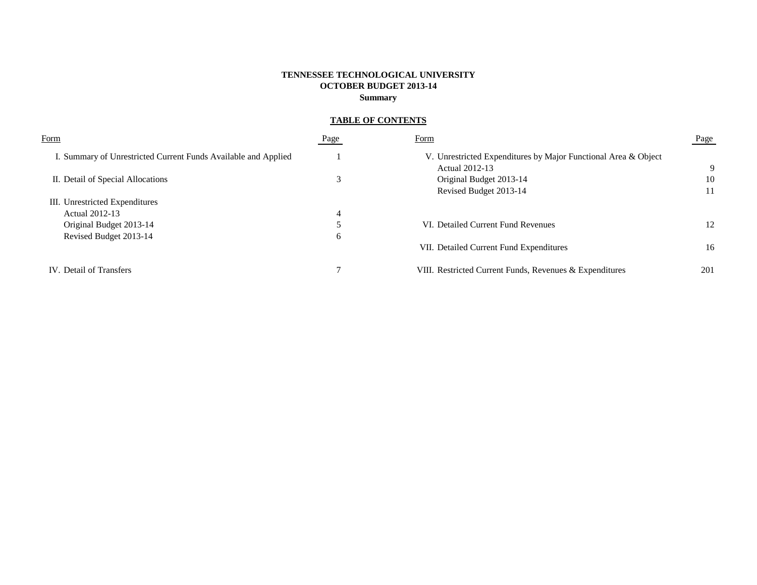# **TENNESSEE TECHNOLOGICAL UNIVERSITY OCTOBER BUDGET 2013-14 Summary**

# **TABLE OF CONTENTS**

| Form                                                           | Page | Form                                                                             | Page |
|----------------------------------------------------------------|------|----------------------------------------------------------------------------------|------|
| I. Summary of Unrestricted Current Funds Available and Applied |      | V. Unrestricted Expenditures by Major Functional Area & Object<br>Actual 2012-13 | -9   |
| II. Detail of Special Allocations                              |      | Original Budget 2013-14                                                          | 10   |
|                                                                |      | Revised Budget 2013-14                                                           | 11   |
| III. Unrestricted Expenditures                                 |      |                                                                                  |      |
| Actual 2012-13                                                 | 4    |                                                                                  |      |
| Original Budget 2013-14                                        |      | VI. Detailed Current Fund Revenues                                               | 12   |
| Revised Budget 2013-14                                         | 6    |                                                                                  |      |
|                                                                |      | VII. Detailed Current Fund Expenditures                                          | 16   |
| IV. Detail of Transfers                                        |      | VIII. Restricted Current Funds, Revenues & Expenditures                          | 201  |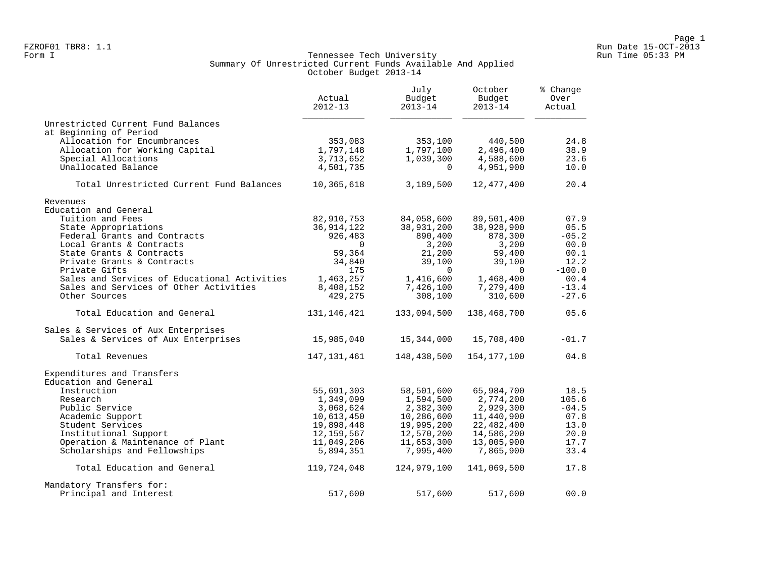#### Form I Georgian Communication of the Communication of Tennessee Tech University Communication Run Time 05:33 PM Summary Of Unrestricted Current Funds Available And Applied October Budget 2013-14

|                                                           | Actual<br>$2012 - 13$      | July<br>Budget<br>$2013 - 14$ | October<br>Budget<br>$2013 - 14$ | % Change<br>Over<br>Actual |
|-----------------------------------------------------------|----------------------------|-------------------------------|----------------------------------|----------------------------|
| Unrestricted Current Fund Balances                        |                            |                               |                                  |                            |
| at Beginning of Period                                    |                            |                               |                                  |                            |
| Allocation for Encumbrances                               | 353,083                    | 353,100                       | 440,500                          | 24.8                       |
| Allocation for Working Capital                            | 1,797,148<br>3,713,652     | 1,797,100                     | 2,496,400                        | 38.9<br>23.6               |
| Special Allocations<br>Unallocated Balance                | 4,501,735                  | 1,039,300<br>$\mathbf 0$      | 4,588,600<br>4,951,900           | 10.0                       |
| Total Unrestricted Current Fund Balances                  | 10,365,618                 | 3,189,500                     | 12,477,400                       | 20.4                       |
| Revenues                                                  |                            |                               |                                  |                            |
| Education and General                                     |                            |                               |                                  |                            |
| Tuition and Fees                                          | 82,910,753                 | 84,058,600                    | 89,501,400                       | 07.9                       |
| State Appropriations                                      | 36, 914, 122               | 38,931,200                    | 38,928,900                       | 05.5                       |
| Federal Grants and Contracts                              | 926,483                    | 890,400                       | 878,300                          | $-05.2$                    |
| Local Grants & Contracts                                  | $\Omega$                   | 3,200                         | 3,200                            | 00.0                       |
| State Grants & Contracts                                  | 59,364                     | 21,200                        | 59,400                           | 00.1                       |
| Private Grants & Contracts                                | 34,840                     | 39,100                        | 39,100                           | 12.2                       |
| Private Gifts                                             | 175                        | $\Omega$                      | $\Omega$                         | $-100.0$                   |
| Sales and Services of Educational Activities              | 1,463,257                  | 1,416,600                     | 1,468,400                        | 00.4                       |
| Sales and Services of Other Activities                    | 8,408,152                  | 7,426,100                     | 7,279,400                        | $-13.4$                    |
| Other Sources                                             | 429,275                    | 308,100                       | 310,600                          | $-27.6$                    |
| Total Education and General                               | 131, 146, 421              | 133,094,500                   | 138,468,700                      | 05.6                       |
| Sales & Services of Aux Enterprises                       |                            |                               |                                  |                            |
| Sales & Services of Aux Enterprises                       | 15,985,040                 | 15,344,000                    | 15,708,400                       | $-01.7$                    |
| Total Revenues                                            | 147,131,461                | 148,438,500                   | 154,177,100                      | 04.8                       |
| Expenditures and Transfers                                |                            |                               |                                  |                            |
| Education and General                                     |                            |                               |                                  |                            |
| Instruction                                               | 55,691,303                 | 58,501,600                    | 65,984,700                       | 18.5                       |
| Research                                                  | 1,349,099                  | 1,594,500                     | 2,774,200                        | 105.6                      |
| Public Service                                            | 3,068,624                  | 2,382,300                     | 2,929,300                        | $-04.5$                    |
| Academic Support                                          | 10,613,450                 | 10,286,600                    | 11,440,900                       | 07.8                       |
| Student Services                                          | 19,898,448                 | 19,995,200                    | 22,482,400                       | 13.0                       |
| Institutional Support<br>Operation & Maintenance of Plant | 12, 159, 567<br>11,049,206 | 12,570,200<br>11,653,300      | 14,586,200<br>13,005,900         | 20.0<br>17.7               |
| Scholarships and Fellowships                              | 5,894,351                  | 7,995,400                     | 7,865,900                        | 33.4                       |
|                                                           |                            |                               |                                  |                            |
| Total Education and General                               | 119,724,048                | 124,979,100                   | 141,069,500                      | 17.8                       |
| Mandatory Transfers for:                                  |                            |                               |                                  |                            |
| Principal and Interest                                    | 517,600                    | 517,600                       | 517,600                          | 00.0                       |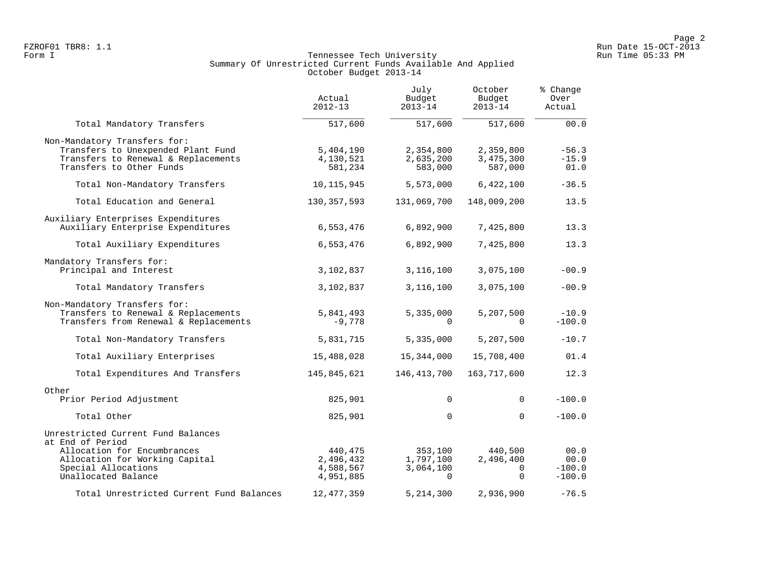#### Form I Georgian Communication of the Communication of Tennessee Tech University Communication Run Time 05:33 PM Summary Of Unrestricted Current Funds Available And Applied October Budget 2013-14

|                                                                                                                                       | Actual<br>$2012 - 13$                          | July<br>Budget<br>$2013 - 14$                 | October<br>Budget<br>$2013 - 14$             | % Change<br>Over<br>Actual           |
|---------------------------------------------------------------------------------------------------------------------------------------|------------------------------------------------|-----------------------------------------------|----------------------------------------------|--------------------------------------|
| Total Mandatory Transfers                                                                                                             | 517,600                                        | 517,600                                       | 517,600                                      | 00.0                                 |
| Non-Mandatory Transfers for:<br>Transfers to Unexpended Plant Fund<br>Transfers to Renewal & Replacements<br>Transfers to Other Funds | 5,404,190<br>4,130,521<br>581,234              | 2,354,800<br>2,635,200<br>583,000             | 2,359,800<br>3,475,300<br>587,000            | $-56.3$<br>$-15.9$<br>01.0           |
| Total Non-Mandatory Transfers                                                                                                         | 10,115,945                                     | 5,573,000                                     | 6,422,100                                    | $-36.5$                              |
| Total Education and General                                                                                                           | 130, 357, 593                                  | 131,069,700                                   | 148,009,200                                  | 13.5                                 |
| Auxiliary Enterprises Expenditures<br>Auxiliary Enterprise Expenditures                                                               | 6,553,476                                      | 6,892,900                                     | 7,425,800                                    | 13.3                                 |
| Total Auxiliary Expenditures                                                                                                          | 6,553,476                                      | 6,892,900                                     | 7,425,800                                    | 13.3                                 |
| Mandatory Transfers for:<br>Principal and Interest                                                                                    | 3,102,837                                      | 3,116,100                                     | 3,075,100                                    | $-00.9$                              |
| Total Mandatory Transfers                                                                                                             | 3,102,837                                      | 3,116,100                                     | 3,075,100                                    | $-00.9$                              |
| Non-Mandatory Transfers for:<br>Transfers to Renewal & Replacements<br>Transfers from Renewal & Replacements                          | 5,841,493<br>$-9,778$                          | 5,335,000<br>$\Omega$                         | 5,207,500<br>$\Omega$                        | $-10.9$<br>$-100.0$                  |
| Total Non-Mandatory Transfers                                                                                                         | 5,831,715                                      | 5,335,000                                     | 5,207,500                                    | $-10.7$                              |
| Total Auxiliary Enterprises                                                                                                           | 15,488,028                                     | 15,344,000                                    | 15,708,400                                   | 01.4                                 |
| Total Expenditures And Transfers                                                                                                      | 145,845,621                                    | 146, 413, 700                                 | 163,717,600                                  | 12.3                                 |
| Other<br>Prior Period Adjustment                                                                                                      | 825,901                                        | $\Omega$                                      | $\Omega$                                     | $-100.0$                             |
| Total Other                                                                                                                           | 825,901                                        | $\Omega$                                      | $\Omega$                                     | $-100.0$                             |
| Unrestricted Current Fund Balances<br>at End of Period                                                                                |                                                |                                               |                                              |                                      |
| Allocation for Encumbrances<br>Allocation for Working Capital<br>Special Allocations<br>Unallocated Balance                           | 440,475<br>2,496,432<br>4,588,567<br>4,951,885 | 353,100<br>1,797,100<br>3,064,100<br>$\Omega$ | 440,500<br>2,496,400<br>$\Omega$<br>$\Omega$ | 00.0<br>00.0<br>$-100.0$<br>$-100.0$ |
| Total Unrestricted Current Fund Balances                                                                                              | 12, 477, 359                                   | 5, 214, 300                                   | 2,936,900                                    | $-76.5$                              |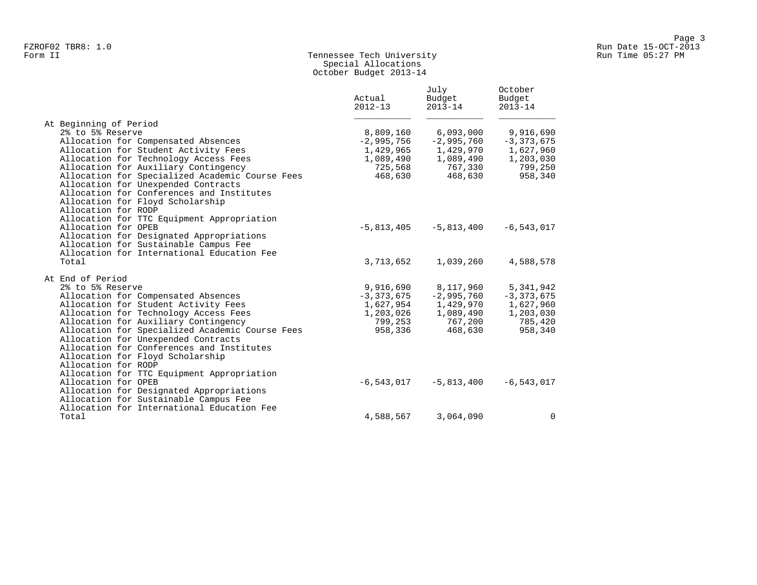## Form II Tennessee Tech University Run Time 05:27 PM Special Allocations October Budget 2013-14

|                                                                                   | Actual<br>$2012 - 13$ | July<br>Budget<br>$2013 - 14$ | October<br>Budget<br>$2013 - 14$ |
|-----------------------------------------------------------------------------------|-----------------------|-------------------------------|----------------------------------|
| At Beginning of Period                                                            |                       |                               |                                  |
| 2% to 5% Reserve                                                                  | 8,809,160             | 6,093,000                     | 9,916,690                        |
| Allocation for Compensated Absences                                               | $-2,995,756$          | $-2,995,760$                  | $-3, 373, 675$                   |
| Allocation for Student Activity Fees                                              | 1,429,965             | 1,429,970                     | 1,627,960                        |
| Allocation for Technology Access Fees                                             | 1,089,490             | 1,089,490                     | 1,203,030                        |
| Allocation for Auxiliary Contingency                                              | 725,568               | 767,330                       | 799,250                          |
| Allocation for Specialized Academic Course Fees                                   | 468,630               | 468,630                       | 958,340                          |
| Allocation for Unexpended Contracts                                               |                       |                               |                                  |
| Allocation for Conferences and Institutes                                         |                       |                               |                                  |
| Allocation for Floyd Scholarship                                                  |                       |                               |                                  |
| Allocation for RODP                                                               |                       |                               |                                  |
| Allocation for TTC Equipment Appropriation                                        |                       |                               |                                  |
| Allocation for OPEB                                                               | $-5,813,405$          | $-5,813,400$                  | $-6, 543, 017$                   |
| Allocation for Designated Appropriations<br>Allocation for Sustainable Campus Fee |                       |                               |                                  |
| Allocation for International Education Fee                                        |                       |                               |                                  |
| Total                                                                             | 3,713,652             | 1,039,260                     | 4,588,578                        |
|                                                                                   |                       |                               |                                  |
| At End of Period                                                                  |                       |                               |                                  |
| 2% to 5% Reserve                                                                  | 9,916,690             | 8,117,960                     | 5,341,942                        |
| Allocation for Compensated Absences                                               | $-3,373,675$          | $-2,995,760$                  | $-3, 373, 675$                   |
| Allocation for Student Activity Fees                                              | 1,627,954             | 1,429,970                     | 1,627,960                        |
| Allocation for Technology Access Fees                                             | 1,203,026             | 1,089,490                     | 1,203,030                        |
| Allocation for Auxiliary Contingency                                              | 799,253               | 767,200                       | 785,420                          |
| Allocation for Specialized Academic Course Fees                                   | 958,336               | 468,630                       | 958,340                          |
| Allocation for Unexpended Contracts                                               |                       |                               |                                  |
| Allocation for Conferences and Institutes                                         |                       |                               |                                  |
| Allocation for Floyd Scholarship                                                  |                       |                               |                                  |
| Allocation for RODP                                                               |                       |                               |                                  |
| Allocation for TTC Equipment Appropriation                                        |                       |                               |                                  |
| Allocation for OPEB                                                               | -6,543,017            | $-5,813,400$                  | $-6, 543, 017$                   |
| Allocation for Designated Appropriations                                          |                       |                               |                                  |
| Allocation for Sustainable Campus Fee                                             |                       |                               |                                  |
| Allocation for International Education Fee                                        |                       |                               |                                  |
| Total                                                                             | 4,588,567             | 3,064,090                     | $\mathbf 0$                      |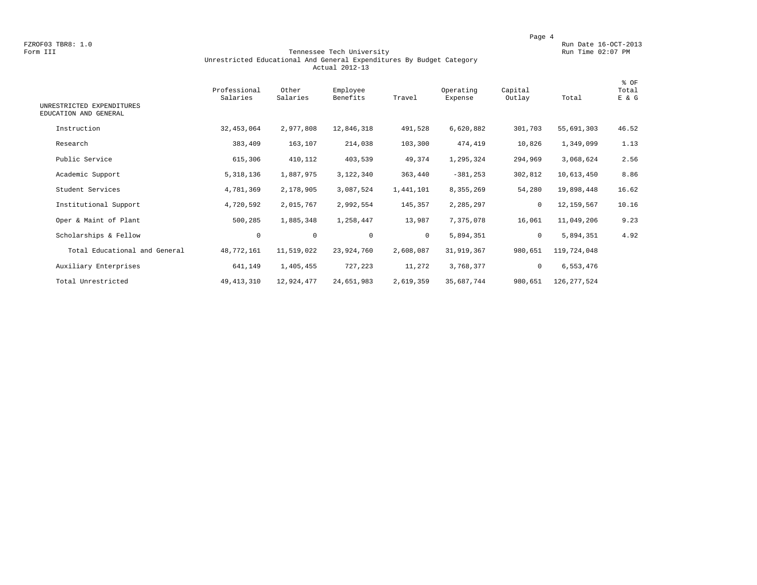FZROF03 TBR8: 1.0<br>Form III Run Date 16-OCT-2013 Run Date 16-OCT-2013<br>Form III Run Time 02:07 PM

#### Form III Tennessee Tech University Run Time 02:07 PM Unrestricted Educational And General Expenditures By Budget Category Actual 2012-13

| UNRESTRICTED EXPENDITURES<br>EDUCATION AND GENERAL | Professional<br>Salaries | Other<br>Salaries | Employee<br>Benefits | Travel    | Operating<br>Expense | Capital<br>Outlay | Total         | % OF<br>Total<br>E & G |
|----------------------------------------------------|--------------------------|-------------------|----------------------|-----------|----------------------|-------------------|---------------|------------------------|
| Instruction                                        | 32, 453, 064             | 2,977,808         | 12,846,318           | 491,528   | 6,620,882            | 301,703           | 55,691,303    | 46.52                  |
| Research                                           | 383,409                  | 163,107           | 214,038              | 103,300   | 474,419              | 10,826            | 1,349,099     | 1.13                   |
| Public Service                                     | 615,306                  | 410,112           | 403,539              | 49,374    | 1,295,324            | 294,969           | 3,068,624     | 2.56                   |
| Academic Support                                   | 5, 318, 136              | 1,887,975         | 3,122,340            | 363,440   | $-381, 253$          | 302,812           | 10,613,450    | 8.86                   |
| Student Services                                   | 4,781,369                | 2,178,905         | 3,087,524            | 1,441,101 | 8,355,269            | 54,280            | 19,898,448    | 16.62                  |
| Institutional Support                              | 4,720,592                | 2,015,767         | 2,992,554            | 145,357   | 2,285,297            | $\mathbf 0$       | 12,159,567    | 10.16                  |
| Oper & Maint of Plant                              | 500,285                  | 1,885,348         | 1,258,447            | 13,987    | 7,375,078            | 16,061            | 11,049,206    | 9.23                   |
| Scholarships & Fellow                              | $\mathbf 0$              | $\circ$           | $\mathbf{0}$         | $\circ$   | 5,894,351            | $\circ$           | 5,894,351     | 4.92                   |
| Total Educational and General                      | 48,772,161               | 11,519,022        | 23,924,760           | 2,608,087 | 31,919,367           | 980,651           | 119,724,048   |                        |
| Auxiliary Enterprises                              | 641,149                  | 1,405,455         | 727,223              | 11,272    | 3,768,377            | $\mathbf 0$       | 6,553,476     |                        |
| Total Unrestricted                                 | 49, 413, 310             | 12,924,477        | 24,651,983           | 2,619,359 | 35,687,744           | 980,651           | 126, 277, 524 |                        |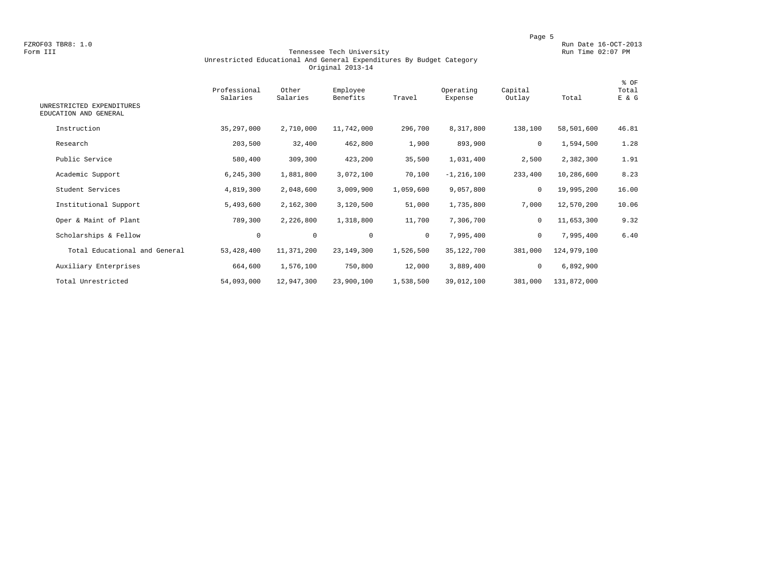FZROF03 TBR8: 1.0<br>Form III Run Date 16-OCT-2013<br>Form III Run Time 02:07 PM

#### Form III Tennessee Tech University Run Time 02:07 PM Unrestricted Educational And General Expenditures By Budget Category Original 2013-14

| UNRESTRICTED EXPENDITURES<br>EDUCATION AND GENERAL | Professional<br>Salaries | Other<br>Salaries | Employee<br>Benefits | Travel       | Operating<br>Expense | Capital<br>Outlay | Total       | % OF<br>Total<br>E & G |
|----------------------------------------------------|--------------------------|-------------------|----------------------|--------------|----------------------|-------------------|-------------|------------------------|
| Instruction                                        | 35,297,000               | 2,710,000         | 11,742,000           | 296,700      | 8,317,800            | 138,100           | 58,501,600  | 46.81                  |
| Research                                           | 203,500                  | 32,400            | 462,800              | 1,900        | 893,900              | 0                 | 1,594,500   | 1.28                   |
| Public Service                                     | 580,400                  | 309,300           | 423,200              | 35,500       | 1,031,400            | 2,500             | 2,382,300   | 1.91                   |
| Academic Support                                   | 6, 245, 300              | 1,881,800         | 3,072,100            | 70,100       | $-1, 216, 100$       | 233,400           | 10,286,600  | 8.23                   |
| Student Services                                   | 4,819,300                | 2,048,600         | 3,009,900            | 1,059,600    | 9,057,800            | $\mathbf 0$       | 19,995,200  | 16.00                  |
| Institutional Support                              | 5,493,600                | 2,162,300         | 3,120,500            | 51,000       | 1,735,800            | 7,000             | 12,570,200  | 10.06                  |
| Oper & Maint of Plant                              | 789,300                  | 2,226,800         | 1,318,800            | 11,700       | 7,306,700            | $\mathbf 0$       | 11,653,300  | 9.32                   |
| Scholarships & Fellow                              | $\mathbf 0$              | $\mathbf 0$       | $\mathbf 0$          | $\mathbf{0}$ | 7,995,400            | $\mathbf 0$       | 7,995,400   | 6.40                   |
| Total Educational and General                      | 53, 428, 400             | 11,371,200        | 23, 149, 300         | 1,526,500    | 35,122,700           | 381,000           | 124,979,100 |                        |
| Auxiliary Enterprises                              | 664,600                  | 1,576,100         | 750,800              | 12,000       | 3,889,400            | 0                 | 6,892,900   |                        |
| Total Unrestricted                                 | 54,093,000               | 12,947,300        | 23,900,100           | 1,538,500    | 39,012,100           | 381,000           | 131,872,000 |                        |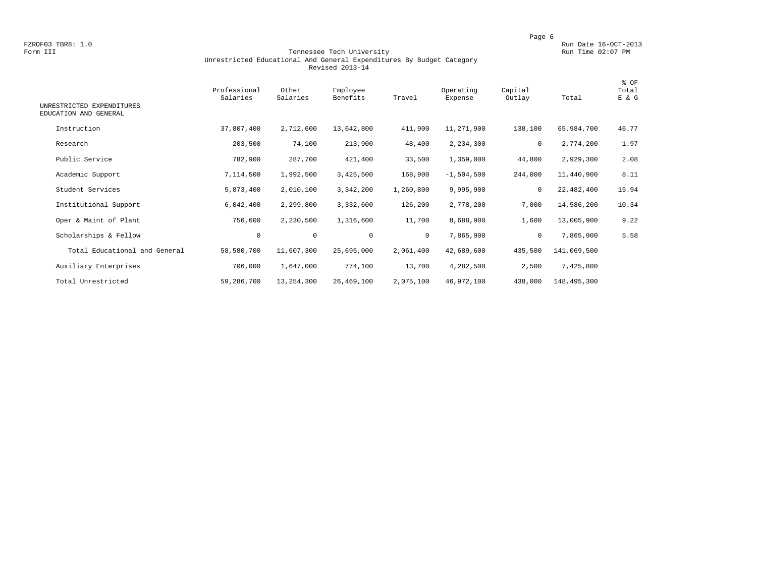FZROF03 TBR8: 1.0<br>Form III Run Date 16-OCT-2013 Tennessee Tech University Form III Run Time 02:07 PM

#### Form III Tennessee Tech University Run Time 02:07 PM Unrestricted Educational And General Expenditures By Budget Category Revised 2013-14

| UNRESTRICTED EXPENDITURES     | Professional<br>Salaries | Other<br>Salaries | Employee<br>Benefits | Travel       | Operating<br>Expense | Capital<br>Outlay | Total       | % OF<br>Total<br>E & G |
|-------------------------------|--------------------------|-------------------|----------------------|--------------|----------------------|-------------------|-------------|------------------------|
| EDUCATION AND GENERAL         |                          |                   |                      |              |                      |                   |             |                        |
| Instruction                   | 37,807,400               | 2,712,600         | 13,642,800           | 411,900      | 11,271,900           | 138,100           | 65,984,700  | 46.77                  |
| Research                      | 203,500                  | 74,100            | 213,900              | 48,400       | 2,234,300            | $\mathbf 0$       | 2,774,200   | 1.97                   |
| Public Service                | 782,900                  | 287,700           | 421,400              | 33,500       | 1,359,000            | 44,800            | 2,929,300   | 2.08                   |
| Academic Support              | 7,114,500                | 1,992,500         | 3,425,500            | 168,900      | $-1,504,500$         | 244,000           | 11,440,900  | 8.11                   |
| Student Services              | 5,873,400                | 2,010,100         | 3,342,200            | 1,260,800    | 9,995,900            | $\mathbf 0$       | 22,482,400  | 15.94                  |
| Institutional Support         | 6,042,400                | 2,299,800         | 3,332,600            | 126,200      | 2,778,200            | 7,000             | 14,586,200  | 10.34                  |
| Oper & Maint of Plant         | 756,600                  | 2,230,500         | 1,316,600            | 11,700       | 8,688,900            | 1,600             | 13,005,900  | 9.22                   |
| Scholarships & Fellow         | $\mathbf 0$              | $\mathbf 0$       | $\mathbf 0$          | $\mathbf{0}$ | 7,865,900            | $\mathbf 0$       | 7,865,900   | 5.58                   |
| Total Educational and General | 58,580,700               | 11,607,300        | 25,695,000           | 2,061,400    | 42,689,600           | 435,500           | 141,069,500 |                        |
| Auxiliary Enterprises         | 706,000                  | 1,647,000         | 774,100              | 13,700       | 4,282,500            | 2,500             | 7,425,800   |                        |
| Total Unrestricted            | 59,286,700               | 13,254,300        | 26,469,100           | 2,075,100    | 46,972,100           | 438,000           | 148,495,300 |                        |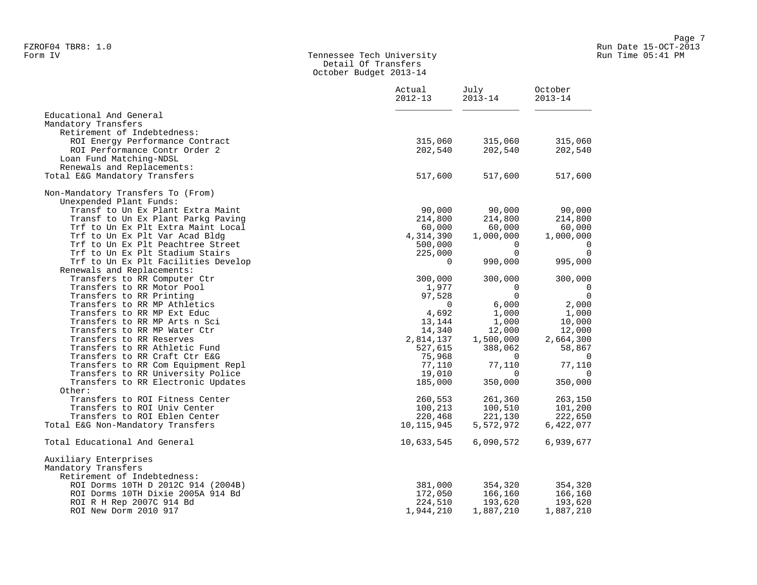#### Form IV Tennessee Tech University Run Time 05:41 PM Detail Of Transfers October Budget 2013-14

|                                     | Actual<br>$2012 - 13$ | July<br>$2013 - 14$ | October<br>$2013 - 14$ |  |
|-------------------------------------|-----------------------|---------------------|------------------------|--|
| Educational And General             |                       |                     |                        |  |
| Mandatory Transfers                 |                       |                     |                        |  |
| Retirement of Indebtedness:         |                       |                     |                        |  |
| ROI Energy Performance Contract     | 315,060               | 315,060             | 315,060                |  |
| ROI Performance Contr Order 2       | 202,540               | 202,540             | 202,540                |  |
| Loan Fund Matching-NDSL             |                       |                     |                        |  |
| Renewals and Replacements:          |                       |                     |                        |  |
| Total E&G Mandatory Transfers       | 517,600               | 517,600             | 517,600                |  |
| Non-Mandatory Transfers To (From)   |                       |                     |                        |  |
| Unexpended Plant Funds:             |                       |                     |                        |  |
| Transf to Un Ex Plant Extra Maint   | 90,000                | 90,000              | 90,000                 |  |
| Transf to Un Ex Plant Parkg Paving  | 214,800               | 214,800             | 214,800                |  |
| Trf to Un Ex Plt Extra Maint Local  | 60,000                | 60,000              | 60,000                 |  |
| Trf to Un Ex Plt Var Acad Bldg      | 4,314,390             | 1,000,000           | 1,000,000              |  |
| Trf to Un Ex Plt Peachtree Street   | 500,000               | $\Omega$            | $\overline{0}$         |  |
| Trf to Un Ex Plt Stadium Stairs     | 225,000               | $\Omega$            | $\Omega$               |  |
| Trf to Un Ex Plt Facilities Develop | $\Omega$              | 990,000             | 995,000                |  |
| Renewals and Replacements:          |                       |                     |                        |  |
| Transfers to RR Computer Ctr        | 300,000               | 300,000             | 300,000                |  |
| Transfers to RR Motor Pool          | 1,977                 | $\mathbf 0$         | $\mathbf 0$            |  |
| Transfers to RR Printing            | 97,528                | $\Omega$            | $\overline{0}$         |  |
| Transfers to RR MP Athletics        | 0                     | 6,000               | 2,000                  |  |
| Transfers to RR MP Ext Educ         | 4,692                 | 1,000               | 1,000                  |  |
| Transfers to RR MP Arts n Sci       | 13,144                | 1,000               | 10,000                 |  |
| Transfers to RR MP Water Ctr        | 14,340                | 12,000              | 12,000                 |  |
| Transfers to RR Reserves            | 2,814,137             | 1,500,000           | 2,664,300              |  |
| Transfers to RR Athletic Fund       | 527,615               | 388,062             | 58,867                 |  |
| Transfers to RR Craft Ctr E&G       | 75,968                | $\Omega$            | $\overline{0}$         |  |
| Transfers to RR Com Equipment Repl  | 77,110                | 77,110              | 77,110                 |  |
| Transfers to RR University Police   | 19,010                | $\Omega$            | $\Omega$               |  |
| Transfers to RR Electronic Updates  | 185,000               | 350,000             | 350,000                |  |
| Other:                              |                       |                     |                        |  |
| Transfers to ROI Fitness Center     | 260,553               | 261,360             | 263,150                |  |
| Transfers to ROI Univ Center        | 100,213               | 100,510             | 101,200                |  |
| Transfers to ROI Eblen Center       | 220,468               | 221,130             | 222,650                |  |
| Total E&G Non-Mandatory Transfers   | 10,115,945            | 5,572,972           | 6,422,077              |  |
| Total Educational And General       | 10,633,545            | 6,090,572           | 6,939,677              |  |
| Auxiliary Enterprises               |                       |                     |                        |  |
| Mandatory Transfers                 |                       |                     |                        |  |
| Retirement of Indebtedness:         |                       |                     |                        |  |
| ROI Dorms 10TH D 2012C 914 (2004B)  | 381,000               | 354,320             | 354,320                |  |
| ROI Dorms 10TH Dixie 2005A 914 Bd   | 172,050               | 166,160             | 166,160                |  |
| ROI R H Rep 2007C 914 Bd            | 224,510               | 193,620             | 193,620                |  |
| ROI New Dorm 2010 917               | 1,944,210             | 1,887,210           | 1,887,210              |  |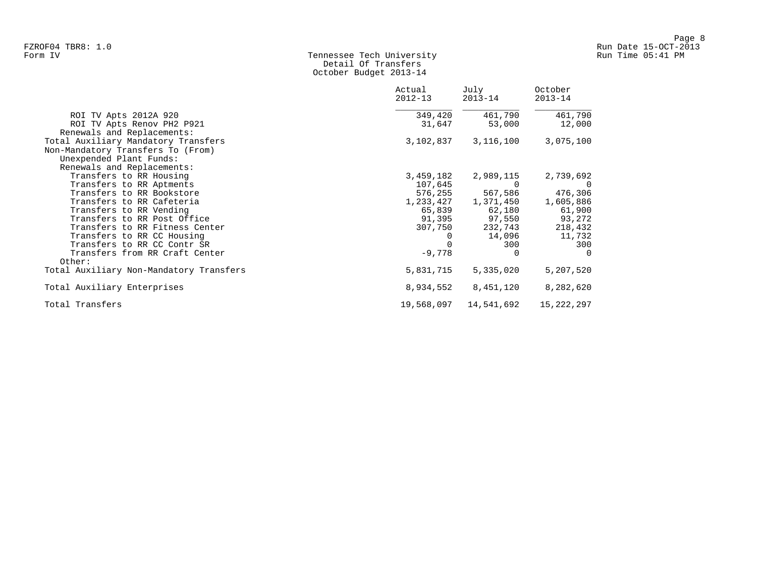#### Form IV Tennessee Tech University Run Time 05:41 PM Detail Of Transfers October Budget 2013-14

|                                                                                                     | Actual<br>$2012 - 13$ | July<br>$2013 - 14$     | October<br>$2013 - 14$ |
|-----------------------------------------------------------------------------------------------------|-----------------------|-------------------------|------------------------|
| ROI TV Apts 2012A 920                                                                               | 349,420               | 461,790                 | 461,790                |
| ROI TV Apts Renov PH2 P921<br>Renewals and Replacements:                                            | 31,647                | 53,000                  | 12,000                 |
| Total Auxiliary Mandatory Transfers<br>Non-Mandatory Transfers To (From)<br>Unexpended Plant Funds: | 3,102,837             | 3,116,100               | 3,075,100              |
| Renewals and Replacements:<br>Transfers to RR Housing                                               | 3,459,182             | 2,989,115               | 2,739,692              |
| Transfers to RR Aptments                                                                            | 107,645               | $\Omega$                | - 0                    |
| Transfers to RR Bookstore                                                                           | 576,255               | 567,586                 | 476,306                |
| Transfers to RR Cafeteria                                                                           |                       | 1, 233, 427 1, 371, 450 | 1,605,886              |
| Transfers to RR Vending                                                                             | 65,839                | 62,180                  | 61,900                 |
| Transfers to RR Post Office                                                                         | 91,395                | 97,550                  | 93,272                 |
| Transfers to RR Fitness Center                                                                      | 307,750               | 232,743                 | 218,432                |
| Transfers to RR CC Housing                                                                          | 0                     | 14,096                  | 11,732                 |
| Transfers to RR CC Contr SR                                                                         |                       | 300                     | 300                    |
| Transfers from RR Craft Center<br>Other:                                                            | $-9,778$              |                         | $\Omega$               |
| Total Auxiliary Non-Mandatory Transfers                                                             | 5,831,715             | 5,335,020               | 5,207,520              |
|                                                                                                     |                       |                         |                        |
| Total Auxiliary Enterprises                                                                         | 8,934,552             | 8,451,120               | 8,282,620              |
| Total Transfers                                                                                     | 19,568,097            | 14,541,692              | 15,222,297             |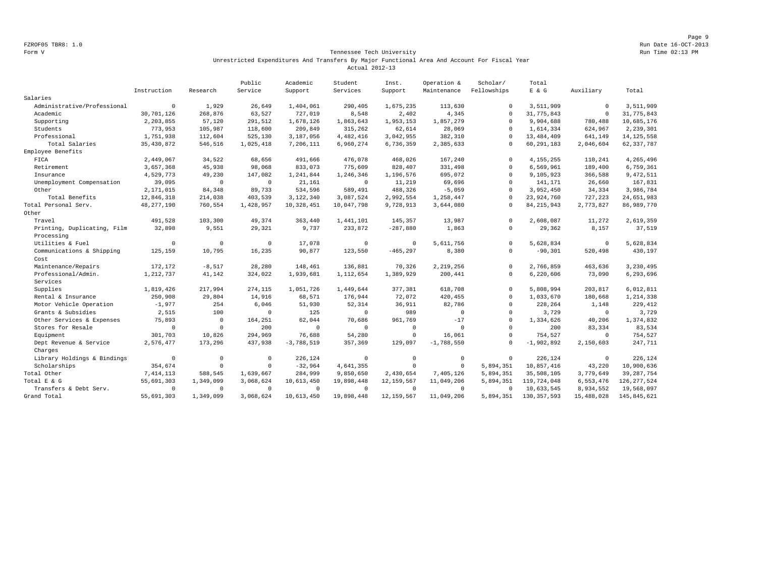Page 9 FZROF05 TBR8: 1.0 Run Date 16-OCT-2013

#### Form V Tennessee Tech University Run Time 02:13 PM Unrestricted Expenditures And Transfers By Major Functional Area And Account For Fiscal Year Actual 2012-13

|                             |                |                | Public       | Academic     | Student      | Inst.          | Operation &  | Scholar/     | Total         |             |               |
|-----------------------------|----------------|----------------|--------------|--------------|--------------|----------------|--------------|--------------|---------------|-------------|---------------|
|                             | Instruction    | Research       | Service      | Support      | Services     | Support        | Maintenance  | Fellowships  | $E$ & G       | Auxiliary   | Total         |
| Salaries                    |                |                |              |              |              |                |              |              |               |             |               |
| Administrative/Professional | $\overline{0}$ | 1,929          | 26,649       | 1,404,061    | 290,405      | 1,675,235      | 113,630      | $\Omega$     | 3,511,909     | $^{\circ}$  | 3,511,909     |
| Academic                    | 30,701,126     | 268,876        | 63,527       | 727,019      | 8,548        | 2,402          | 4,345        | $\Omega$     | 31,775,843    | $\mathbf 0$ | 31,775,843    |
| Supporting                  | 2,203,855      | 57,120         | 291,512      | 1,678,126    | 1,863,643    | 1,953,153      | 1,857,279    | $\Omega$     | 9,904,688     | 780,488     | 10,685,176    |
| Students                    | 773,953        | 105,987        | 118,600      | 209,849      | 315,262      | 62,614         | 28,069       | $\Omega$     | 1,614,334     | 624,967     | 2,239,301     |
| Professional                | 1,751,938      | 112,604        | 525,130      | 3,187,056    | 4, 482, 416  | 3,042,955      | 382,310      | $\Omega$     | 13, 484, 409  | 641,149     | 14, 125, 558  |
| Total Salaries              | 35, 430, 872   | 546,516        | 1,025,418    | 7,206,111    | 6,960,274    | 6,736,359      | 2,385,633    |              | 60, 291, 183  | 2,046,604   | 62, 337, 787  |
| Employee Benefits           |                |                |              |              |              |                |              |              |               |             |               |
| FICA                        | 2,449,067      | 34,522         | 68,656       | 491,666      | 476,078      | 468,026        | 167,240      | $\Omega$     | 4, 155, 255   | 110,241     | 4,265,496     |
| Retirement                  | 3,657,368      | 45,938         | 98,068       | 833,073      | 775,609      | 828,407        | 331,498      | $\Omega$     | 6,569,961     | 189,400     | 6,759,361     |
| Insurance                   | 4,529,773      | 49,230         | 147,082      | 1,241,844    | 1,246,346    | 1,196,576      | 695,072      | $\circ$      | 9,105,923     | 366,588     | 9,472,511     |
| Unemployment Compensation   | 39,095         | $^{\circ}$     | $\mathbf{0}$ | 21,161       | $\mathbf{0}$ | 11,219         | 69,696       | $\Omega$     | 141,171       | 26,660      | 167,831       |
| Other                       | 2,171,015      | 84,348         | 89,733       | 534,596      | 589,491      | 488,326        | $-5,059$     | $\Omega$     | 3,952,450     | 34,334      | 3,986,784     |
| Total Benefits              | 12,846,318     | 214,038        | 403,539      | 3,122,340    | 3,087,524    | 2,992,554      | 1,258,447    |              | 23,924,760    | 727,223     | 24,651,983    |
| Total Personal Serv.        | 48, 277, 190   | 760,554        | 1,428,957    | 10,328,451   | 10,047,798   | 9,728,913      | 3,644,080    | $\Omega$     | 84, 215, 943  | 2,773,827   | 86,989,770    |
| Other                       |                |                |              |              |              |                |              |              |               |             |               |
| Travel                      | 491,528        | 103,300        | 49,374       | 363,440      | 1,441,101    | 145,357        | 13,987       | $\Omega$     | 2,608,087     | 11,272      | 2,619,359     |
| Printing, Duplicating, Film | 32,898         | 9,551          | 29,321       | 9,737        | 233,872      | $-287,880$     | 1,863        | $\Omega$     | 29,362        | 8,157       | 37,519        |
| Processing                  |                |                |              |              |              |                |              |              |               |             |               |
| Utilities & Fuel            | $^{\circ}$     | $\overline{0}$ | $\circ$      | 17,078       | $\circ$      | $\overline{0}$ | 5,611,756    | $\Omega$     | 5,628,834     | $\circ$     | 5,628,834     |
| Communications & Shipping   | 125,159        | 10,795         | 16,235       | 90,877       | 123,550      | $-465, 297$    | 8,380        | $\mathbf{0}$ | $-90, 301$    | 520,498     | 430,197       |
| Cost                        |                |                |              |              |              |                |              |              |               |             |               |
| Maintenance/Repairs         | 172,172        | $-8,517$       | 28,280       | 148,461      | 136,881      | 70,326         | 2,219,256    | $\Omega$     | 2,766,859     | 463,636     | 3,230,495     |
| Professional/Admin.         | 1,212,737      | 41,142         | 324,022      | 1,939,681    | 1,112,654    | 1,389,929      | 200,441      | $\Omega$     | 6,220,606     | 73,090      | 6,293,696     |
| Services                    |                |                |              |              |              |                |              |              |               |             |               |
| Supplies                    | 1,819,426      | 217,994        | 274,115      | 1,051,726    | 1,449,644    | 377,381        | 618,708      | $\Omega$     | 5,808,994     | 203,817     | 6,012,811     |
| Rental & Insurance          | 250,908        | 29,804         | 14,916       | 68,571       | 176,944      | 72,072         | 420,455      | $\Omega$     | 1,033,670     | 180,668     | 1,214,338     |
| Motor Vehicle Operation     | $-1,977$       | 254            | 6,046        | 51,930       | 52,314       | 36,911         | 82,786       | $\Omega$     | 228,264       | 1,148       | 229,412       |
| Grants & Subsidies          | 2,515          | 100            | $\Omega$     | 125          | $\Omega$     | 989            | $\mathbf 0$  | $\Omega$     | 3,729         | $\circ$     | 3,729         |
| Other Services & Expenses   | 75,893         | $\circ$        | 164,251      | 62,044       | 70,686       | 961,769        | $-17$        | $\Omega$     | 1,334,626     | 40,206      | 1,374,832     |
| Stores for Resale           | $\mathbf 0$    | $\circ$        | 200          | $\circ$      | $\circ$      | $\overline{0}$ | $\circ$      | $\Omega$     | 200           | 83,334      | 83,534        |
| Equipment                   | 301,703        | 10,826         | 294,969      | 76,688       | 54,280       | $\mathbf 0$    | 16,061       | $\Omega$     | 754,527       | $\circ$     | 754,527       |
| Dept Revenue & Service      | 2,576,477      | 173,296        | 437,938      | $-3,788,519$ | 357,369      | 129,097        | $-1,788,550$ | $\Omega$     | $-1,902,892$  | 2,150,603   | 247,711       |
| Charges                     |                |                |              |              |              |                |              |              |               |             |               |
| Library Holdings & Bindings | $^{\circ}$     | $\circ$        | $\circ$      | 226,124      | $^{\circ}$   | $\overline{0}$ | $^{\circ}$   | $^{\circ}$   | 226,124       | $^{\circ}$  | 226,124       |
| Scholarships                | 354,674        | $\mathbf 0$    | $\Omega$     | $-32,964$    | 4,641,355    | $\overline{0}$ | $\circ$      | 5,894,351    | 10,857,416    | 43,220      | 10,900,636    |
| Total Other                 | 7, 414, 113    | 588,545        | 1,639,667    | 284,999      | 9,850,650    | 2,430,654      | 7,405,126    | 5,894,351    | 35,508,105    | 3,779,649   | 39, 287, 754  |
| Total E & G                 | 55,691,303     | 1,349,099      | 3,068,624    | 10,613,450   | 19,898,448   | 12, 159, 567   | 11,049,206   | 5,894,351    | 119,724,048   | 6,553,476   | 126, 277, 524 |
| Transfers & Debt Serv.      | $\Omega$       | $\mathbf 0$    | $\Omega$     | $^{\circ}$   | $\Omega$     | $\Omega$       | $^{\circ}$   | $\cup$       | 10,633,545    | 8,934,552   | 19,568,097    |
| Grand Total                 | 55,691,303     | 1,349,099      | 3,068,624    | 10,613,450   | 19,898,448   | 12, 159, 567   | 11,049,206   | 5,894,351    | 130, 357, 593 | 15,488,028  | 145,845,621   |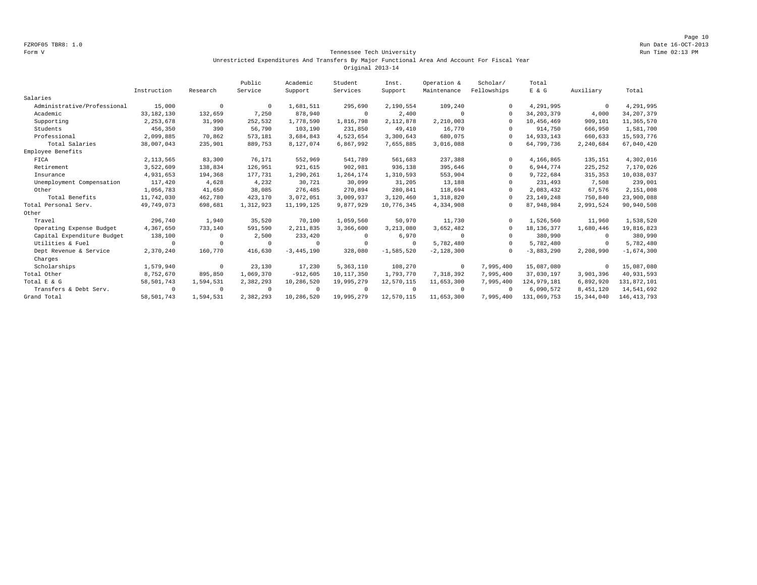#### Form V Tennessee Tech University Run Time 02:13 PM Unrestricted Expenditures And Transfers By Major Functional Area And Account For Fiscal Year Original 2013-14

|                             |              |                | Public    | Academic     | Student     | Inst.        | Operation &  | Scholar/    | Total        |              |               |
|-----------------------------|--------------|----------------|-----------|--------------|-------------|--------------|--------------|-------------|--------------|--------------|---------------|
|                             | Instruction  | Research       | Service   | Support      | Services    | Support      | Maintenance  | Fellowships | E & G        | Auxiliary    | Total         |
| Salaries                    |              |                |           |              |             |              |              |             |              |              |               |
| Administrative/Professional | 15,000       | $\overline{0}$ | $\Omega$  | 1,681,511    | 295,690     | 2,190,554    | 109,240      |             | 4,291,995    | $\mathbf{0}$ | 4,291,995     |
| Academic                    | 33, 182, 130 | 132,659        | 7,250     | 878,940      | $^{\circ}$  | 2,400        | $^{\circ}$   | $\Omega$    | 34, 203, 379 | 4,000        | 34, 207, 379  |
| Supporting                  | 2, 253, 678  | 31,990         | 252,532   | 1,778,590    | 1,816,798   | 2,112,878    | 2,210,003    | $\Omega$    | 10,456,469   | 909,101      | 11,365,570    |
| Students                    | 456,350      | 390            | 56,790    | 103,190      | 231,850     | 49,410       | 16,770       |             | 914,750      | 666,950      | 1,581,700     |
| Professional                | 2,099,885    | 70,862         | 573,181   | 3,684,843    | 4,523,654   | 3,300,643    | 680,075      | $\Omega$    | 14,933,143   | 660,633      | 15,593,776    |
| Total Salaries              | 38,007,043   | 235,901        | 889,753   | 8,127,074    | 6,867,992   | 7,655,885    | 3,016,088    |             | 64,799,736   | 2,240,684    | 67,040,420    |
| Employee Benefits           |              |                |           |              |             |              |              |             |              |              |               |
| FICA                        | 2, 113, 565  | 83,300         | 76,171    | 552,969      | 541,789     | 561,683      | 237,388      | $\Omega$    | 4,166,865    | 135,151      | 4,302,016     |
| Retirement                  | 3,522,609    | 138,834        | 126,951   | 921,615      | 902,981     | 936,138      | 395,646      | $\Omega$    | 6,944,774    | 225,252      | 7,170,026     |
| Insurance                   | 4,931,653    | 194,368        | 177,731   | 1,290,261    | 1,264,174   | 1,310,593    | 553,904      | $\Omega$    | 9,722,684    | 315, 353     | 10,038,037    |
| Unemployment Compensation   | 117,420      | 4,628          | 4,232     | 30,721       | 30,099      | 31,205       | 13,188       |             | 231,493      | 7,508        | 239,001       |
| Other                       | 1,056,783    | 41,650         | 38,085    | 276,485      | 270,894     | 280,841      | 118,694      |             | 2,083,432    | 67,576       | 2,151,008     |
| Total Benefits              | 11,742,030   | 462,780        | 423,170   | 3,072,051    | 3,009,937   | 3,120,460    | 1,318,820    |             | 23, 149, 248 | 750,840      | 23,900,088    |
| Total Personal Serv.        | 49,749,073   | 698,681        | 1,312,923 | 11, 199, 125 | 9,877,929   | 10,776,345   | 4,334,908    |             | 87,948,984   | 2,991,524    | 90,940,508    |
| Other                       |              |                |           |              |             |              |              |             |              |              |               |
| Travel                      | 296,740      | 1,940          | 35,520    | 70,100       | 1,059,560   | 50,970       | 11,730       |             | 1,526,560    | 11,960       | 1,538,520     |
| Operating Expense Budget    | 4,367,650    | 733,140        | 591,590   | 2, 211, 835  | 3,366,600   | 3,213,080    | 3,652,482    | $\Omega$    | 18, 136, 377 | 1,680,446    | 19,816,823    |
| Capital Expenditure Budget  | 138,100      | 0              | 2,500     | 233,420      | 0           | 6,970        | $\Omega$     |             | 380,990      | 0            | 380,990       |
| Utilities & Fuel            | $^{\circ}$   | $\Omega$       | $\Omega$  | 0            | $\Omega$    | $^{\circ}$   | 5,782,480    |             | 5,782,480    | 0            | 5,782,480     |
| Dept Revenue & Service      | 2,370,240    | 160,770        | 416,630   | $-3,445,190$ | 328,080     | $-1,585,520$ | $-2,128,300$ | $\cap$      | $-3,883,290$ | 2,208,990    | $-1,674,300$  |
| Charges                     |              |                |           |              |             |              |              |             |              |              |               |
| Scholarships                | 1,579,940    | $^{\circ}$     | 23,130    | 17,230       | 5, 363, 110 | 108,270      | $^{\circ}$   | 7,995,400   | 15,087,080   | $\mathbf{0}$ | 15,087,080    |
| Total Other                 | 8,752,670    | 895,850        | 1,069,370 | $-912,605$   | 10,117,350  | 1,793,770    | 7,318,392    | 7,995,400   | 37,030,197   | 3,901,396    | 40,931,593    |
| Total E & G                 | 58,501,743   | 1,594,531      | 2,382,293 | 10,286,520   | 19,995,279  | 12,570,115   | 11,653,300   | 7,995,400   | 124,979,181  | 6,892,920    | 131,872,101   |
| Transfers & Debt Serv.      | $^{\circ}$   | $\overline{0}$ | $\Omega$  | $^{\circ}$   | $^{\circ}$  | $^{\circ}$   | $^{\circ}$   |             | 6,090,572    | 8,451,120    | 14,541,692    |
| Grand Total                 | 58,501,743   | 1,594,531      | 2,382,293 | 10,286,520   | 19,995,279  | 12,570,115   | 11,653,300   | 7,995,400   | 131,069,753  | 15, 344, 040 | 146, 413, 793 |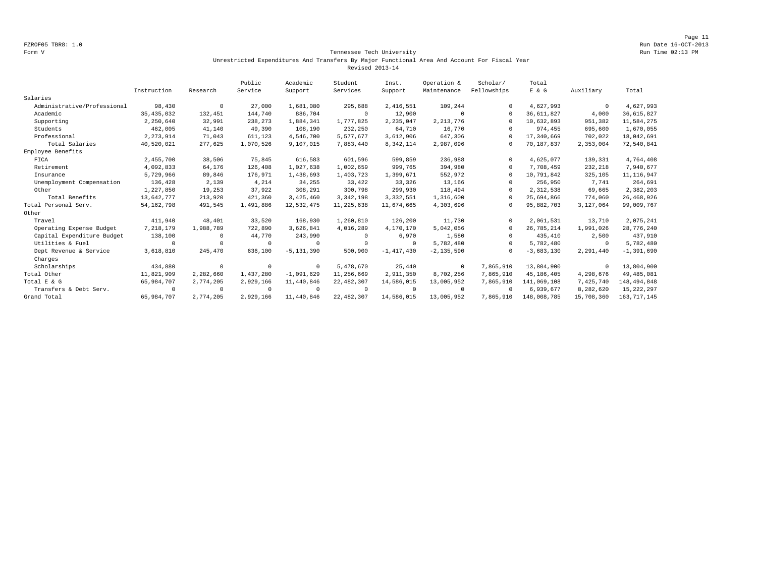Page 11 FZROF05 TBR8: 1.0 Run Date 16-OCT-2013

#### Form V Tennessee Tech University Run Time 02:13 PM Unrestricted Expenditures And Transfers By Major Functional Area And Account For Fiscal Year Revised 2013-14

|                             |              |            | Public    | Academic       | Student      | Inst.        | Operation &    | Scholar/    | Total        |              |                |
|-----------------------------|--------------|------------|-----------|----------------|--------------|--------------|----------------|-------------|--------------|--------------|----------------|
|                             | Instruction  | Research   | Service   | Support        | Services     | Support      | Maintenance    | Fellowships | E & G        | Auxiliary    | Total          |
| Salaries                    |              |            |           |                |              |              |                |             |              |              |                |
| Administrative/Professional | 98,430       | $^{\circ}$ | 27,000    | 1,681,080      | 295,688      | 2,416,551    | 109,244        | $\Omega$    | 4,627,993    | $\mathbf 0$  | 4,627,993      |
| Academic                    | 35, 435, 032 | 132,451    | 144,740   | 886,704        | $\circ$      | 12,900       | $\Omega$       | $\Omega$    | 36,611,827   | 4,000        | 36,615,827     |
| Supporting                  | 2,250,640    | 32,991     | 238,273   | 1,884,341      | 1,777,825    | 2,235,047    | 2, 213, 776    | $\Omega$    | 10,632,893   | 951,382      | 11,584,275     |
| Students                    | 462,005      | 41,140     | 49,390    | 108,190        | 232,250      | 64,710       | 16,770         | $\Omega$    | 974,455      | 695,600      | 1,670,055      |
| Professional                | 2, 273, 914  | 71,043     | 611,123   | 4,546,700      | 5,577,677    | 3,612,906    | 647,306        | $\Omega$    | 17,340,669   | 702,022      | 18,042,691     |
| Total Salaries              | 40,520,021   | 277,625    | 1,070,526 | 9,107,015      | 7,883,440    | 8,342,114    | 2,987,096      | $\Omega$    | 70,187,837   | 2,353,004    | 72,540,841     |
| Employee Benefits           |              |            |           |                |              |              |                |             |              |              |                |
| FICA                        | 2,455,700    | 38,506     | 75,845    | 616,583        | 601,596      | 599,859      | 236,988        | $\Omega$    | 4,625,077    | 139,331      | 4,764,408      |
| Retirement                  | 4,092,833    | 64,176     | 126,408   | 1,027,638      | 1,002,659    | 999,765      | 394,980        | $\Omega$    | 7,708,459    | 232,218      | 7,940,677      |
| Insurance                   | 5,729,966    | 89,846     | 176,971   | 1,438,693      | 1,403,723    | 1,399,671    | 552,972        | $\Omega$    | 10,791,842   | 325,105      | 11, 116, 947   |
| Unemployment Compensation   | 136,428      | 2,139      | 4,214     | 34,255         | 33,422       | 33,326       | 13,166         | $\Omega$    | 256,950      | 7,741        | 264,691        |
| Other                       | 1,227,850    | 19,253     | 37,922    | 308,291        | 300,798      | 299,930      | 118,494        | $\Omega$    | 2,312,538    | 69,665       | 2,382,203      |
| Total Benefits              | 13,642,777   | 213,920    | 421,360   | 3,425,460      | 3, 342, 198  | 3, 332, 551  | 1,316,600      | $\Omega$    | 25,694,866   | 774,060      | 26, 468, 926   |
| Total Personal Serv.        | 54, 162, 798 | 491,545    | 1,491,886 | 12,532,475     | 11, 225, 638 | 11,674,665   | 4,303,696      | $\Omega$    | 95,882,703   | 3,127,064    | 99,009,767     |
| Other                       |              |            |           |                |              |              |                |             |              |              |                |
| Travel                      | 411,940      | 48,401     | 33,520    | 168,930        | 1,260,810    | 126,200      | 11,730         | $\Omega$    | 2,061,531    | 13,710       | 2,075,241      |
| Operating Expense Budget    | 7,218,179    | 1,988,789  | 722,890   | 3,626,841      | 4,016,289    | 4,170,170    | 5,042,056      | $\Omega$    | 26,785,214   | 1,991,026    | 28,776,240     |
| Capital Expenditure Budget  | 138,100      | $^{\circ}$ | 44,770    | 243,990        | $\circ$      | 6,970        | 1,580          | $\Omega$    | 435,410      | 2,500        | 437,910        |
| Utilities & Fuel            | $\Omega$     | $\Omega$   | $\Omega$  | $^{\circ}$     | $\circ$      | $\mathbf 0$  | 5,782,480      | $\Omega$    | 5,782,480    | $\mathbf{0}$ | 5,782,480      |
| Dept Revenue & Service      | 3,618,810    | 245,470    | 636,100   | $-5, 131, 390$ | 500,900      | $-1,417,430$ | $-2, 135, 590$ | $\Omega$    | $-3,683,130$ | 2,291,440    | $-1, 391, 690$ |
| Charges                     |              |            |           |                |              |              |                |             |              |              |                |
| Scholarships                | 434,880      | $\circ$    | $\cup$    | $^{\circ}$     | 5,478,670    | 25,440       | $^{\circ}$     | 7,865,910   | 13,804,900   | $\Omega$     | 13,804,900     |
| Total Other                 | 11,821,909   | 2,282,660  | 1,437,280 | $-1,091,629$   | 11,256,669   | 2,911,350    | 8,702,256      | 7,865,910   | 45, 186, 405 | 4,298,676    | 49,485,081     |
| Total E & G                 | 65,984,707   | 2,774,205  | 2,929,166 | 11,440,846     | 22, 482, 307 | 14,586,015   | 13,005,952     | 7,865,910   | 141,069,108  | 7,425,740    | 148,494,848    |
| Transfers & Debt Serv.      | $\Omega$     | $^{\circ}$ |           | $^{\circ}$     | $\circ$      | $\Omega$     | $^{\circ}$     | $\Omega$    | 6,939,677    | 8,282,620    | 15, 222, 297   |
| Grand Total                 | 65,984,707   | 2,774,205  | 2,929,166 | 11,440,846     | 22, 482, 307 | 14,586,015   | 13,005,952     | 7,865,910   | 148,008,785  | 15,708,360   | 163, 717, 145  |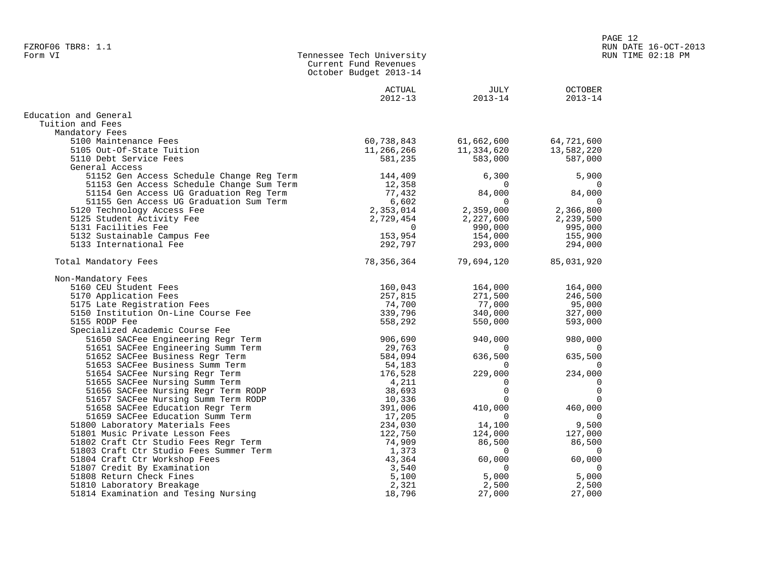| <b>OCTOBER</b><br>ACTUAL<br>JULY<br>$2012 - 13$<br>$2013 - 14$<br>$2013 - 14$<br>Education and General<br>Tuition and Fees<br>Mandatory Fees<br>60,738,843<br>5100 Maintenance Fees<br>61,662,600<br>64,721,600<br>5105 Out-Of-State Tuition<br>11,266,266<br>11,334,620<br>13,582,220<br>5110 Debt Service Fees<br>581,235<br>583,000<br>587,000<br>General Access<br>51152 Gen Access Schedule Change Reg Term<br>144,409<br>6,300<br>5,900<br>51153 Gen Access Schedule Change Sum Term<br>12,358<br>$\Omega$<br>$\Omega$<br>77,432<br>84,000<br>51154 Gen Access UG Graduation Reg Term<br>84,000<br>51155 Gen Access UG Graduation Sum Term<br>6,602<br>$\Omega$<br>$\Omega$<br>2,353,014<br>2,359,000<br>2,366,800<br>5120 Technology Access Fee<br>5125 Student Activity Fee<br>2,729,454<br>2,227,600<br>2,239,500<br>5131 Facilities Fee<br>995,000<br>$\Omega$<br>990,000<br>153,954<br>5132 Sustainable Campus Fee<br>154,000<br>155,900<br>5133 International Fee<br>292,797<br>293,000<br>294,000<br>Total Mandatory Fees<br>78,356,364<br>79,694,120<br>85,031,920<br>Non-Mandatory Fees<br>5160 CEU Student Fees<br>160,043<br>164,000<br>164,000<br>257,815<br>271,500<br>246,500<br>5170 Application Fees<br>74,700<br>5175 Late Registration Fees<br>77,000<br>95,000<br>5150 Institution On-Line Course Fee<br>339,796<br>340,000<br>327,000<br>5155 RODP Fee<br>558,292<br>550,000<br>593,000<br>Specialized Academic Course Fee<br>51650 SACFee Engineering Regr Term<br>906,690<br>940,000<br>980,000<br>51651 SACFee Engineering Summ Term<br>29,763<br>$\Omega$<br>$\Omega$<br>584,094<br>636,500<br>635,500<br>51652 SACFee Business Regr Term<br>51653 SACFee Business Summ Term<br>54,183<br>$\Omega$<br>$\Omega$<br>229,000<br>176,528<br>234,000<br>51654 SACFee Nursing Regr Term<br>51655 SACFee Nursing Summ Term<br>4,211<br>0<br>0<br>$\Omega$<br>$\mathbf 0$<br>38,693<br>51656 SACFee Nursing Regr Term RODP<br>51657 SACFee Nursing Summ Term RODP<br>10,336<br>$\Omega$<br>$\Omega$<br>391,006<br>410,000<br>460,000<br>51658 SACFee Education Regr Term<br>51659 SACFee Education Summ Term<br>17,205<br>0<br>0<br>51800 Laboratory Materials Fees<br>234,030<br>14,100<br>9,500<br>51801 Music Private Lesson Fees<br>124,000<br>127,000<br>122,750<br>51802 Craft Ctr Studio Fees Regr Term<br>74,909<br>86,500<br>86,500<br>51803 Craft Ctr Studio Fees Summer Term<br>1,373<br>$\Omega$<br>$\Omega$<br>51804 Craft Ctr Workshop Fees<br>60,000<br>43,364<br>60,000<br>51807 Credit By Examination<br>3,540<br>$\Omega$<br>$\Omega$<br>51808 Return Check Fines<br>5,100<br>5,000<br>5,000 | Current Fund Revenues<br>October Budget 2013-14 |  |
|--------------------------------------------------------------------------------------------------------------------------------------------------------------------------------------------------------------------------------------------------------------------------------------------------------------------------------------------------------------------------------------------------------------------------------------------------------------------------------------------------------------------------------------------------------------------------------------------------------------------------------------------------------------------------------------------------------------------------------------------------------------------------------------------------------------------------------------------------------------------------------------------------------------------------------------------------------------------------------------------------------------------------------------------------------------------------------------------------------------------------------------------------------------------------------------------------------------------------------------------------------------------------------------------------------------------------------------------------------------------------------------------------------------------------------------------------------------------------------------------------------------------------------------------------------------------------------------------------------------------------------------------------------------------------------------------------------------------------------------------------------------------------------------------------------------------------------------------------------------------------------------------------------------------------------------------------------------------------------------------------------------------------------------------------------------------------------------------------------------------------------------------------------------------------------------------------------------------------------------------------------------------------------------------------------------------------------------------------------------------------------------------------------------------------------------------------------------------------------------------------------------------------------------------------------------------------------------------------------------------------------------|-------------------------------------------------|--|
|                                                                                                                                                                                                                                                                                                                                                                                                                                                                                                                                                                                                                                                                                                                                                                                                                                                                                                                                                                                                                                                                                                                                                                                                                                                                                                                                                                                                                                                                                                                                                                                                                                                                                                                                                                                                                                                                                                                                                                                                                                                                                                                                                                                                                                                                                                                                                                                                                                                                                                                                                                                                                                      |                                                 |  |
|                                                                                                                                                                                                                                                                                                                                                                                                                                                                                                                                                                                                                                                                                                                                                                                                                                                                                                                                                                                                                                                                                                                                                                                                                                                                                                                                                                                                                                                                                                                                                                                                                                                                                                                                                                                                                                                                                                                                                                                                                                                                                                                                                                                                                                                                                                                                                                                                                                                                                                                                                                                                                                      |                                                 |  |
|                                                                                                                                                                                                                                                                                                                                                                                                                                                                                                                                                                                                                                                                                                                                                                                                                                                                                                                                                                                                                                                                                                                                                                                                                                                                                                                                                                                                                                                                                                                                                                                                                                                                                                                                                                                                                                                                                                                                                                                                                                                                                                                                                                                                                                                                                                                                                                                                                                                                                                                                                                                                                                      |                                                 |  |
|                                                                                                                                                                                                                                                                                                                                                                                                                                                                                                                                                                                                                                                                                                                                                                                                                                                                                                                                                                                                                                                                                                                                                                                                                                                                                                                                                                                                                                                                                                                                                                                                                                                                                                                                                                                                                                                                                                                                                                                                                                                                                                                                                                                                                                                                                                                                                                                                                                                                                                                                                                                                                                      |                                                 |  |
|                                                                                                                                                                                                                                                                                                                                                                                                                                                                                                                                                                                                                                                                                                                                                                                                                                                                                                                                                                                                                                                                                                                                                                                                                                                                                                                                                                                                                                                                                                                                                                                                                                                                                                                                                                                                                                                                                                                                                                                                                                                                                                                                                                                                                                                                                                                                                                                                                                                                                                                                                                                                                                      |                                                 |  |
|                                                                                                                                                                                                                                                                                                                                                                                                                                                                                                                                                                                                                                                                                                                                                                                                                                                                                                                                                                                                                                                                                                                                                                                                                                                                                                                                                                                                                                                                                                                                                                                                                                                                                                                                                                                                                                                                                                                                                                                                                                                                                                                                                                                                                                                                                                                                                                                                                                                                                                                                                                                                                                      |                                                 |  |
|                                                                                                                                                                                                                                                                                                                                                                                                                                                                                                                                                                                                                                                                                                                                                                                                                                                                                                                                                                                                                                                                                                                                                                                                                                                                                                                                                                                                                                                                                                                                                                                                                                                                                                                                                                                                                                                                                                                                                                                                                                                                                                                                                                                                                                                                                                                                                                                                                                                                                                                                                                                                                                      |                                                 |  |
|                                                                                                                                                                                                                                                                                                                                                                                                                                                                                                                                                                                                                                                                                                                                                                                                                                                                                                                                                                                                                                                                                                                                                                                                                                                                                                                                                                                                                                                                                                                                                                                                                                                                                                                                                                                                                                                                                                                                                                                                                                                                                                                                                                                                                                                                                                                                                                                                                                                                                                                                                                                                                                      |                                                 |  |
|                                                                                                                                                                                                                                                                                                                                                                                                                                                                                                                                                                                                                                                                                                                                                                                                                                                                                                                                                                                                                                                                                                                                                                                                                                                                                                                                                                                                                                                                                                                                                                                                                                                                                                                                                                                                                                                                                                                                                                                                                                                                                                                                                                                                                                                                                                                                                                                                                                                                                                                                                                                                                                      |                                                 |  |
|                                                                                                                                                                                                                                                                                                                                                                                                                                                                                                                                                                                                                                                                                                                                                                                                                                                                                                                                                                                                                                                                                                                                                                                                                                                                                                                                                                                                                                                                                                                                                                                                                                                                                                                                                                                                                                                                                                                                                                                                                                                                                                                                                                                                                                                                                                                                                                                                                                                                                                                                                                                                                                      |                                                 |  |
|                                                                                                                                                                                                                                                                                                                                                                                                                                                                                                                                                                                                                                                                                                                                                                                                                                                                                                                                                                                                                                                                                                                                                                                                                                                                                                                                                                                                                                                                                                                                                                                                                                                                                                                                                                                                                                                                                                                                                                                                                                                                                                                                                                                                                                                                                                                                                                                                                                                                                                                                                                                                                                      |                                                 |  |
|                                                                                                                                                                                                                                                                                                                                                                                                                                                                                                                                                                                                                                                                                                                                                                                                                                                                                                                                                                                                                                                                                                                                                                                                                                                                                                                                                                                                                                                                                                                                                                                                                                                                                                                                                                                                                                                                                                                                                                                                                                                                                                                                                                                                                                                                                                                                                                                                                                                                                                                                                                                                                                      |                                                 |  |
|                                                                                                                                                                                                                                                                                                                                                                                                                                                                                                                                                                                                                                                                                                                                                                                                                                                                                                                                                                                                                                                                                                                                                                                                                                                                                                                                                                                                                                                                                                                                                                                                                                                                                                                                                                                                                                                                                                                                                                                                                                                                                                                                                                                                                                                                                                                                                                                                                                                                                                                                                                                                                                      |                                                 |  |
|                                                                                                                                                                                                                                                                                                                                                                                                                                                                                                                                                                                                                                                                                                                                                                                                                                                                                                                                                                                                                                                                                                                                                                                                                                                                                                                                                                                                                                                                                                                                                                                                                                                                                                                                                                                                                                                                                                                                                                                                                                                                                                                                                                                                                                                                                                                                                                                                                                                                                                                                                                                                                                      |                                                 |  |
|                                                                                                                                                                                                                                                                                                                                                                                                                                                                                                                                                                                                                                                                                                                                                                                                                                                                                                                                                                                                                                                                                                                                                                                                                                                                                                                                                                                                                                                                                                                                                                                                                                                                                                                                                                                                                                                                                                                                                                                                                                                                                                                                                                                                                                                                                                                                                                                                                                                                                                                                                                                                                                      |                                                 |  |
|                                                                                                                                                                                                                                                                                                                                                                                                                                                                                                                                                                                                                                                                                                                                                                                                                                                                                                                                                                                                                                                                                                                                                                                                                                                                                                                                                                                                                                                                                                                                                                                                                                                                                                                                                                                                                                                                                                                                                                                                                                                                                                                                                                                                                                                                                                                                                                                                                                                                                                                                                                                                                                      |                                                 |  |
|                                                                                                                                                                                                                                                                                                                                                                                                                                                                                                                                                                                                                                                                                                                                                                                                                                                                                                                                                                                                                                                                                                                                                                                                                                                                                                                                                                                                                                                                                                                                                                                                                                                                                                                                                                                                                                                                                                                                                                                                                                                                                                                                                                                                                                                                                                                                                                                                                                                                                                                                                                                                                                      |                                                 |  |
|                                                                                                                                                                                                                                                                                                                                                                                                                                                                                                                                                                                                                                                                                                                                                                                                                                                                                                                                                                                                                                                                                                                                                                                                                                                                                                                                                                                                                                                                                                                                                                                                                                                                                                                                                                                                                                                                                                                                                                                                                                                                                                                                                                                                                                                                                                                                                                                                                                                                                                                                                                                                                                      |                                                 |  |
|                                                                                                                                                                                                                                                                                                                                                                                                                                                                                                                                                                                                                                                                                                                                                                                                                                                                                                                                                                                                                                                                                                                                                                                                                                                                                                                                                                                                                                                                                                                                                                                                                                                                                                                                                                                                                                                                                                                                                                                                                                                                                                                                                                                                                                                                                                                                                                                                                                                                                                                                                                                                                                      |                                                 |  |
|                                                                                                                                                                                                                                                                                                                                                                                                                                                                                                                                                                                                                                                                                                                                                                                                                                                                                                                                                                                                                                                                                                                                                                                                                                                                                                                                                                                                                                                                                                                                                                                                                                                                                                                                                                                                                                                                                                                                                                                                                                                                                                                                                                                                                                                                                                                                                                                                                                                                                                                                                                                                                                      |                                                 |  |
|                                                                                                                                                                                                                                                                                                                                                                                                                                                                                                                                                                                                                                                                                                                                                                                                                                                                                                                                                                                                                                                                                                                                                                                                                                                                                                                                                                                                                                                                                                                                                                                                                                                                                                                                                                                                                                                                                                                                                                                                                                                                                                                                                                                                                                                                                                                                                                                                                                                                                                                                                                                                                                      |                                                 |  |
|                                                                                                                                                                                                                                                                                                                                                                                                                                                                                                                                                                                                                                                                                                                                                                                                                                                                                                                                                                                                                                                                                                                                                                                                                                                                                                                                                                                                                                                                                                                                                                                                                                                                                                                                                                                                                                                                                                                                                                                                                                                                                                                                                                                                                                                                                                                                                                                                                                                                                                                                                                                                                                      |                                                 |  |
|                                                                                                                                                                                                                                                                                                                                                                                                                                                                                                                                                                                                                                                                                                                                                                                                                                                                                                                                                                                                                                                                                                                                                                                                                                                                                                                                                                                                                                                                                                                                                                                                                                                                                                                                                                                                                                                                                                                                                                                                                                                                                                                                                                                                                                                                                                                                                                                                                                                                                                                                                                                                                                      |                                                 |  |
|                                                                                                                                                                                                                                                                                                                                                                                                                                                                                                                                                                                                                                                                                                                                                                                                                                                                                                                                                                                                                                                                                                                                                                                                                                                                                                                                                                                                                                                                                                                                                                                                                                                                                                                                                                                                                                                                                                                                                                                                                                                                                                                                                                                                                                                                                                                                                                                                                                                                                                                                                                                                                                      |                                                 |  |
|                                                                                                                                                                                                                                                                                                                                                                                                                                                                                                                                                                                                                                                                                                                                                                                                                                                                                                                                                                                                                                                                                                                                                                                                                                                                                                                                                                                                                                                                                                                                                                                                                                                                                                                                                                                                                                                                                                                                                                                                                                                                                                                                                                                                                                                                                                                                                                                                                                                                                                                                                                                                                                      |                                                 |  |
|                                                                                                                                                                                                                                                                                                                                                                                                                                                                                                                                                                                                                                                                                                                                                                                                                                                                                                                                                                                                                                                                                                                                                                                                                                                                                                                                                                                                                                                                                                                                                                                                                                                                                                                                                                                                                                                                                                                                                                                                                                                                                                                                                                                                                                                                                                                                                                                                                                                                                                                                                                                                                                      |                                                 |  |
|                                                                                                                                                                                                                                                                                                                                                                                                                                                                                                                                                                                                                                                                                                                                                                                                                                                                                                                                                                                                                                                                                                                                                                                                                                                                                                                                                                                                                                                                                                                                                                                                                                                                                                                                                                                                                                                                                                                                                                                                                                                                                                                                                                                                                                                                                                                                                                                                                                                                                                                                                                                                                                      |                                                 |  |
|                                                                                                                                                                                                                                                                                                                                                                                                                                                                                                                                                                                                                                                                                                                                                                                                                                                                                                                                                                                                                                                                                                                                                                                                                                                                                                                                                                                                                                                                                                                                                                                                                                                                                                                                                                                                                                                                                                                                                                                                                                                                                                                                                                                                                                                                                                                                                                                                                                                                                                                                                                                                                                      |                                                 |  |
|                                                                                                                                                                                                                                                                                                                                                                                                                                                                                                                                                                                                                                                                                                                                                                                                                                                                                                                                                                                                                                                                                                                                                                                                                                                                                                                                                                                                                                                                                                                                                                                                                                                                                                                                                                                                                                                                                                                                                                                                                                                                                                                                                                                                                                                                                                                                                                                                                                                                                                                                                                                                                                      |                                                 |  |
|                                                                                                                                                                                                                                                                                                                                                                                                                                                                                                                                                                                                                                                                                                                                                                                                                                                                                                                                                                                                                                                                                                                                                                                                                                                                                                                                                                                                                                                                                                                                                                                                                                                                                                                                                                                                                                                                                                                                                                                                                                                                                                                                                                                                                                                                                                                                                                                                                                                                                                                                                                                                                                      |                                                 |  |
|                                                                                                                                                                                                                                                                                                                                                                                                                                                                                                                                                                                                                                                                                                                                                                                                                                                                                                                                                                                                                                                                                                                                                                                                                                                                                                                                                                                                                                                                                                                                                                                                                                                                                                                                                                                                                                                                                                                                                                                                                                                                                                                                                                                                                                                                                                                                                                                                                                                                                                                                                                                                                                      |                                                 |  |
|                                                                                                                                                                                                                                                                                                                                                                                                                                                                                                                                                                                                                                                                                                                                                                                                                                                                                                                                                                                                                                                                                                                                                                                                                                                                                                                                                                                                                                                                                                                                                                                                                                                                                                                                                                                                                                                                                                                                                                                                                                                                                                                                                                                                                                                                                                                                                                                                                                                                                                                                                                                                                                      |                                                 |  |
|                                                                                                                                                                                                                                                                                                                                                                                                                                                                                                                                                                                                                                                                                                                                                                                                                                                                                                                                                                                                                                                                                                                                                                                                                                                                                                                                                                                                                                                                                                                                                                                                                                                                                                                                                                                                                                                                                                                                                                                                                                                                                                                                                                                                                                                                                                                                                                                                                                                                                                                                                                                                                                      |                                                 |  |
|                                                                                                                                                                                                                                                                                                                                                                                                                                                                                                                                                                                                                                                                                                                                                                                                                                                                                                                                                                                                                                                                                                                                                                                                                                                                                                                                                                                                                                                                                                                                                                                                                                                                                                                                                                                                                                                                                                                                                                                                                                                                                                                                                                                                                                                                                                                                                                                                                                                                                                                                                                                                                                      |                                                 |  |
|                                                                                                                                                                                                                                                                                                                                                                                                                                                                                                                                                                                                                                                                                                                                                                                                                                                                                                                                                                                                                                                                                                                                                                                                                                                                                                                                                                                                                                                                                                                                                                                                                                                                                                                                                                                                                                                                                                                                                                                                                                                                                                                                                                                                                                                                                                                                                                                                                                                                                                                                                                                                                                      |                                                 |  |
|                                                                                                                                                                                                                                                                                                                                                                                                                                                                                                                                                                                                                                                                                                                                                                                                                                                                                                                                                                                                                                                                                                                                                                                                                                                                                                                                                                                                                                                                                                                                                                                                                                                                                                                                                                                                                                                                                                                                                                                                                                                                                                                                                                                                                                                                                                                                                                                                                                                                                                                                                                                                                                      |                                                 |  |
|                                                                                                                                                                                                                                                                                                                                                                                                                                                                                                                                                                                                                                                                                                                                                                                                                                                                                                                                                                                                                                                                                                                                                                                                                                                                                                                                                                                                                                                                                                                                                                                                                                                                                                                                                                                                                                                                                                                                                                                                                                                                                                                                                                                                                                                                                                                                                                                                                                                                                                                                                                                                                                      |                                                 |  |
|                                                                                                                                                                                                                                                                                                                                                                                                                                                                                                                                                                                                                                                                                                                                                                                                                                                                                                                                                                                                                                                                                                                                                                                                                                                                                                                                                                                                                                                                                                                                                                                                                                                                                                                                                                                                                                                                                                                                                                                                                                                                                                                                                                                                                                                                                                                                                                                                                                                                                                                                                                                                                                      |                                                 |  |
|                                                                                                                                                                                                                                                                                                                                                                                                                                                                                                                                                                                                                                                                                                                                                                                                                                                                                                                                                                                                                                                                                                                                                                                                                                                                                                                                                                                                                                                                                                                                                                                                                                                                                                                                                                                                                                                                                                                                                                                                                                                                                                                                                                                                                                                                                                                                                                                                                                                                                                                                                                                                                                      |                                                 |  |
|                                                                                                                                                                                                                                                                                                                                                                                                                                                                                                                                                                                                                                                                                                                                                                                                                                                                                                                                                                                                                                                                                                                                                                                                                                                                                                                                                                                                                                                                                                                                                                                                                                                                                                                                                                                                                                                                                                                                                                                                                                                                                                                                                                                                                                                                                                                                                                                                                                                                                                                                                                                                                                      |                                                 |  |
|                                                                                                                                                                                                                                                                                                                                                                                                                                                                                                                                                                                                                                                                                                                                                                                                                                                                                                                                                                                                                                                                                                                                                                                                                                                                                                                                                                                                                                                                                                                                                                                                                                                                                                                                                                                                                                                                                                                                                                                                                                                                                                                                                                                                                                                                                                                                                                                                                                                                                                                                                                                                                                      |                                                 |  |
|                                                                                                                                                                                                                                                                                                                                                                                                                                                                                                                                                                                                                                                                                                                                                                                                                                                                                                                                                                                                                                                                                                                                                                                                                                                                                                                                                                                                                                                                                                                                                                                                                                                                                                                                                                                                                                                                                                                                                                                                                                                                                                                                                                                                                                                                                                                                                                                                                                                                                                                                                                                                                                      |                                                 |  |
|                                                                                                                                                                                                                                                                                                                                                                                                                                                                                                                                                                                                                                                                                                                                                                                                                                                                                                                                                                                                                                                                                                                                                                                                                                                                                                                                                                                                                                                                                                                                                                                                                                                                                                                                                                                                                                                                                                                                                                                                                                                                                                                                                                                                                                                                                                                                                                                                                                                                                                                                                                                                                                      |                                                 |  |
| 51810 Laboratory Breakage<br>2,321<br>2,500<br>2,500                                                                                                                                                                                                                                                                                                                                                                                                                                                                                                                                                                                                                                                                                                                                                                                                                                                                                                                                                                                                                                                                                                                                                                                                                                                                                                                                                                                                                                                                                                                                                                                                                                                                                                                                                                                                                                                                                                                                                                                                                                                                                                                                                                                                                                                                                                                                                                                                                                                                                                                                                                                 |                                                 |  |
| 51814 Examination and Tesing Nursing<br>18,796<br>27,000<br>27,000                                                                                                                                                                                                                                                                                                                                                                                                                                                                                                                                                                                                                                                                                                                                                                                                                                                                                                                                                                                                                                                                                                                                                                                                                                                                                                                                                                                                                                                                                                                                                                                                                                                                                                                                                                                                                                                                                                                                                                                                                                                                                                                                                                                                                                                                                                                                                                                                                                                                                                                                                                   |                                                 |  |

Tennessee Tech University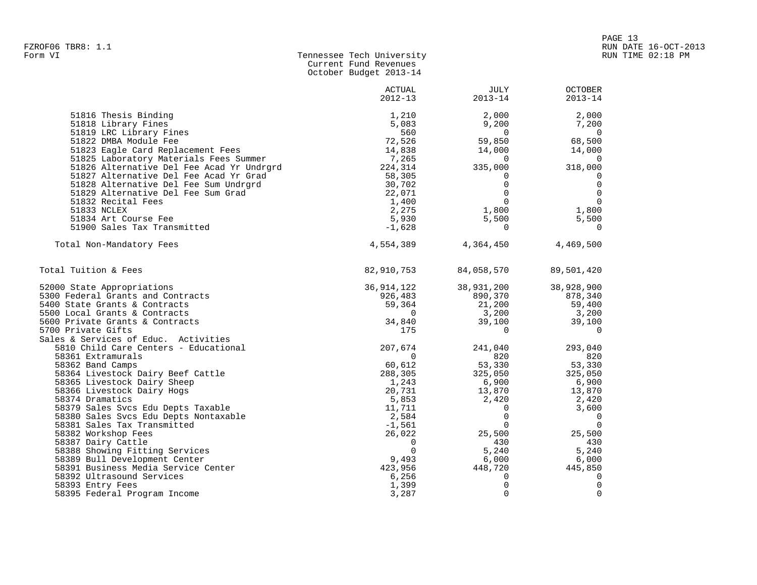|                                                                      | Current Fund Revenues<br>October Budget 2013-14 |                |                          |
|----------------------------------------------------------------------|-------------------------------------------------|----------------|--------------------------|
|                                                                      | ACTUAL                                          | JULY           | <b>OCTOBER</b>           |
|                                                                      | $2012 - 13$                                     | $2013 - 14$    | $2013 - 14$              |
| 51816 Thesis Binding                                                 | 1,210                                           | 2,000          | 2,000                    |
| 51818 Library Fines                                                  | 5,083                                           | 9,200          | 7,200                    |
| 51819 LRC Library Fines                                              | 560                                             | $\overline{0}$ | $\overline{0}$           |
| 51822 DMBA Module Fee                                                | 72,526                                          | 59,850         | 68,500                   |
| 51823 Eagle Card Replacement Fees                                    | 14,838                                          | 14,000         | 14,000                   |
| 51825 Laboratory Materials Fees Summer                               | 7,265                                           | 0              | 0                        |
| 51826 Alternative Del Fee Acad Yr Undrgrd                            | 224,314                                         | 335,000        | 318,000                  |
| 51827 Alternative Del Fee Acad Yr Grad                               | 58,305                                          | 0              | 0                        |
| 51828 Alternative Del Fee Sum Undrgrd                                | 30,702                                          | $\Omega$       | $\mathbf 0$              |
| 51829 Alternative Del Fee Sum Grad                                   | 22,071                                          | $\Omega$       | $\mathbf 0$              |
| 51832 Recital Fees                                                   | 1,400                                           | $\Omega$       | $\mathbf 0$              |
| 51833 NCLEX                                                          | 2,275                                           | 1,800          | 1,800                    |
| 51834 Art Course Fee                                                 | 5,930                                           | 5,500          | 5,500                    |
| 51900 Sales Tax Transmitted                                          | $-1,628$                                        | $\Omega$       | $\Omega$                 |
| Total Non-Mandatory Fees                                             | 4,554,389                                       | 4,364,450      | 4,469,500                |
| Total Tuition & Fees                                                 | 82,910,753                                      | 84,058,570     | 89,501,420               |
| 52000 State Appropriations                                           | 36,914,122                                      | 38,931,200     | 38,928,900               |
| 5300 Federal Grants and Contracts                                    | 926,483                                         | 890,370        | 878,340                  |
| 5400 State Grants & Contracts                                        | 59,364                                          | 21,200         | 59,400                   |
| 5500 Local Grants & Contracts                                        | $\mathbf 0$                                     | 3,200          | 3,200                    |
| 5600 Private Grants & Contracts                                      | 34,840                                          | 39,100         | 39,100                   |
| 5700 Private Gifts                                                   | 175                                             | 0              | 0                        |
| Sales & Services of Educ. Activities                                 |                                                 |                |                          |
| 5810 Child Care Centers - Educational                                | 207,674                                         | 241,040        | 293,040                  |
| 58361 Extramurals                                                    | 0                                               | 820            | 820                      |
| 58362 Band Camps                                                     | 60,612                                          | 53,330         | 53,330                   |
| 58364 Livestock Dairy Beef Cattle                                    | 288,305                                         | 325,050        | 325,050                  |
| 58365 Livestock Dairy Sheep                                          | 1,243                                           | 6,900          | 6,900                    |
| 58366 Livestock Dairy Hogs                                           | 20,731                                          | 13,870         | 13,870                   |
| 58374 Dramatics                                                      | 5,853                                           | 2,420          | 2,420                    |
| 58379 Sales Svcs Edu Depts Taxable                                   | 11,711                                          | $\mathbf 0$    | 3,600                    |
| 58380 Sales Svcs Edu Depts Nontaxable                                | 2,584                                           | $\mathbf 0$    | 0                        |
| 58381 Sales Tax Transmitted                                          | $-1,561$                                        | $\mathbf 0$    | $\overline{\phantom{0}}$ |
| 58382 Workshop Fees                                                  | 26,022                                          | 25,500         | 25,500                   |
| 58387 Dairy Cattle                                                   | $\Omega$                                        | 430            | 430                      |
| 58388 Showing Fitting Services                                       | $\Omega$                                        | 5,240          | 5,240                    |
| 58389 Bull Development Center<br>58391 Business Media Service Center | 9,493                                           | 6,000          | 6,000<br>445,850         |
| 58392 Ultrasound Services                                            | 423,956<br>6,256                                | 448,720<br>0   | 0                        |
| 58393 Entry Fees                                                     | 1,399                                           | $\Omega$       | $\Omega$                 |
|                                                                      |                                                 |                |                          |

58395 Federal Program Income 3,287 0 0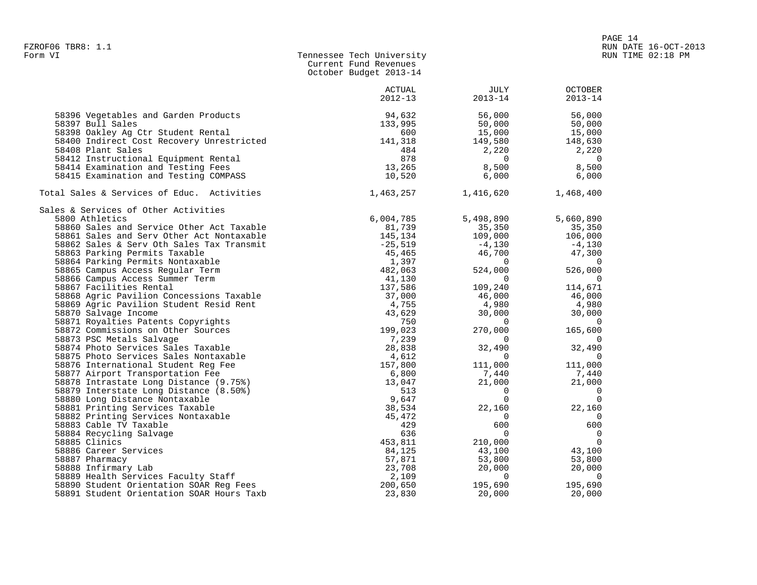| - ----- -- ----- |                           |  |
|------------------|---------------------------|--|
| Form VI          | Tennessee Tech University |  |
|                  | Current Fund Revenues     |  |
|                  | October Budget 2013-14    |  |
|                  |                           |  |

|                                            | ACTUAL<br>$2012 - 13$ | JULY<br>$2013 - 14$ | <b>OCTOBER</b><br>$2013 - 14$ |
|--------------------------------------------|-----------------------|---------------------|-------------------------------|
| 58396 Vegetables and Garden Products       | 94,632                | 56,000              | 56,000                        |
| 58397 Bull Sales                           | 133,995               | 50,000              | 50,000                        |
| 58398 Oakley Ag Ctr Student Rental         | 600                   | 15,000              | 15,000                        |
| 58400 Indirect Cost Recovery Unrestricted  | 141,318               | 149,580             | 148,630                       |
| 58408 Plant Sales                          | 484                   | 2,220               | 2,220                         |
| 58412 Instructional Equipment Rental       | 878                   | $\overline{0}$      | $\overline{0}$                |
| 58414 Examination and Testing Fees         | 13,265                | 8,500               | 8,500                         |
| 58415 Examination and Testing COMPASS      | 10,520                | 6,000               | 6,000                         |
| Total Sales & Services of Educ. Activities | 1,463,257             | 1,416,620           | 1,468,400                     |
| Sales & Services of Other Activities       |                       |                     |                               |
| 5800 Athletics                             | 6,004,785             | 5,498,890           | 5,660,890                     |
| 58860 Sales and Service Other Act Taxable  | 81,739                | 35,350              | 35,350                        |
| 58861 Sales and Serv Other Act Nontaxable  | 145,134               | 109,000             | 106,000                       |
| 58862 Sales & Serv Oth Sales Tax Transmit  | $-25,519$             | $-4,130$            | $-4,130$                      |
| 58863 Parking Permits Taxable              | 45,465                | 46,700              | 47,300                        |
| 58864 Parking Permits Nontaxable           | 1,397                 | $\overline{0}$      | $\overline{0}$                |
| 58865 Campus Access Regular Term           | 482,063               | 524,000             | 526,000                       |
| 58866 Campus Access Summer Term            | 41,130                | $\sim$ 0            | $\overline{0}$                |
| 58867 Facilities Rental                    | 137,586               | 109,240             | 114,671                       |
| 58868 Agric Pavilion Concessions Taxable   | 37,000                | 46,000              | 46,000                        |
| 58869 Agric Pavilion Student Resid Rent    | 4,755                 | 4,980               | 4,980                         |
| 58870 Salvage Income                       | 43,629                | 30,000              | 30,000                        |
| 58871 Royalties Patents Copyrights         | 750                   | $\sim$ 0            | $\overline{0}$                |
| 58872 Commissions on Other Sources         | 199,023               | 270,000             | 165,600                       |
| 58873 PSC Metals Salvage                   | 7,239                 | $\sim$ 0            | $\overline{0}$                |
| 58874 Photo Services Sales Taxable         | 28,838                | 32,490              | 32,490                        |
| 58875 Photo Services Sales Nontaxable      | 4,612                 | $\overline{0}$      | $\overline{0}$                |
| 58876 International Student Reg Fee        | 157,800               | 111,000             | 111,000                       |
| 58877 Airport Transportation Fee           | 6,800                 | 7,440               | 7,440                         |
| 58878 Intrastate Long Distance (9.75%)     | 13,047                | 21,000              | 21,000                        |
| 58879 Interstate Long Distance (8.50%)     | 513                   | $\sim$ 0            | $\overline{0}$                |
| 58880 Long Distance Nontaxable             | 9,647                 | $\overline{0}$      | $\overline{0}$                |
| 58881 Printing Services Taxable            | 38,534                | 22,160              | 22,160                        |
| 58882 Printing Services Nontaxable         | 45,472                | $\overline{0}$      | $\overline{0}$                |
| 58883 Cable TV Taxable                     | 429                   | 600                 | 600                           |
| 58884 Recycling Salvage                    | 636                   | $\overline{0}$      | $\overline{0}$                |
| 58885 Clinics                              | 453,811               | 210,000             | $\overline{0}$                |
| 58886 Career Services                      | 84,125                | 43,100              | 43,100                        |
| 58887 Pharmacy                             | 57,871                | 53,800              | 53,800                        |
| 58888 Infirmary Lab                        | 23,708                | 20,000              | 20,000                        |
| 58889 Health Services Faculty Staff        | 2,109                 | $\overline{0}$      | $\overline{0}$                |
| 58890 Student Orientation SOAR Req Fees    | 200,650               | 195,690             | 195,690                       |
| 58891 Student Orientation SOAR Hours Taxb  | 23,830                | 20,000              | 20,000                        |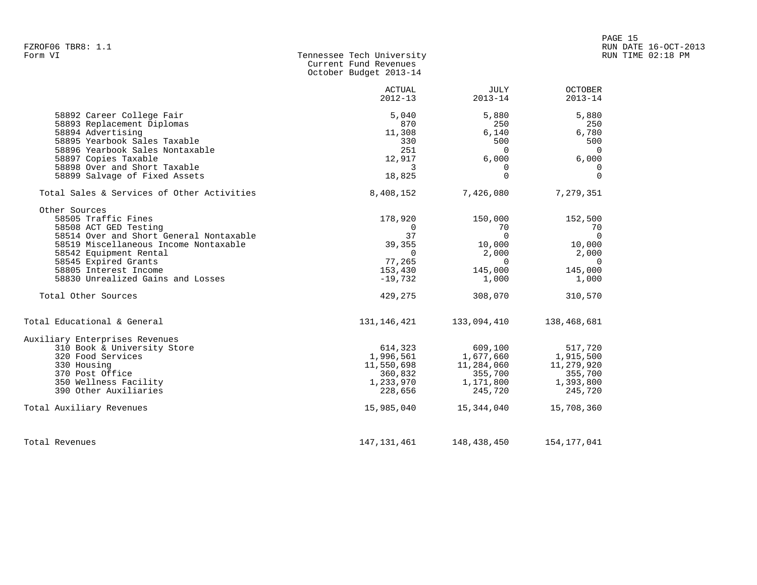| FZROF06 TBR8: 1.1                                                                                                                                                                                                                                                                        |                                                                                                          |                                                                                                     |                                                                                                     | RUN DATE 16-OCT-2013 |
|------------------------------------------------------------------------------------------------------------------------------------------------------------------------------------------------------------------------------------------------------------------------------------------|----------------------------------------------------------------------------------------------------------|-----------------------------------------------------------------------------------------------------|-----------------------------------------------------------------------------------------------------|----------------------|
| Form VI                                                                                                                                                                                                                                                                                  | Tennessee Tech University<br>Current Fund Revenues<br>October Budget 2013-14                             |                                                                                                     |                                                                                                     | RUN TIME 02:18 PM    |
|                                                                                                                                                                                                                                                                                          | ACTUAL<br>$2012 - 13$                                                                                    | JULY<br>$2013 - 14$                                                                                 | OCTOBER<br>$2013 - 14$                                                                              |                      |
| 58892 Career College Fair<br>58893 Replacement Diplomas<br>58894 Advertising<br>58895 Yearbook Sales Taxable<br>58896 Yearbook Sales Nontaxable<br>58897 Copies Taxable                                                                                                                  | 5,040<br>870<br>11,308<br>330<br>251<br>12,917                                                           | 5,880<br>250<br>6,140<br>500<br>$\overline{0}$<br>6,000                                             | 5,880<br>250<br>6,780<br>500<br>$\overline{\phantom{0}}$<br>6,000                                   |                      |
| 58898 Over and Short Taxable<br>58899 Salvage of Fixed Assets                                                                                                                                                                                                                            | 3<br>18,825                                                                                              | $\Omega$<br>$\Omega$                                                                                | $\Omega$<br>$\Omega$                                                                                |                      |
| Total Sales & Services of Other Activities                                                                                                                                                                                                                                               | 8,408,152                                                                                                | 7,426,080                                                                                           | 7,279,351                                                                                           |                      |
| Other Sources<br>58505 Traffic Fines<br>58508 ACT GED Testing<br>58514 Over and Short General Nontaxable<br>58519 Miscellaneous Income Nontaxable<br>58542 Equipment Rental<br>58545 Expired Grants<br>58805 Interest Income<br>58830 Unrealized Gains and Losses<br>Total Other Sources | 178,920<br>$\overline{0}$<br>37<br>39,355<br>$\overline{0}$<br>77,265<br>153,430<br>$-19,732$<br>429,275 | 150,000<br>70<br>$\overline{0}$<br>10,000<br>2,000<br>$\overline{0}$<br>145,000<br>1,000<br>308,070 | 152,500<br>70<br>$\overline{0}$<br>10,000<br>2,000<br>$\overline{0}$<br>145,000<br>1,000<br>310,570 |                      |
| Total Educational & General                                                                                                                                                                                                                                                              |                                                                                                          | 131, 146, 421 133, 094, 410                                                                         | 138,468,681                                                                                         |                      |
| Auxiliary Enterprises Revenues<br>310 Book & University Store<br>320 Food Services<br>330 Housing<br>370 Post Office<br>350 Wellness Facility<br>390 Other Auxiliaries                                                                                                                   | 614,323<br>1,233,970<br>228,656                                                                          | 609,100<br>1,996,561 1,677,660<br>11,550,698 11,284,060<br>360,832 355,700<br>11,284,060<br>245,720 | 517,720<br>1,915,500<br>11,279,920<br>355,700<br>1,171,800 1,393,800<br>245,720                     |                      |
| Total Auxiliary Revenues                                                                                                                                                                                                                                                                 | 15,985,040                                                                                               | 15,344,040                                                                                          | 15,708,360                                                                                          |                      |
| Total Revenues                                                                                                                                                                                                                                                                           | 147, 131, 461                                                                                            | 148,438,450                                                                                         | 154, 177, 041                                                                                       |                      |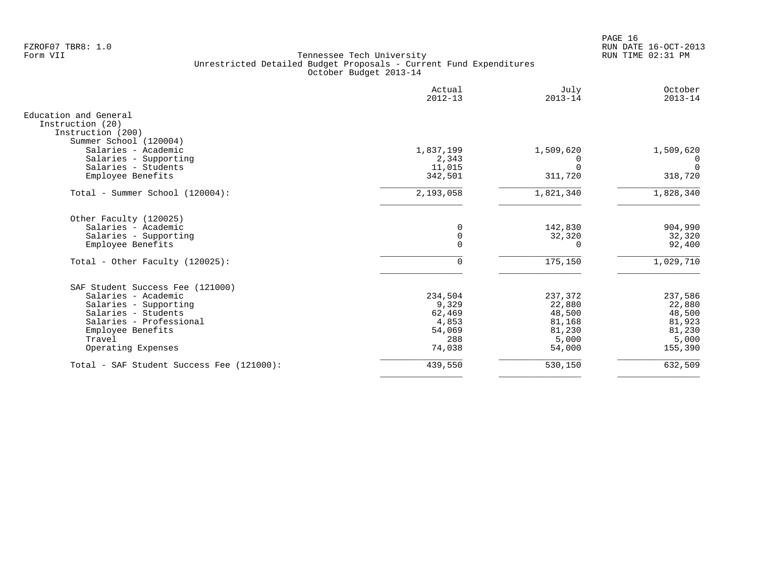PAGE 16 FZROF07 TBR8: 1.0 RUN DATE 16-OCT-2013

|                                                                                          | Actual<br>$2012 - 13$ | July<br>$2013 - 14$    | October<br>$2013 - 14$ |
|------------------------------------------------------------------------------------------|-----------------------|------------------------|------------------------|
| Education and General<br>Instruction (20)<br>Instruction (200)<br>Summer School (120004) |                       |                        |                        |
| Salaries - Academic                                                                      | 1,837,199             | 1,509,620              | 1,509,620              |
| Salaries - Supporting                                                                    | 2,343                 |                        |                        |
| Salaries - Students<br>Employee Benefits                                                 | 11,015<br>342,501     | 311,720                | $\Omega$<br>318,720    |
| Total - Summer School (120004):                                                          | 2,193,058             | 1,821,340              | 1,828,340              |
| Other Faculty (120025)                                                                   |                       |                        |                        |
| Salaries - Academic                                                                      | 0                     | 142,830                | 904,990                |
| Salaries - Supporting<br>Employee Benefits                                               | 0<br>$\mathbf 0$      | 32,320<br><sup>0</sup> | 32,320<br>92,400       |
|                                                                                          |                       |                        |                        |
| Total - Other Faculty (120025):                                                          | 0                     | 175,150                | 1,029,710              |
| SAF Student Success Fee (121000)                                                         |                       |                        |                        |
| Salaries - Academic                                                                      | 234,504               | 237,372                | 237,586                |
| Salaries - Supporting                                                                    | 9,329                 | 22,880                 | 22,880                 |
| Salaries - Students<br>Salaries - Professional                                           | 62,469<br>4,853       | 48,500<br>81,168       | 48,500<br>81,923       |
| Employee Benefits                                                                        | 54,069                | 81,230                 | 81,230                 |
| Travel                                                                                   | 288                   | 5,000                  | 5,000                  |
| Operating Expenses                                                                       | 74,038                | 54,000                 | 155,390                |
| Total - SAF Student Success Fee (121000):                                                | 439,550               | 530,150                | 632,509                |
|                                                                                          |                       |                        |                        |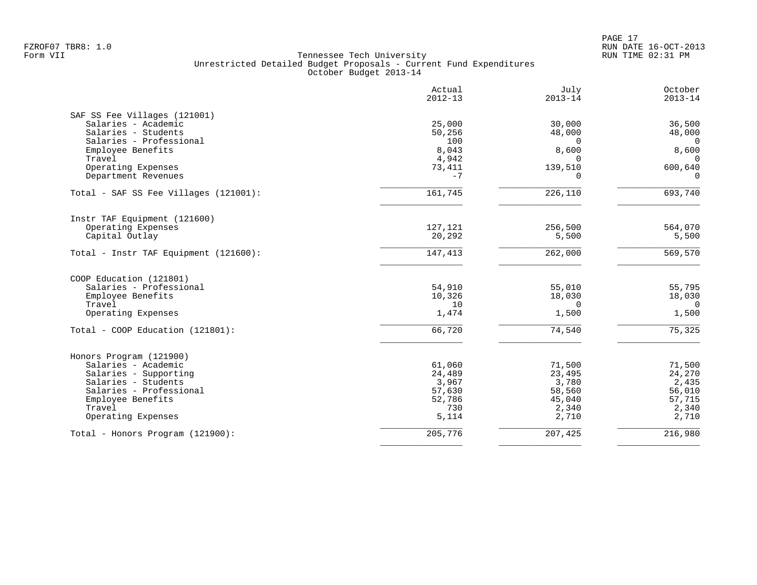|                                              | Actual<br>$2012 - 13$ | July<br>$2013 - 14$ | October<br>$2013 - 14$ |
|----------------------------------------------|-----------------------|---------------------|------------------------|
| SAF SS Fee Villages (121001)                 |                       |                     |                        |
| Salaries - Academic                          | 25,000                | 30,000              | 36,500                 |
| Salaries - Students                          | 50,256                | 48,000              | 48,000                 |
| Salaries - Professional                      | 100                   | 0                   | $\overline{0}$         |
| Employee Benefits                            | 8,043                 | 8,600               | 8,600                  |
| Travel                                       | 4,942                 |                     | $\mathbf 0$            |
| Operating Expenses                           | 73,411                | 139,510             | 600,640                |
| Department Revenues                          | $-7$                  | $\Omega$            | $\Omega$               |
| Total - SAF SS Fee Villages (121001):        | 161,745               | 226,110             | 693,740                |
| Instr TAF Equipment (121600)                 |                       |                     |                        |
| Operating Expenses                           | 127,121               | 256,500             | 564,070                |
| Capital Outlay                               | 20,292                | 5,500               | 5,500                  |
| Total - Instr TAF Equipment (121600):        | 147,413               | 262,000             | 569,570                |
| COOP Education (121801)                      |                       |                     |                        |
| Salaries - Professional                      | 54,910                | 55,010              | 55,795                 |
| Employee Benefits                            | 10,326                | 18,030              | 18,030                 |
| Travel                                       | 10                    | $\Omega$            | $\Omega$               |
| Operating Expenses                           | 1,474                 | 1,500               | 1,500                  |
| Total - COOP Education (121801):             | 66,720                | 74,540              | 75,325                 |
|                                              |                       |                     |                        |
| Honors Program (121900)                      |                       |                     |                        |
| Salaries - Academic                          | 61,060                | 71,500              | 71,500                 |
| Salaries - Supporting<br>Salaries - Students | 24,489<br>3,967       | 23,495<br>3,780     | 24,270<br>2,435        |
| Salaries - Professional                      | 57,630                | 58,560              | 56,010                 |
| Employee Benefits                            | 52,786                | 45,040              | 57,715                 |
| Travel                                       | 730                   | 2,340               | 2,340                  |
| Operating Expenses                           | 5,114                 | 2,710               | 2,710                  |
| Total - Honors Program (121900):             | 205,776               | 207,425             | 216,980                |
|                                              |                       |                     |                        |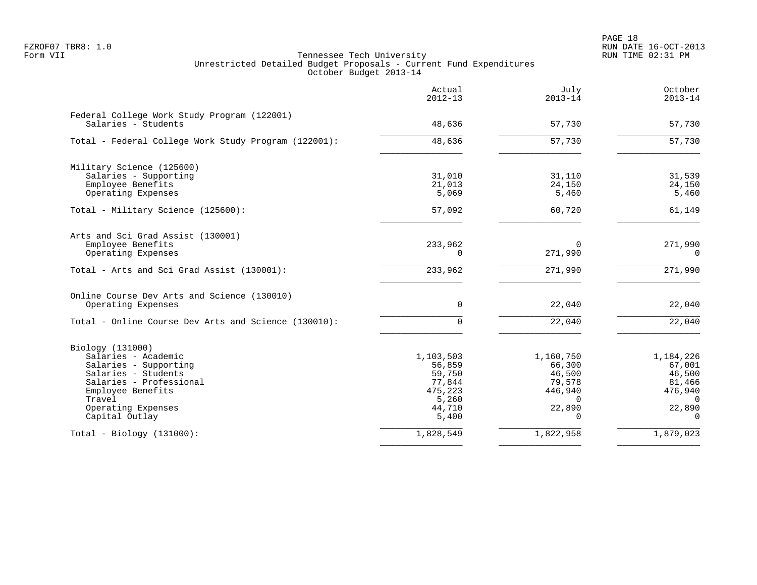PAGE 18 FZROF07 TBR8: 1.0 RUN DATE 16-OCT-2013

|                                                                                                                                                                                           | Actual<br>$2012 - 13$                                                          | July<br>$2013 - 14$                                                                  | October<br>$2013 - 14$                                                               |
|-------------------------------------------------------------------------------------------------------------------------------------------------------------------------------------------|--------------------------------------------------------------------------------|--------------------------------------------------------------------------------------|--------------------------------------------------------------------------------------|
| Federal College Work Study Program (122001)<br>Salaries - Students                                                                                                                        | 48,636                                                                         | 57,730                                                                               | 57,730                                                                               |
| Total - Federal College Work Study Program (122001):                                                                                                                                      | 48,636                                                                         | 57,730                                                                               | $\overline{57,730}$                                                                  |
| Military Science (125600)<br>Salaries - Supporting<br>Employee Benefits<br>Operating Expenses                                                                                             | 31,010<br>21,013<br>5,069                                                      | 31,110<br>24,150<br>5,460                                                            | 31,539<br>24,150<br>5,460                                                            |
| Total - Military Science (125600):                                                                                                                                                        | 57,092                                                                         | 60,720                                                                               | 61,149                                                                               |
| Arts and Sci Grad Assist (130001)<br>Employee Benefits<br>Operating Expenses                                                                                                              | 233,962<br>$\Omega$                                                            | $\Omega$<br>271,990                                                                  | 271,990<br>$\Omega$                                                                  |
| Total - Arts and Sci Grad Assist (130001):                                                                                                                                                | 233,962                                                                        | 271,990                                                                              | 271,990                                                                              |
| Online Course Dev Arts and Science (130010)<br>Operating Expenses                                                                                                                         | $\mathbf 0$                                                                    | 22,040                                                                               | 22,040                                                                               |
| Total - Online Course Dev Arts and Science (130010):                                                                                                                                      | 0                                                                              | 22,040                                                                               | 22,040                                                                               |
| Biology (131000)<br>Salaries - Academic<br>Salaries - Supporting<br>Salaries - Students<br>Salaries - Professional<br>Employee Benefits<br>Travel<br>Operating Expenses<br>Capital Outlay | 1,103,503<br>56,859<br>59,750<br>77,844<br>475,223<br>5,260<br>44,710<br>5,400 | 1,160,750<br>66,300<br>46,500<br>79,578<br>446,940<br>$\Omega$<br>22,890<br>$\Omega$ | 1,184,226<br>67,001<br>46,500<br>81,466<br>476,940<br>$\Omega$<br>22,890<br>$\Omega$ |
| $Total - Biology (131000):$                                                                                                                                                               | 1,828,549                                                                      | 1,822,958                                                                            | 1,879,023                                                                            |
|                                                                                                                                                                                           |                                                                                |                                                                                      |                                                                                      |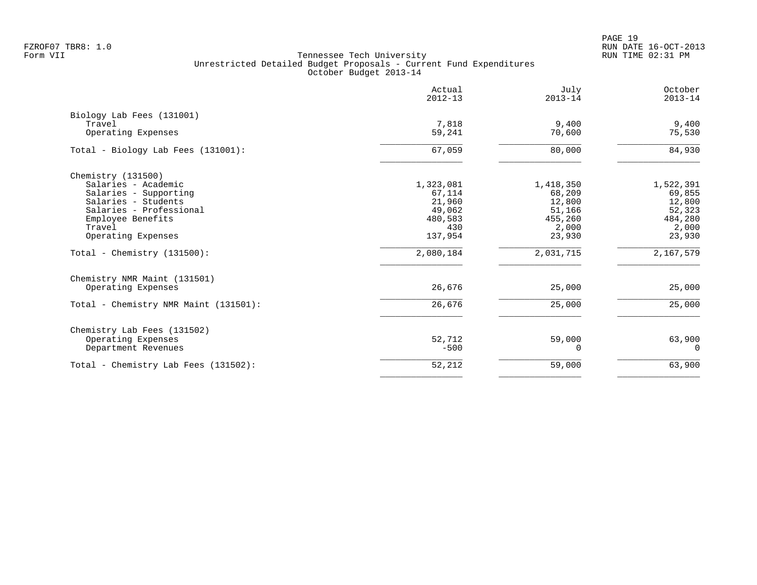PAGE 19 FZROF07 TBR8: 1.0 RUN DATE 16-OCT-2013

|                                                                                                                                                                           | Actual<br>$2012 - 13$                                                | July<br>$2013 - 14$                                                   | October<br>$2013 - 14$                                                |
|---------------------------------------------------------------------------------------------------------------------------------------------------------------------------|----------------------------------------------------------------------|-----------------------------------------------------------------------|-----------------------------------------------------------------------|
| Biology Lab Fees (131001)<br>Travel<br>Operating Expenses                                                                                                                 | 7,818<br>59,241                                                      | 9,400<br>70,600                                                       | 9,400<br>75,530                                                       |
| Total - Biology Lab Fees (131001):                                                                                                                                        | 67,059                                                               | 80,000                                                                | 84,930                                                                |
| Chemistry (131500)<br>Salaries - Academic<br>Salaries - Supporting<br>Salaries - Students<br>Salaries - Professional<br>Employee Benefits<br>Travel<br>Operating Expenses | 1,323,081<br>67,114<br>21,960<br>49,062<br>480,583<br>430<br>137,954 | 1,418,350<br>68,209<br>12,800<br>51,166<br>455,260<br>2,000<br>23,930 | 1,522,391<br>69,855<br>12,800<br>52,323<br>484,280<br>2,000<br>23,930 |
| Total - Chemistry $(131500)$ :                                                                                                                                            | 2,080,184                                                            | 2,031,715                                                             | 2,167,579                                                             |
| Chemistry NMR Maint (131501)<br>Operating Expenses                                                                                                                        | 26,676                                                               | 25,000                                                                | 25,000                                                                |
| Total - Chemistry NMR Maint (131501):                                                                                                                                     | 26,676                                                               | 25,000                                                                | 25,000                                                                |
| Chemistry Lab Fees (131502)<br>Operating Expenses<br>Department Revenues                                                                                                  | 52,712<br>$-500$                                                     | 59,000<br>0                                                           | 63,900<br>$\Omega$                                                    |
| Total - Chemistry Lab Fees (131502):                                                                                                                                      | 52,212                                                               | 59,000                                                                | 63,900                                                                |
|                                                                                                                                                                           |                                                                      |                                                                       |                                                                       |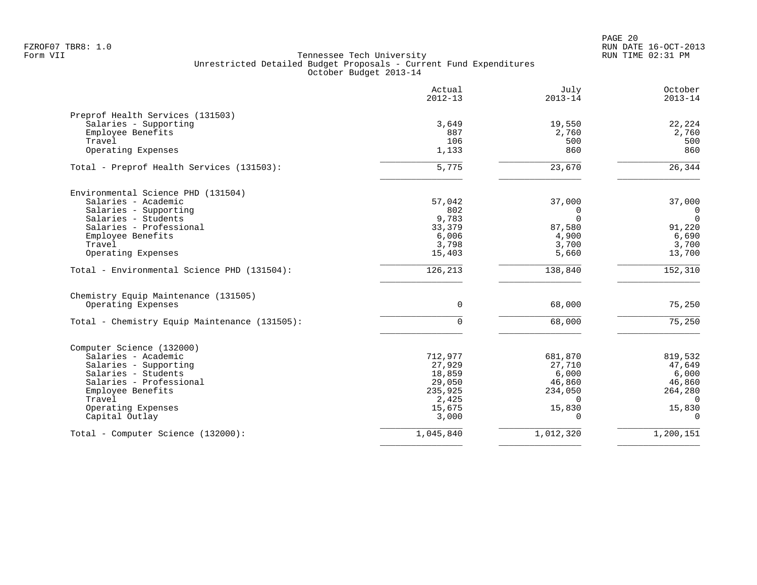|                                               | Actual<br>$2012 - 13$ | July<br>$2013 - 14$ | October<br>$2013 - 14$ |
|-----------------------------------------------|-----------------------|---------------------|------------------------|
| Preprof Health Services (131503)              |                       |                     |                        |
| Salaries - Supporting                         | 3,649                 | 19,550              | 22,224                 |
| Employee Benefits                             | 887                   | 2,760               | 2,760                  |
| Travel                                        | 106                   | 500                 | 500                    |
| Operating Expenses                            | 1,133                 | 860                 | 860                    |
| Total - Preprof Health Services (131503):     | 5,775                 | 23,670              | 26,344                 |
| Environmental Science PHD (131504)            |                       |                     |                        |
| Salaries - Academic                           | 57,042                | 37,000              | 37,000                 |
| Salaries - Supporting                         | 802                   | 0                   | $\overline{0}$         |
| Salaries - Students                           | 9,783                 | $\Omega$            | $\Omega$               |
| Salaries - Professional                       | 33,379                | 87,580              | 91,220                 |
| Employee Benefits                             | 6,006                 | 4,900               | 6,690                  |
| Travel                                        | 3,798                 | 3,700               | 3,700                  |
| Operating Expenses                            | 15,403                | 5,660               | 13,700                 |
| Total - Environmental Science PHD (131504):   | 126,213               | 138,840             | 152,310                |
| Chemistry Equip Maintenance (131505)          |                       |                     |                        |
| Operating Expenses                            | $\Omega$              | 68,000              | 75,250                 |
| Total - Chemistry Equip Maintenance (131505): | $\Omega$              | 68,000              | 75,250                 |
| Computer Science (132000)                     |                       |                     |                        |
| Salaries - Academic                           | 712,977               | 681,870             | 819,532                |
| Salaries - Supporting                         | 27,929                | 27,710              | 47,649                 |
| Salaries - Students                           | 18,859                | 6,000               | 6,000                  |
| Salaries - Professional                       | 29,050                | 46,860              | 46,860                 |
| Employee Benefits                             | 235,925               | 234,050             | 264,280                |
| Travel                                        | 2,425                 | $\Omega$            | $\Omega$               |
| Operating Expenses                            | 15,675                | 15,830              | 15,830                 |
| Capital Outlay                                | 3,000                 | ∩                   | $\Omega$               |
| Total - Computer Science (132000):            | 1,045,840             | 1,012,320           | 1,200,151              |
|                                               |                       |                     |                        |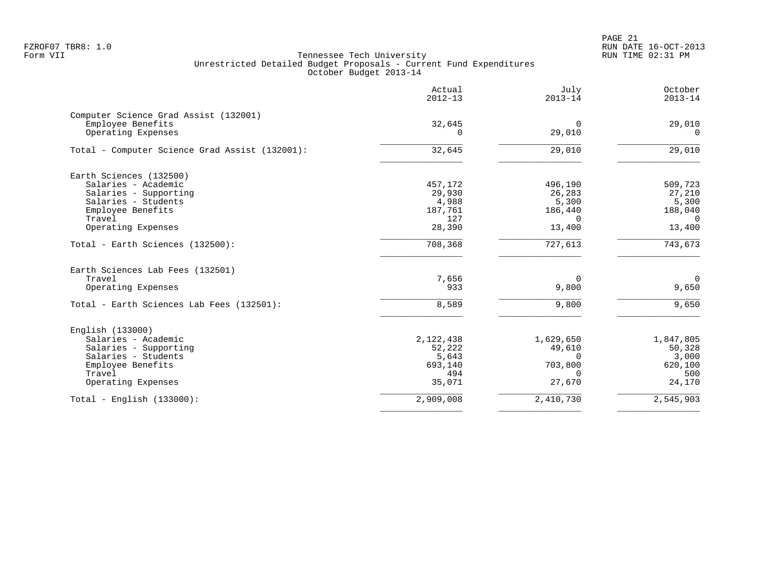PAGE 21 FZROF07 TBR8: 1.0 RUN DATE 16-OCT-2013

|                                                                                  | Actual<br>$2012 - 13$ | July<br>$2013 - 14$   | October<br>$2013 - 14$ |
|----------------------------------------------------------------------------------|-----------------------|-----------------------|------------------------|
| Computer Science Grad Assist (132001)<br>Employee Benefits<br>Operating Expenses | 32,645<br>0           | $\mathbf 0$<br>29,010 | 29,010<br>$\Omega$     |
| Total - Computer Science Grad Assist (132001):                                   | 32,645                | 29,010                | 29,010                 |
| Earth Sciences (132500)                                                          |                       |                       |                        |
| Salaries - Academic                                                              | 457,172               | 496,190               | 509,723                |
| Salaries - Supporting                                                            | 29,930                | 26,283                | 27,210                 |
| Salaries - Students                                                              | 4,988                 | 5,300                 | 5,300                  |
| Employee Benefits                                                                | 187,761               | 186,440               | 188,040                |
| Travel                                                                           | 127                   | $\Omega$              | $\Omega$               |
| Operating Expenses                                                               | 28,390                | 13,400                | 13,400                 |
| Total - Earth Sciences (132500):                                                 | 708,368               | 727,613               | 743,673                |
| Earth Sciences Lab Fees (132501)                                                 |                       |                       |                        |
| Travel                                                                           | 7,656                 | $\overline{0}$        | $\overline{0}$         |
| Operating Expenses                                                               | 933                   | 9,800                 | 9,650                  |
| Total - Earth Sciences Lab Fees (132501):                                        | 8,589                 | 9,800                 | 9,650                  |
| English (133000)                                                                 |                       |                       |                        |
| Salaries - Academic                                                              | 2,122,438             | 1,629,650             | 1,847,805              |
| Salaries - Supporting                                                            | 52,222                | 49,610                | 50,328                 |
| Salaries - Students                                                              | 5,643                 | $\Omega$              | 3,000                  |
| Employee Benefits                                                                | 693,140               | 703,800               | 620,100                |
| Travel                                                                           | 494                   | $\Omega$              | 500                    |
| Operating Expenses                                                               | 35,071                | 27,670                | 24,170                 |
| Total - English $(133000)$ :                                                     | 2,909,008             | 2,410,730             | 2,545,903              |
|                                                                                  |                       |                       |                        |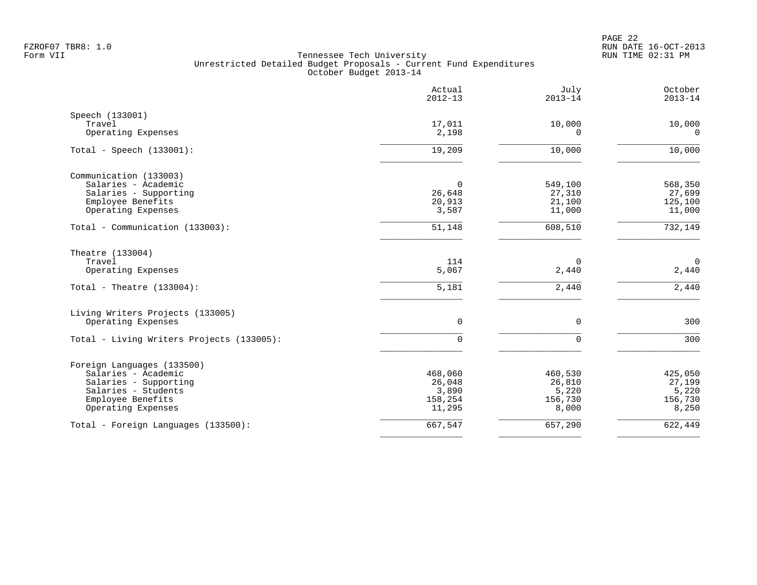|                                           | Actual<br>$2012 - 13$ | July<br>$2013 - 14$   | October<br>$2013 - 14$ |
|-------------------------------------------|-----------------------|-----------------------|------------------------|
| Speech (133001)                           |                       |                       |                        |
| Travel<br>Operating Expenses              | 17,011<br>2,198       | 10,000<br>$\mathbf 0$ | 10,000<br>$\mathbf 0$  |
|                                           |                       |                       |                        |
| Total - Speech $(133001)$ :               | 19,209                | 10,000                | 10,000                 |
| Communication (133003)                    |                       |                       |                        |
| Salaries - Academic                       | $\Omega$              | 549,100               | 568,350                |
| Salaries - Supporting                     | 26,648                | 27,310                | 27,699                 |
| Employee Benefits<br>Operating Expenses   | 20,913<br>3,587       | 21,100<br>11,000      | 125,100<br>11,000      |
|                                           |                       |                       |                        |
| Total - Communication (133003):           | 51,148                | 608,510               | 732,149                |
| Theatre (133004)                          |                       |                       |                        |
| Travel                                    | 114                   | 0                     | $\mathbf 0$            |
| Operating Expenses                        | 5,067                 | 2,440                 | $2\,,440$              |
| Total - Theatre $(133004)$ :              | 5,181                 | 2,440                 | $2,440$                |
| Living Writers Projects (133005)          |                       |                       |                        |
| Operating Expenses                        | $\mathbf 0$           | $\mathbf 0$           | 300                    |
| Total - Living Writers Projects (133005): | 0                     | $\mathbf 0$           | 300                    |
| Foreign Languages (133500)                |                       |                       |                        |
| Salaries - Academic                       | 468,060               | 460,530               | 425,050                |
| Salaries - Supporting                     | 26,048                | 26,810                | 27,199                 |
| Salaries - Students<br>Employee Benefits  | 3,890<br>158,254      | 5,220<br>156,730      | 5,220<br>156,730       |
| Operating Expenses                        | 11,295                | 8,000                 | 8,250                  |
| Total - Foreign Languages (133500):       | 667,547               | 657,290               | 622,449                |
|                                           |                       |                       |                        |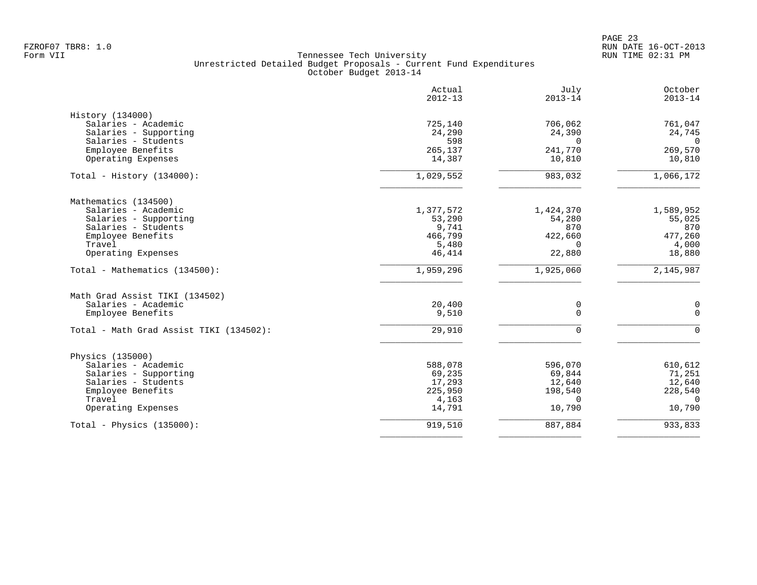|                                         | Actual<br>$2012 - 13$ | July<br>$2013 - 14$ | October<br>$2013 - 14$ |
|-----------------------------------------|-----------------------|---------------------|------------------------|
| History (134000)                        |                       |                     |                        |
| Salaries - Academic                     | 725,140               | 706,062             | 761,047                |
| Salaries - Supporting                   | 24,290                | 24,390              | 24,745                 |
| Salaries - Students                     | 598                   | $\Omega$            | $\overline{0}$         |
| Employee Benefits                       | 265,137               | 241,770             | 269,570                |
| Operating Expenses                      | 14,387                | 10,810              | 10,810                 |
| Total - History $(134000)$ :            | 1,029,552             | 983,032             | 1,066,172              |
| Mathematics (134500)                    |                       |                     |                        |
| Salaries - Academic                     | 1,377,572             | 1,424,370           | 1,589,952              |
| Salaries - Supporting                   | 53,290                | 54,280              | 55,025                 |
| Salaries - Students                     | 9,741                 | 870                 | 870                    |
| Employee Benefits                       | 466,799               | 422,660             | 477,260                |
| Travel                                  | 5,480                 | $\Omega$            | 4,000                  |
| Operating Expenses                      | 46,414                | 22,880              | 18,880                 |
| Total - Mathematics (134500):           | 1,959,296             | 1,925,060           | 2,145,987              |
| Math Grad Assist TIKI (134502)          |                       |                     |                        |
| Salaries - Academic                     | 20,400                | $\mathsf 0$         | 0                      |
| Employee Benefits                       | 9,510                 | $\Omega$            | $\Omega$               |
| Total - Math Grad Assist TIKI (134502): | 29,910                | $\Omega$            | $\Omega$               |
| Physics (135000)                        |                       |                     |                        |
| Salaries - Academic                     | 588,078               | 596,070             | 610,612                |
| Salaries - Supporting                   | 69,235                | 69,844              | 71,251                 |
| Salaries - Students                     | 17,293                | 12,640              | 12,640                 |
| Employee Benefits                       | 225,950               | 198,540             | 228,540                |
| Travel                                  | 4,163                 | $\Omega$            | $\Omega$               |
| Operating Expenses                      | 14,791                | 10,790              | 10,790                 |
| Total - Physics $(135000)$ :            | 919,510               | 887,884             | 933,833                |
|                                         |                       |                     |                        |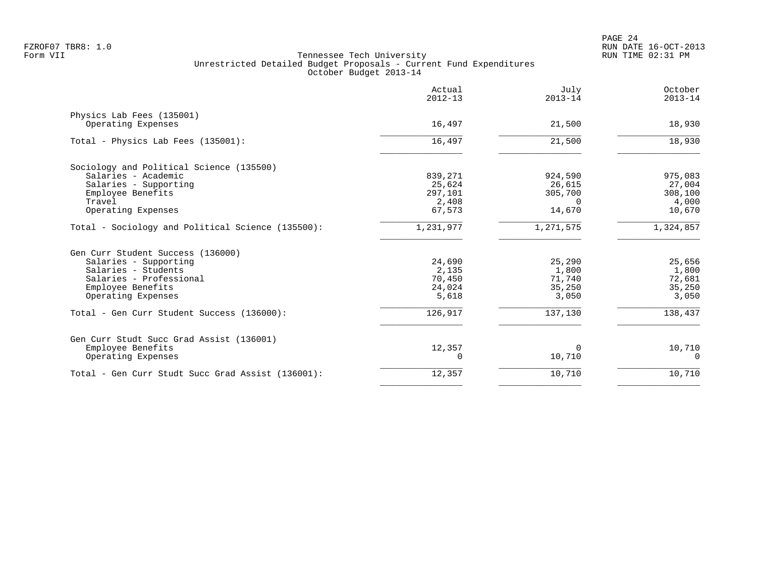|                                                   | Actual<br>$2012 - 13$ | July<br>$2013 - 14$ | October<br>$2013 - 14$ |
|---------------------------------------------------|-----------------------|---------------------|------------------------|
| Physics Lab Fees (135001)                         |                       |                     |                        |
| Operating Expenses                                | 16,497                | 21,500              | 18,930                 |
| Total - Physics Lab Fees (135001):                | 16,497                | 21,500              | 18,930                 |
| Sociology and Political Science (135500)          |                       |                     |                        |
| Salaries - Academic                               | 839,271               | 924,590             | 975,083                |
| Salaries - Supporting                             | 25,624                | 26,615              | 27,004                 |
| Employee Benefits                                 | 297,101               | 305,700             | 308,100                |
| Travel                                            | 2,408                 | $\Omega$            | 4,000                  |
| Operating Expenses                                | 67,573                | 14,670              | 10,670                 |
| Total - Sociology and Political Science (135500): | 1,231,977             | 1,271,575           | 1,324,857              |
| Gen Curr Student Success (136000)                 |                       |                     |                        |
| Salaries - Supporting                             | 24,690                | 25,290              | 25,656                 |
| Salaries - Students                               | 2,135                 | 1,800               | 1,800                  |
| Salaries - Professional                           | 70,450                | 71,740              | 72,681                 |
| Employee Benefits                                 | 24,024                | 35,250              | 35,250                 |
| Operating Expenses                                | 5,618                 | 3,050               | 3,050                  |
| Total - Gen Curr Student Success (136000):        | 126,917               | 137,130             | 138,437                |
| Gen Curr Studt Succ Grad Assist (136001)          |                       |                     |                        |
| Employee Benefits                                 | 12,357                | $\Omega$            | 10,710                 |
| Operating Expenses                                |                       | 10,710              | 0                      |
| Total - Gen Curr Studt Succ Grad Assist (136001): | 12,357                | 10,710              | 10,710                 |
|                                                   |                       |                     |                        |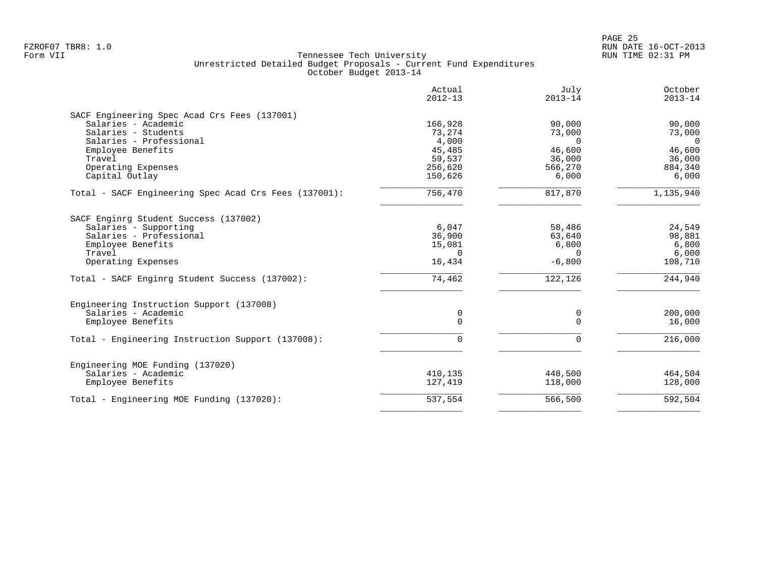|                                                       | Actual<br>$2012 - 13$ | July<br>$2013 - 14$ | October<br>$2013 - 14$ |
|-------------------------------------------------------|-----------------------|---------------------|------------------------|
| SACF Engineering Spec Acad Crs Fees (137001)          |                       |                     |                        |
| Salaries - Academic                                   | 166,928               | 90,000              | 90,000                 |
| Salaries - Students                                   | 73,274                | 73,000              | 73,000                 |
| Salaries - Professional                               | 4,000                 | $\Omega$            | $\Omega$               |
| Employee Benefits                                     | 45,485                | 46,600              | 46,600                 |
| Travel                                                | 59,537                | 36,000              | 36,000                 |
| Operating Expenses                                    | 256,620               | 566,270             | 884,340                |
| Capital Outlay                                        | 150,626               | 6,000               | 6,000                  |
| Total - SACF Engineering Spec Acad Crs Fees (137001): | 756,470               | 817,870             | 1,135,940              |
| SACF Enginrg Student Success (137002)                 |                       |                     |                        |
|                                                       |                       |                     |                        |
| Salaries - Supporting                                 | 6,047                 | 58,486              | 24,549                 |
| Salaries - Professional                               | 36,900                | 63,640              | 98,881                 |
| Employee Benefits                                     | 15,081                | 6,800               | 6,800                  |
| Travel                                                | $\Omega$              | $\Omega$            | 6,000                  |
| Operating Expenses                                    | 16,434                | $-6,800$            | 108,710                |
| Total - SACF Enginrg Student Success (137002):        | 74,462                | 122,126             | 244,940                |
| Engineering Instruction Support (137008)              |                       |                     |                        |
| Salaries - Academic                                   | 0                     | 0                   | 200,000                |
| Employee Benefits                                     | $\Omega$              | $\Omega$            | 16,000                 |
| Total - Engineering Instruction Support (137008):     | $\Omega$              | $\Omega$            | 216,000                |
| Engineering MOE Funding (137020)                      |                       |                     |                        |
| Salaries - Academic                                   | 410,135               | 448,500             | 464,504                |
| Employee Benefits                                     | 127,419               | 118,000             | 128,000                |
| Total - Engineering MOE Funding (137020):             | 537,554               | 566,500             | 592,504                |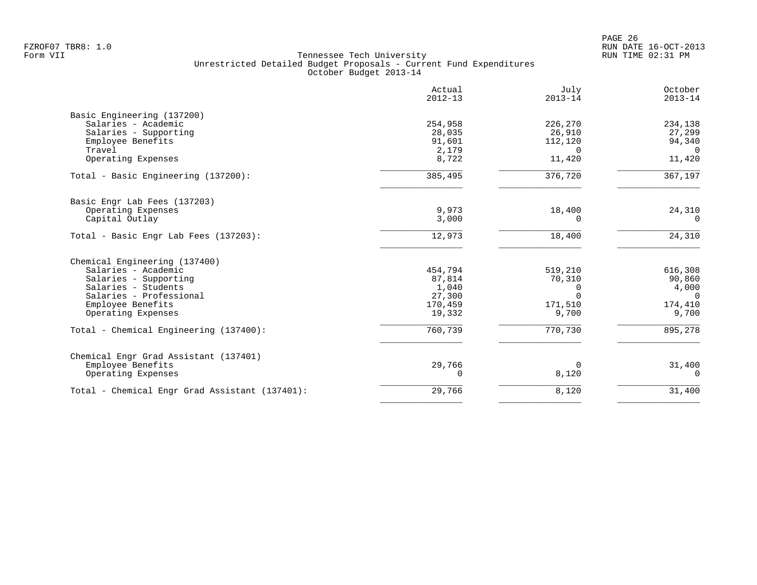| Actual<br>$2012 - 13$ | July<br>$2013 - 14$                                                                               | October<br>$2013 - 14$                                                       |
|-----------------------|---------------------------------------------------------------------------------------------------|------------------------------------------------------------------------------|
|                       |                                                                                                   |                                                                              |
|                       |                                                                                                   | 234,138                                                                      |
|                       |                                                                                                   | 27,299                                                                       |
|                       | 112,120                                                                                           | 94,340                                                                       |
| 2,179                 | $\Omega$                                                                                          | $\Omega$                                                                     |
| 8,722                 | 11,420                                                                                            | 11,420                                                                       |
| 385,495               | 376,720                                                                                           | 367,197                                                                      |
|                       |                                                                                                   |                                                                              |
|                       |                                                                                                   | 24,310                                                                       |
| 3,000                 | 0                                                                                                 | $\Omega$                                                                     |
| 12,973                | 18,400                                                                                            | 24,310                                                                       |
|                       |                                                                                                   |                                                                              |
|                       |                                                                                                   | 616,308                                                                      |
|                       |                                                                                                   | 90,860                                                                       |
|                       |                                                                                                   | 4,000                                                                        |
|                       | $\Omega$                                                                                          | $\Omega$                                                                     |
|                       |                                                                                                   | 174,410                                                                      |
| 19,332                | 9,700                                                                                             | 9,700                                                                        |
| 760,739               | 770,730                                                                                           | 895,278                                                                      |
|                       |                                                                                                   |                                                                              |
|                       |                                                                                                   | 31,400                                                                       |
| 0                     | 8,120                                                                                             | 0                                                                            |
| 29,766                | 8,120                                                                                             | 31,400                                                                       |
|                       | 254,958<br>28,035<br>91,601<br>9,973<br>454,794<br>87,814<br>1,040<br>27,300<br>170,459<br>29,766 | 226,270<br>26,910<br>18,400<br>519,210<br>70,310<br>0<br>171,510<br>$\Omega$ |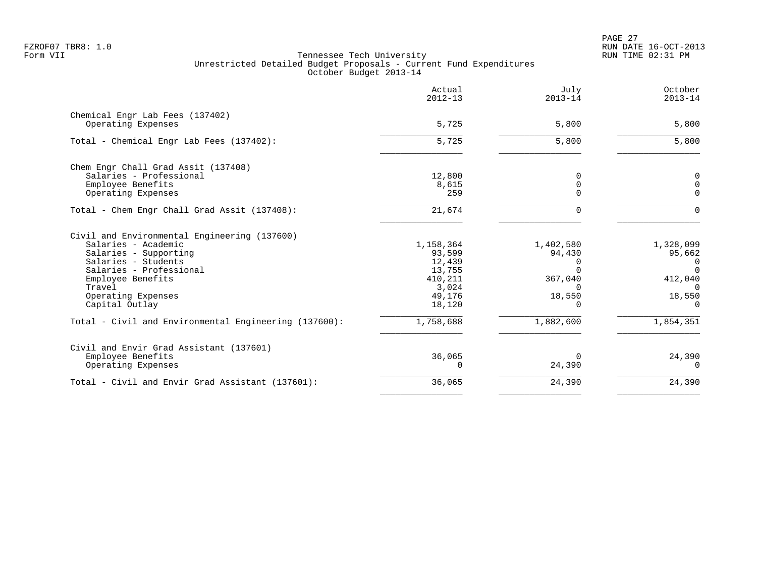PAGE 27 FZROF07 TBR8: 1.0 RUN DATE 16-OCT-2013

|                                                                                                                                                                                                                       | Actual<br>$2012 - 13$                                                           | July<br>$2013 - 14$                                              | October<br>$2013 - 14$                                                            |
|-----------------------------------------------------------------------------------------------------------------------------------------------------------------------------------------------------------------------|---------------------------------------------------------------------------------|------------------------------------------------------------------|-----------------------------------------------------------------------------------|
| Chemical Engr Lab Fees (137402)<br>Operating Expenses                                                                                                                                                                 | 5,725                                                                           | 5,800                                                            | 5,800                                                                             |
| Total - Chemical Engr Lab Fees (137402):                                                                                                                                                                              | 5,725                                                                           | 5,800                                                            | 5,800                                                                             |
| Chem Engr Chall Grad Assit (137408)<br>Salaries - Professional<br>Employee Benefits<br>Operating Expenses                                                                                                             | 12,800<br>8,615<br>259                                                          | 0<br>$\mathbf 0$<br>$\Omega$                                     | 0<br>$\Omega$<br>$\Omega$                                                         |
| Total - Chem Engr Chall Grad Assit (137408):                                                                                                                                                                          | 21,674                                                                          | $\Omega$                                                         | $\Omega$                                                                          |
| Civil and Environmental Engineering (137600)<br>Salaries - Academic<br>Salaries - Supporting<br>Salaries - Students<br>Salaries - Professional<br>Employee Benefits<br>Travel<br>Operating Expenses<br>Capital Outlay | 1,158,364<br>93,599<br>12,439<br>13,755<br>410,211<br>3,024<br>49,176<br>18,120 | 1,402,580<br>94,430<br>$\Omega$<br>367,040<br>18,550<br>$\Omega$ | 1,328,099<br>95,662<br>0<br>$\Omega$<br>412,040<br>$\Omega$<br>18,550<br>$\Omega$ |
| Total - Civil and Environmental Engineering (137600):                                                                                                                                                                 | 1,758,688                                                                       | 1,882,600                                                        | 1,854,351                                                                         |
| Civil and Envir Grad Assistant (137601)<br>Employee Benefits<br>Operating Expenses                                                                                                                                    | 36,065<br>$\Omega$                                                              | $\Omega$<br>24,390                                               | 24,390<br>$\Omega$                                                                |
| Total - Civil and Envir Grad Assistant (137601):                                                                                                                                                                      | 36,065                                                                          | 24,390                                                           | 24,390                                                                            |
|                                                                                                                                                                                                                       |                                                                                 |                                                                  |                                                                                   |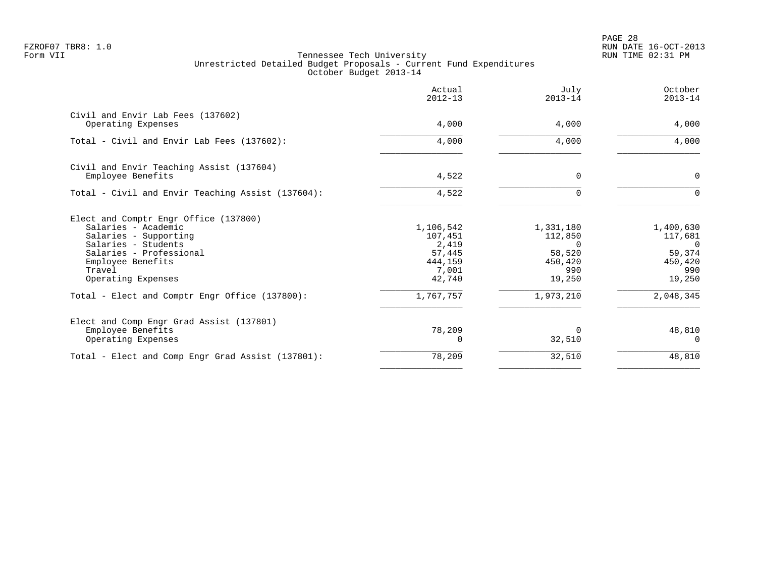PAGE 28 FZROF07 TBR8: 1.0 RUN DATE 16-OCT-2013

|                                                                                                                                                                                              | Actual<br>$2012 - 13$                                                 | July<br>$2013 - 14$                                                    | October<br>$2013 - 14$                                                 |
|----------------------------------------------------------------------------------------------------------------------------------------------------------------------------------------------|-----------------------------------------------------------------------|------------------------------------------------------------------------|------------------------------------------------------------------------|
| Civil and Envir Lab Fees (137602)<br>Operating Expenses                                                                                                                                      | 4,000                                                                 | 4,000                                                                  | 4,000                                                                  |
| Total - Civil and Envir Lab Fees (137602):                                                                                                                                                   | 4,000                                                                 | 4,000                                                                  | 4,000                                                                  |
| Civil and Envir Teaching Assist (137604)<br>Employee Benefits                                                                                                                                | 4,522                                                                 | $\Omega$                                                               | $\mathbf 0$                                                            |
| Total - Civil and Envir Teaching Assist (137604):                                                                                                                                            | 4,522                                                                 | $\Omega$                                                               | $\Omega$                                                               |
| Elect and Comptr Engr Office (137800)<br>Salaries - Academic<br>Salaries - Supporting<br>Salaries - Students<br>Salaries - Professional<br>Employee Benefits<br>Travel<br>Operating Expenses | 1,106,542<br>107,451<br>2,419<br>57,445<br>444,159<br>7,001<br>42,740 | 1,331,180<br>112,850<br>$\Omega$<br>58,520<br>450,420<br>990<br>19,250 | 1,400,630<br>117,681<br>$\Omega$<br>59,374<br>450,420<br>990<br>19,250 |
| Total - Elect and Comptr Engr Office (137800):                                                                                                                                               | 1,767,757                                                             | 1,973,210                                                              | 2,048,345                                                              |
| Elect and Comp Engr Grad Assist (137801)<br>Employee Benefits<br>Operating Expenses                                                                                                          | 78,209                                                                | $\Omega$<br>32,510                                                     | 48,810                                                                 |
| Total - Elect and Comp Engr Grad Assist (137801):                                                                                                                                            | 78,209                                                                | 32,510                                                                 | 48,810                                                                 |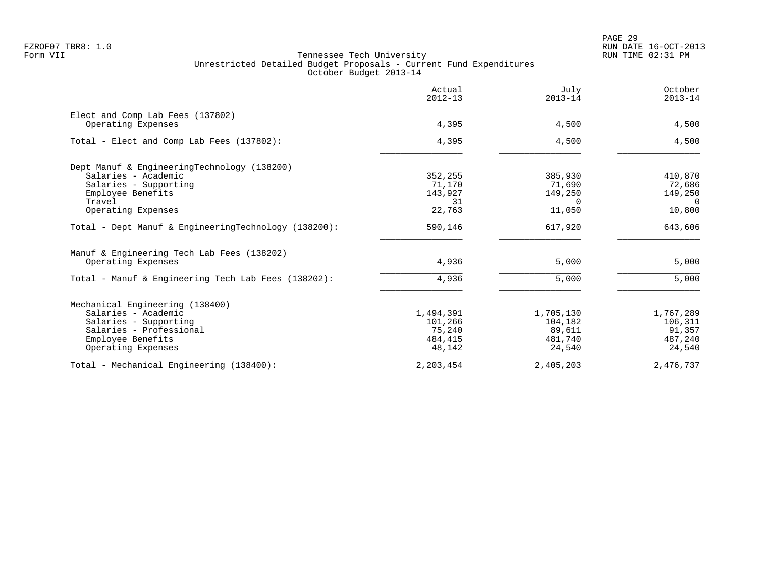|                                                                  | Actual<br>$2012 - 13$ | July<br>$2013 - 14$ | October<br>$2013 - 14$ |
|------------------------------------------------------------------|-----------------------|---------------------|------------------------|
| Elect and Comp Lab Fees (137802)<br>Operating Expenses           | 4,395                 | 4,500               | 4,500                  |
|                                                                  |                       |                     |                        |
| Total - Elect and Comp Lab Fees (137802):                        | 4,395                 | 4,500               | 4,500                  |
| Dept Manuf & EngineeringTechnology (138200)                      |                       |                     |                        |
| Salaries - Academic                                              | 352,255               | 385,930             | 410,870                |
| Salaries - Supporting                                            | 71,170                | 71,690              | 72,686                 |
| Employee Benefits                                                | 143,927               | 149,250             | 149,250                |
| Travel                                                           | 31                    | $\Omega$            | $\Omega$               |
| Operating Expenses                                               | 22,763                | 11,050              | 10,800                 |
| Total - Dept Manuf & EngineeringTechnology (138200):             | 590,146               | 617,920             | 643,606                |
| Manuf & Engineering Tech Lab Fees (138202)<br>Operating Expenses | 4,936                 | 5,000               | 5,000                  |
| Total - Manuf & Engineering Tech Lab Fees (138202):              | 4,936                 | 5,000               | 5,000                  |
| Mechanical Engineering (138400)<br>Salaries - Academic           | 1,494,391             | 1,705,130           | 1,767,289              |
| Salaries - Supporting                                            | 101,266               | 104,182             | 106,311                |
| Salaries - Professional                                          | 75,240                | 89,611              | 91,357                 |
| Employee Benefits                                                | 484, 415              | 481,740             | 487,240                |
| Operating Expenses                                               | 48,142                | 24,540              | 24,540                 |
| Total - Mechanical Engineering (138400):                         | 2,203,454             | 2,405,203           | 2,476,737              |
|                                                                  |                       |                     |                        |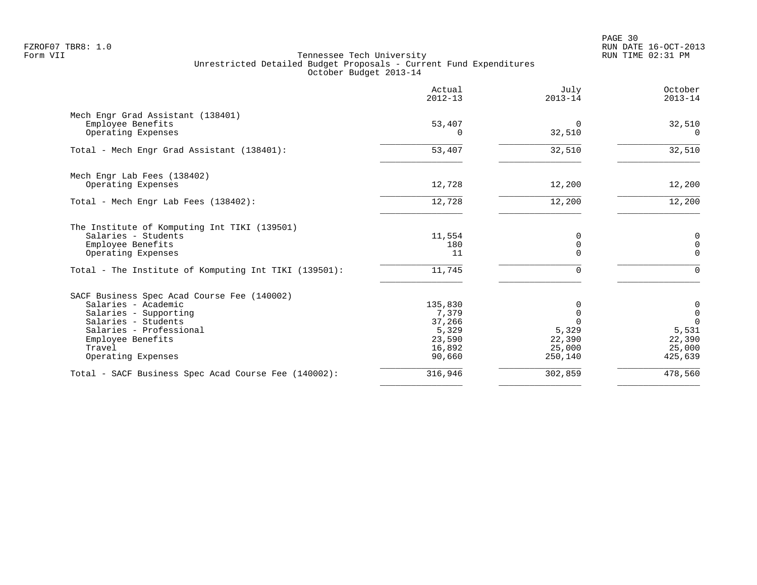|                                                       | Actual<br>$2012 - 13$ | July<br>$2013 - 14$ | October<br>$2013 - 14$ |
|-------------------------------------------------------|-----------------------|---------------------|------------------------|
| Mech Engr Grad Assistant (138401)                     |                       |                     |                        |
| Employee Benefits                                     | 53,407                | $\Omega$            | 32,510                 |
| Operating Expenses                                    | O                     | 32,510              | $\Omega$               |
| Total - Mech Engr Grad Assistant (138401):            | 53,407                | 32,510              | 32,510                 |
| Mech Engr Lab Fees (138402)                           |                       |                     |                        |
| Operating Expenses                                    | 12,728                | 12,200              | 12,200                 |
| Total - Mech Engr Lab Fees (138402):                  | 12,728                | 12,200              | 12,200                 |
| The Institute of Komputing Int TIKI (139501)          |                       |                     |                        |
| Salaries - Students                                   | 11,554                | 0                   | $\mathbf 0$            |
| Employee Benefits                                     | 180                   | 0                   | $\mathbf 0$            |
| Operating Expenses                                    | 11                    | $\Omega$            | $\Omega$               |
| Total - The Institute of Komputing Int TIKI (139501): | 11,745                | $\Omega$            | $\Omega$               |
| SACF Business Spec Acad Course Fee (140002)           |                       |                     |                        |
| Salaries - Academic                                   | 135,830               | 0                   | 0                      |
| Salaries - Supporting                                 | 7,379                 | $\mathbf 0$         | $\mathsf{O}$           |
| Salaries - Students                                   | 37,266                | $\Omega$            | $\Omega$               |
| Salaries - Professional                               | 5,329                 | 5,329               | 5,531                  |
| Employee Benefits<br>Travel                           | 23,590<br>16,892      | 22,390<br>25,000    | 22,390<br>25,000       |
| Operating Expenses                                    | 90,660                | 250,140             | 425,639                |
|                                                       | 316,946               | 302,859             | 478,560                |
| Total - SACF Business Spec Acad Course Fee (140002):  |                       |                     |                        |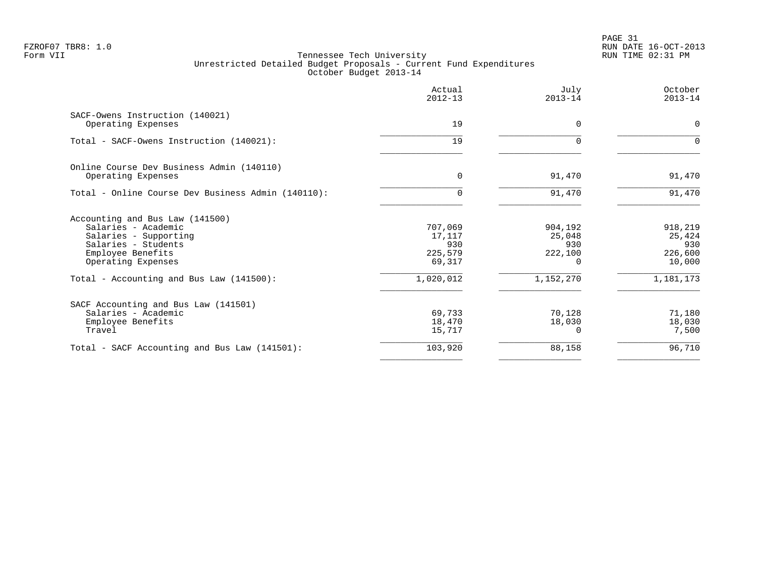PAGE 31 FZROF07 TBR8: 1.0 RUN DATE 16-OCT-2013

|                                               | $2013 - 14$                                     | $2013 - 14$                                   |
|-----------------------------------------------|-------------------------------------------------|-----------------------------------------------|
| 19                                            | $\Omega$                                        | $\mathbf 0$                                   |
| 19                                            | $\Omega$                                        | $\Omega$                                      |
| $\Omega$                                      | 91,470                                          | 91,470                                        |
| 0                                             | 91,470                                          | 91,470                                        |
| 707,069<br>17,117<br>930<br>225,579<br>69,317 | 904,192<br>25,048<br>930<br>222,100<br>$\Omega$ | 918,219<br>25,424<br>930<br>226,600<br>10,000 |
| 1,020,012                                     | 1,152,270                                       | 1,181,173                                     |
| 69,733<br>18,470<br>15,717                    | 70,128<br>18,030                                | 71,180<br>18,030<br>7,500                     |
| 103,920                                       | 88,158                                          | 96,710                                        |
|                                               |                                                 |                                               |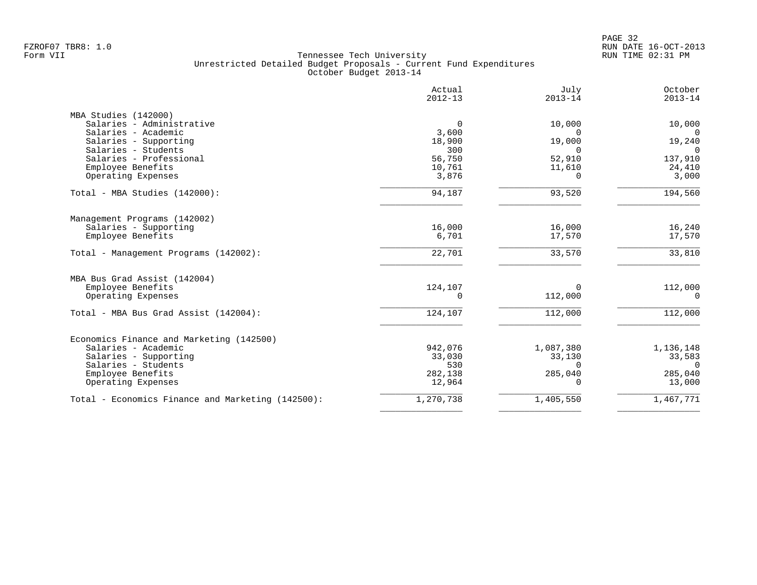|                                                   | Actual<br>$2012 - 13$ | July<br>$2013 - 14$ | October<br>$2013 - 14$ |
|---------------------------------------------------|-----------------------|---------------------|------------------------|
| MBA Studies (142000)                              |                       |                     |                        |
| Salaries - Administrative                         | 0                     | 10,000              | 10,000                 |
| Salaries - Academic                               | 3,600                 | $\Omega$            | $\Omega$               |
| Salaries - Supporting                             | 18,900                | 19,000              | 19,240                 |
| Salaries - Students                               | 300                   | $\Omega$            | $\Omega$               |
| Salaries - Professional                           | 56,750                | 52,910              | 137,910                |
| Employee Benefits                                 | 10,761                | 11,610              | 24,410                 |
| Operating Expenses                                | 3,876                 | $\Omega$            | 3,000                  |
| Total - MBA Studies (142000):                     | 94,187                | 93,520              | 194,560                |
| Management Programs (142002)                      |                       |                     |                        |
| Salaries - Supporting                             | 16,000                | 16,000              | 16,240                 |
| Employee Benefits                                 | 6,701                 | 17,570              | 17,570                 |
| Total - Management Programs (142002):             | 22,701                | 33,570              | 33,810                 |
| MBA Bus Grad Assist (142004)                      |                       |                     |                        |
| Employee Benefits                                 | 124,107               | 0                   | 112,000                |
| Operating Expenses                                | $\Omega$              | 112,000             | $\Omega$               |
| Total - MBA Bus Grad Assist (142004):             | 124,107               | 112,000             | 112,000                |
| Economics Finance and Marketing (142500)          |                       |                     |                        |
| Salaries - Academic                               | 942,076               | 1,087,380           | 1,136,148              |
| Salaries - Supporting                             | 33,030                | 33,130              | 33,583                 |
| Salaries - Students                               | 530                   | $\Omega$            | $\Omega$               |
| Employee Benefits                                 | 282,138               | 285,040             | 285,040                |
| Operating Expenses                                | 12,964                | $\Omega$            | 13,000                 |
| Total - Economics Finance and Marketing (142500): | 1,270,738             | 1,405,550           | 1,467,771              |
|                                                   |                       |                     |                        |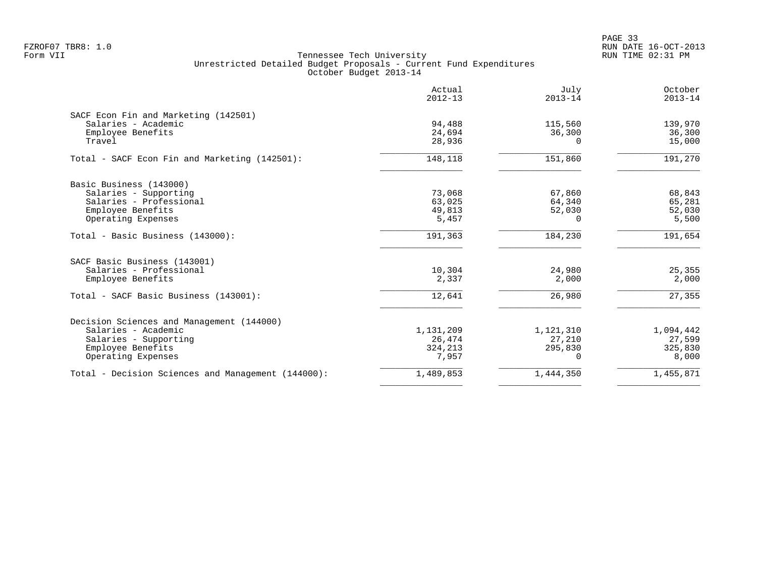PAGE 33 FZROF07 TBR8: 1.0 RUN DATE 16-OCT-2013

| Actual<br>$2012 - 13$ | July<br>$2013 - 14$          | October<br>$2013 - 14$ |
|-----------------------|------------------------------|------------------------|
|                       |                              |                        |
| 94,488                | 115,560                      | 139,970                |
| 24,694                | 36,300                       | 36,300                 |
| 28,936                | O                            | 15,000                 |
| 148,118               | 151,860                      | 191,270                |
|                       |                              |                        |
| 73,068                | 67,860                       | 68,843                 |
| 63,025                | 64,340                       | 65,281                 |
| 49,813                | 52,030                       | 52,030                 |
|                       | 0                            | 5,500                  |
| 191,363               | 184,230                      | 191,654                |
|                       |                              |                        |
|                       |                              | 25,355                 |
| 2,337                 | 2,000                        | 2,000                  |
| 12,641                | 26,980                       | 27,355                 |
|                       |                              |                        |
|                       |                              | 1,094,442              |
| 26,474                | 27,210                       | 27,599                 |
| 324,213               | 295,830                      | 325,830                |
| 7,957                 | 0                            | 8,000                  |
| 1,489,853             | 1,444,350                    | 1,455,871              |
|                       | 5,457<br>10,304<br>1,131,209 | 24,980<br>1,121,310    |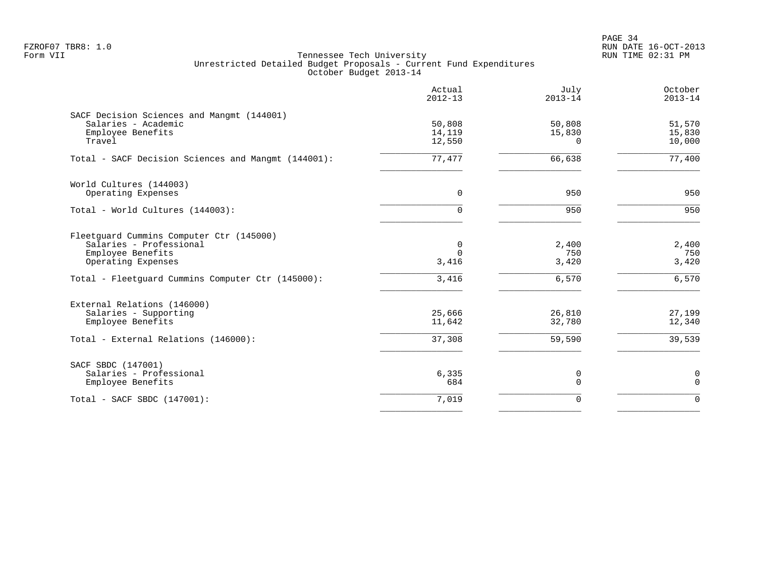PAGE 34 FZROF07 TBR8: 1.0 RUN DATE 16-OCT-2013

|                                                                                                                                                                     | Actual<br>$2012 - 13$           | July<br>$2013 - 14$            | October<br>$2013 - 14$         |
|---------------------------------------------------------------------------------------------------------------------------------------------------------------------|---------------------------------|--------------------------------|--------------------------------|
| SACF Decision Sciences and Mangmt (144001)<br>Salaries - Academic<br>Employee Benefits<br>Travel                                                                    | 50,808<br>14,119<br>12,550      | 50,808<br>15,830<br>0          | 51,570<br>15,830<br>10,000     |
| Total - SACF Decision Sciences and Mangmt (144001):                                                                                                                 | 77,477                          | 66,638                         | 77,400                         |
| World Cultures (144003)<br>Operating Expenses                                                                                                                       | 0                               | 950                            | 950                            |
| Total - World Cultures (144003):                                                                                                                                    | $\Omega$                        | 950                            | 950                            |
| Fleetquard Cummins Computer Ctr (145000)<br>Salaries - Professional<br>Employee Benefits<br>Operating Expenses<br>Total - Fleetguard Cummins Computer Ctr (145000): | 0<br>$\Omega$<br>3,416<br>3,416 | 2,400<br>750<br>3,420<br>6,570 | 2,400<br>750<br>3,420<br>6,570 |
| External Relations (146000)<br>Salaries - Supporting<br>Employee Benefits<br>Total - External Relations (146000):                                                   | 25,666<br>11,642<br>37,308      | 26,810<br>32,780<br>59,590     | 27,199<br>12,340<br>39,539     |
| SACF SBDC (147001)<br>Salaries - Professional<br>Employee Benefits                                                                                                  | 6,335<br>684                    | 0<br>$\Omega$                  | 0<br>$\mathbf 0$               |
| Total - SACF SBDC (147001):                                                                                                                                         | 7,019                           | $\Omega$                       | $\Omega$                       |
|                                                                                                                                                                     |                                 |                                |                                |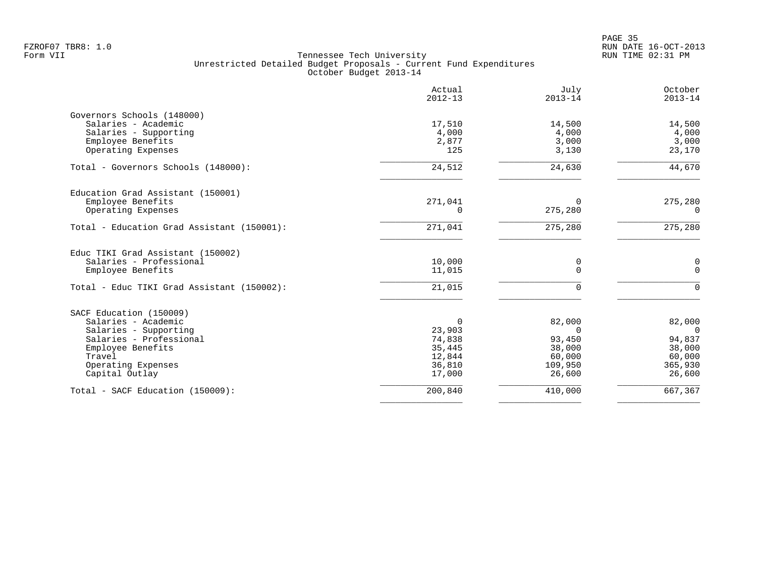en and the state of the state of the state of the state of the state of the state of the state of the state of the state of the state of the state of the state of the state of the state of the state of the state of the sta FZROF07 TBR8: 1.0 RUN DATE 16-OCT-2013

|                                            | Actual<br>$2012 - 13$ | July<br>$2013 - 14$ | October<br>$2013 - 14$ |
|--------------------------------------------|-----------------------|---------------------|------------------------|
| Governors Schools (148000)                 |                       |                     |                        |
| Salaries - Academic                        | 17,510                | 14,500              | 14,500                 |
| Salaries - Supporting                      | 4,000                 | 4,000               | 4,000                  |
| Employee Benefits                          | 2,877                 | 3,000               | 3,000                  |
| Operating Expenses                         | 125                   | 3,130               | 23,170                 |
| Total - Governors Schools (148000):        | 24,512                | 24,630              | 44,670                 |
| Education Grad Assistant (150001)          |                       |                     |                        |
| Employee Benefits                          | 271,041               | $\Omega$            | 275,280                |
| Operating Expenses                         | 0                     | 275,280             | 0                      |
| Total - Education Grad Assistant (150001): | 271,041               | 275,280             | 275,280                |
| Educ TIKI Grad Assistant (150002)          |                       |                     |                        |
| Salaries - Professional                    | 10,000                | 0                   | 0                      |
| Employee Benefits                          | 11,015                | $\mathbf 0$         | $\mathbf 0$            |
| Total - Educ TIKI Grad Assistant (150002): | 21,015                | 0                   | $\mathbf 0$            |
| SACF Education (150009)                    |                       |                     |                        |
| Salaries - Academic                        | $\Omega$              | 82,000              | 82,000                 |
| Salaries - Supporting                      | 23,903                | 0                   | $\overline{0}$         |
| Salaries - Professional                    | 74,838                | 93,450              | 94,837                 |
| Employee Benefits                          | 35,445                | 38,000              | 38,000                 |
| Travel                                     | 12,844                | 60,000              | 60,000                 |
| Operating Expenses                         | 36,810                | 109,950             | 365,930                |
| Capital Outlay                             | 17,000                | 26,600              | 26,600                 |
| Total - SACF Education (150009):           | 200,840               | 410,000             | 667,367                |
|                                            |                       |                     |                        |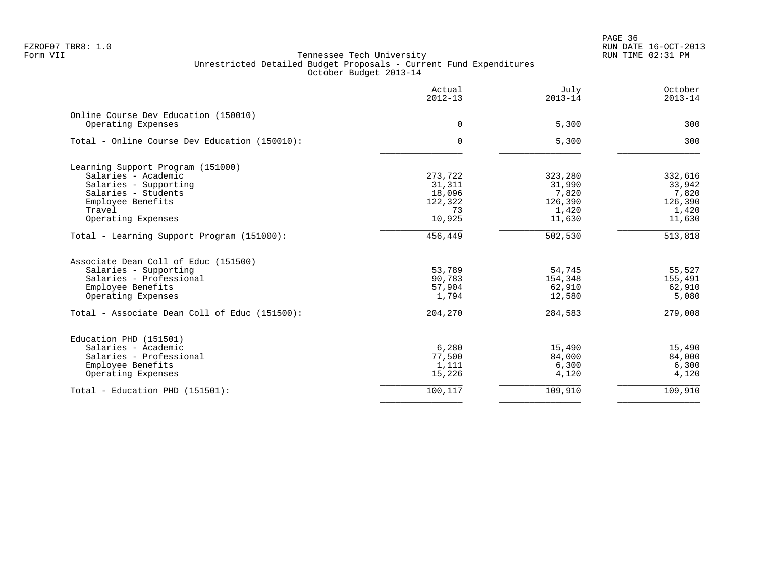|                                                            | Actual<br>$2012 - 13$ | July<br>$2013 - 14$ | October<br>$2013 - 14$ |
|------------------------------------------------------------|-----------------------|---------------------|------------------------|
| Online Course Dev Education (150010)<br>Operating Expenses | $\overline{0}$        | 5,300               | 300                    |
| Total - Online Course Dev Education (150010):              | $\Omega$              | 5,300               | 300                    |
|                                                            |                       |                     |                        |
| Learning Support Program (151000)                          |                       |                     |                        |
| Salaries - Academic                                        | 273,722               | 323,280             | 332,616                |
| Salaries - Supporting                                      | 31,311                | 31,990              | 33,942                 |
| Salaries - Students                                        | 18,096                | 7,820               | 7,820                  |
| Employee Benefits                                          | 122,322               | 126,390             | 126,390                |
| Travel                                                     | 73                    | 1,420               | 1,420                  |
| Operating Expenses                                         | 10,925                | 11,630              | 11,630                 |
| Total - Learning Support Program (151000):                 | 456,449               | 502,530             | 513,818                |
| Associate Dean Coll of Educ (151500)                       |                       |                     |                        |
| Salaries - Supporting                                      | 53,789                | 54,745              | 55,527                 |
| Salaries - Professional                                    | 90,783                | 154,348             | 155,491                |
| Employee Benefits                                          | 57,904                | 62,910              | 62,910                 |
| Operating Expenses                                         | 1,794                 | 12,580              | 5,080                  |
| Total - Associate Dean Coll of Educ (151500):              | 204,270               | 284,583             | 279,008                |
| Education PHD (151501)                                     |                       |                     |                        |
| Salaries - Academic                                        | 6,280                 | 15,490              | 15,490                 |
| Salaries - Professional                                    | 77,500                | 84,000              | 84,000                 |
| Employee Benefits                                          | 1,111                 | 6,300               | 6,300                  |
| Operating Expenses                                         | 15,226                | 4,120               | 4,120                  |
| Total - Education PHD (151501):                            | 100,117               | 109,910             | 109,910                |
|                                                            |                       |                     |                        |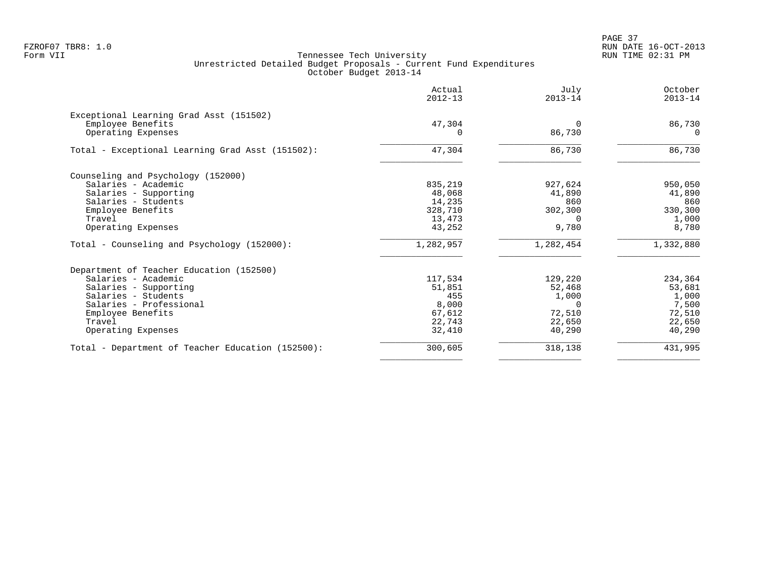PAGE 37 FZROF07 TBR8: 1.0 RUN DATE 16-OCT-2013

| Actual<br>$2012 - 13$ | July<br>$2013 - 14$ | October<br>$2013 - 14$ |
|-----------------------|---------------------|------------------------|
|                       |                     |                        |
| 47,304                | $\Omega$            | 86,730                 |
| 0                     | 86,730              | $\Omega$               |
| 47,304                | 86,730              | 86,730                 |
|                       |                     |                        |
| 835,219               | 927,624             | 950,050                |
| 48,068                |                     | 41,890                 |
| 14,235                | 860                 | 860                    |
| 328,710               | 302,300             | 330,300                |
| 13,473                | $\Omega$            | 1,000                  |
| 43,252                | 9,780               | 8,780                  |
| 1,282,957             | 1,282,454           | 1,332,880              |
|                       |                     |                        |
| 117,534               | 129,220             | 234,364                |
| 51,851                | 52,468              | 53,681                 |
| 455                   | 1,000               | 1,000                  |
| 8,000                 | $\Omega$            | 7,500                  |
| 67,612                | 72,510              | 72,510                 |
| 22,743                | 22,650              | 22,650                 |
| 32,410                | 40,290              | 40,290                 |
| 300,605               | 318,138             | 431,995                |
|                       |                     | 41,890                 |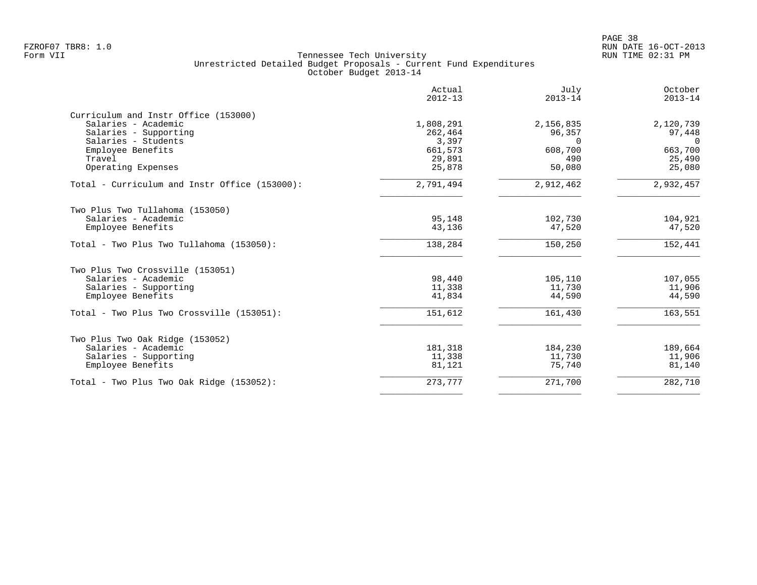|                                                                                                             | Actual<br>$2012 - 13$         | July<br>$2013 - 14$             | October<br>$2013 - 14$          |
|-------------------------------------------------------------------------------------------------------------|-------------------------------|---------------------------------|---------------------------------|
| Curriculum and Instr Office (153000)<br>Salaries - Academic<br>Salaries - Supporting<br>Salaries - Students | 1,808,291<br>262,464<br>3,397 | 2,156,835<br>96,357<br>$\Omega$ | 2,120,739<br>97,448<br>$\Omega$ |
| Employee Benefits<br>Travel<br>Operating Expenses                                                           | 661,573<br>29,891<br>25,878   | 608,700<br>490<br>50,080        | 663,700<br>25,490<br>25,080     |
| Total - Curriculum and Instr Office (153000):                                                               | 2,791,494                     | 2,912,462                       | 2,932,457                       |
| Two Plus Two Tullahoma (153050)                                                                             |                               |                                 |                                 |
| Salaries - Academic<br>Employee Benefits                                                                    | 95,148<br>43,136              | 102,730<br>47,520               | 104,921<br>47,520               |
| Total - Two Plus Two Tullahoma (153050):                                                                    | 138,284                       | 150,250                         | 152,441                         |
| Two Plus Two Crossville (153051)                                                                            |                               |                                 |                                 |
| Salaries - Academic                                                                                         | 98,440                        | 105,110                         | 107,055                         |
| Salaries - Supporting<br>Employee Benefits                                                                  | 11,338<br>41,834              | 11,730<br>44,590                | 11,906<br>44,590                |
| Total - Two Plus Two Crossville (153051):                                                                   | 151,612                       | 161,430                         | 163,551                         |
| Two Plus Two Oak Ridge (153052)                                                                             |                               |                                 |                                 |
| Salaries - Academic                                                                                         | 181,318                       | 184,230                         | 189,664                         |
| Salaries - Supporting<br>Employee Benefits                                                                  | 11,338<br>81,121              | 11,730<br>75,740                | 11,906<br>81,140                |
| Total - Two Plus Two Oak Ridge (153052):                                                                    | 273,777                       | 271,700                         | 282,710                         |
|                                                                                                             |                               |                                 |                                 |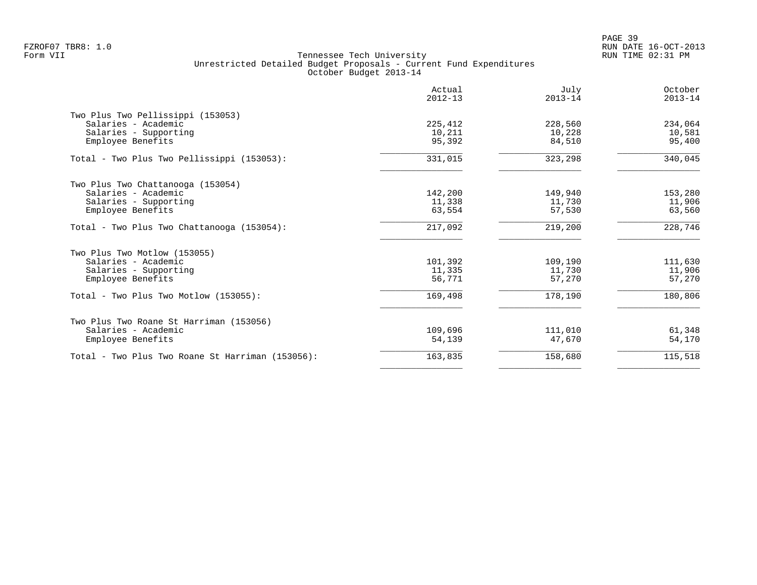| Actual<br>$2012 - 13$ | July<br>$2013 - 14$ | October<br>$2013 - 14$ |
|-----------------------|---------------------|------------------------|
|                       |                     |                        |
|                       |                     | 234,064                |
|                       |                     | 10,581                 |
| 95,392                | 84,510              | 95,400                 |
| 331,015               | 323,298             | 340,045                |
|                       |                     |                        |
| 142,200               | 149,940             | 153,280                |
| 11,338                | 11,730              | 11,906                 |
| 63,554                | 57,530              | 63,560                 |
| 217,092               | 219,200             | 228,746                |
|                       |                     |                        |
| 101,392               | 109,190             | 111,630                |
| 11,335                | 11,730              | 11,906                 |
| 56,771                | 57,270              | 57,270                 |
| 169,498               | 178,190             | 180,806                |
|                       |                     |                        |
| 109,696               | 111,010             | 61,348                 |
| 54,139                | 47,670              | 54,170                 |
| 163,835               | 158,680             | 115,518                |
|                       | 225,412<br>10,211   | 228,560<br>10,228      |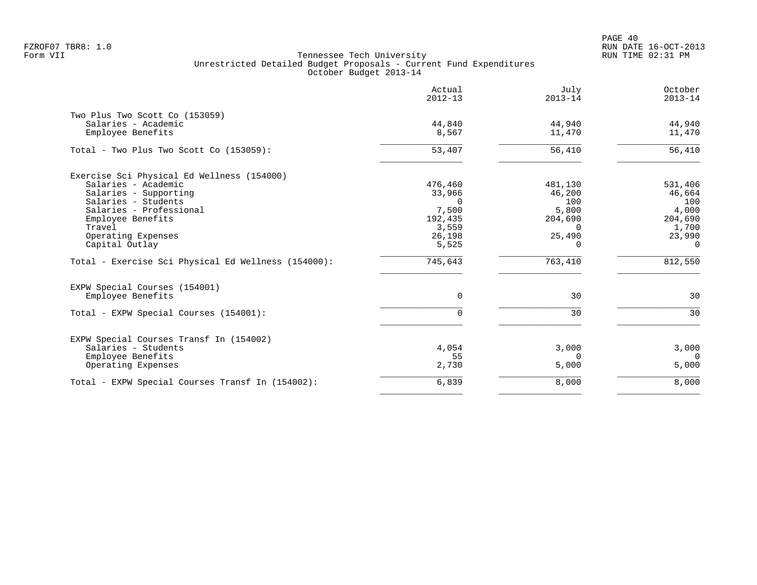PAGE 40 FZROF07 TBR8: 1.0 RUN DATE 16-OCT-2013

|                                                     | Actual<br>$2012 - 13$ | July<br>$2013 - 14$ | October<br>$2013 - 14$ |
|-----------------------------------------------------|-----------------------|---------------------|------------------------|
| Two Plus Two Scott Co (153059)                      |                       |                     |                        |
| Salaries - Academic<br>Employee Benefits            | 44,840<br>8,567       | 44,940<br>11,470    | 44,940<br>11,470       |
| Total - Two Plus Two Scott Co (153059):             | 53,407                | 56,410              | 56,410                 |
| Exercise Sci Physical Ed Wellness (154000)          |                       |                     |                        |
| Salaries - Academic                                 | 476,460               | 481,130             | 531,406                |
| Salaries - Supporting                               | 33,966                | 46,200              | 46,664                 |
| Salaries - Students                                 | $\Omega$              | 100                 | 100                    |
| Salaries - Professional                             | 7,500                 | 5,800               | 4,000                  |
| Employee Benefits                                   | 192,435               | 204,690             | 204,690                |
| Travel                                              | 3,559                 | $\Omega$            | 1,700                  |
| Operating Expenses                                  | 26,198                | 25,490              | 23,990                 |
| Capital Outlay                                      | 5,525                 | $\Omega$            | $\Omega$               |
| Total - Exercise Sci Physical Ed Wellness (154000): | 745,643               | 763,410             | 812,550                |
| EXPW Special Courses (154001)                       |                       |                     |                        |
| Employee Benefits                                   | $\Omega$              | 30                  | 30                     |
| Total - EXPW Special Courses (154001):              | $\Omega$              | 30                  | 30                     |
| EXPW Special Courses Transf In (154002)             |                       |                     |                        |
| Salaries - Students                                 | 4,054                 | 3,000               | 3,000                  |
| Employee Benefits                                   | 55                    | $\Omega$            | $\overline{0}$         |
| Operating Expenses                                  | 2,730                 | 5,000               | 5,000                  |
| Total - EXPW Special Courses Transf In (154002):    | 6,839                 | 8,000               | 8,000                  |
|                                                     |                       |                     |                        |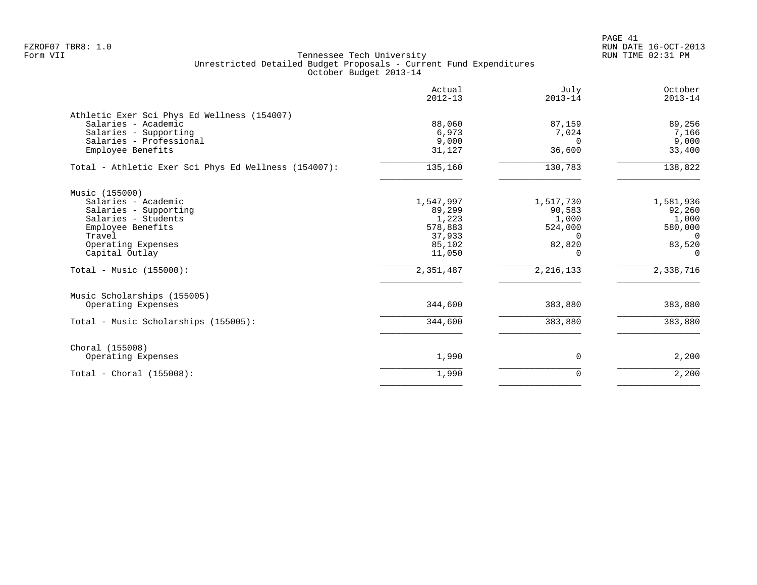|                                                                                                                                                                                            | Actual<br>$2012 - 13$                                                              | July<br>$2013 - 14$                                                                      | October<br>$2013 - 14$                                                                       |
|--------------------------------------------------------------------------------------------------------------------------------------------------------------------------------------------|------------------------------------------------------------------------------------|------------------------------------------------------------------------------------------|----------------------------------------------------------------------------------------------|
| Athletic Exer Sci Phys Ed Wellness (154007)<br>Salaries - Academic<br>Salaries - Supporting<br>Salaries - Professional<br>Employee Benefits                                                | 88,060<br>6,973<br>9,000<br>31,127                                                 | 87,159<br>7,024<br>$\Omega$<br>36,600                                                    | 89,256<br>7,166<br>9,000<br>33,400                                                           |
| Total - Athletic Exer Sci Phys Ed Wellness (154007):                                                                                                                                       | 135,160                                                                            | 130,783                                                                                  | 138,822                                                                                      |
| Music (155000)<br>Salaries - Academic<br>Salaries - Supporting<br>Salaries - Students<br>Employee Benefits<br>Travel<br>Operating Expenses<br>Capital Outlay<br>Total - Music $(155000)$ : | 1,547,997<br>89,299<br>1,223<br>578,883<br>37,933<br>85,102<br>11,050<br>2,351,487 | 1,517,730<br>90,583<br>1,000<br>524,000<br>$\Omega$<br>82,820<br>$\Omega$<br>2, 216, 133 | 1,581,936<br>92,260<br>1,000<br>580,000<br>$\overline{0}$<br>83,520<br>$\Omega$<br>2,338,716 |
| Music Scholarships (155005)<br>Operating Expenses                                                                                                                                          | 344,600                                                                            | 383,880                                                                                  | 383,880                                                                                      |
| Total - Music Scholarships (155005):                                                                                                                                                       | 344,600                                                                            | 383,880                                                                                  | 383,880                                                                                      |
| Choral (155008)<br>Operating Expenses                                                                                                                                                      | 1,990                                                                              | 0                                                                                        | 2,200                                                                                        |
| Total - Choral $(155008)$ :                                                                                                                                                                | 1,990                                                                              | 0                                                                                        | 2,200                                                                                        |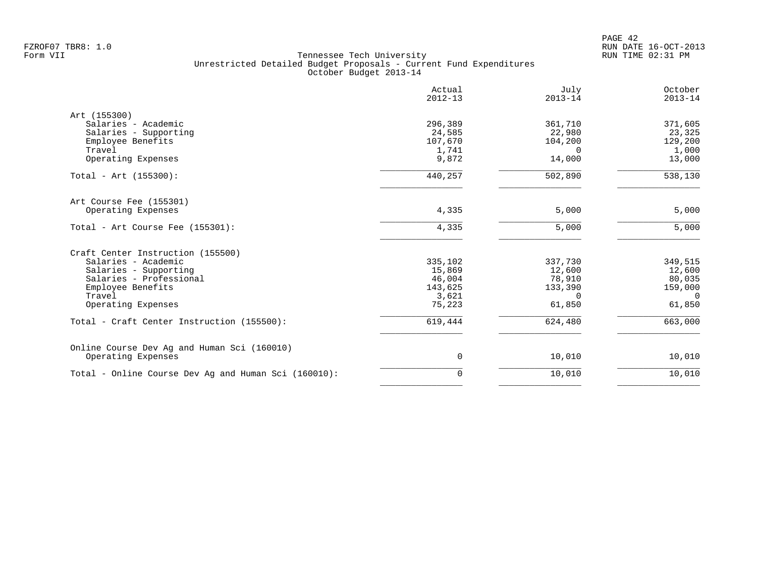|                                                      | Actual<br>$2012 - 13$ | July<br>$2013 - 14$ | October<br>$2013 - 14$ |
|------------------------------------------------------|-----------------------|---------------------|------------------------|
| Art (155300)                                         |                       |                     |                        |
| Salaries - Academic                                  | 296,389               | 361,710             | 371,605                |
| Salaries - Supporting                                | 24,585                | 22,980              | 23,325                 |
| Employee Benefits                                    | 107,670               | 104,200             | 129,200                |
| Travel                                               | 1,741                 | $\Omega$            | 1,000                  |
| Operating Expenses                                   | 9,872                 | 14,000              | 13,000                 |
| Total - Art (155300):                                | 440,257               | 502,890             | 538,130                |
| Art Course Fee (155301)                              |                       |                     |                        |
| Operating Expenses                                   | 4,335                 | 5,000               | 5,000                  |
| Total - Art Course Fee (155301):                     | 4,335                 | 5,000               | 5,000                  |
| Craft Center Instruction (155500)                    |                       |                     |                        |
| Salaries - Academic                                  | 335,102               | 337,730             | 349,515                |
| Salaries - Supporting                                | 15,869                | 12,600              | 12,600                 |
| Salaries - Professional                              | 46,004                | 78,910              | 80,035                 |
| Employee Benefits                                    | 143,625               | 133,390             | 159,000                |
| Travel                                               | 3,621                 | $\Omega$            | $\Omega$               |
| Operating Expenses                                   | 75,223                | 61,850              | 61,850                 |
| Total - Craft Center Instruction (155500):           | 619,444               | 624,480             | 663,000                |
| Online Course Dev Ag and Human Sci (160010)          |                       |                     |                        |
| Operating Expenses                                   | 0                     | 10,010              | 10,010                 |
| Total - Online Course Dev Ag and Human Sci (160010): | $\Omega$              | 10,010              | 10,010                 |
|                                                      |                       |                     |                        |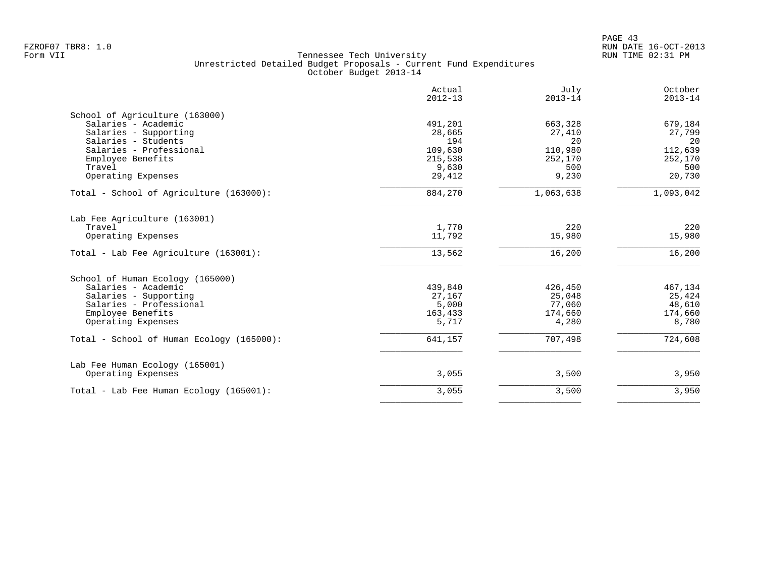|                                           | Actual<br>$2012 - 13$ | July<br>$2013 - 14$ | October<br>$2013 - 14$ |
|-------------------------------------------|-----------------------|---------------------|------------------------|
| School of Agriculture (163000)            |                       |                     |                        |
| Salaries - Academic                       | 491,201               | 663,328             | 679,184                |
| Salaries - Supporting                     | 28,665                | 27,410              | 27,799                 |
| Salaries - Students                       | 194                   | 20                  | 20                     |
| Salaries - Professional                   | 109,630               | 110,980             | 112,639                |
| Employee Benefits                         | 215,538               | 252,170             | 252,170                |
| Travel                                    | 9,630                 | 500                 | 500                    |
| Operating Expenses                        | 29,412                | 9,230               | 20,730                 |
| Total - School of Agriculture (163000):   | 884,270               | 1,063,638           | 1,093,042              |
| Lab Fee Agriculture (163001)              |                       |                     |                        |
| Travel                                    | 1,770                 | 220                 | 220                    |
| Operating Expenses                        | 11,792                | 15,980              | 15,980                 |
| Total - Lab Fee Agriculture (163001):     | 13,562                | 16,200              | 16,200                 |
| School of Human Ecology (165000)          |                       |                     |                        |
| Salaries - Academic                       | 439,840               | 426,450             | 467,134                |
| Salaries - Supporting                     | 27,167                | 25,048              | 25,424                 |
| Salaries - Professional                   | 5,000                 | 77,060              | 48,610                 |
| Employee Benefits                         | 163,433               | 174,660             | 174,660                |
| Operating Expenses                        | 5,717                 | 4,280               | 8,780                  |
| Total - School of Human Ecology (165000): | 641,157               | 707,498             | 724,608                |
| Lab Fee Human Ecology (165001)            |                       |                     |                        |
| Operating Expenses                        | 3,055                 | 3,500               | 3,950                  |
| Total - Lab Fee Human Ecology (165001):   | 3,055                 | 3,500               | 3,950                  |
|                                           |                       |                     |                        |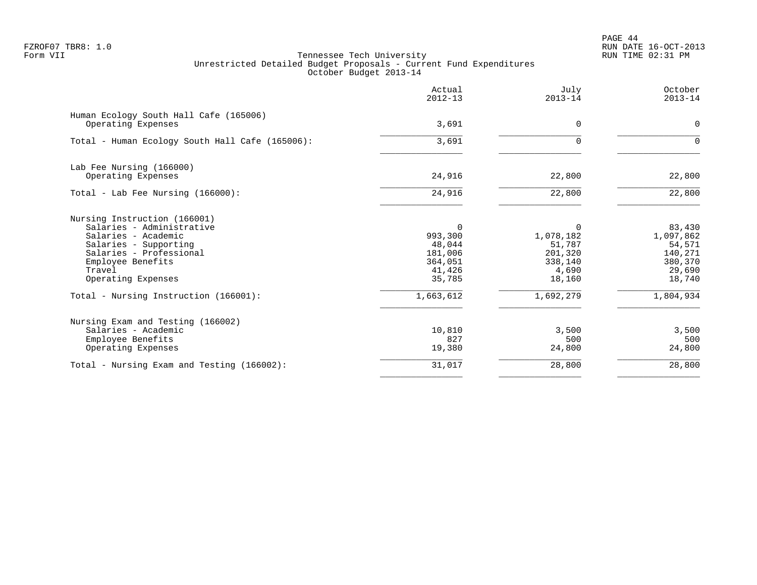PAGE 44 FZROF07 TBR8: 1.0 RUN DATE 16-OCT-2013

|                                                              | Actual<br>$2012 - 13$ | July<br>$2013 - 14$ | October<br>$2013 - 14$ |
|--------------------------------------------------------------|-----------------------|---------------------|------------------------|
| Human Ecology South Hall Cafe (165006)<br>Operating Expenses | 3,691                 | 0                   | $\mathbf 0$            |
| Total - Human Ecology South Hall Cafe (165006):              | 3,691                 | $\Omega$            | $\Omega$               |
| Lab Fee Nursing (166000)                                     |                       |                     |                        |
| Operating Expenses                                           | 24,916                | 22,800              | 22,800                 |
| Total - Lab Fee Nursing $(166000)$ :                         | 24,916                | 22,800              | 22,800                 |
| Nursing Instruction (166001)                                 |                       |                     |                        |
| Salaries - Administrative<br>Salaries - Academic             | $\Omega$<br>993,300   | 0<br>1,078,182      | 83,430<br>1,097,862    |
| Salaries - Supporting                                        | 48,044                | 51,787              | 54,571                 |
| Salaries - Professional                                      | 181,006               | 201,320             | 140,271                |
| Employee Benefits                                            | 364,051               | 338,140             | 380,370                |
| Travel                                                       | 41,426                | 4,690               | 29,690                 |
| Operating Expenses                                           | 35,785                | 18,160              | 18,740                 |
| Total - Nursing Instruction (166001):                        | 1,663,612             | 1,692,279           | 1,804,934              |
| Nursing Exam and Testing (166002)                            |                       |                     |                        |
| Salaries - Academic                                          | 10,810                | 3,500               | 3,500                  |
| Employee Benefits                                            | 827                   | 500                 | 500                    |
| Operating Expenses                                           | 19,380                | 24,800              | 24,800                 |
| Total - Nursing Exam and Testing (166002):                   | 31,017                | 28,800              | 28,800                 |
|                                                              |                       |                     |                        |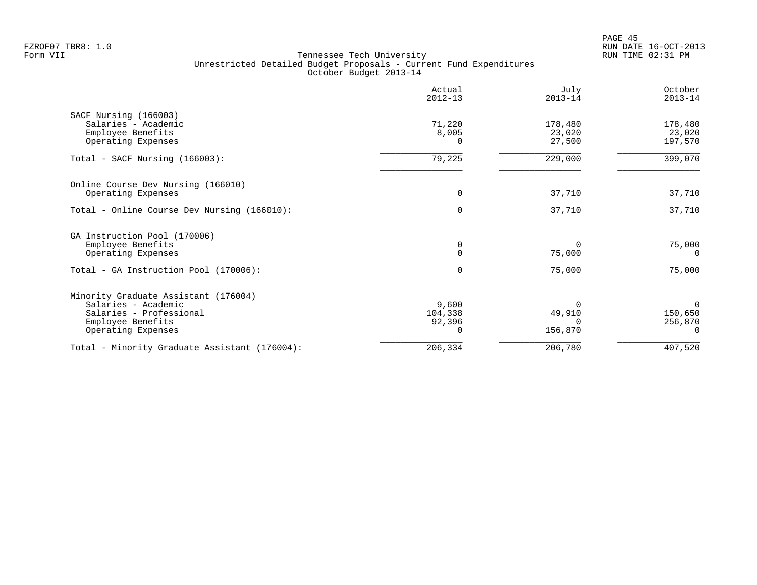PAGE 45 FZROF07 TBR8: 1.0 RUN DATE 16-OCT-2013

|                                               | Actual<br>$2012 - 13$ | July<br>$2013 - 14$ | October<br>$2013 - 14$ |
|-----------------------------------------------|-----------------------|---------------------|------------------------|
| SACF Nursing (166003)                         |                       |                     |                        |
| Salaries - Academic                           | 71,220                | 178,480             | 178,480                |
| Employee Benefits                             | 8,005                 | 23,020              | 23,020                 |
| Operating Expenses                            | $\Omega$              | 27,500              | 197,570                |
| Total - SACF Nursing (166003):                | 79,225                | 229,000             | 399,070                |
| Online Course Dev Nursing (166010)            |                       |                     |                        |
| Operating Expenses                            | 0                     | 37,710              | 37,710                 |
| Total - Online Course Dev Nursing (166010):   | $\Omega$              | 37,710              | 37,710                 |
| GA Instruction Pool (170006)                  |                       |                     |                        |
| Employee Benefits                             | 0                     |                     | 75,000                 |
| Operating Expenses                            | $\Omega$              | 75,000              | $\Omega$               |
| Total - GA Instruction Pool (170006):         | $\Omega$              | 75,000              | 75,000                 |
| Minority Graduate Assistant (176004)          |                       |                     |                        |
| Salaries - Academic                           | 9,600                 |                     | $\Omega$               |
| Salaries - Professional                       | 104,338               | 49,910              | 150,650                |
| Employee Benefits                             | 92,396                |                     | 256,870                |
| Operating Expenses                            |                       | 156,870             | $\Omega$               |
| Total - Minority Graduate Assistant (176004): | 206,334               | 206,780             | 407,520                |
|                                               |                       |                     |                        |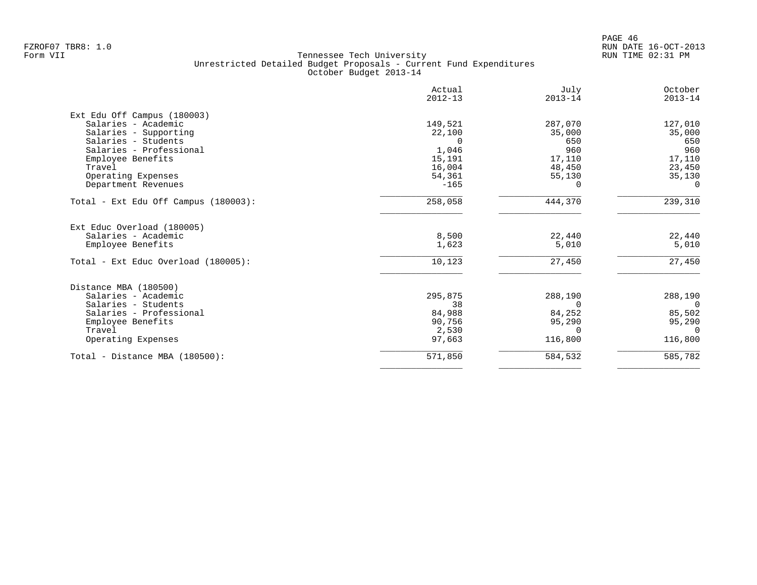|                                      | Actual<br>$2012 - 13$ | July<br>$2013 - 14$ | October<br>$2013 - 14$ |
|--------------------------------------|-----------------------|---------------------|------------------------|
| Ext Edu Off Campus (180003)          |                       |                     |                        |
| Salaries - Academic                  | 149,521               | 287,070             | 127,010                |
| Salaries - Supporting                | 22,100                | 35,000              | 35,000                 |
| Salaries - Students                  | $\Omega$              | 650                 | 650                    |
| Salaries - Professional              | 1,046                 | 960                 | 960                    |
| Employee Benefits                    | 15,191                | 17,110              | 17,110                 |
| Travel                               | 16,004                | 48,450              | 23,450                 |
| Operating Expenses                   | 54,361                | 55,130              | 35,130                 |
| Department Revenues                  | $-165$                | 0                   | $\Omega$               |
| Total - Ext Edu Off Campus (180003): | 258,058               | 444,370             | 239,310                |
| Ext Educ Overload (180005)           |                       |                     |                        |
| Salaries - Academic                  | 8,500                 | 22,440              | 22,440                 |
| Employee Benefits                    | 1,623                 | 5,010               | 5,010                  |
| Total - Ext Educ Overload (180005):  | 10,123                | 27,450              | 27,450                 |
| Distance MBA (180500)                |                       |                     |                        |
| Salaries - Academic                  | 295,875               | 288,190             | 288,190                |
| Salaries - Students                  | 38                    | $\Omega$            | $\overline{0}$         |
| Salaries - Professional              | 84,988                | 84,252              | 85,502                 |
| Employee Benefits                    | 90,756                | 95,290              | 95,290                 |
| Travel                               | 2,530                 | $\Omega$            | $\Omega$               |
| Operating Expenses                   | 97,663                | 116,800             | 116,800                |
| Total - Distance MBA (180500):       | 571,850               | 584,532             | 585,782                |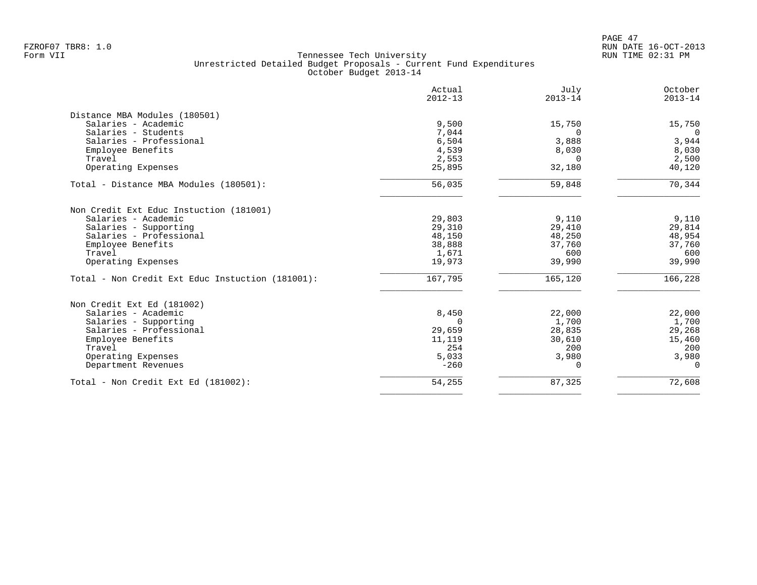|                                                  | Actual<br>$2012 - 13$ | July<br>$2013 - 14$ | October<br>$2013 - 14$ |
|--------------------------------------------------|-----------------------|---------------------|------------------------|
| Distance MBA Modules (180501)                    |                       |                     |                        |
| Salaries - Academic                              | 9,500                 | 15,750              | 15,750                 |
| Salaries - Students                              | 7,044                 | $\Omega$            | $\overline{0}$         |
| Salaries - Professional                          | 6,504                 | 3,888               | 3,944                  |
| Employee Benefits                                | 4,539                 | 8,030               | 8,030                  |
| Travel                                           | 2,553                 | $\Omega$            | 2,500                  |
| Operating Expenses                               | 25,895                | 32,180              | 40,120                 |
| Total - Distance MBA Modules (180501):           | 56,035                | 59,848              | 70,344                 |
| Non Credit Ext Educ Instuction (181001)          |                       |                     |                        |
| Salaries - Academic                              | 29,803                | 9,110               | 9,110                  |
| Salaries - Supporting                            | 29,310                | 29,410              | 29,814                 |
| Salaries - Professional                          | 48,150                | 48,250              | 48,954                 |
| Employee Benefits                                | 38,888                | 37,760              | 37,760                 |
| Travel                                           | 1,671                 | 600                 | 600                    |
| Operating Expenses                               | 19,973                | 39,990              | 39,990                 |
| Total - Non Credit Ext Educ Instuction (181001): | 167,795               | 165,120             | 166,228                |
| Non Credit Ext Ed (181002)                       |                       |                     |                        |
| Salaries - Academic                              | 8,450                 | 22,000              | 22,000                 |
| Salaries - Supporting                            | $\cap$                | 1,700               | 1,700                  |
| Salaries - Professional                          | 29,659                | 28,835              | 29,268                 |
| Employee Benefits                                | 11,119                | 30,610              | 15,460                 |
| Travel                                           | 254                   | 200                 | 200                    |
| Operating Expenses                               | 5,033                 | 3,980               | 3,980                  |
| Department Revenues                              | $-260$                | 0                   | $\mathbf 0$            |
| Total - Non Credit Ext Ed (181002):              | 54,255                | 87,325              | 72,608                 |
|                                                  |                       |                     |                        |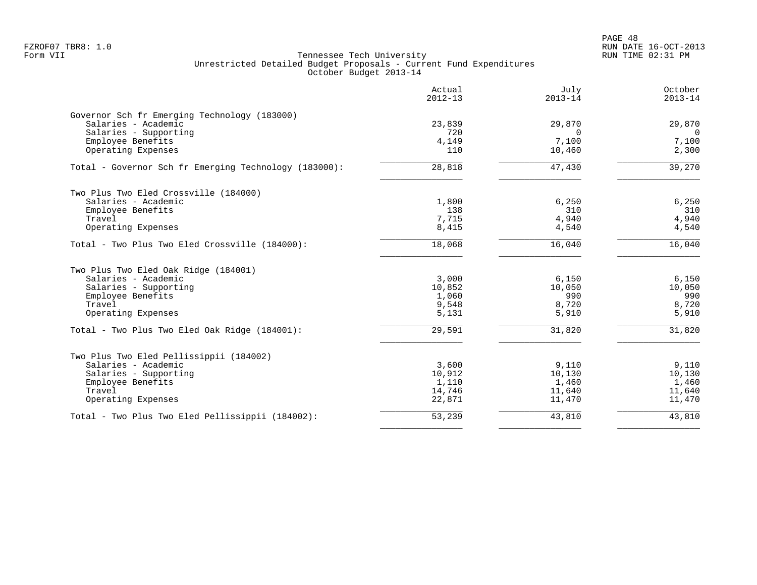|                                                       | Actual<br>$2012 - 13$ | July<br>$2013 - 14$ | October<br>$2013 - 14$ |
|-------------------------------------------------------|-----------------------|---------------------|------------------------|
| Governor Sch fr Emerging Technology (183000)          |                       |                     |                        |
| Salaries - Academic                                   | 23,839                | 29,870              | 29,870                 |
| Salaries - Supporting                                 | 720                   | $\Omega$<br>7,100   | $\Omega$               |
| Employee Benefits<br>Operating Expenses               | 4,149<br>110          | 10,460              | 7,100<br>2,300         |
| Total - Governor Sch fr Emerging Technology (183000): | 28,818                | 47,430              | 39,270                 |
| Two Plus Two Eled Crossville (184000)                 |                       |                     |                        |
| Salaries - Academic                                   | 1,800                 | 6,250               | 6,250                  |
| Employee Benefits                                     | 138                   | 310                 | 310                    |
| Travel                                                | 7,715                 | 4,940               | 4,940                  |
| Operating Expenses                                    | 8,415                 | 4,540               | 4,540                  |
| Total - Two Plus Two Eled Crossville (184000):        | 18,068                | 16,040              | 16,040                 |
| Two Plus Two Eled Oak Ridge (184001)                  |                       |                     |                        |
| Salaries - Academic                                   | 3,000                 | 6,150               | 6,150                  |
| Salaries - Supporting                                 | 10,852                | 10,050              | 10,050                 |
| Employee Benefits                                     | 1,060                 | 990                 | 990                    |
| Travel                                                | 9,548                 | 8,720               | 8,720                  |
| Operating Expenses                                    | 5,131                 | 5,910               | 5,910                  |
| Total - Two Plus Two Eled Oak Ridge (184001):         | 29,591                | 31,820              | 31,820                 |
| Two Plus Two Eled Pellissippii (184002)               |                       |                     |                        |
| Salaries - Academic                                   | 3,600                 | 9,110               | 9,110                  |
| Salaries - Supporting                                 | 10,912                | 10,130              | 10,130                 |
| Employee Benefits                                     | 1,110                 | 1,460               | 1,460                  |
| Travel                                                | 14,746                | 11,640              | 11,640                 |
| Operating Expenses                                    | 22,871                | 11,470              | 11,470                 |
| Total - Two Plus Two Eled Pellissippii (184002):      | 53,239                | 43,810              | 43,810                 |
|                                                       |                       |                     |                        |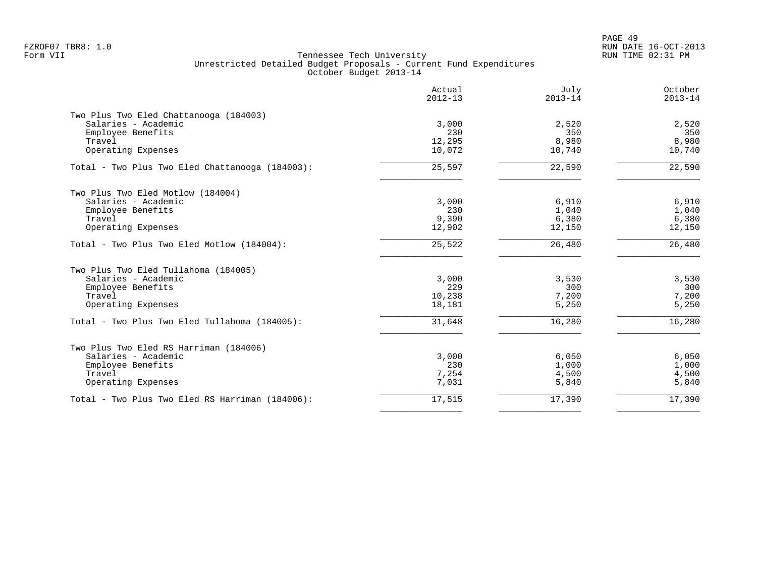PAGE 49 FZROF07 TBR8: 1.0 RUN DATE 16-OCT-2013

|                                                 | Actual<br>$2012 - 13$ | July<br>$2013 - 14$ | October<br>$2013 - 14$ |
|-------------------------------------------------|-----------------------|---------------------|------------------------|
| Two Plus Two Eled Chattanooga (184003)          |                       |                     |                        |
| Salaries - Academic                             | 3,000                 | 2,520               | 2,520                  |
| Employee Benefits                               | 230                   | 350                 | 350                    |
| Travel                                          | 12,295                | 8,980               | 8,980                  |
| Operating Expenses                              | 10,072                | 10,740              | 10,740                 |
| Total - Two Plus Two Eled Chattanooga (184003): | 25,597                | 22,590              | 22,590                 |
| Two Plus Two Eled Motlow (184004)               |                       |                     |                        |
| Salaries - Academic                             | 3,000                 | 6,910               | 6,910                  |
| Employee Benefits                               | 230                   | 1,040               | 1,040                  |
| Travel                                          | 9,390                 | 6,380               | 6,380                  |
| Operating Expenses                              | 12,902                | 12,150              | 12,150                 |
| Total - Two Plus Two Eled Motlow (184004):      | 25,522                | 26,480              | 26,480                 |
| Two Plus Two Eled Tullahoma (184005)            |                       |                     |                        |
| Salaries - Academic                             | 3,000                 | 3,530               | 3,530                  |
| Employee Benefits                               | 229                   | 300                 | 300                    |
| Travel                                          | 10,238                | 7,200               | 7,200                  |
| Operating Expenses                              | 18,181                | 5,250               | 5,250                  |
| Total - Two Plus Two Eled Tullahoma (184005):   | 31,648                | 16,280              | 16,280                 |
| Two Plus Two Eled RS Harriman (184006)          |                       |                     |                        |
| Salaries - Academic                             | 3,000                 | 6,050               | 6,050                  |
| Employee Benefits                               | 230                   | 1,000               | 1,000                  |
| Travel                                          | 7,254                 | 4,500               | 4,500                  |
| Operating Expenses                              | 7,031                 | 5,840               | 5,840                  |
| Total - Two Plus Two Eled RS Harriman (184006): | 17,515                | 17,390              | 17,390                 |
|                                                 |                       |                     |                        |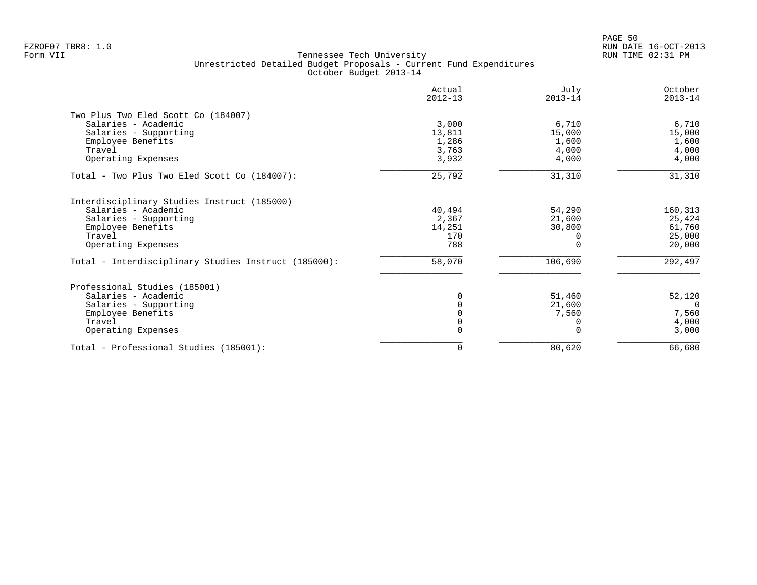|                                                      | Actual<br>$2012 - 13$ | July<br>$2013 - 14$ | October<br>$2013 - 14$ |
|------------------------------------------------------|-----------------------|---------------------|------------------------|
| Two Plus Two Eled Scott Co (184007)                  |                       |                     |                        |
| Salaries - Academic                                  | 3,000                 | 6,710               | 6,710                  |
| Salaries - Supporting                                | 13,811                | 15,000              | 15,000                 |
| Employee Benefits                                    | 1,286                 | 1,600               | 1,600                  |
| Travel                                               | 3,763                 | 4,000               | 4,000                  |
| Operating Expenses                                   | 3,932                 | 4,000               | 4,000                  |
| Total - Two Plus Two Eled Scott Co (184007):         | 25,792                | 31,310              | 31,310                 |
| Interdisciplinary Studies Instruct (185000)          |                       |                     |                        |
| Salaries - Academic                                  | 40,494                | 54,290              | 160,313                |
| Salaries - Supporting                                | 2,367                 | 21,600              | 25,424                 |
| Employee Benefits                                    | 14,251                | 30,800              | 61,760                 |
| Travel                                               | 170                   |                     | 25,000                 |
| Operating Expenses                                   | 788                   |                     | 20,000                 |
| Total - Interdisciplinary Studies Instruct (185000): | 58,070                | 106,690             | 292,497                |
| Professional Studies (185001)                        |                       |                     |                        |
| Salaries - Academic                                  |                       | 51,460              | 52,120                 |
| Salaries - Supporting                                |                       | 21,600              | $\Omega$               |
| Employee Benefits                                    |                       | 7,560               | 7,560                  |
| Travel                                               | $\Omega$              |                     | 4,000                  |
| Operating Expenses                                   |                       |                     | 3,000                  |
| Total - Professional Studies (185001):               | 0                     | 80,620              | 66,680                 |
|                                                      |                       |                     |                        |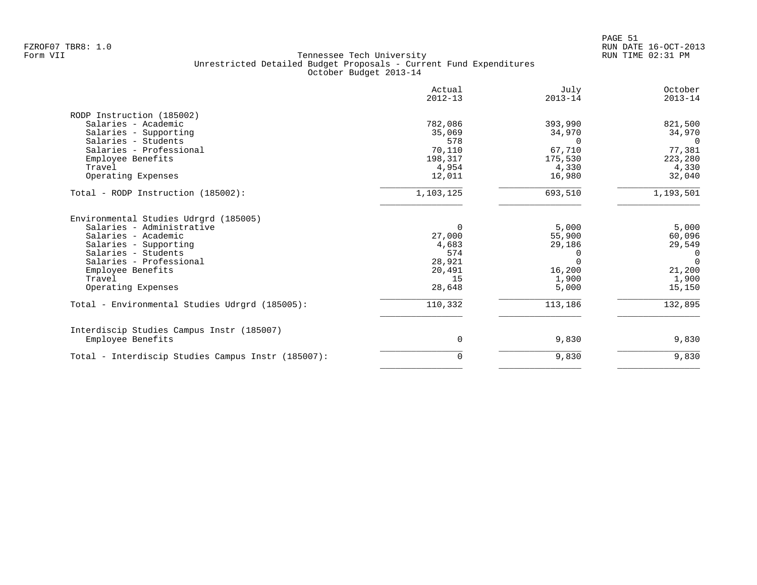|                                                    | Actual<br>$2012 - 13$ | July<br>$2013 - 14$ | October<br>$2013 - 14$ |
|----------------------------------------------------|-----------------------|---------------------|------------------------|
| RODP Instruction (185002)                          |                       |                     |                        |
| Salaries - Academic                                | 782,086               | 393,990             | 821,500                |
| Salaries - Supporting                              | 35,069                | 34,970              | 34,970                 |
| Salaries - Students                                | 578                   | $\Omega$            | $\Omega$               |
| Salaries - Professional                            | 70,110                | 67,710              | 77,381                 |
| Employee Benefits                                  | 198,317               | 175,530             | 223,280                |
| Travel                                             | 4,954                 | 4,330               | 4,330                  |
| Operating Expenses                                 | 12,011                | 16,980              | 32,040                 |
| Total - RODP Instruction (185002):                 | 1,103,125             | 693,510             | 1,193,501              |
| Environmental Studies Udrgrd (185005)              |                       |                     |                        |
| Salaries - Administrative                          | $\Omega$              | 5,000               | 5,000                  |
| Salaries - Academic                                | 27,000                | 55,900              | 60,096                 |
| Salaries - Supporting                              | 4,683                 | 29,186              | 29,549                 |
| Salaries - Students                                | 574                   |                     | $\mathbf 0$            |
| Salaries - Professional                            | 28,921                |                     | $\Omega$               |
| Employee Benefits                                  | 20,491                | 16,200              | 21,200                 |
| Travel                                             | 15                    | 1,900               | 1,900                  |
| Operating Expenses                                 | 28,648                | 5,000               | 15,150                 |
| Total - Environmental Studies Udrgrd (185005):     | 110,332               | 113,186             | 132,895                |
| Interdiscip Studies Campus Instr (185007)          |                       |                     |                        |
| Employee Benefits                                  | 0                     | 9,830               | 9,830                  |
| Total - Interdiscip Studies Campus Instr (185007): | 0                     | 9,830               | 9,830                  |
|                                                    |                       |                     |                        |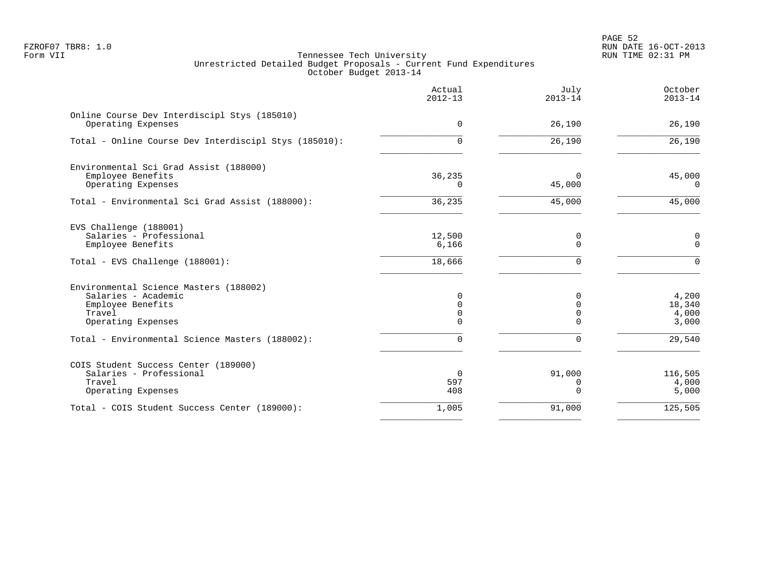PAGE 52 FZROF07 TBR8: 1.0 RUN DATE 16-OCT-2013

|                                                       | Actual<br>$2012 - 13$ | July<br>$2013 - 14$ | October<br>$2013 - 14$ |
|-------------------------------------------------------|-----------------------|---------------------|------------------------|
| Online Course Dev Interdiscipl Stys (185010)          |                       |                     |                        |
| Operating Expenses                                    | 0                     | 26,190              | 26,190                 |
| Total - Online Course Dev Interdiscipl Stys (185010): | $\Omega$              | 26,190              | 26,190                 |
| Environmental Sci Grad Assist (188000)                |                       |                     |                        |
| Employee Benefits                                     | 36,235                | $\Omega$            | 45,000                 |
| Operating Expenses                                    | $\Omega$              | 45,000              | $\Omega$               |
| Total - Environmental Sci Grad Assist (188000):       | 36,235                | 45,000              | 45,000                 |
| EVS Challenge (188001)                                |                       |                     |                        |
| Salaries - Professional                               | 12,500                | 0                   | 0                      |
| Employee Benefits                                     | 6,166                 | $\mathbf 0$         | $\mathbf 0$            |
| Total - EVS Challenge (188001):                       | 18,666                | $\Omega$            | $\mathbf{0}$           |
| Environmental Science Masters (188002)                |                       |                     |                        |
| Salaries - Academic                                   | $\Omega$              | $\Omega$            | 4,200                  |
| Employee Benefits                                     | 0                     | 0                   | 18,340                 |
| Travel                                                | 0                     | $\mathbf 0$         | 4,000                  |
| Operating Expenses                                    | 0                     | $\Omega$            | 3,000                  |
| Total - Environmental Science Masters (188002):       | 0                     | $\Omega$            | 29,540                 |
| COIS Student Success Center (189000)                  |                       |                     |                        |
| Salaries - Professional                               | $\overline{0}$        | 91,000              | 116,505                |
| Travel                                                | 597                   | 0                   | 4,000                  |
| Operating Expenses                                    | 408                   | $\Omega$            | 5,000                  |
| Total - COIS Student Success Center (189000):         | 1,005                 | 91,000              | 125,505                |
|                                                       |                       |                     |                        |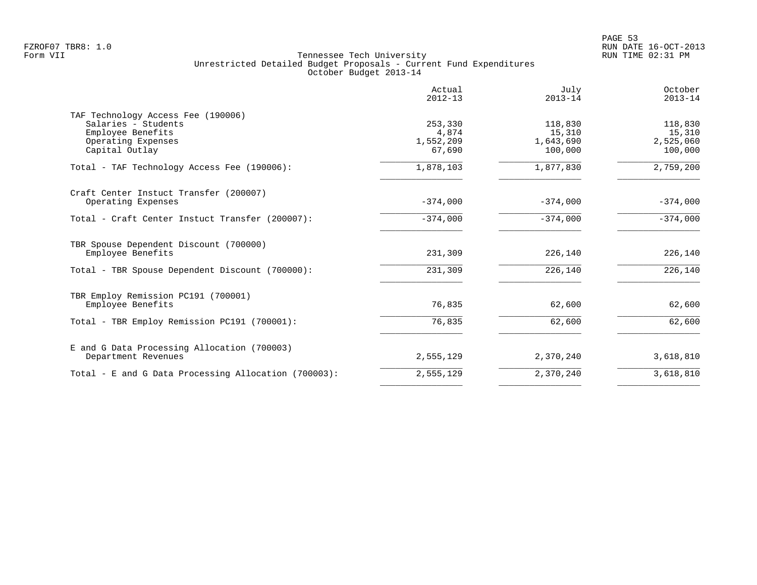|                                                                                                                        | Actual<br>$2012 - 13$                   | July<br>$2013 - 14$                       | October<br>$2013 - 14$                    |
|------------------------------------------------------------------------------------------------------------------------|-----------------------------------------|-------------------------------------------|-------------------------------------------|
| TAF Technology Access Fee (190006)<br>Salaries - Students<br>Employee Benefits<br>Operating Expenses<br>Capital Outlay | 253,330<br>4,874<br>1,552,209<br>67,690 | 118,830<br>15,310<br>1,643,690<br>100,000 | 118,830<br>15,310<br>2,525,060<br>100,000 |
| Total - TAF Technology Access Fee (190006):                                                                            | 1,878,103                               | 1,877,830                                 | 2,759,200                                 |
| Craft Center Instuct Transfer (200007)<br>Operating Expenses                                                           | $-374,000$                              | $-374,000$                                | $-374,000$                                |
| Total - Craft Center Instuct Transfer (200007):                                                                        | $-374,000$                              | $-374,000$                                | $-374,000$                                |
| TBR Spouse Dependent Discount (700000)<br>Employee Benefits                                                            | 231,309                                 | 226,140                                   | 226,140                                   |
| Total - TBR Spouse Dependent Discount (700000):                                                                        | 231,309                                 | 226,140                                   | 226,140                                   |
| TBR Employ Remission PC191 (700001)<br>Employee Benefits                                                               | 76,835                                  | 62,600                                    | 62,600                                    |
| Total - TBR Employ Remission PC191 (700001):                                                                           | 76,835                                  | 62,600                                    | 62,600                                    |
| E and G Data Processing Allocation (700003)<br>Department Revenues                                                     | 2,555,129                               | 2,370,240                                 | 3,618,810                                 |
| Total - E and G Data Processing Allocation (700003):                                                                   | 2,555,129                               | 2,370,240                                 | 3,618,810                                 |
|                                                                                                                        |                                         |                                           |                                           |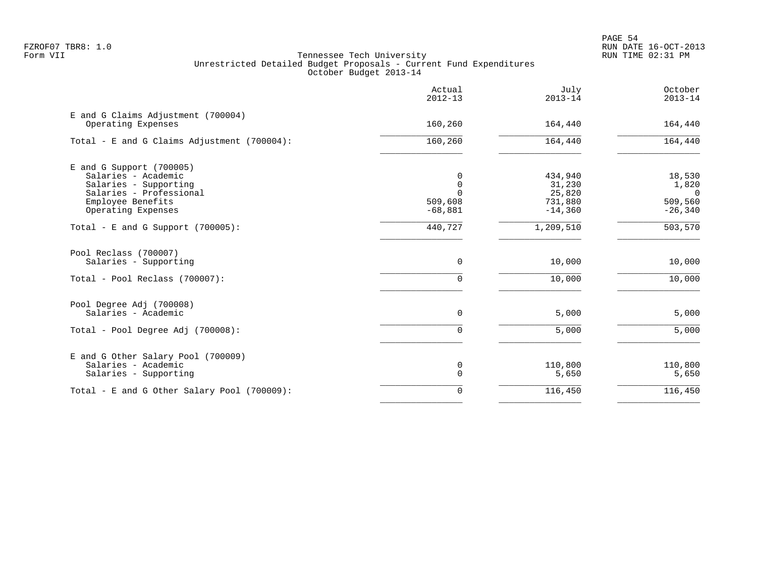|                                                          | Actual<br>$2012 - 13$ | July<br>$2013 - 14$  | October<br>$2013 - 14$ |
|----------------------------------------------------------|-----------------------|----------------------|------------------------|
| E and G Claims Adjustment (700004)<br>Operating Expenses | 160,260               | 164,440              | 164,440                |
| Total - E and G Claims Adjustment (700004):              | 160,260               | 164,440              | 164,440                |
| E and G Support (700005)                                 |                       |                      |                        |
| Salaries - Academic                                      | $\Omega$              | 434,940              | 18,530                 |
| Salaries - Supporting                                    | $\mathbf 0$           | 31,230               | 1,820                  |
| Salaries - Professional                                  |                       | 25,820               | $\overline{0}$         |
| Employee Benefits<br>Operating Expenses                  | 509,608<br>$-68,881$  | 731,880<br>$-14,360$ | 509,560<br>$-26, 340$  |
|                                                          |                       |                      |                        |
| Total - E and G Support $(700005)$ :                     | 440,727               | 1,209,510            | 503,570                |
| Pool Reclass (700007)                                    |                       |                      |                        |
| Salaries - Supporting                                    | $\Omega$              | 10,000               | 10,000                 |
| Total - Pool Reclass (700007):                           | $\Omega$              | 10,000               | 10,000                 |
| Pool Degree Adj (700008)                                 |                       |                      |                        |
| Salaries - Academic                                      | 0                     | 5,000                | 5,000                  |
| Total - Pool Degree Adj (700008):                        | 0                     | 5,000                | 5,000                  |
| E and G Other Salary Pool (700009)                       |                       |                      |                        |
| Salaries - Academic                                      | 0                     | 110,800              | 110,800                |
| Salaries - Supporting                                    | $\mathbf 0$           | 5,650                | 5,650                  |
| Total - E and G Other Salary Pool (700009):              | 0                     | 116,450              | 116,450                |
|                                                          |                       |                      |                        |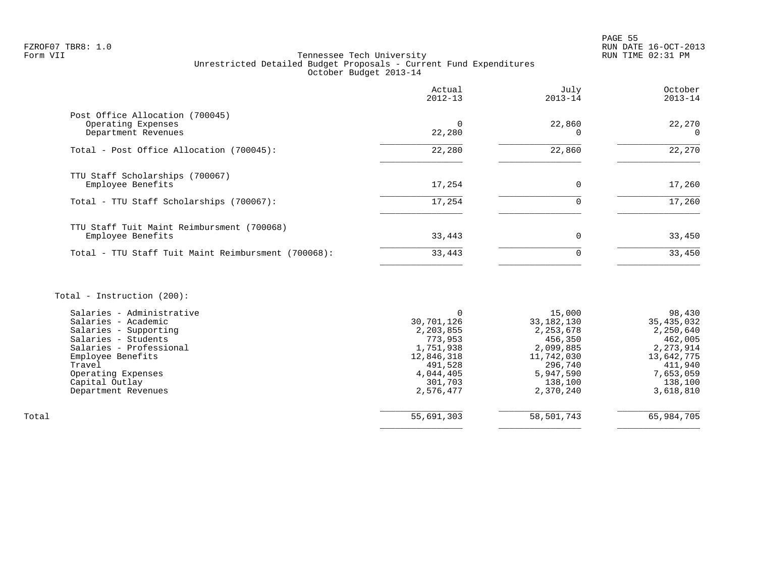# FZROF07 TBR8: 1.0 RUN DATE 16-OCT-2013 Tennessee Tech University Unrestricted Detailed Budget Proposals - Current Fund Expenditures October Budget 2013-14

|                                                                              | Actual<br>$2012 - 13$ | July<br>$2013 - 14$ | October<br>$2013 - 14$ |
|------------------------------------------------------------------------------|-----------------------|---------------------|------------------------|
| Post Office Allocation (700045)<br>Operating Expenses<br>Department Revenues | 22,280                | 22,860              | 22,270<br>$\Omega$     |
| Total - Post Office Allocation (700045):                                     | 22,280                | 22,860              | 22,270                 |
| TTU Staff Scholarships (700067)<br>Employee Benefits                         | 17,254                | $\Omega$            | 17,260                 |
| Total - TTU Staff Scholarships (700067):                                     | 17,254                |                     | 17,260                 |
| TTU Staff Tuit Maint Reimbursment (700068)<br>Employee Benefits              | 33,443                | $\Omega$            | 33,450                 |
| Total - TTU Staff Tuit Maint Reimbursment (700068):                          | 33,443                | $\Omega$            | 33,450                 |
|                                                                              |                       |                     |                        |

# Total - Instruction (200):

|       | Salaries - Administrative |            | 15,000      | 98,430     |
|-------|---------------------------|------------|-------------|------------|
|       | Salaries - Academic       | 30,701,126 | 33,182,130  | 35,435,032 |
|       | Salaries - Supporting     | 2,203,855  | 2, 253, 678 | 2,250,640  |
|       | Salaries - Students       | 773,953    | 456,350     | 462,005    |
|       | Salaries - Professional   | 1,751,938  | 2,099,885   | 2,273,914  |
|       | Employee Benefits         | 12,846,318 | 11,742,030  | 13,642,775 |
|       | Travel                    | 491,528    | 296,740     | 411,940    |
|       | Operating Expenses        | 4,044,405  | 5,947,590   | 7,653,059  |
|       | Capital Outlay            | 301,703    | 138,100     | 138,100    |
|       | Department Revenues       | 2,576,477  | 2,370,240   | 3,618,810  |
|       |                           |            |             |            |
| Total |                           | 55,691,303 | 58,501,743  | 65,984,705 |
|       |                           |            |             |            |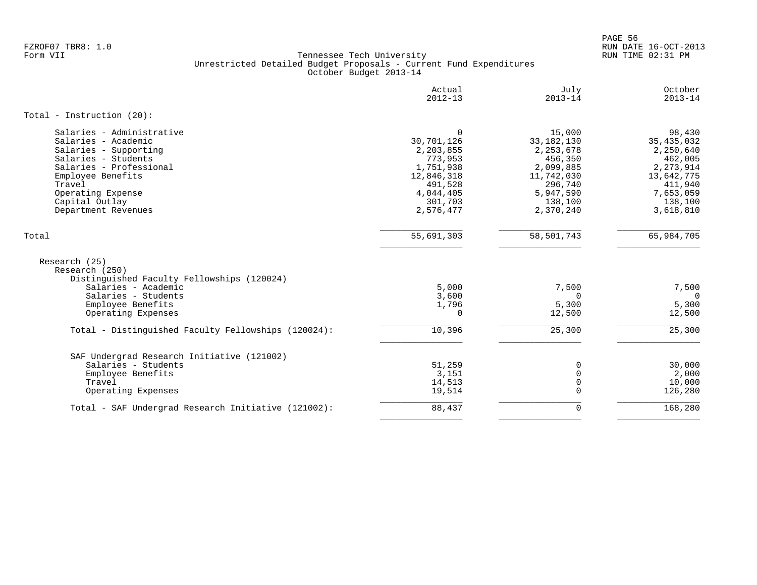PAGE 56 FZROF07 TBR8: 1.0 RUN DATE 16-OCT-2013

|                                                                               | Actual<br>$2012 - 13$ | July<br>$2013 - 14$  | October<br>$2013 - 14$ |
|-------------------------------------------------------------------------------|-----------------------|----------------------|------------------------|
| Total - Instruction $(20)$ :                                                  |                       |                      |                        |
| Salaries - Administrative                                                     | $\mathbf 0$           | 15,000               | 98,430                 |
| Salaries - Academic                                                           | 30,701,126            | 33, 182, 130         | 35, 435, 032           |
| Salaries - Supporting                                                         | 2,203,855             | 2, 253, 678          | 2,250,640              |
| Salaries - Students<br>Salaries - Professional                                | 773,953<br>1,751,938  | 456,350<br>2,099,885 | 462,005<br>2, 273, 914 |
| Employee Benefits                                                             | 12,846,318            | 11,742,030           | 13,642,775             |
| Travel                                                                        | 491,528               | 296,740              | 411,940                |
| Operating Expense                                                             | 4,044,405             | 5,947,590            | 7,653,059              |
| Capital Outlay                                                                | 301,703               | 138,100              | 138,100                |
| Department Revenues                                                           | 2,576,477             | 2,370,240            | 3,618,810              |
| Total                                                                         | 55,691,303            | 58,501,743           | 65,984,705             |
| Research (25)<br>Research (250)<br>Distinguished Faculty Fellowships (120024) |                       |                      |                        |
| Salaries - Academic                                                           | 5,000                 | 7,500                | 7,500                  |
| Salaries - Students                                                           | 3,600                 | $\Omega$             | $\Omega$               |
| Employee Benefits                                                             | 1,796                 | 5,300                | 5,300                  |
| Operating Expenses                                                            | 0                     | 12,500               | 12,500                 |
| Total - Distinguished Faculty Fellowships (120024):                           | 10,396                | 25,300               | 25,300                 |
| SAF Undergrad Research Initiative (121002)                                    |                       |                      |                        |
| Salaries - Students                                                           | 51,259                | $\mathbf 0$          | 30,000                 |
| Employee Benefits                                                             | 3,151                 | $\Omega$             | 2,000                  |
| Travel                                                                        | 14,513                | $\mathbf 0$          | 10,000                 |
| Operating Expenses                                                            | 19,514                | $\Omega$             | 126,280                |
| Total - SAF Undergrad Research Initiative (121002):                           | 88,437                | $\mathbf 0$          | 168,280                |
|                                                                               |                       |                      |                        |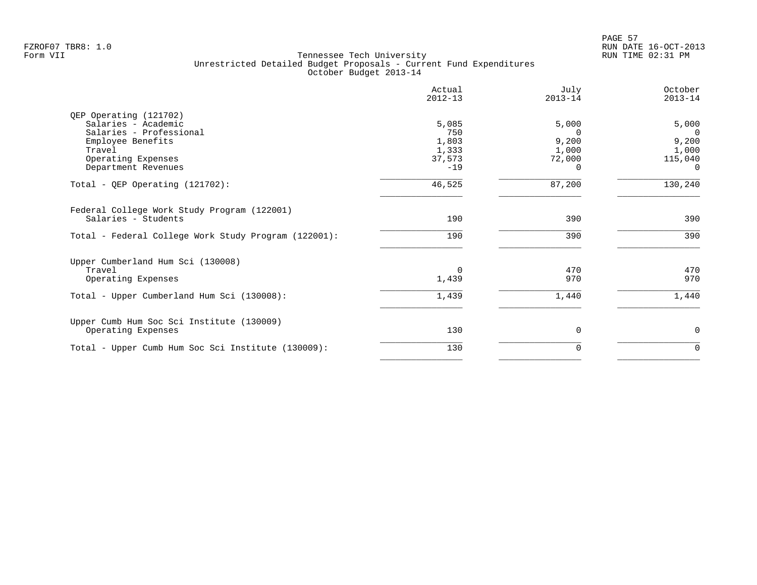|                                                                                                                               | Actual<br>$2012 - 13$                             | July<br>$2013 - 14$                                       | October<br>$2013 - 14$                                           |
|-------------------------------------------------------------------------------------------------------------------------------|---------------------------------------------------|-----------------------------------------------------------|------------------------------------------------------------------|
| QEP Operating (121702)<br>Salaries - Academic<br>Salaries - Professional<br>Employee Benefits<br>Travel<br>Operating Expenses | 5,085<br>750<br>1,803<br>1,333<br>37,573<br>$-19$ | 5,000<br>$\Omega$<br>9,200<br>1,000<br>72,000<br>$\Omega$ | 5,000<br>$\Omega$<br>9,200<br>1,000<br>115,040<br>$\overline{0}$ |
| Department Revenues<br>Total - QEP Operating $(121702)$ :                                                                     | 46,525                                            | 87,200                                                    | 130,240                                                          |
| Federal College Work Study Program (122001)<br>Salaries - Students                                                            | 190                                               | 390                                                       | 390                                                              |
| Total - Federal College Work Study Program (122001):                                                                          | 190                                               | 390                                                       | 390                                                              |
| Upper Cumberland Hum Sci (130008)<br>Travel<br>Operating Expenses                                                             | $\Omega$<br>1,439                                 | 470<br>970                                                | 470<br>970                                                       |
| Total - Upper Cumberland Hum Sci (130008):                                                                                    | 1,439                                             | 1,440                                                     | 1,440                                                            |
| Upper Cumb Hum Soc Sci Institute (130009)<br>Operating Expenses                                                               | 130                                               | $\Omega$                                                  | 0                                                                |
| Total - Upper Cumb Hum Soc Sci Institute (130009):                                                                            | 130                                               | $\Omega$                                                  | $\Omega$                                                         |
|                                                                                                                               |                                                   |                                                           |                                                                  |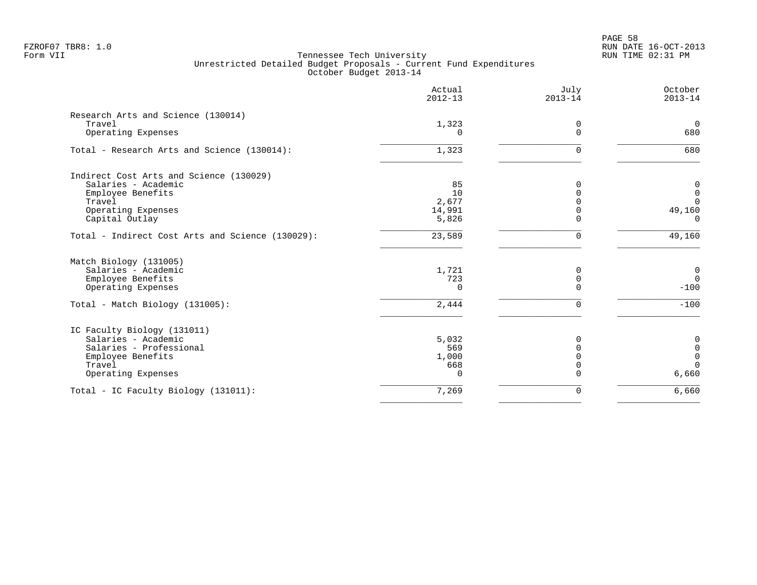PAGE 58 FZROF07 TBR8: 1.0 RUN DATE 16-OCT-2013

|                                                  | Actual<br>$2012 - 13$ | July<br>$2013 - 14$ | October<br>$2013 - 14$ |
|--------------------------------------------------|-----------------------|---------------------|------------------------|
| Research Arts and Science (130014)               |                       |                     |                        |
| Travel                                           | 1,323                 | 0                   | $\Omega$               |
| Operating Expenses                               | $\Omega$              | $\mathbf 0$         | 680                    |
| Total - Research Arts and Science (130014):      | 1,323                 | $\mathbf 0$         | 680                    |
| Indirect Cost Arts and Science (130029)          |                       |                     |                        |
| Salaries - Academic                              | 85                    | $\Omega$            | 0                      |
| Employee Benefits                                | 10                    | $\Omega$            | $\mathbf 0$            |
| Travel                                           | 2,677                 | $\Omega$            | $\Omega$               |
| Operating Expenses                               | 14,991                | $\Omega$            | 49,160                 |
| Capital Outlay                                   | 5,826                 | $\Omega$            | $\Omega$               |
| Total - Indirect Cost Arts and Science (130029): | 23,589                | 0                   | 49,160                 |
| Match Biology (131005)                           |                       |                     |                        |
| Salaries - Academic                              | 1,721                 | 0                   | $\mathbf 0$            |
| Employee Benefits                                | 723                   | 0                   | $\overline{0}$         |
| Operating Expenses                               | $\Omega$              | $\Omega$            | $-100$                 |
| Total - Match Biology (131005):                  | 2,444                 | 0                   | $-100$                 |
| IC Faculty Biology (131011)                      |                       |                     |                        |
| Salaries - Academic                              | 5,032                 | 0                   | $\mathbf 0$            |
| Salaries - Professional                          | 569                   | $\mathbf 0$         | $\mathbf 0$            |
| Employee Benefits                                | 1,000                 | $\Omega$            | $\mathbf 0$            |
| Travel                                           | 668                   | $\mathbf 0$         | $\Omega$               |
| Operating Expenses                               | $\Omega$              | $\Omega$            | 6,660                  |
| Total - IC Faculty Biology (131011):             | 7,269                 | 0                   | 6,660                  |
|                                                  |                       |                     |                        |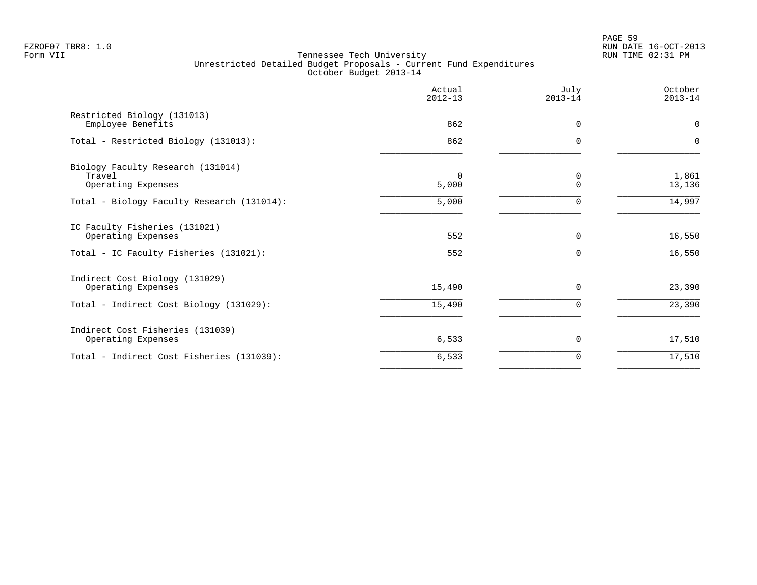PAGE 59 FZROF07 TBR8: 1.0 RUN DATE 16-OCT-2013

|                                                                   | Actual<br>$2012 - 13$ | July<br>$2013 - 14$ | October<br>$2013 - 14$ |
|-------------------------------------------------------------------|-----------------------|---------------------|------------------------|
| Restricted Biology (131013)<br>Employee Benefits                  | 862                   | $\Omega$            | $\mathbf 0$            |
| Total - Restricted Biology (131013):                              | 862                   |                     | $\Omega$               |
| Biology Faculty Research (131014)<br>Travel<br>Operating Expenses | $\Omega$<br>5,000     | 0<br>$\Omega$       | 1,861<br>13,136        |
| Total - Biology Faculty Research (131014):                        | 5,000                 |                     | 14,997                 |
| IC Faculty Fisheries (131021)<br>Operating Expenses               | 552                   | $\Omega$<br>U       | 16,550                 |
| Total - IC Faculty Fisheries (131021):                            | 552                   |                     | 16,550                 |
| Indirect Cost Biology (131029)<br>Operating Expenses              | 15,490                | 0                   | 23,390                 |
| Total - Indirect Cost Biology (131029):                           | 15,490                | $\Omega$            | 23,390                 |
| Indirect Cost Fisheries (131039)<br>Operating Expenses            | 6,533                 | $\Omega$            | 17,510                 |
| Total - Indirect Cost Fisheries (131039):                         | 6,533                 | 0                   | 17,510                 |
|                                                                   |                       |                     |                        |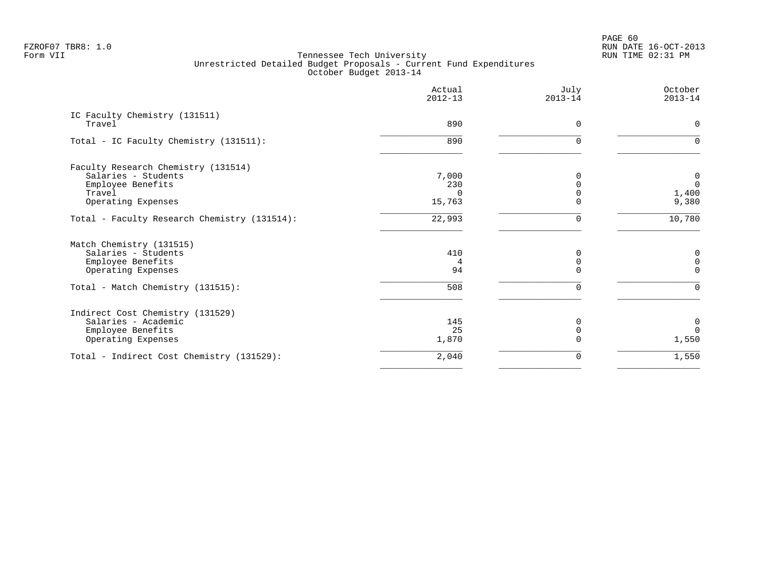PAGE 60 FZROF07 TBR8: 1.0 RUN DATE 16-OCT-2013

|                                              | Actual<br>$2012 - 13$ | July<br>$2013 - 14$ | October<br>$2013 - 14$ |
|----------------------------------------------|-----------------------|---------------------|------------------------|
| IC Faculty Chemistry (131511)<br>Travel      | 890                   | $\mathbf 0$         | $\mathbf 0$            |
|                                              |                       |                     |                        |
| Total - IC Faculty Chemistry (131511):       | 890                   | <sup>n</sup>        |                        |
| Faculty Research Chemistry (131514)          |                       |                     |                        |
| Salaries - Students                          | 7,000                 | $\Omega$            | 0                      |
| Employee Benefits                            | 230                   |                     | $\mathbf{0}$           |
| Travel                                       | $\Omega$              |                     | 1,400                  |
| Operating Expenses                           | 15,763                | $\Omega$            | 9,380                  |
| Total - Faculty Research Chemistry (131514): | 22,993                | 0                   | 10,780                 |
| Match Chemistry (131515)                     |                       |                     |                        |
| Salaries - Students                          | 410                   | <sup>0</sup>        | 0                      |
| Employee Benefits                            | 4                     | $\mathbf 0$         | $\mathbf 0$            |
| Operating Expenses                           | 94                    | $\Omega$            | $\Omega$               |
| Total - Match Chemistry (131515):            | 508                   | $\Omega$            | $\Omega$               |
| Indirect Cost Chemistry (131529)             |                       |                     |                        |
| Salaries - Academic                          | 145                   |                     | 0                      |
| Employee Benefits                            | 25                    |                     | $\Omega$               |
| Operating Expenses                           | 1,870                 |                     | 1,550                  |
| Total - Indirect Cost Chemistry (131529):    | 2,040                 | 0                   | 1,550                  |
|                                              |                       |                     |                        |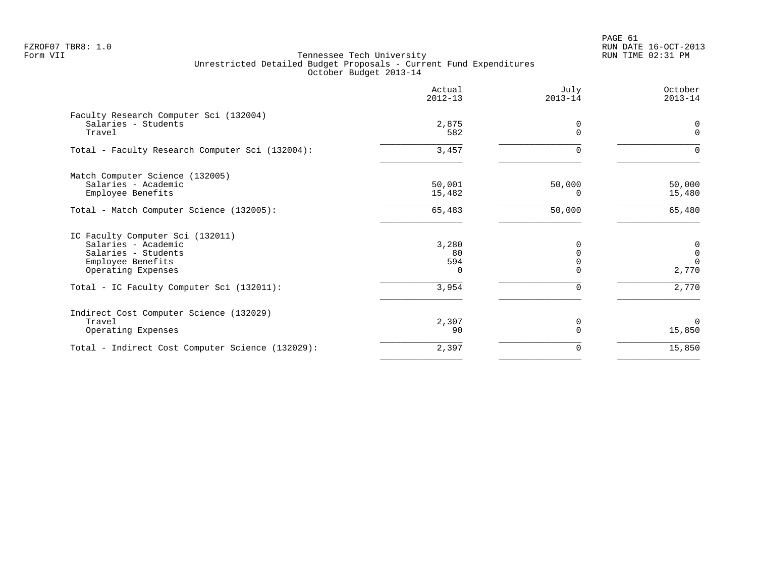PAGE 61 FZROF07 TBR8: 1.0 RUN DATE 16-OCT-2013

|                                                               | Actual<br>$2012 - 13$ | July<br>$2013 - 14$ | October<br>$2013 - 14$ |
|---------------------------------------------------------------|-----------------------|---------------------|------------------------|
| Faculty Research Computer Sci (132004)<br>Salaries - Students |                       |                     |                        |
| Travel                                                        | 2,875<br>582          | 0<br>$\Omega$       | 0<br>$\mathbf 0$       |
| Total - Faculty Research Computer Sci (132004):               | 3,457                 | $\Omega$            | 0                      |
| Match Computer Science (132005)                               |                       |                     |                        |
| Salaries - Academic                                           | 50,001                | 50,000              | 50,000                 |
| Employee Benefits                                             | 15,482                | 0                   | 15,480                 |
| Total - Match Computer Science (132005):                      | 65,483                | 50,000              | 65,480                 |
| IC Faculty Computer Sci (132011)                              |                       |                     |                        |
| Salaries - Academic                                           | 3,280                 | $\Omega$            | 0                      |
| Salaries - Students                                           | 80                    | $\Omega$            | $\mathbf 0$            |
| Employee Benefits                                             | 594                   |                     | $\Omega$               |
| Operating Expenses                                            | $\Omega$              |                     | 2,770                  |
| Total - IC Faculty Computer Sci (132011):                     | 3,954                 | $\Omega$            | 2,770                  |
| Indirect Cost Computer Science (132029)                       |                       |                     |                        |
| Travel                                                        | 2,307                 | $\Omega$            | $\Omega$               |
| Operating Expenses                                            | 90                    | $\Omega$            | 15,850                 |
| Total - Indirect Cost Computer Science (132029):              | 2,397                 | $\Omega$            | 15,850                 |
|                                                               |                       |                     |                        |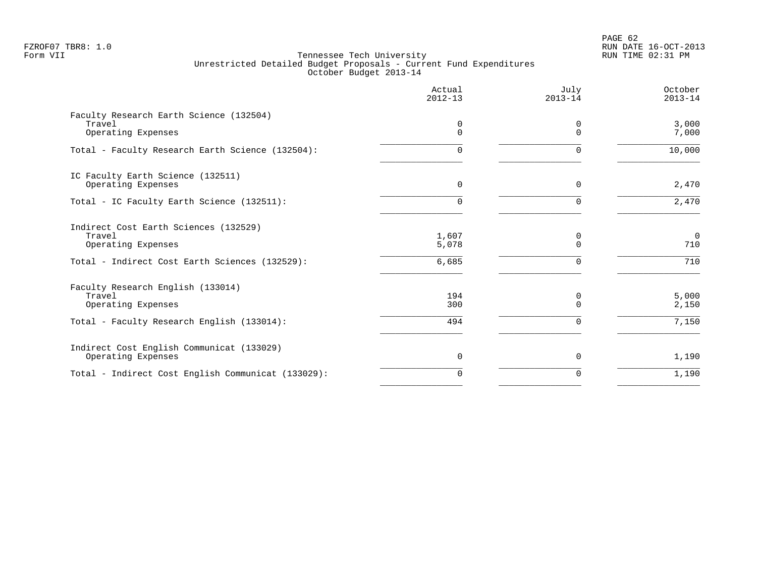PAGE 62 FZROF07 TBR8: 1.0 RUN DATE 16-OCT-2013

|                                                                         | Actual<br>$2012 - 13$ | July<br>$2013 - 14$  | October<br>$2013 - 14$ |
|-------------------------------------------------------------------------|-----------------------|----------------------|------------------------|
| Faculty Research Earth Science (132504)<br>Travel<br>Operating Expenses | 0<br>$\Omega$         | $\Omega$<br>$\Omega$ | 3,000<br>7,000         |
| Total - Faculty Research Earth Science (132504):                        | 0                     | $\Omega$             | 10,000                 |
| IC Faculty Earth Science (132511)<br>Operating Expenses                 | 0                     | $\Omega$             | 2,470                  |
| Total - IC Faculty Earth Science (132511):                              | 0                     | $\Omega$             | 2,470                  |
| Indirect Cost Earth Sciences (132529)<br>Travel<br>Operating Expenses   | 1,607<br>5,078        | 0<br>$\mathbf 0$     | $\mathbf 0$<br>710     |
| Total - Indirect Cost Earth Sciences (132529):                          | 6,685                 | $\Omega$             | 710                    |
| Faculty Research English (133014)<br>Travel<br>Operating Expenses       | 194<br>300            | 0<br>$\Omega$        | 5,000<br>2,150         |
| Total - Faculty Research English (133014):                              | 494                   | $\Omega$             | 7,150                  |
| Indirect Cost English Communicat (133029)<br>Operating Expenses         | 0                     | $\Omega$             | 1,190                  |
| Total - Indirect Cost English Communicat (133029):                      | $\Omega$              | $\Omega$             | 1,190                  |
|                                                                         |                       |                      |                        |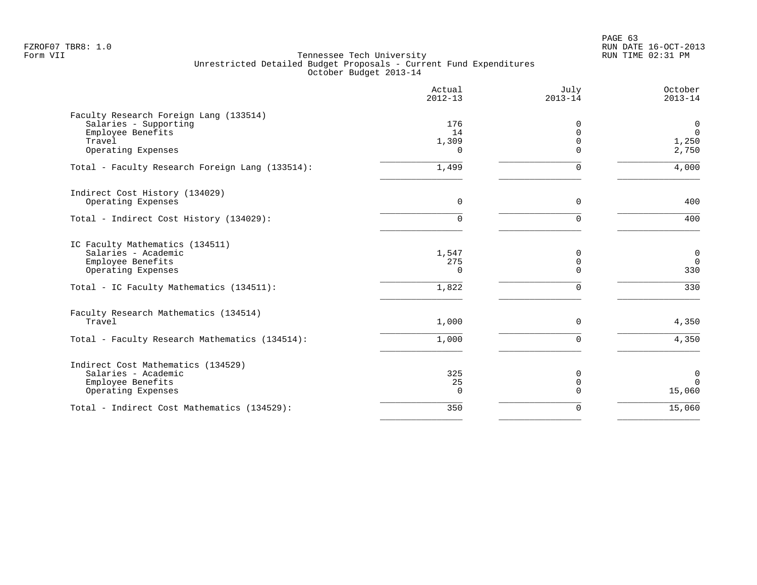PAGE 63 FZROF07 TBR8: 1.0 RUN DATE 16-OCT-2013

|                                                                                                                                               | Actual<br>$2012 - 13$          | July<br>$2013 - 14$                      | October<br>$2013 - 14$                       |
|-----------------------------------------------------------------------------------------------------------------------------------------------|--------------------------------|------------------------------------------|----------------------------------------------|
| Faculty Research Foreign Lang (133514)<br>Salaries - Supporting<br>Employee Benefits<br>Travel<br>Operating Expenses                          | 176<br>14<br>1,309<br>$\Omega$ | 0<br>$\Omega$<br>$\Omega$<br>$\Omega$    | $\mathbf 0$<br>$\mathbf 0$<br>1,250<br>2,750 |
| Total - Faculty Research Foreign Lang (133514):                                                                                               | 1,499                          | $\Omega$                                 | 4,000                                        |
| Indirect Cost History (134029)<br>Operating Expenses                                                                                          | $\mathbf 0$                    | $\mathbf 0$                              | 400                                          |
| Total - Indirect Cost History (134029):                                                                                                       | $\Omega$                       | $\Omega$                                 | 400                                          |
| IC Faculty Mathematics (134511)<br>Salaries - Academic<br>Employee Benefits<br>Operating Expenses<br>Total - IC Faculty Mathematics (134511): | 1,547<br>275<br>0<br>1,822     | 0<br>$\mathbf 0$<br>$\Omega$<br>$\Omega$ | $\mathbf 0$<br>$\overline{0}$<br>330<br>330  |
| Faculty Research Mathematics (134514)<br>Travel                                                                                               | 1,000                          | $\mathbf 0$                              | 4,350                                        |
| Total - Faculty Research Mathematics (134514):                                                                                                | 1,000                          | $\Omega$                                 | 4,350                                        |
| Indirect Cost Mathematics (134529)<br>Salaries - Academic<br>Employee Benefits<br>Operating Expenses                                          | 325<br>25<br>$\Omega$          | 0<br>$\mathbf 0$<br>$\Omega$             | $\mathbf 0$<br>$\Omega$<br>15,060            |
| Total - Indirect Cost Mathematics (134529):                                                                                                   | 350                            | 0                                        | 15,060                                       |
|                                                                                                                                               |                                |                                          |                                              |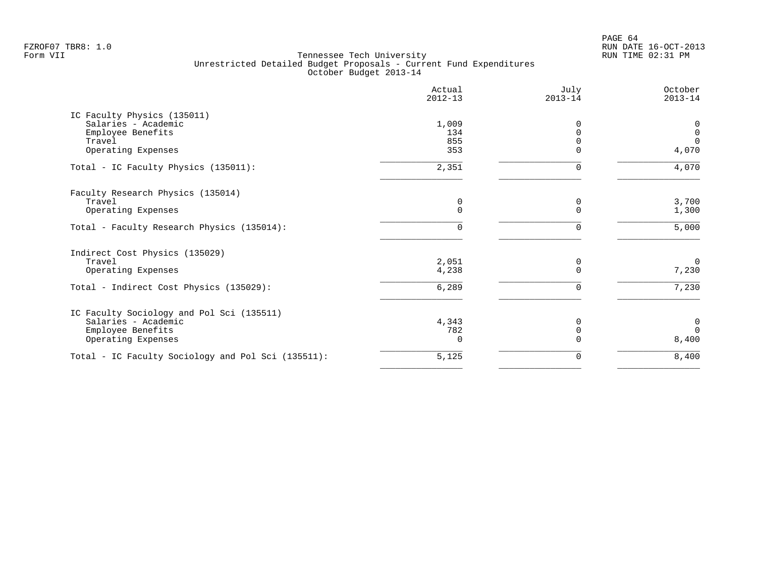PAGE 64 FZROF07 TBR8: 1.0 RUN DATE 16-OCT-2013

| Actual<br>$2012 - 13$ | July<br>$2013 - 14$           | October<br>$2013 - 14$ |
|-----------------------|-------------------------------|------------------------|
|                       |                               |                        |
| 1,009                 | O                             | 0                      |
|                       |                               | $\mathbf 0$            |
|                       |                               | $\Omega$<br>4,070      |
|                       |                               |                        |
| 2,351                 | $\Omega$                      | 4,070                  |
|                       |                               |                        |
| 0                     | 0                             | 3,700                  |
|                       | $\Omega$                      | 1,300                  |
| $\mathbf 0$           | 0                             | 5,000                  |
|                       |                               |                        |
| 2,051                 | 0                             | $\Omega$               |
| 4,238                 | $\Omega$                      | 7,230                  |
| 6,289                 | 0                             | 7,230                  |
|                       |                               |                        |
| 4,343                 | O                             | $\overline{0}$         |
| 782                   | $\Omega$                      | $\Omega$               |
| <sup>n</sup>          |                               | 8,400                  |
| 5,125                 | 0                             | 8,400                  |
|                       | 134<br>855<br>353<br>$\Omega$ | $\Omega$<br>$\Omega$   |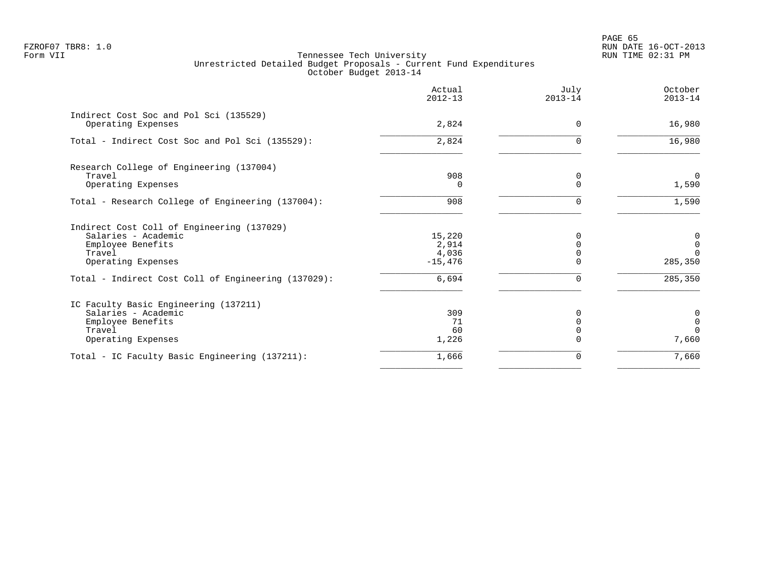PAGE 65 FZROF07 TBR8: 1.0 RUN DATE 16-OCT-2013

| October<br>$2013 - 14$ | July<br>$2013 - 14$ | Actual<br>$2012 - 13$ |                                                                                            |
|------------------------|---------------------|-----------------------|--------------------------------------------------------------------------------------------|
| 16,980                 | $\Omega$            | 2,824                 | Indirect Cost Soc and Pol Sci (135529)<br>Operating Expenses                               |
| 16,980                 | <sup>n</sup>        | 2,824                 | Total - Indirect Cost Soc and Pol Sci (135529):                                            |
|                        |                     |                       | Research College of Engineering (137004)                                                   |
| $\Omega$<br>1,590      | 0<br>$\Omega$       | 908<br>$\Omega$       | Travel<br>Operating Expenses                                                               |
| 1,590                  | $\Omega$            | 908                   | Total - Research College of Engineering (137004):                                          |
|                        |                     |                       | Indirect Cost Coll of Engineering (137029)                                                 |
| 0                      | 0                   | 15,220                | Salaries - Academic                                                                        |
| $\mathbf 0$            | $\Omega$            | 2,914                 | Employee Benefits                                                                          |
| $\Omega$<br>285,350    |                     | 4,036<br>$-15,476$    | Travel<br>Operating Expenses                                                               |
|                        |                     |                       |                                                                                            |
| 285,350                | $\Omega$            | 6,694                 | Total - Indirect Cost Coll of Engineering (137029):                                        |
|                        |                     |                       |                                                                                            |
| 0                      | <sup>0</sup>        | 309                   | Salaries - Academic                                                                        |
| $\mathbf 0$            |                     |                       |                                                                                            |
| $\Omega$               |                     |                       |                                                                                            |
| 7,660                  |                     |                       |                                                                                            |
| 7,660                  | 0                   | 1,666                 | Total - IC Faculty Basic Engineering (137211):                                             |
|                        |                     | 71<br>60<br>1,226     | IC Faculty Basic Engineering (137211)<br>Employee Benefits<br>Travel<br>Operating Expenses |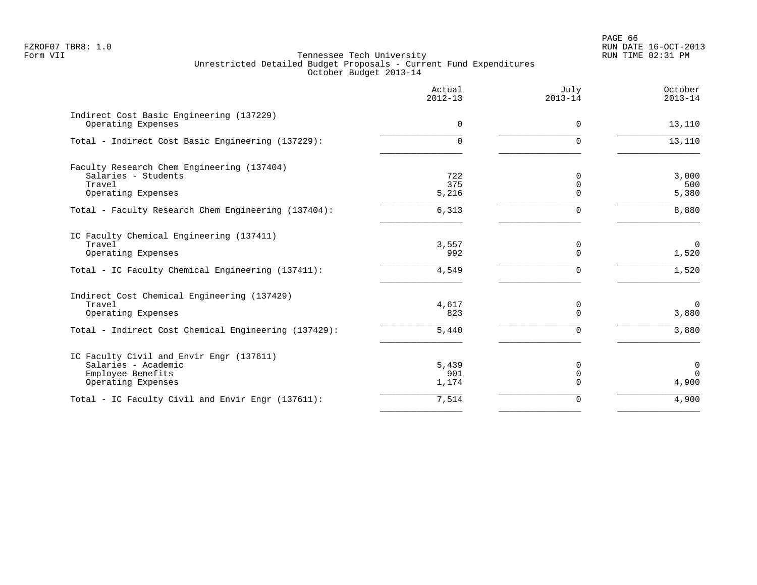|                                                                | Actual<br>$2012 - 13$ | July<br>$2013 - 14$ | October<br>$2013 - 14$ |
|----------------------------------------------------------------|-----------------------|---------------------|------------------------|
| Indirect Cost Basic Engineering (137229)<br>Operating Expenses | $\Omega$              | $\Omega$            | 13,110                 |
| Total - Indirect Cost Basic Engineering (137229):              | 0                     | $\Omega$            | 13,110                 |
| Faculty Research Chem Engineering (137404)                     |                       |                     |                        |
| Salaries - Students                                            | 722                   | 0                   | 3,000                  |
| Travel                                                         | 375                   | 0                   | 500                    |
| Operating Expenses                                             | 5,216                 | $\Omega$            | 5,380                  |
| Total - Faculty Research Chem Engineering (137404):            | 6,313                 | $\Omega$            | 8,880                  |
| IC Faculty Chemical Engineering (137411)                       |                       |                     |                        |
| Travel                                                         | 3,557                 | 0                   | $\overline{0}$         |
| Operating Expenses                                             | 992                   | $\Omega$            | 1,520                  |
| Total - IC Faculty Chemical Engineering (137411):              | 4,549                 | $\Omega$            | 1,520                  |
| Indirect Cost Chemical Engineering (137429)                    |                       |                     |                        |
| Travel                                                         | 4,617                 | 0                   | $\overline{0}$         |
| Operating Expenses                                             | 823                   | $\Omega$            | 3,880                  |
| Total - Indirect Cost Chemical Engineering (137429):           | 5,440                 | $\Omega$            | 3,880                  |
| IC Faculty Civil and Envir Engr (137611)                       |                       |                     |                        |
| Salaries - Academic                                            | 5,439                 | $\Omega$            | $\mathbf 0$            |
| Employee Benefits                                              | 901                   | $\mathbf 0$         | $\Omega$               |
| Operating Expenses                                             | 1,174                 | $\Omega$            | 4,900                  |
| Total - IC Faculty Civil and Envir Engr (137611):              | 7,514                 | 0                   | 4,900                  |
|                                                                |                       |                     |                        |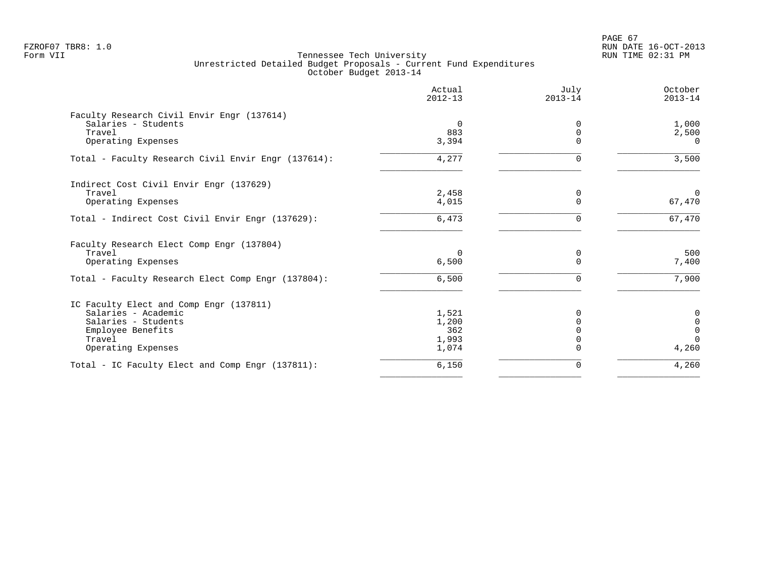PAGE 67 FZROF07 TBR8: 1.0 RUN DATE 16-OCT-2013

|                                                     | Actual<br>$2012 - 13$ | July<br>$2013 - 14$ | October<br>$2013 - 14$ |
|-----------------------------------------------------|-----------------------|---------------------|------------------------|
| Faculty Research Civil Envir Engr (137614)          |                       |                     |                        |
| Salaries - Students                                 | 0                     | 0                   | 1,000                  |
| Travel                                              | 883                   |                     | 2,500                  |
| Operating Expenses                                  | 3,394                 | $\Omega$            | $\Omega$               |
| Total - Faculty Research Civil Envir Engr (137614): | 4,277                 |                     | 3,500                  |
| Indirect Cost Civil Envir Engr (137629)             |                       |                     |                        |
| Travel                                              | 2,458                 | 0                   | $\Omega$               |
| Operating Expenses                                  | 4,015                 | $\Omega$            | 67,470                 |
| Total - Indirect Cost Civil Envir Engr (137629):    | 6,473                 | $\Omega$            | 67,470                 |
| Faculty Research Elect Comp Engr (137804)           |                       |                     |                        |
| Travel                                              | $\Omega$              | 0                   | 500                    |
| Operating Expenses                                  | 6,500                 | $\Omega$            | 7,400                  |
| Total - Faculty Research Elect Comp Engr (137804):  | 6,500                 | 0                   | 7,900                  |
| IC Faculty Elect and Comp Engr (137811)             |                       |                     |                        |
| Salaries - Academic                                 | 1,521                 | 0                   | 0                      |
| Salaries - Students                                 | 1,200                 |                     | $\mathbf 0$            |
| Employee Benefits                                   | 362                   |                     | $\mathbf 0$            |
| Travel                                              | 1,993                 |                     | $\Omega$               |
| Operating Expenses                                  | 1,074                 |                     | 4,260                  |
| Total - IC Faculty Elect and Comp Engr (137811):    | 6,150                 | O                   | 4,260                  |
|                                                     |                       |                     |                        |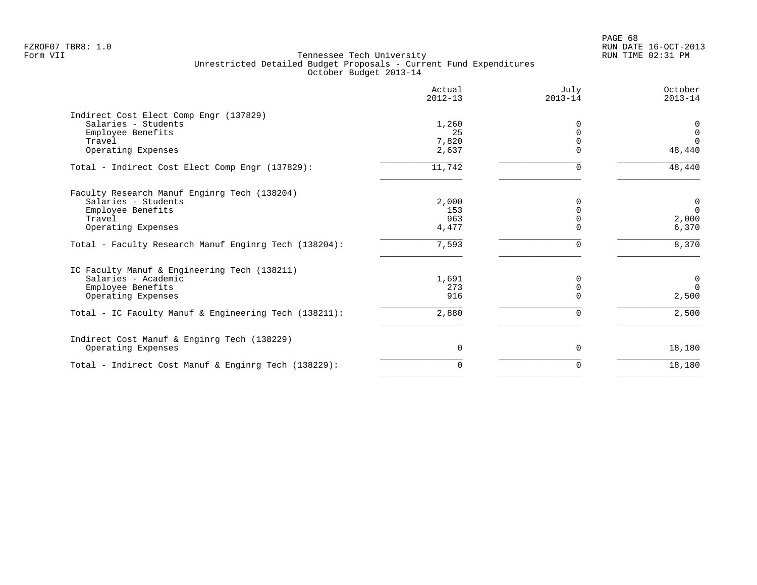|                                                       | Actual<br>$2012 - 13$ | July<br>$2013 - 14$ | October<br>$2013 - 14$ |
|-------------------------------------------------------|-----------------------|---------------------|------------------------|
| Indirect Cost Elect Comp Engr (137829)                |                       |                     |                        |
| Salaries - Students                                   | 1,260                 | 0                   | 0                      |
| Employee Benefits                                     | 25                    | $\Omega$            | $\mathbf 0$            |
| Travel                                                | 7,820                 | $\Omega$            | $\Omega$               |
| Operating Expenses                                    | 2,637                 |                     | 48,440                 |
| Total - Indirect Cost Elect Comp Engr (137829):       | 11,742                | $\Omega$            | 48,440                 |
| Faculty Research Manuf Enginrg Tech (138204)          |                       |                     |                        |
| Salaries - Students                                   | 2,000                 | $\Omega$            | 0                      |
| Employee Benefits                                     | 153                   |                     | $\Omega$               |
| Travel                                                | 963                   | $\Omega$            | 2,000                  |
| Operating Expenses                                    | 4,477                 | U                   | 6,370                  |
| Total - Faculty Research Manuf Enginrg Tech (138204): | 7,593                 | <sup>n</sup>        | 8,370                  |
| IC Faculty Manuf & Engineering Tech (138211)          |                       |                     |                        |
| Salaries - Academic                                   | 1,691                 | 0                   | $\mathbf 0$            |
| Employee Benefits                                     | 273                   | $\Omega$            | $\Omega$               |
| Operating Expenses                                    | 916                   | $\Omega$            | 2,500                  |
| Total - IC Faculty Manuf & Engineering Tech (138211): | 2,880                 | 0                   | 2,500                  |
| Indirect Cost Manuf & Enginrg Tech (138229)           |                       |                     |                        |
| Operating Expenses                                    | $\Omega$              | 0                   | 18,180                 |
| Total - Indirect Cost Manuf & Enginrg Tech (138229):  | 0                     | 0                   | 18,180                 |
|                                                       |                       |                     |                        |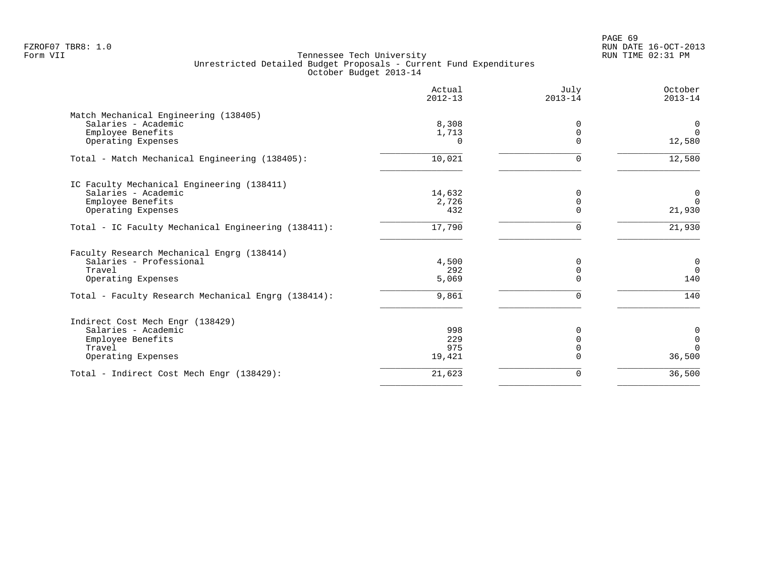|                                                         | Actual<br>$2012 - 13$ | July<br>$2013 - 14$ | October<br>$2013 - 14$ |
|---------------------------------------------------------|-----------------------|---------------------|------------------------|
| Match Mechanical Engineering (138405)                   |                       |                     |                        |
| Salaries - Academic                                     | 8,308                 | 0                   | $\overline{0}$         |
| Employee Benefits                                       | 1,713                 | $\Omega$            | $\Omega$               |
| Operating Expenses                                      | $\Omega$              | $\Omega$            | 12,580                 |
| Total - Match Mechanical Engineering (138405):          | 10,021                |                     | 12,580                 |
| IC Faculty Mechanical Engineering (138411)              |                       |                     |                        |
| Salaries - Academic                                     | 14,632                | 0                   | $\mathbf 0$            |
| Employee Benefits                                       | 2,726                 | O                   | $\Omega$               |
| Operating Expenses                                      | 432                   |                     | 21,930                 |
| Total - IC Faculty Mechanical Engineering (138411):     | 17,790                | 0                   | 21,930                 |
| Faculty Research Mechanical Engrg (138414)              |                       |                     |                        |
| Salaries - Professional                                 | 4,500                 | O                   | $\mathsf{O}$           |
| Travel                                                  | 292                   |                     | $\Omega$               |
| Operating Expenses                                      | 5,069                 |                     | 140                    |
| Total - Faculty Research Mechanical Engrg (138414):     | 9,861                 | U                   | 140                    |
|                                                         |                       |                     |                        |
| Indirect Cost Mech Engr (138429)<br>Salaries - Academic | 998                   |                     | 0                      |
| Employee Benefits                                       | 229                   | U                   | $\mathbf 0$            |
| Travel                                                  | 975                   |                     | $\Omega$               |
| Operating Expenses                                      | 19,421                |                     | 36,500                 |
| Total - Indirect Cost Mech Engr (138429):               | 21,623                | $\Omega$            | 36,500                 |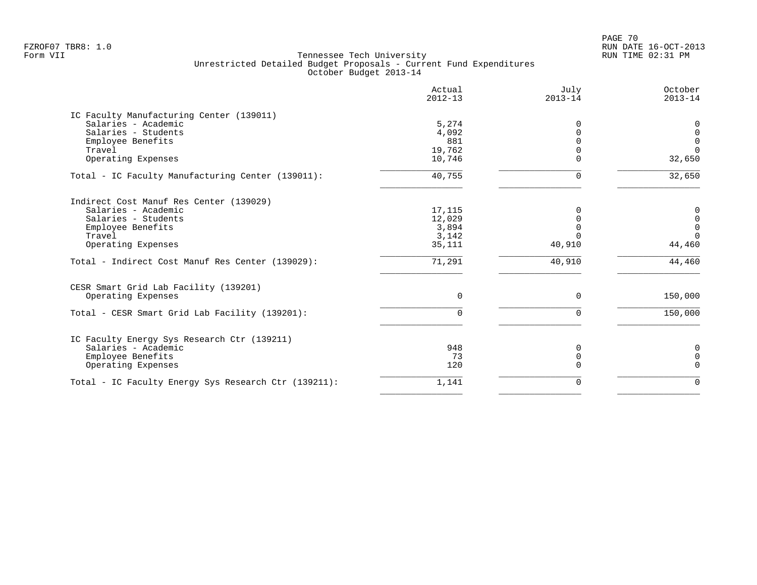PAGE 70 FZROF07 TBR8: 1.0 RUN DATE 16-OCT-2013

| Actual      | July        | October     |
|-------------|-------------|-------------|
| $2012 - 13$ | $2013 - 14$ | $2013 - 14$ |
| 5,274       | 0           | 0           |
| 4,092       | $\Omega$    | $\mathsf 0$ |
| 881         | $\Omega$    | $\mathbf 0$ |
| 19,762      | $\Omega$    | $\Omega$    |
| 10,746      | $\Omega$    | 32,650      |
| 40,755      | $\Omega$    | 32,650      |
| 17,115      | $\Omega$    | 0           |
| 12,029      | $\Omega$    | $\mathsf 0$ |
| 3,894       | $\Omega$    | $\mathbf 0$ |
| 3,142       | $\Omega$    | $\Omega$    |
| 35,111      | 40,910      | 44,460      |
| 71,291      | 40,910      | 44,460      |
| $\Omega$    | $\Omega$    | 150,000     |
| $\Omega$    | $\Omega$    | 150,000     |
| 948         | 0           | 0           |
| 73          | 0           | $\mathbf 0$ |
| 120         | $\Omega$    | $\Omega$    |
| 1,141       | $\Omega$    | $\Omega$    |
|             |             |             |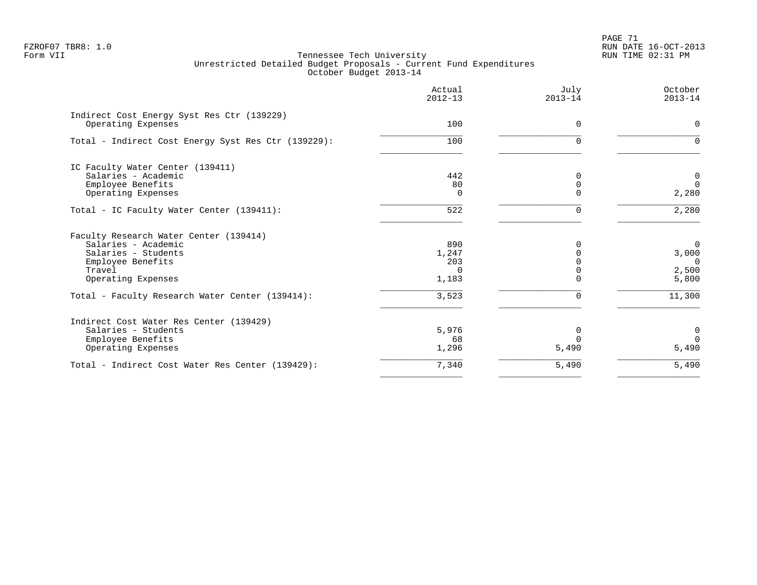| Actual<br>$2012 - 13$ | July<br>$2013 - 14$ | October<br>$2013 - 14$ |
|-----------------------|---------------------|------------------------|
|                       |                     | $\Omega$               |
|                       |                     |                        |
| 100                   | $\Omega$            | $\Omega$               |
|                       |                     |                        |
| 442                   | $\mathbf 0$         | $\mathbf 0$            |
| 80                    | $\mathbf 0$         | $\Omega$               |
| $\Omega$              | $\Omega$            | 2,280                  |
| 522                   | $\Omega$            | 2,280                  |
|                       |                     |                        |
| 890                   |                     | $\mathbf 0$            |
| 1,247                 |                     | 3,000                  |
| 203                   |                     | $\overline{0}$         |
| $\Omega$              |                     | 2,500                  |
|                       |                     | 5,800                  |
| 3,523                 | $\Omega$            | 11,300                 |
|                       |                     |                        |
| 5,976                 | 0                   | $\mathbf 0$            |
| 68                    | $\Omega$            | $\Omega$               |
| 1,296                 | 5,490               | 5,490                  |
| 7,340                 | 5,490               | 5,490                  |
|                       | 100<br>1,183        | $\Omega$<br>$\Omega$   |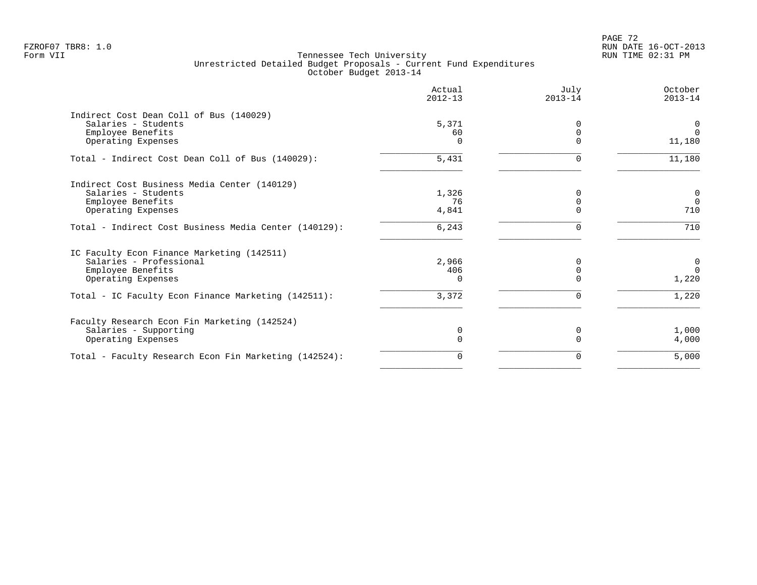|                                                       | Actual<br>$2012 - 13$ | July<br>$2013 - 14$ | October<br>$2013 - 14$ |
|-------------------------------------------------------|-----------------------|---------------------|------------------------|
| Indirect Cost Dean Coll of Bus (140029)               |                       |                     |                        |
| Salaries - Students                                   | 5,371                 | <sup>0</sup>        | 0                      |
| Employee Benefits                                     | 60                    |                     | $\Omega$               |
| Operating Expenses                                    | 0                     |                     | 11,180                 |
| Total - Indirect Cost Dean Coll of Bus (140029):      | 5,431                 | 0                   | 11,180                 |
| Indirect Cost Business Media Center (140129)          |                       |                     |                        |
| Salaries - Students                                   | 1,326                 |                     | $\mathsf{O}\xspace$    |
| Employee Benefits                                     | 76                    | $\Omega$            | $\Omega$               |
| Operating Expenses                                    | 4,841                 | $\Omega$            | 710                    |
| Total - Indirect Cost Business Media Center (140129): | 6,243                 | 0                   | 710                    |
| IC Faculty Econ Finance Marketing (142511)            |                       |                     |                        |
| Salaries - Professional                               | 2,966                 |                     | 0                      |
| Employee Benefits                                     | 406                   | $\Omega$            | $\Omega$               |
| Operating Expenses                                    | $\Omega$              |                     | 1,220                  |
| Total - IC Faculty Econ Finance Marketing (142511):   | 3,372                 | $\mathbf 0$         | 1,220                  |
| Faculty Research Econ Fin Marketing (142524)          |                       |                     |                        |
| Salaries - Supporting                                 | 0                     | 0                   | 1,000                  |
| Operating Expenses                                    | $\Omega$              |                     | 4,000                  |
| Total - Faculty Research Econ Fin Marketing (142524): | 0                     | 0                   | 5,000                  |
|                                                       |                       |                     |                        |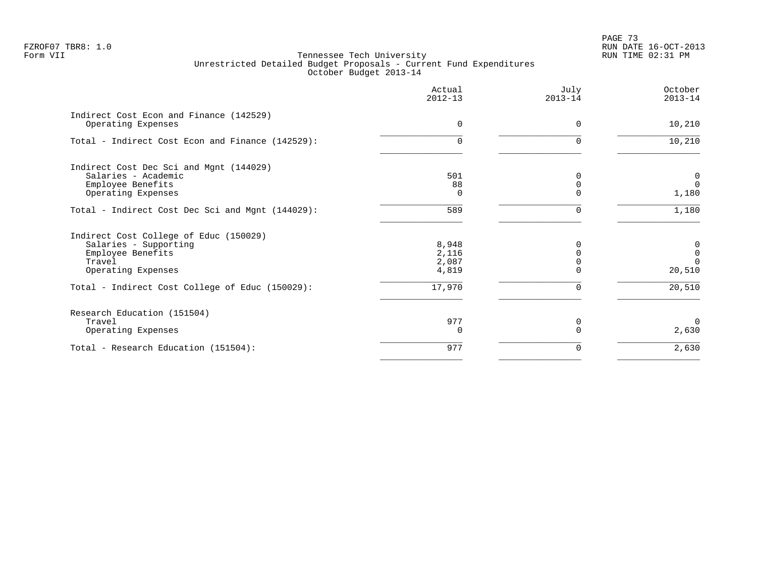PAGE 73 FZROF07 TBR8: 1.0 RUN DATE 16-OCT-2013

|                                                                                                                                                                         | Actual<br>$2012 - 13$                      | July<br>$2013 - 14$ | October<br>$2013 - 14$                           |
|-------------------------------------------------------------------------------------------------------------------------------------------------------------------------|--------------------------------------------|---------------------|--------------------------------------------------|
| Indirect Cost Econ and Finance (142529)<br>Operating Expenses                                                                                                           | $\Omega$                                   | $\Omega$            | 10,210                                           |
| Total - Indirect Cost Econ and Finance (142529):                                                                                                                        | $\Omega$                                   | 0                   | 10,210                                           |
| Indirect Cost Dec Sci and Mgnt (144029)<br>Salaries - Academic<br>Employee Benefits<br>Operating Expenses                                                               | 501<br>88<br>0                             |                     | $\overline{0}$<br>$\Omega$<br>1,180              |
| Total - Indirect Cost Dec Sci and Mgnt (144029):                                                                                                                        | 589                                        | U                   | 1,180                                            |
| Indirect Cost College of Educ (150029)<br>Salaries - Supporting<br>Employee Benefits<br>Travel<br>Operating Expenses<br>Total - Indirect Cost College of Educ (150029): | 8,948<br>2,116<br>2,087<br>4,819<br>17,970 |                     | 0<br>$\mathbf 0$<br>$\Omega$<br>20,510<br>20,510 |
| Research Education (151504)<br>Travel<br>Operating Expenses                                                                                                             | 977<br>$\Omega$                            | 0                   | $\Omega$<br>2,630                                |
| Total - Research Education (151504):                                                                                                                                    | 977                                        | 0                   | 2,630                                            |
|                                                                                                                                                                         |                                            |                     |                                                  |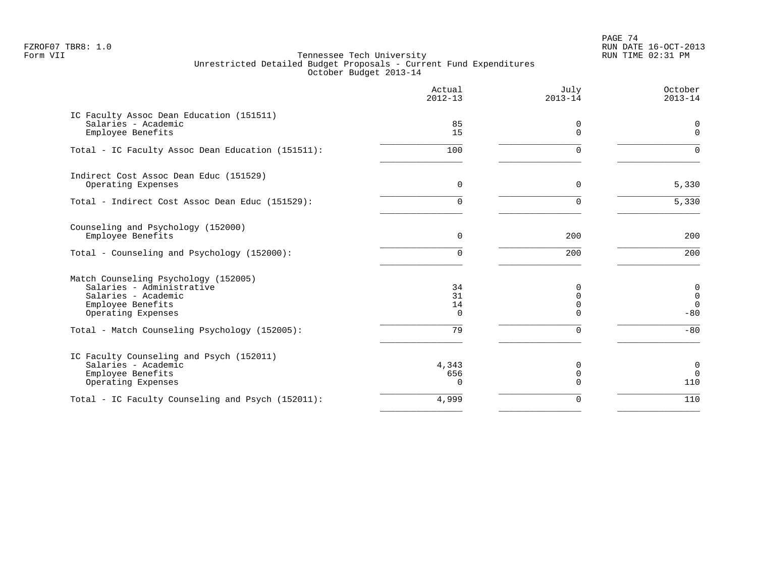PAGE 74 FZROF07 TBR8: 1.0 RUN DATE 16-OCT-2013

|                                                                                                                                     | Actual<br>$2012 - 13$      | July<br>$2013 - 14$                             | October<br>$2013 - 14$                   |
|-------------------------------------------------------------------------------------------------------------------------------------|----------------------------|-------------------------------------------------|------------------------------------------|
| IC Faculty Assoc Dean Education (151511)<br>Salaries - Academic<br>Employee Benefits                                                | 85<br>15                   | 0<br>$\Omega$                                   | 0<br>$\Omega$                            |
| Total - IC Faculty Assoc Dean Education (151511):                                                                                   | 100                        | $\Omega$                                        | $\Omega$                                 |
| Indirect Cost Assoc Dean Educ (151529)<br>Operating Expenses                                                                        | $\Omega$                   | $\Omega$                                        | 5,330                                    |
| Total - Indirect Cost Assoc Dean Educ (151529):                                                                                     | 0                          | $\Omega$                                        | 5,330                                    |
| Counseling and Psychology (152000)<br>Employee Benefits<br>Total - Counseling and Psychology (152000):                              | $\Omega$<br>0              | 200<br>200                                      | 200<br>200                               |
| Match Counseling Psychology (152005)<br>Salaries - Administrative<br>Salaries - Academic<br>Employee Benefits<br>Operating Expenses | 34<br>31<br>14<br>$\Omega$ | $\Omega$<br>$\Omega$<br>$\mathbf 0$<br>$\Omega$ | 0<br>$\mathsf 0$<br>$\mathbf 0$<br>$-80$ |
| Total - Match Counseling Psychology (152005):                                                                                       | 79                         | $\Omega$                                        | $-80$                                    |
| IC Faculty Counseling and Psych (152011)<br>Salaries - Academic<br>Employee Benefits<br>Operating Expenses                          | 4,343<br>656<br>$\Omega$   | 0<br>$\mathbf 0$<br>$\Omega$                    | 0<br>$\mathbf 0$<br>110                  |
| Total - IC Faculty Counseling and Psych (152011):                                                                                   | 4,999                      | $\mathbf 0$                                     | 110                                      |
|                                                                                                                                     |                            |                                                 |                                          |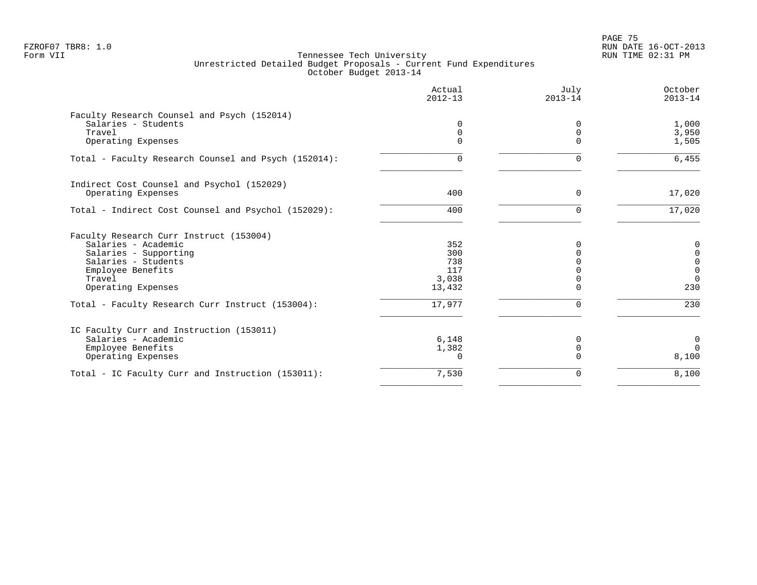en and the set of the set of the set of the set of the set of the set of the set of the set of the set of the set of the set of the set of the set of the set of the set of the set of the set of the set of the set of the se FZROF07 TBR8: 1.0 RUN DATE 16-OCT-2013

|                                                      | Actual<br>$2012 - 13$ | July<br>$2013 - 14$ | October<br>$2013 - 14$ |
|------------------------------------------------------|-----------------------|---------------------|------------------------|
| Faculty Research Counsel and Psych (152014)          |                       |                     |                        |
| Salaries - Students                                  | 0                     | $\Omega$            | 1,000                  |
| Travel                                               | $\mathbf 0$           | $\mathbf 0$         | 3,950                  |
| Operating Expenses                                   | $\Omega$              | $\Omega$            | 1,505                  |
| Total - Faculty Research Counsel and Psych (152014): | 0                     | $\Omega$            | 6,455                  |
| Indirect Cost Counsel and Psychol (152029)           |                       |                     |                        |
| Operating Expenses                                   | 400                   | 0                   | 17,020                 |
| Total - Indirect Cost Counsel and Psychol (152029):  | 400                   | $\Omega$            | 17,020                 |
| Faculty Research Curr Instruct (153004)              |                       |                     |                        |
| Salaries - Academic                                  | 352                   | $\Omega$            | 0                      |
| Salaries - Supporting                                | 300                   |                     | $\mathbf 0$            |
| Salaries - Students                                  | 738                   |                     | $\mathbf 0$            |
| Employee Benefits                                    | 117                   |                     | $\mathbf{0}$           |
| Travel                                               | 3,038                 | $\Omega$            | $\Omega$               |
| Operating Expenses                                   | 13,432                | $\Omega$            | 230                    |
| Total - Faculty Research Curr Instruct (153004):     | 17,977                | $\Omega$            | 230                    |
| IC Faculty Curr and Instruction (153011)             |                       |                     |                        |
| Salaries - Academic                                  | 6,148                 |                     | 0                      |
| Employee Benefits                                    | 1,382                 | $\mathbf 0$         | $\Omega$               |
| Operating Expenses                                   | 0                     |                     | 8,100                  |
| Total - IC Faculty Curr and Instruction (153011):    | 7,530                 | 0                   | 8,100                  |
|                                                      |                       |                     |                        |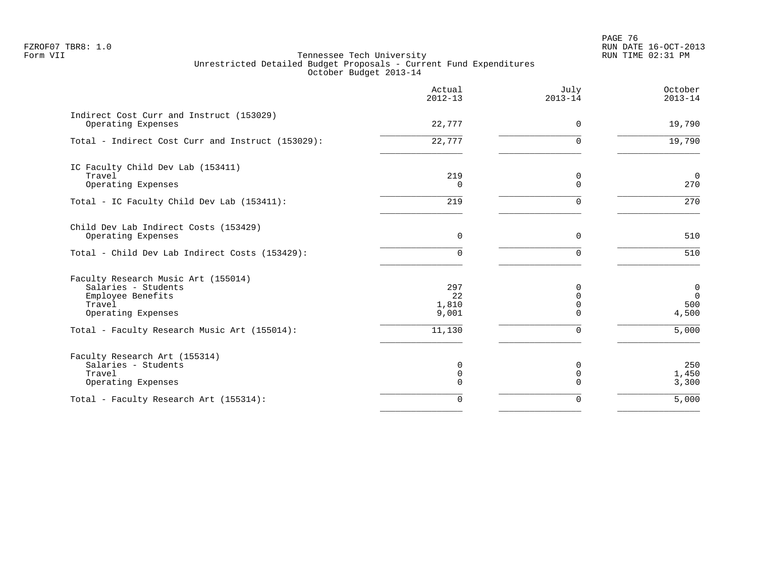en and the set of the set of the set of the set of the set of the set of the set of the set of the set of the set of the set of the set of the set of the set of the set of the set of the set of the set of the set of the se FZROF07 TBR8: 1.0 RUN DATE 16-OCT-2013

|                                                                                                                 | Actual<br>$2012 - 13$       | July<br>$2013 - 14$            | October<br>$2013 - 14$                        |
|-----------------------------------------------------------------------------------------------------------------|-----------------------------|--------------------------------|-----------------------------------------------|
| Indirect Cost Curr and Instruct (153029)<br>Operating Expenses                                                  | 22,777                      | $\Omega$                       | 19,790                                        |
| Total - Indirect Cost Curr and Instruct (153029):                                                               | 22,777                      | $\Omega$                       | 19,790                                        |
| IC Faculty Child Dev Lab (153411)<br>Travel<br>Operating Expenses                                               | 219<br>$\Omega$             | 0<br>$\Omega$                  | $\mathbf 0$<br>270                            |
| Total - IC Faculty Child Dev Lab (153411):                                                                      | 219                         | $\Omega$                       | 270                                           |
| Child Dev Lab Indirect Costs (153429)<br>Operating Expenses                                                     | $\Omega$                    | $\Omega$                       | 510                                           |
| Total - Child Dev Lab Indirect Costs (153429):                                                                  | $\Omega$                    | $\Omega$                       | 510                                           |
| Faculty Research Music Art (155014)<br>Salaries - Students<br>Employee Benefits<br>Travel<br>Operating Expenses | 297<br>22<br>1,810<br>9,001 | 0<br>$\Omega$<br>$\Omega$<br>∩ | $\mathsf 0$<br>$\overline{0}$<br>500<br>4,500 |
| Total - Faculty Research Music Art (155014):                                                                    | 11,130                      | $\Omega$                       | 5,000                                         |
| Faculty Research Art (155314)<br>Salaries - Students<br>Travel<br>Operating Expenses                            | 0<br>0<br>$\Omega$          | $\Omega$<br>0<br>$\Omega$      | 250<br>1,450<br>3,300                         |
| Total - Faculty Research Art (155314):                                                                          | $\Omega$                    | 0                              | 5,000                                         |
|                                                                                                                 |                             |                                |                                               |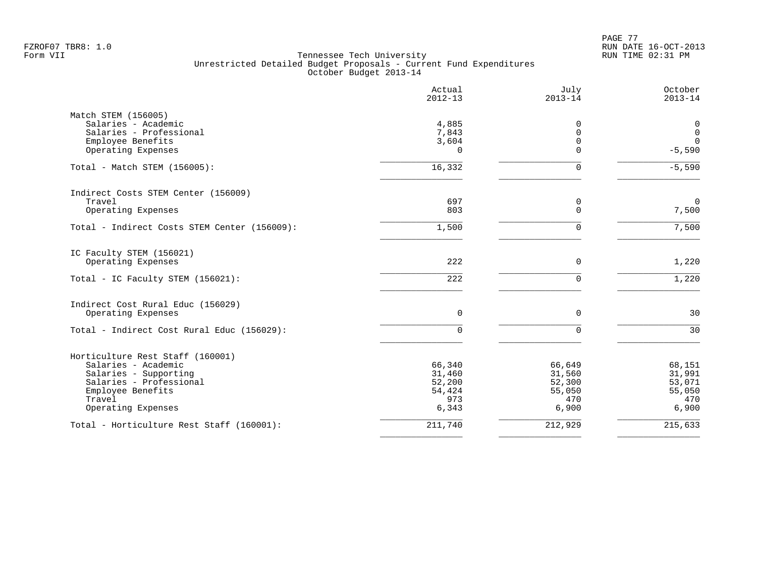PAGE 77 FZROF07 TBR8: 1.0 RUN DATE 16-OCT-2013

|                                              | Actual<br>$2012 - 13$ | July<br>$2013 - 14$ | October<br>$2013 - 14$ |
|----------------------------------------------|-----------------------|---------------------|------------------------|
| Match STEM (156005)                          |                       |                     |                        |
| Salaries - Academic                          | 4,885                 | 0                   | 0                      |
| Salaries - Professional                      | 7,843                 | $\overline{0}$      | $\mathbf 0$            |
| Employee Benefits                            | 3,604                 | $\mathbf 0$         | $\Omega$               |
| Operating Expenses                           | $\Omega$              | $\Omega$            | $-5,590$               |
| Total - Match STEM (156005):                 | 16,332                | $\mathbf 0$         | $-5,590$               |
| Indirect Costs STEM Center (156009)          |                       |                     |                        |
| Travel                                       | 697                   | 0                   | $\mathbf 0$            |
| Operating Expenses                           | 803                   | $\mathbf 0$         | 7,500                  |
| Total - Indirect Costs STEM Center (156009): | 1,500                 | $\Omega$            | 7,500                  |
| IC Faculty STEM (156021)                     |                       |                     |                        |
| Operating Expenses                           | 222                   | $\mathbf 0$         | 1,220                  |
| Total - IC Faculty STEM (156021):            | 222                   | $\Omega$            | 1,220                  |
| Indirect Cost Rural Educ (156029)            |                       |                     |                        |
| Operating Expenses                           | 0                     | $\mathbf 0$         | 30                     |
| Total - Indirect Cost Rural Educ (156029):   | $\Omega$              | $\Omega$            | 30                     |
| Horticulture Rest Staff (160001)             |                       |                     |                        |
| Salaries - Academic                          | 66,340                | 66,649              | 68,151                 |
| Salaries - Supporting                        | 31,460                | 31,560              | 31,991                 |
| Salaries - Professional                      | 52,200                | 52,300              | 53,071                 |
| Employee Benefits                            | 54,424                | 55,050              | 55,050                 |
| Travel                                       | 973                   | 470                 | 470                    |
| Operating Expenses                           | 6,343                 | 6,900               | 6,900                  |
| Total - Horticulture Rest Staff (160001):    | 211,740               | 212,929             | 215,633                |
|                                              |                       |                     |                        |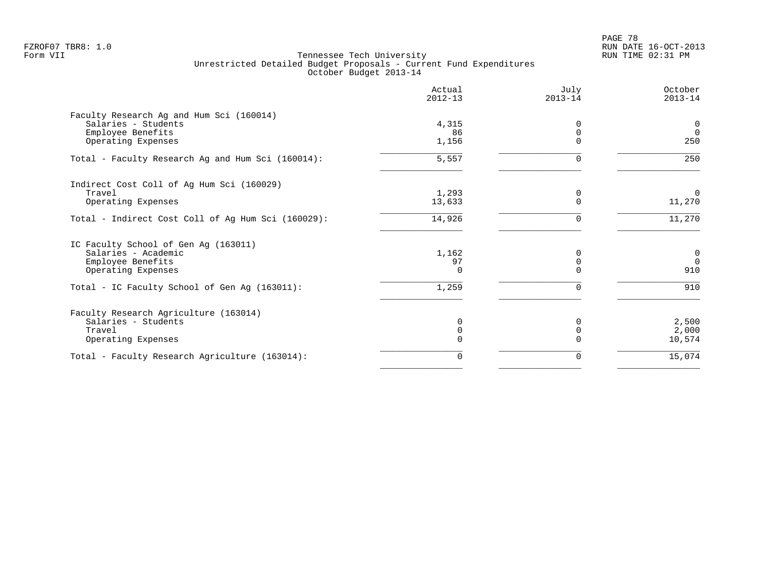PAGE 78 FZROF07 TBR8: 1.0 RUN DATE 16-OCT-2013

|                                                    | Actual<br>$2012 - 13$ | July<br>$2013 - 14$ | October<br>$2013 - 14$ |
|----------------------------------------------------|-----------------------|---------------------|------------------------|
| Faculty Research Ag and Hum Sci (160014)           |                       |                     |                        |
| Salaries - Students                                | 4,315                 | <sup>0</sup>        | 0                      |
| Employee Benefits                                  | 86                    | $\Omega$            | $\Omega$               |
| Operating Expenses                                 | 1,156                 | $\Omega$            | 250                    |
| Total - Faculty Research Ag and Hum Sci (160014):  | 5,557                 | 0                   | 250                    |
| Indirect Cost Coll of Ag Hum Sci (160029)          |                       |                     |                        |
| Travel                                             | 1,293                 | 0                   | $\mathbf 0$            |
| Operating Expenses                                 | 13,633                | $\Omega$            | 11,270                 |
| Total - Indirect Cost Coll of Ag Hum Sci (160029): | 14,926                | 0                   | 11,270                 |
| IC Faculty School of Gen Ag (163011)               |                       |                     |                        |
| Salaries - Academic                                | 1,162                 | ∩                   | $\mathbf 0$            |
| Employee Benefits                                  | 97                    | 0                   | $\overline{0}$         |
| Operating Expenses                                 | $\Omega$              | $\cap$              | 910                    |
| Total - IC Faculty School of Gen Ag (163011):      | 1,259                 | 0                   | 910                    |
| Faculty Research Agriculture (163014)              |                       |                     |                        |
| Salaries - Students                                | 0                     | <sup>0</sup>        | 2,500                  |
| Travel                                             | 0                     | $\Omega$            | 2,000                  |
| Operating Expenses                                 | $\Omega$              |                     | 10,574                 |
| Total - Faculty Research Agriculture (163014):     | 0                     | 0                   | 15,074                 |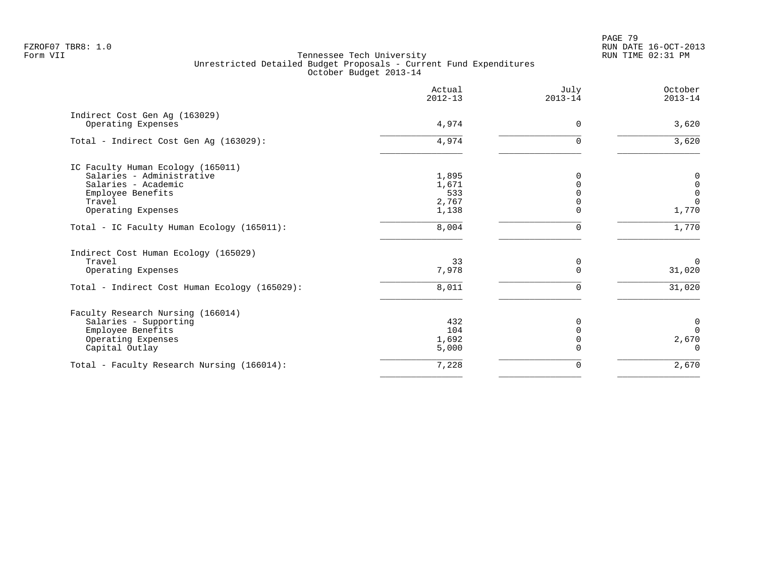PAGE 79 FZROF07 TBR8: 1.0 RUN DATE 16-OCT-2013

|                                                     | Actual<br>$2012 - 13$ | July<br>$2013 - 14$ | October<br>$2013 - 14$ |
|-----------------------------------------------------|-----------------------|---------------------|------------------------|
| Indirect Cost Gen Aq (163029)<br>Operating Expenses | 4,974                 | $\Omega$            | 3,620                  |
|                                                     |                       |                     |                        |
| Total - Indirect Cost Gen Ag (163029):              | 4,974                 | $\Omega$            | 3,620                  |
| IC Faculty Human Ecology (165011)                   |                       |                     |                        |
| Salaries - Administrative                           | 1,895                 | 0                   | 0                      |
| Salaries - Academic                                 | 1,671                 |                     | $\mathbf 0$            |
| Employee Benefits                                   | 533                   |                     | $\mathbf 0$            |
| Travel                                              | 2,767                 |                     | $\Omega$               |
| Operating Expenses                                  | 1,138                 | $\Omega$            | 1,770                  |
| Total - IC Faculty Human Ecology (165011):          | 8,004                 | U                   | 1,770                  |
| Indirect Cost Human Ecology (165029)                |                       |                     |                        |
| Travel                                              | 33                    | 0                   | $\Omega$               |
| Operating Expenses                                  | 7,978                 | $\Omega$            | 31,020                 |
| Total - Indirect Cost Human Ecology (165029):       | 8,011                 | $\Omega$            | 31,020                 |
| Faculty Research Nursing (166014)                   |                       |                     |                        |
| Salaries - Supporting                               | 432                   | U                   | $\mathbf 0$            |
| Employee Benefits                                   | 104                   |                     | $\Omega$               |
| Operating Expenses                                  | 1,692                 |                     | 2,670                  |
| Capital Outlay                                      | 5,000                 |                     | $\Omega$               |
| Total - Faculty Research Nursing (166014):          | 7,228                 | 0                   | 2,670                  |
|                                                     |                       |                     |                        |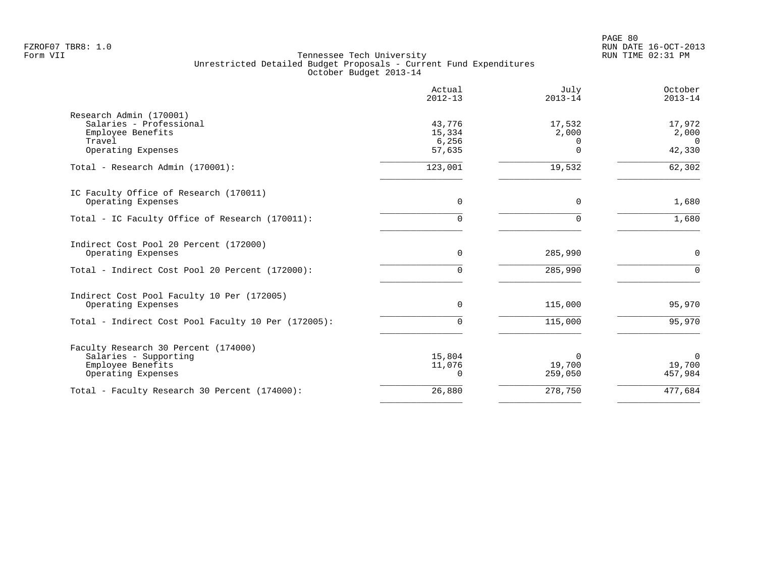|                                                              | Actual<br>$2012 - 13$ | July<br>$2013 - 14$ | October<br>$2013 - 14$ |
|--------------------------------------------------------------|-----------------------|---------------------|------------------------|
| Research Admin (170001)                                      |                       |                     |                        |
| Salaries - Professional<br>Employee Benefits                 | 43,776<br>15,334      | 17,532<br>2,000     | 17,972<br>2,000        |
| Travel                                                       | 6,256                 | $\Omega$            | $\Omega$               |
| Operating Expenses                                           | 57,635                | $\Omega$            | 42,330                 |
| Total - Research Admin (170001):                             | 123,001               | 19,532              | 62,302                 |
| IC Faculty Office of Research (170011)                       |                       |                     |                        |
| Operating Expenses                                           | $\mathbf 0$           | $\mathbf 0$         | 1,680                  |
| Total - IC Faculty Office of Research (170011):              | $\Omega$              | $\Omega$            | 1,680                  |
| Indirect Cost Pool 20 Percent (172000)<br>Operating Expenses | $\mathbf 0$           | 285,990             | 0                      |
|                                                              |                       |                     |                        |
| Total - Indirect Cost Pool 20 Percent (172000):              | 0                     | 285,990             | $\Omega$               |
| Indirect Cost Pool Faculty 10 Per (172005)                   |                       |                     |                        |
| Operating Expenses                                           | $\mathbf 0$           | 115,000             | 95,970                 |
| Total - Indirect Cost Pool Faculty 10 Per (172005):          | $\Omega$              | 115,000             | 95,970                 |
| Faculty Research 30 Percent (174000)                         |                       |                     |                        |
| Salaries - Supporting                                        | 15,804                | $\Omega$            | $\Omega$               |
| Employee Benefits                                            | 11,076                | 19,700              | 19,700                 |
| Operating Expenses                                           | $\Omega$              | 259,050             | 457,984                |
| Total - Faculty Research 30 Percent (174000):                | 26,880                | 278,750             | 477,684                |
|                                                              |                       |                     |                        |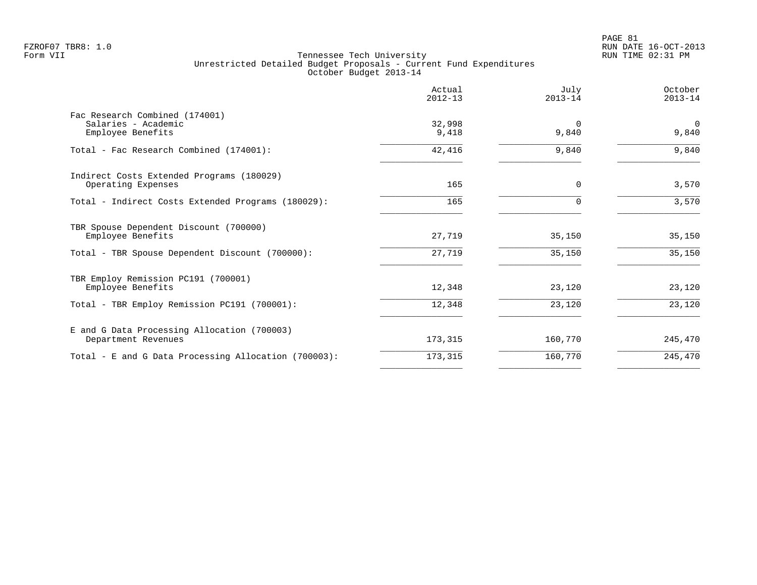|                                                                            | Actual<br>$2012 - 13$ | July<br>$2013 - 14$ | October<br>$2013 - 14$ |
|----------------------------------------------------------------------------|-----------------------|---------------------|------------------------|
| Fac Research Combined (174001)<br>Salaries - Academic<br>Employee Benefits | 32,998<br>9,418       | $\Omega$<br>9,840   | $\Omega$<br>9,840      |
| Total - Fac Research Combined (174001):                                    | 42,416                | 9,840               | 9,840                  |
| Indirect Costs Extended Programs (180029)<br>Operating Expenses            | 165                   | $\Omega$            | 3,570                  |
| Total - Indirect Costs Extended Programs (180029):                         | 165                   |                     | 3,570                  |
| TBR Spouse Dependent Discount (700000)<br>Employee Benefits                | 27,719                | 35,150              | 35,150                 |
| Total - TBR Spouse Dependent Discount (700000):                            | 27,719                | 35,150              | 35,150                 |
| TBR Employ Remission PC191 (700001)<br>Employee Benefits                   | 12,348                | 23,120              | 23,120                 |
| Total - TBR Employ Remission PC191 (700001):                               | 12,348                | 23,120              | 23,120                 |
| E and G Data Processing Allocation (700003)<br>Department Revenues         | 173,315               | 160,770             | 245,470                |
| Total - E and G Data Processing Allocation (700003):                       | 173,315               | 160,770             | 245,470                |
|                                                                            |                       |                     |                        |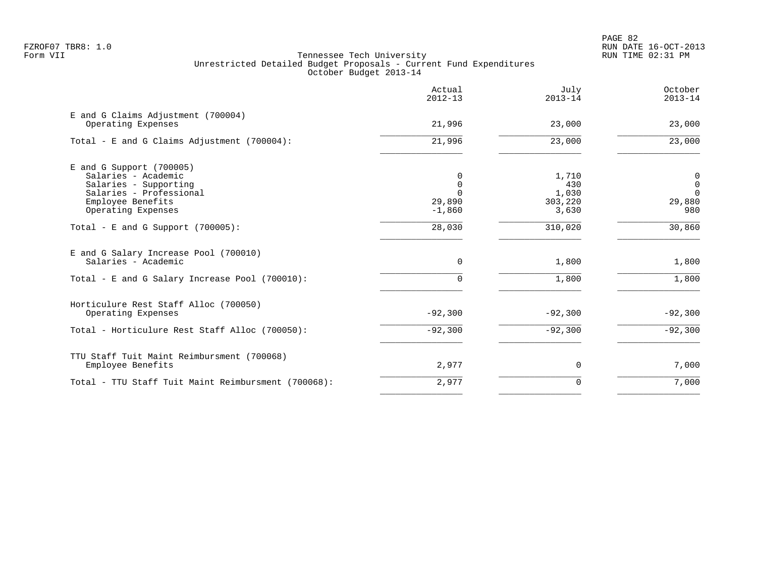|                                                                                                                                                  | Actual<br>$2012 - 13$                      | July<br>$2013 - 14$                       | October<br>$2013 - 14$                           |
|--------------------------------------------------------------------------------------------------------------------------------------------------|--------------------------------------------|-------------------------------------------|--------------------------------------------------|
| E and G Claims Adjustment (700004)<br>Operating Expenses                                                                                         | 21,996                                     | 23,000                                    | 23,000                                           |
| Total - E and G Claims Adjustment $(700004)$ :                                                                                                   | 21,996                                     | 23,000                                    | 23,000                                           |
| $E$ and G Support (700005)<br>Salaries - Academic<br>Salaries - Supporting<br>Salaries - Professional<br>Employee Benefits<br>Operating Expenses | $\Omega$<br>$\Omega$<br>29,890<br>$-1,860$ | 1,710<br>430<br>1,030<br>303,220<br>3,630 | 0<br>$\mathbf 0$<br>$\mathbf 0$<br>29,880<br>980 |
| Total - E and G Support $(700005)$ :                                                                                                             | 28,030                                     | 310,020                                   | 30,860                                           |
| E and G Salary Increase Pool (700010)<br>Salaries - Academic                                                                                     | 0                                          | 1,800                                     | 1,800                                            |
| Total - E and G Salary Increase Pool (700010):                                                                                                   | $\Omega$                                   | 1,800                                     | 1,800                                            |
| Horticulure Rest Staff Alloc (700050)<br>Operating Expenses                                                                                      | $-92,300$                                  | $-92,300$                                 | $-92,300$                                        |
| Total - Horticulure Rest Staff Alloc (700050):                                                                                                   | $-92,300$                                  | $-92,300$                                 | $-92,300$                                        |
| TTU Staff Tuit Maint Reimbursment (700068)<br>Employee Benefits                                                                                  | 2,977                                      | $\Omega$                                  | 7,000                                            |
| Total - TTU Staff Tuit Maint Reimbursment (700068):                                                                                              | 2,977                                      | $\Omega$                                  | 7,000                                            |
|                                                                                                                                                  |                                            |                                           |                                                  |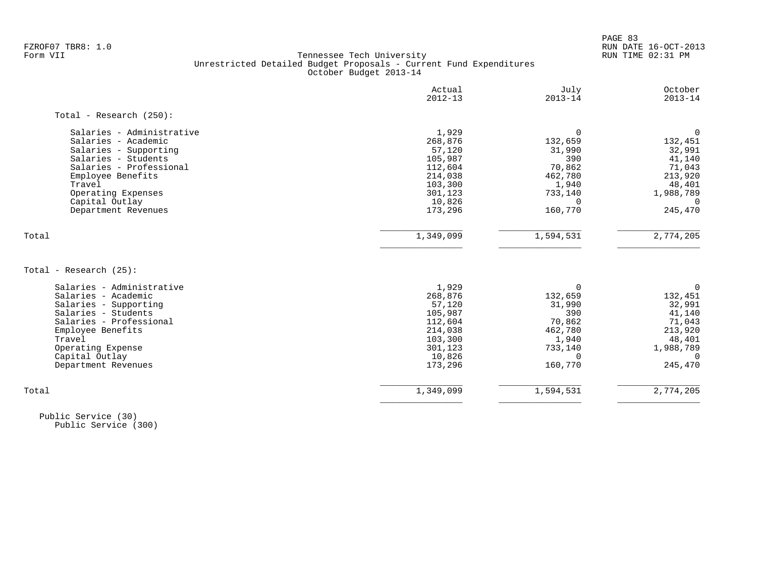PAGE 83 FZROF07 TBR8: 1.0 RUN DATE 16-OCT-2013

### Form VII Tennessee Tech University RUN TIME 02:31 PM Unrestricted Detailed Budget Proposals - Current Fund Expenditures October Budget 2013-14

|                            | Actual<br>$2012 - 13$ | July<br>$2013 - 14$ | October<br>$2013 - 14$ |
|----------------------------|-----------------------|---------------------|------------------------|
| Total - Research $(250)$ : |                       |                     |                        |
| Salaries - Administrative  | 1,929                 | $\Omega$            | 0                      |
| Salaries - Academic        | 268,876               | 132,659             | 132,451                |
| Salaries - Supporting      | 57,120                | 31,990              | 32,991                 |
| Salaries - Students        | 105,987               | 390                 | 41,140                 |
| Salaries - Professional    | 112,604               | 70,862              | 71,043                 |
| Employee Benefits          | 214,038               | 462,780             | 213,920                |
| Travel                     | 103,300               | 1,940               | 48,401                 |
| Operating Expenses         | 301,123               | 733,140             | 1,988,789              |
| Capital Outlay             | 10,826                | $\Omega$            | $\Omega$               |
| Department Revenues        | 173,296               | 160,770             | 245,470                |
| Total                      | 1,349,099             | 1,594,531           | 2,774,205              |
|                            |                       |                     |                        |
| Total - Research (25):     |                       |                     |                        |
| Salaries - Administrative  | 1,929                 | $\Omega$            | 0                      |
| Salaries - Academic        | 268,876               | 132,659             | 132,451                |
| Salaries - Supporting      | 57,120                | 31,990              | 32,991                 |
| Salaries - Students        | 105,987               | 390                 | 41,140                 |
| Salaries - Professional    | 112,604               | 70,862              | 71,043                 |
| Employee Benefits          | 214,038               | 462,780             | 213,920                |
| Travel                     | 103,300               | 1,940               | 48,401                 |
| Operating Expense          | 301,123               | 733,140             | 1,988,789              |
| Capital Outlay             | 10,826                | $\Omega$            | $\Omega$               |
| Department Revenues        | 173,296               | 160,770             | 245,470                |
|                            |                       |                     |                        |

 Public Service (30) Public Service (300)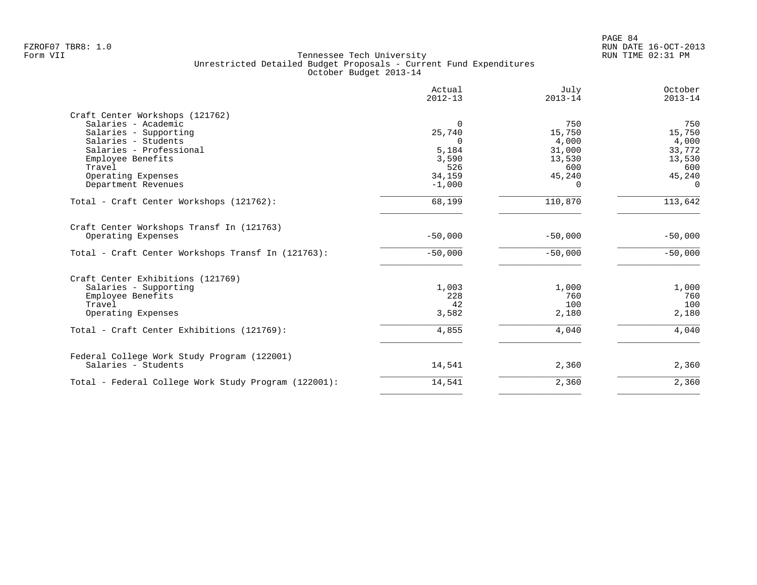|                                                                 | Actual<br>$2012 - 13$ | July<br>$2013 - 14$ | October<br>$2013 - 14$ |
|-----------------------------------------------------------------|-----------------------|---------------------|------------------------|
| Craft Center Workshops (121762)                                 |                       |                     |                        |
| Salaries - Academic                                             | $\Omega$              | 750                 | 750                    |
| Salaries - Supporting                                           | 25,740                | 15,750              | 15,750                 |
| Salaries - Students                                             | $\Omega$              | 4,000               | 4,000                  |
| Salaries - Professional                                         | 5,184                 | 31,000              | 33,772                 |
| Employee Benefits                                               | 3,590                 | 13,530              | 13,530                 |
| Travel                                                          | 526                   | 600                 | 600                    |
| Operating Expenses                                              | 34,159                | 45,240              | 45,240                 |
| Department Revenues                                             | $-1,000$              | 0                   | $\Omega$               |
| Total - Craft Center Workshops (121762):                        | 68,199                | 110,870             | 113,642                |
| Craft Center Workshops Transf In (121763)<br>Operating Expenses | $-50,000$             | $-50,000$           | $-50,000$              |
| Total - Craft Center Workshops Transf In (121763):              | $-50,000$             | $-50,000$           | $-50,000$              |
| Craft Center Exhibitions (121769)                               |                       |                     |                        |
| Salaries - Supporting                                           | 1,003                 | 1,000               | 1,000                  |
|                                                                 | 228                   | 760                 | 760                    |
| Employee Benefits                                               | 42                    | 100                 | 100                    |
| Travel<br>Operating Expenses                                    | 3,582                 | 2,180               | 2,180                  |
|                                                                 |                       |                     |                        |
| Total - Craft Center Exhibitions (121769):                      | 4,855                 | 4,040               | 4,040                  |
| Federal College Work Study Program (122001)                     |                       |                     |                        |
| Salaries - Students                                             | 14,541                | 2,360               | 2,360                  |
| Total - Federal College Work Study Program (122001):            | 14,541                | 2,360               | 2,360                  |
|                                                                 |                       |                     |                        |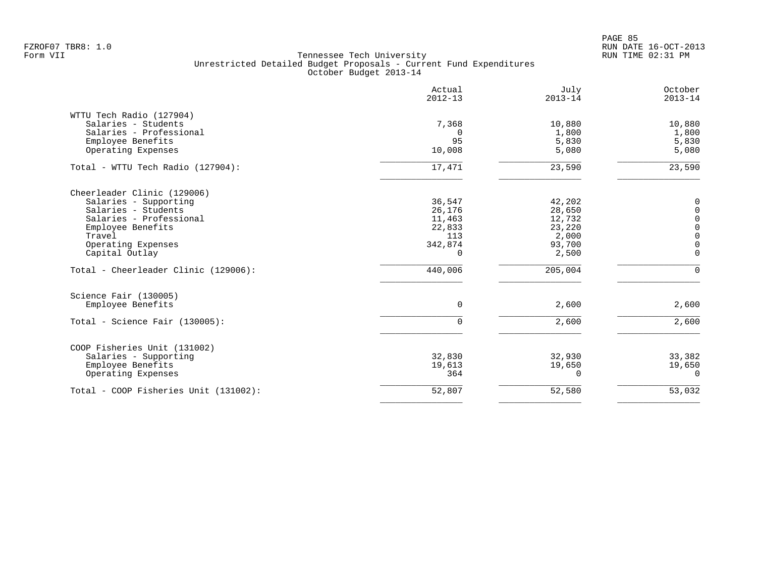PAGE 85 FZROF07 TBR8: 1.0 RUN DATE 16-OCT-2013

|                                                                                                                                                                               | Actual<br>$2012 - 13$                                       | July<br>$2013 - 14$                                              | October<br>$2013 - 14$                                                                               |
|-------------------------------------------------------------------------------------------------------------------------------------------------------------------------------|-------------------------------------------------------------|------------------------------------------------------------------|------------------------------------------------------------------------------------------------------|
| WTTU Tech Radio (127904)<br>Salaries - Students<br>Salaries - Professional<br>Employee Benefits<br>Operating Expenses                                                         | 7,368<br>$\Omega$<br>95<br>10,008                           | 10,880<br>1,800<br>5,830<br>5,080                                | 10,880<br>1,800<br>5,830<br>5,080                                                                    |
| Total - WTTU Tech Radio (127904):                                                                                                                                             | 17,471                                                      | 23,590                                                           | 23,590                                                                                               |
| Cheerleader Clinic (129006)<br>Salaries - Supporting<br>Salaries - Students<br>Salaries - Professional<br>Employee Benefits<br>Travel<br>Operating Expenses<br>Capital Outlay | 36,547<br>26,176<br>11,463<br>22,833<br>113<br>342,874<br>0 | 42,202<br>28,650<br>12,732<br>23,220<br>2,000<br>93,700<br>2,500 | 0<br>$\mathbf 0$<br>$\mathsf{O}$<br>$\mathsf{O}\xspace$<br>$\mathbf 0$<br>$\mathbf 0$<br>$\mathbf 0$ |
| Total - Cheerleader Clinic (129006):                                                                                                                                          | 440,006                                                     | 205,004                                                          | $\mathbf 0$                                                                                          |
| Science Fair (130005)<br>Employee Benefits<br>Total - Science Fair (130005):                                                                                                  | $\mathbf 0$<br>$\Omega$                                     | 2,600<br>2,600                                                   | 2,600<br>2,600                                                                                       |
|                                                                                                                                                                               |                                                             |                                                                  |                                                                                                      |
| COOP Fisheries Unit (131002)<br>Salaries - Supporting<br>Employee Benefits<br>Operating Expenses                                                                              | 32,830<br>19,613<br>364                                     | 32,930<br>19,650<br>0                                            | 33,382<br>19,650<br>0                                                                                |
| Total - COOP Fisheries Unit (131002):                                                                                                                                         | 52,807                                                      | 52,580                                                           | 53,032                                                                                               |
|                                                                                                                                                                               |                                                             |                                                                  |                                                                                                      |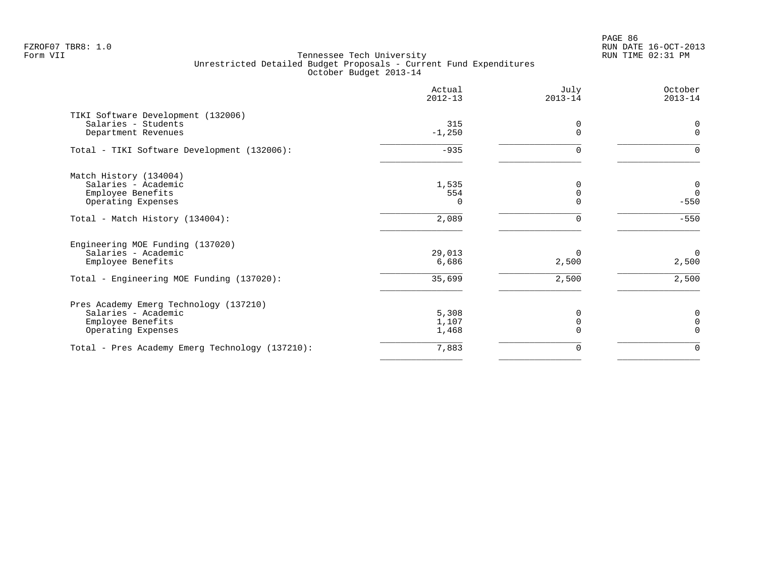PAGE 86 FZROF07 TBR8: 1.0 RUN DATE 16-OCT-2013

|                                                 | Actual<br>$2012 - 13$ | July<br>$2013 - 14$ | October<br>$2013 - 14$ |
|-------------------------------------------------|-----------------------|---------------------|------------------------|
| TIKI Software Development (132006)              |                       |                     |                        |
| Salaries - Students<br>Department Revenues      | 315<br>$-1,250$       | 0                   | 0<br>$\Omega$          |
| Total - TIKI Software Development (132006):     | $-935$                | $\Omega$            | $\Omega$               |
| Match History (134004)                          |                       |                     |                        |
| Salaries - Academic                             | 1,535                 |                     | $\mathbf 0$            |
| Employee Benefits                               | 554                   |                     | $\overline{0}$         |
| Operating Expenses                              | $\Omega$              |                     | $-550$                 |
| Total - Match History (134004):                 | 2,089                 | U                   | $-550$                 |
| Engineering MOE Funding (137020)                |                       |                     |                        |
| Salaries - Academic                             | 29,013                | $\Omega$            | $\mathbf 0$            |
| Employee Benefits                               | 6,686                 | 2,500               | 2,500                  |
| Total - Engineering MOE Funding (137020):       | 35,699                | 2,500               | $\overline{2}$ , 500   |
| Pres Academy Emerg Technology (137210)          |                       |                     |                        |
| Salaries - Academic                             | 5,308                 |                     | 0                      |
| Employee Benefits                               | 1,107                 |                     | $\mathbf 0$            |
| Operating Expenses                              | 1,468                 |                     | $\Omega$               |
| Total - Pres Academy Emerg Technology (137210): | 7,883                 | 0                   | $\Omega$               |
|                                                 |                       |                     |                        |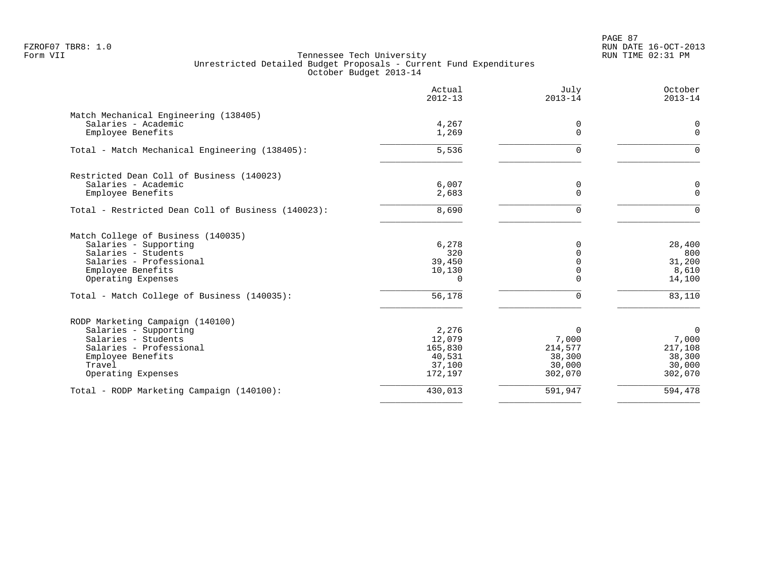PAGE 87 FZROF07 TBR8: 1.0 RUN DATE 16-OCT-2013

|                                                    | Actual<br>$2012 - 13$ | July<br>$2013 - 14$ | October<br>$2013 - 14$ |
|----------------------------------------------------|-----------------------|---------------------|------------------------|
| Match Mechanical Engineering (138405)              |                       |                     |                        |
| Salaries - Academic                                | 4,267                 | 0                   | 0                      |
| Employee Benefits                                  | 1,269                 | $\Omega$            | $\mathbf 0$            |
| Total - Match Mechanical Engineering (138405):     | 5,536                 | O                   | $\Omega$               |
| Restricted Dean Coll of Business (140023)          |                       |                     |                        |
| Salaries - Academic                                | 6,007                 | 0                   | 0                      |
| Employee Benefits                                  | 2,683                 | $\Omega$            | $\mathbf 0$            |
| Total - Restricted Dean Coll of Business (140023): | 8,690                 | $\Omega$            | $\Omega$               |
| Match College of Business (140035)                 |                       |                     |                        |
| Salaries - Supporting                              | 6,278                 | $\Omega$            | 28,400                 |
| Salaries - Students                                | 320                   |                     | 800                    |
| Salaries - Professional<br>Employee Benefits       | 39,450<br>10,130      |                     | 31,200<br>8,610        |
| Operating Expenses                                 | $\Omega$              |                     | 14,100                 |
| Total - Match College of Business (140035):        | 56,178                | 0                   | 83,110                 |
| RODP Marketing Campaign (140100)                   |                       |                     |                        |
| Salaries - Supporting                              | 2,276                 | $\Omega$            | $\overline{0}$         |
| Salaries - Students                                | 12,079                | 7,000               | 7,000                  |
| Salaries - Professional                            | 165,830               | 214,577             | 217,108                |
| Employee Benefits                                  | 40,531                | 38,300              | 38,300                 |
| Travel                                             | 37,100                | 30,000              | 30,000                 |
| Operating Expenses                                 | 172,197               | 302,070             | 302,070                |
| Total - RODP Marketing Campaign (140100):          | 430,013               | 591,947             | 594,478                |
|                                                    |                       |                     |                        |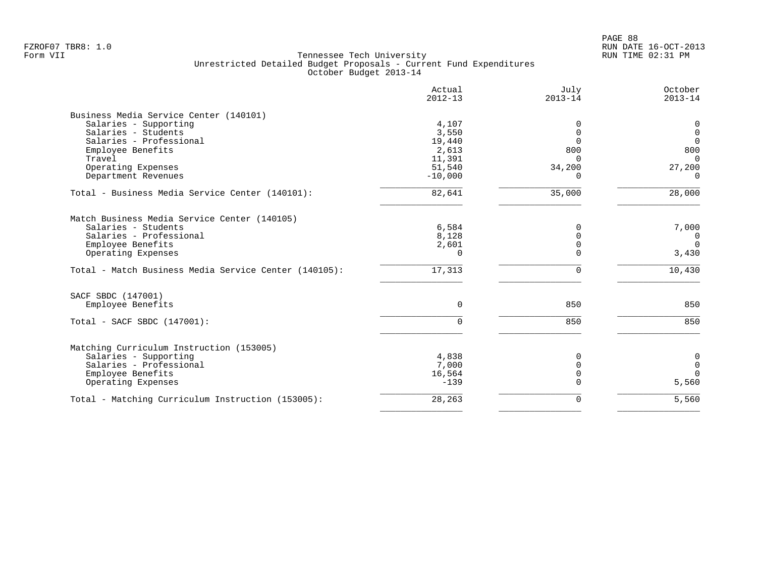|                                                       | Actual<br>$2012 - 13$ | July<br>$2013 - 14$ | October<br>$2013 - 14$ |
|-------------------------------------------------------|-----------------------|---------------------|------------------------|
| Business Media Service Center (140101)                |                       |                     |                        |
| Salaries - Supporting                                 | 4,107                 | 0                   | $\mathbf 0$            |
| Salaries - Students                                   | 3,550                 | $\Omega$            | $\overline{0}$         |
| Salaries - Professional                               | 19,440                | $\Omega$            | $\Omega$               |
| Employee Benefits                                     | 2,613                 | 800                 | 800                    |
| Travel                                                | 11,391                | $\Omega$            | $\Omega$               |
| Operating Expenses                                    | 51,540                | 34,200              | 27,200                 |
| Department Revenues                                   | $-10,000$             | <sup>n</sup>        | $\Omega$               |
| Total - Business Media Service Center (140101):       | 82,641                | 35,000              | 28,000                 |
| Match Business Media Service Center (140105)          |                       |                     |                        |
| Salaries - Students                                   | 6,584                 | $\Omega$            | 7,000                  |
| Salaries - Professional                               | 8,128                 | $\Omega$            | $\overline{0}$         |
| Employee Benefits                                     | 2,601                 | $\Omega$            | $\Omega$               |
| Operating Expenses                                    | $\cap$                | $\Omega$            | 3,430                  |
|                                                       |                       |                     |                        |
| Total - Match Business Media Service Center (140105): | 17,313                | $\Omega$            | 10,430                 |
| SACF SBDC (147001)                                    |                       |                     |                        |
| Employee Benefits                                     | $\Omega$              | 850                 | 850                    |
|                                                       |                       |                     |                        |
| Total - SACF SBDC (147001):                           | $\cap$                | 850                 | 850                    |
| Matching Curriculum Instruction (153005)              |                       |                     |                        |
| Salaries - Supporting                                 | 4,838                 | 0                   | 0                      |
| Salaries - Professional                               | 7,000                 | O                   | $\overline{0}$         |
| Employee Benefits                                     | 16,564                | $\Omega$            | $\Omega$               |
| Operating Expenses                                    | $-139$                | U                   | 5,560                  |
| Total - Matching Curriculum Instruction (153005):     | 28,263                | 0                   | 5,560                  |
|                                                       |                       |                     |                        |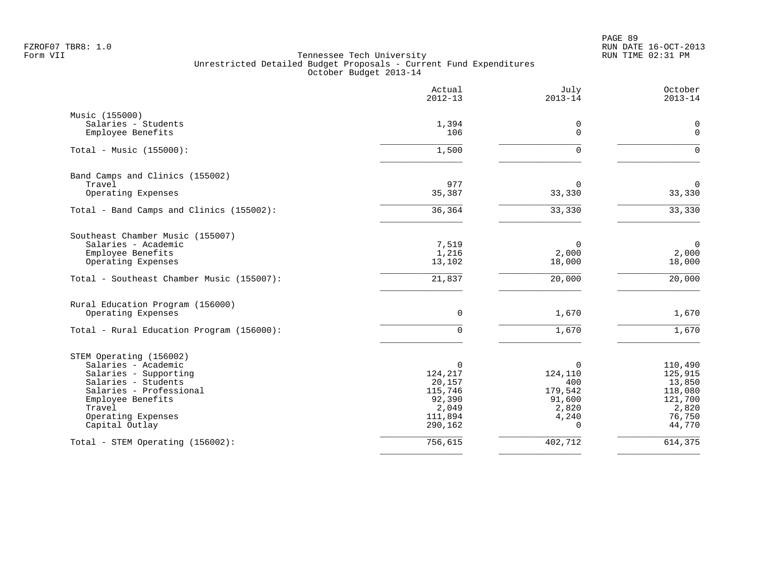PAGE 89 FZROF07 TBR8: 1.0 RUN DATE 16-OCT-2013

|                                                                | Actual<br>$2012 - 13$    | July<br>$2013 - 14$         | October<br>$2013 - 14$         |
|----------------------------------------------------------------|--------------------------|-----------------------------|--------------------------------|
| Music (155000)                                                 |                          |                             |                                |
| Salaries - Students<br>Employee Benefits                       | 1,394<br>106             | 0<br>$\Omega$               | 0<br>$\mathbf 0$               |
| Total - Music $(155000)$ :                                     | 1,500                    | $\Omega$                    | $\mathbf 0$                    |
| Band Camps and Clinics (155002)                                | 977                      |                             |                                |
| Travel<br>Operating Expenses                                   | 35,387                   | $\Omega$<br>33,330          | $\mathbf 0$<br>33,330          |
| Total - Band Camps and Clinics (155002):                       | 36, 364                  | 33,330                      | 33,330                         |
| Southeast Chamber Music (155007)                               |                          |                             |                                |
| Salaries - Academic<br>Employee Benefits<br>Operating Expenses | 7,519<br>1,216<br>13,102 | $\Omega$<br>2,000<br>18,000 | $\mathbf 0$<br>2,000<br>18,000 |
| Total - Southeast Chamber Music (155007):                      | 21,837                   | 20,000                      | 20,000                         |
| Rural Education Program (156000)                               |                          |                             |                                |
| Operating Expenses                                             | $\mathbf 0$              | 1,670                       | 1,670                          |
| Total - Rural Education Program (156000):                      | $\mathbf 0$              | 1,670                       | 1,670                          |
| STEM Operating (156002)                                        |                          |                             |                                |
| Salaries - Academic<br>Salaries - Supporting                   | $\Omega$<br>124,217      | $\Omega$<br>124,110         | 110,490<br>125,915             |
| Salaries - Students                                            | 20,157                   | 400                         | 13,850                         |
| Salaries - Professional                                        | 115,746                  | 179,542                     | 118,080                        |
| Employee Benefits<br>Travel                                    | 92,390                   | 91,600                      | 121,700                        |
| Operating Expenses                                             | 2,049<br>111,894         | 2,820<br>4,240              | 2,820<br>76,750                |
| Capital Outlay                                                 | 290,162                  | $\Omega$                    | 44,770                         |
| Total - STEM Operating (156002):                               | 756,615                  | 402,712                     | 614,375                        |
|                                                                |                          |                             |                                |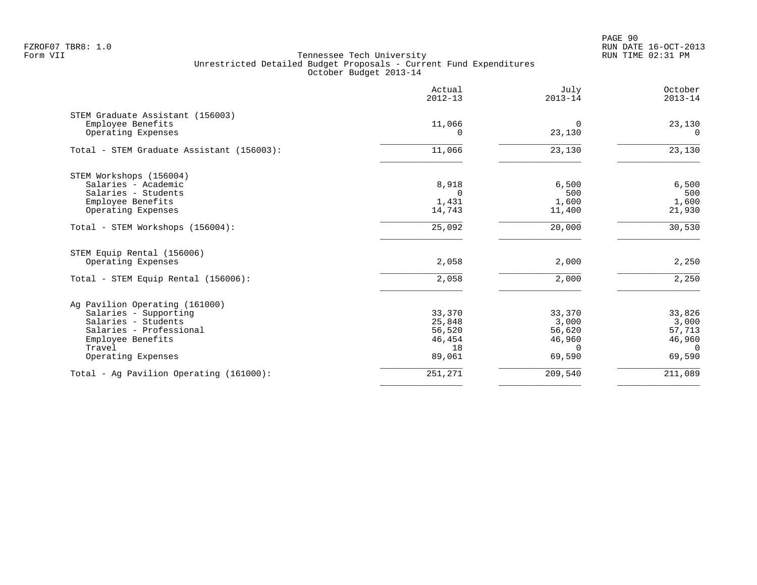|                                           | Actual<br>$2012 - 13$ | July<br>$2013 - 14$ | October<br>$2013 - 14$ |
|-------------------------------------------|-----------------------|---------------------|------------------------|
| STEM Graduate Assistant (156003)          |                       |                     |                        |
| Employee Benefits<br>Operating Expenses   | 11,066<br>$\Omega$    | 0<br>23,130         | 23,130<br>$\Omega$     |
| Total - STEM Graduate Assistant (156003): | 11,066                | 23,130              | 23,130                 |
| STEM Workshops (156004)                   |                       |                     |                        |
| Salaries - Academic                       | 8,918                 | 6,500               | 6,500                  |
| Salaries - Students                       | $\cap$                | 500                 | 500                    |
| Employee Benefits<br>Operating Expenses   | 1,431<br>14,743       | 1,600<br>11,400     | 1,600<br>21,930        |
|                                           |                       |                     |                        |
| Total - STEM Workshops (156004):          | 25,092                | 20,000              | 30,530                 |
| STEM Equip Rental (156006)                |                       |                     |                        |
| Operating Expenses                        | 2,058                 | 2,000               | 2,250                  |
| Total - STEM Equip Rental (156006):       | 2,058                 | 2,000               | 2,250                  |
| Ag Pavilion Operating (161000)            |                       |                     |                        |
| Salaries - Supporting                     | 33,370                | 33,370              | 33,826                 |
| Salaries - Students                       | 25,848                | 3,000               | 3,000                  |
| Salaries - Professional                   | 56,520                | 56,620              | 57,713                 |
| Employee Benefits<br>Travel               | 46,454<br>18          | 46,960<br>$\Omega$  | 46,960<br>$\Omega$     |
| Operating Expenses                        | 89,061                | 69,590              | 69,590                 |
| Total - Ag Pavilion Operating (161000):   | 251,271               | 209,540             | 211,089                |
|                                           |                       |                     |                        |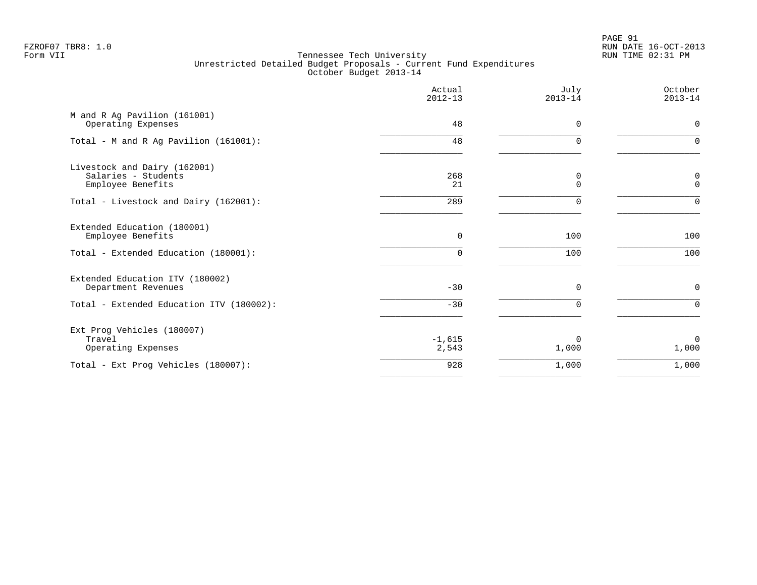PAGE 91 FZROF07 TBR8: 1.0 RUN DATE 16-OCT-2013

|                                                                          | Actual<br>$2012 - 13$ | July<br>$2013 - 14$ | October<br>$2013 - 14$ |
|--------------------------------------------------------------------------|-----------------------|---------------------|------------------------|
| M and R Ag Pavilion (161001)<br>Operating Expenses                       | 48                    | $\Omega$            | $\mathbf 0$            |
| Total - M and R Ag Pavilion (161001):                                    | 48                    | $\Omega$            | $\Omega$               |
| Livestock and Dairy (162001)<br>Salaries - Students<br>Employee Benefits | 268<br>21             | 0<br>$\mathbf 0$    | 0<br>$\mathbf{0}$      |
| Total - Livestock and Dairy (162001):                                    | 289                   | $\Omega$            | $\Omega$               |
| Extended Education (180001)<br>Employee Benefits                         | $\mathbf 0$           | 100                 | 100                    |
| Total - Extended Education (180001):                                     | 0                     | 100                 | 100                    |
| Extended Education ITV (180002)<br>Department Revenues                   | $-30$                 | $\mathbf 0$         | $\mathbf 0$            |
| Total - Extended Education ITV (180002):                                 | $-30$                 | $\Omega$            | $\Omega$               |
| Ext Prog Vehicles (180007)<br>Travel<br>Operating Expenses               | $-1,615$<br>2,543     | $\Omega$<br>1,000   | $\Omega$<br>1,000      |
| Total - Ext Prog Vehicles (180007):                                      | 928                   | 1,000               | 1,000                  |
|                                                                          |                       |                     |                        |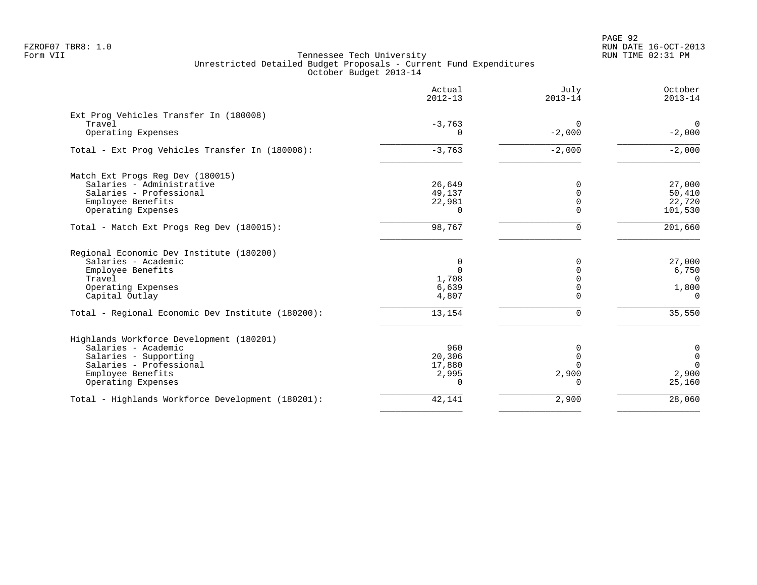PAGE 92 FZROF07 TBR8: 1.0 RUN DATE 16-OCT-2013

|                                                   | Actual<br>$2012 - 13$ | July<br>$2013 - 14$ | October<br>$2013 - 14$ |
|---------------------------------------------------|-----------------------|---------------------|------------------------|
| Ext Prog Vehicles Transfer In (180008)            |                       |                     |                        |
| Travel                                            | $-3,763$              | 0                   | $\overline{0}$         |
| Operating Expenses                                | $\Omega$              | $-2,000$            | $-2,000$               |
| Total - Ext Prog Vehicles Transfer In (180008):   | $-3,763$              | $-2,000$            | $-2,000$               |
| Match Ext Progs Reg Dev (180015)                  |                       |                     |                        |
| Salaries - Administrative                         | 26,649                |                     | 27,000                 |
| Salaries - Professional                           | 49,137                |                     | 50,410                 |
| Employee Benefits                                 | 22,981                | $\Omega$            | 22,720                 |
| Operating Expenses                                | $\Omega$              |                     | 101,530                |
| Total - Match Ext Progs Reg Dev (180015):         | 98,767                | $\Omega$            | 201,660                |
| Regional Economic Dev Institute (180200)          |                       |                     |                        |
| Salaries - Academic                               | 0                     | 0                   | 27,000                 |
| Employee Benefits                                 | $\Omega$              |                     | 6,750                  |
| Travel                                            | 1,708                 |                     | $\Omega$               |
| Operating Expenses                                | 6,639                 |                     | 1,800                  |
| Capital Outlay                                    | 4,807                 |                     | $\Omega$               |
| Total - Regional Economic Dev Institute (180200): | 13,154                | $\Omega$            | 35,550                 |
| Highlands Workforce Development (180201)          |                       |                     |                        |
| Salaries - Academic                               | 960                   | 0                   | 0                      |
| Salaries - Supporting                             | 20,306                | $\Omega$            | $\mathbf 0$            |
| Salaries - Professional                           | 17,880                |                     | $\Omega$               |
| Employee Benefits                                 | 2,995                 | 2,900               | 2,900                  |
| Operating Expenses                                | $\Omega$              | $\Omega$            | 25,160                 |
| Total - Highlands Workforce Development (180201): | 42,141                | 2,900               | 28,060                 |
|                                                   |                       |                     |                        |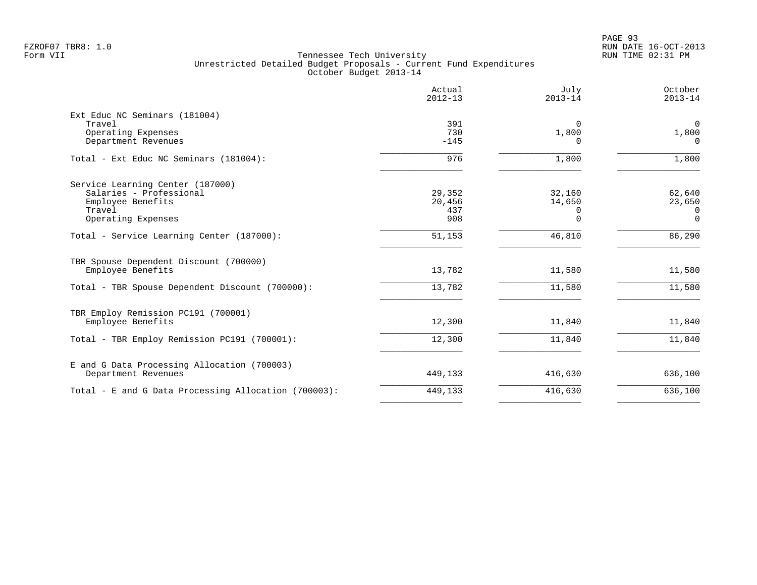|                                                             | Actual<br>$2012 - 13$ | July<br>$2013 - 14$ | October<br>$2013 - 14$ |
|-------------------------------------------------------------|-----------------------|---------------------|------------------------|
| Ext Educ NC Seminars (181004)<br>Travel                     | 391                   | $\Omega$            | $\mathbf 0$            |
| Operating Expenses<br>Department Revenues                   | 730<br>$-145$         | 1,800<br>$\Omega$   | 1,800<br>$\Omega$      |
| Total - Ext Educ NC Seminars (181004):                      | 976                   | 1,800               | 1,800                  |
| Service Learning Center (187000)                            |                       |                     |                        |
| Salaries - Professional<br>Employee Benefits                | 29,352<br>20,456      | 32,160<br>14,650    | 62,640<br>23,650       |
| Travel                                                      | 437                   | $\Omega$            | 0                      |
| Operating Expenses                                          | 908                   | $\Omega$            | $\mathbf 0$            |
| Total - Service Learning Center (187000):                   | 51,153                | 46,810              | 86,290                 |
| TBR Spouse Dependent Discount (700000)<br>Employee Benefits | 13,782                | 11,580              | 11,580                 |
| Total - TBR Spouse Dependent Discount (700000):             | 13,782                | 11,580              | 11,580                 |
| TBR Employ Remission PC191 (700001)                         |                       |                     |                        |
| Employee Benefits                                           | 12,300                | 11,840              | 11,840                 |
| Total - TBR Employ Remission PC191 (700001):                | 12,300                | 11,840              | 11,840                 |
| E and G Data Processing Allocation (700003)                 |                       |                     |                        |
| Department Revenues                                         | 449,133               | 416,630             | 636,100                |
| Total - E and G Data Processing Allocation (700003):        | 449,133               | 416,630             | 636,100                |
|                                                             |                       |                     |                        |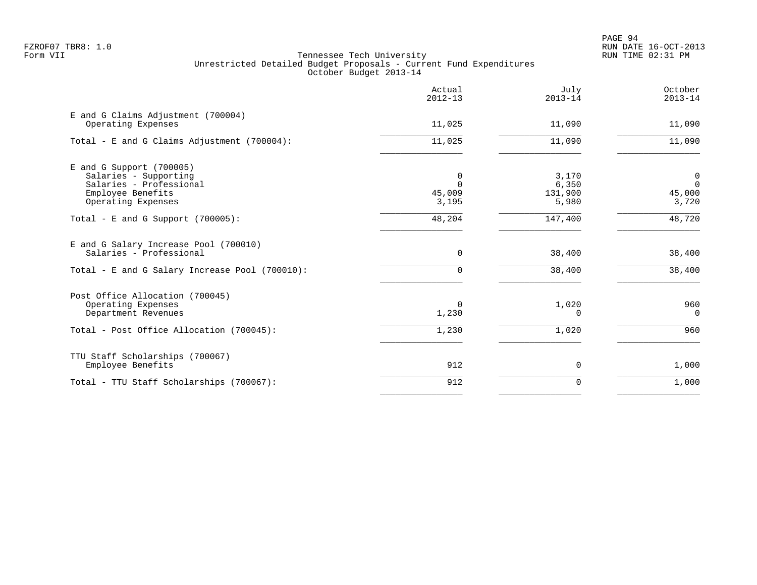|                                                                                                                         | Actual<br>$2012 - 13$            | July<br>$2013 - 14$                | October<br>$2013 - 14$                           |
|-------------------------------------------------------------------------------------------------------------------------|----------------------------------|------------------------------------|--------------------------------------------------|
| E and G Claims Adjustment (700004)<br>Operating Expenses                                                                | 11,025                           | 11,090                             | 11,090                                           |
| Total - E and G Claims Adjustment $(700004)$ :                                                                          | 11,025                           | 11,090                             | 11,090                                           |
| E and G Support (700005)<br>Salaries - Supporting<br>Salaries - Professional<br>Employee Benefits<br>Operating Expenses | 0<br>$\Omega$<br>45,009<br>3,195 | 3,170<br>6,350<br>131,900<br>5,980 | $\overline{0}$<br>$\mathbf 0$<br>45,000<br>3,720 |
| Total - E and G Support $(700005)$ :                                                                                    | 48,204                           | 147,400                            | 48,720                                           |
| E and G Salary Increase Pool (700010)<br>Salaries - Professional<br>Total - E and G Salary Increase Pool (700010):      | $\mathbf 0$<br>$\Omega$          | 38,400<br>38,400                   | 38,400<br>38,400                                 |
| Post Office Allocation (700045)<br>Operating Expenses<br>Department Revenues                                            | $\Omega$<br>1,230                | 1,020<br>O                         | 960<br>$\mathbf{0}$                              |
| Total - Post Office Allocation (700045):                                                                                | 1,230                            | 1,020                              | 960                                              |
| TTU Staff Scholarships (700067)<br>Employee Benefits                                                                    | 912                              | 0                                  | 1,000                                            |
| Total - TTU Staff Scholarships (700067):                                                                                | 912                              | 0                                  | 1,000                                            |
|                                                                                                                         |                                  |                                    |                                                  |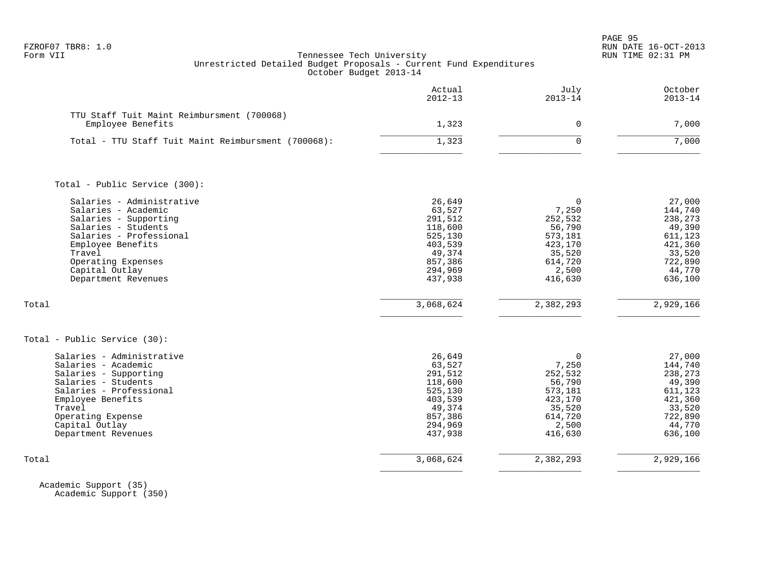| FZROF07 | TBR8: |  |
|---------|-------|--|
|---------|-------|--|

|                                                                                                                                                                                                                           | Actual<br>$2012 - 13$                                                                                   | July<br>$2013 - 14$                                                                                      | October<br>$2013 - 14$                                                                                 |
|---------------------------------------------------------------------------------------------------------------------------------------------------------------------------------------------------------------------------|---------------------------------------------------------------------------------------------------------|----------------------------------------------------------------------------------------------------------|--------------------------------------------------------------------------------------------------------|
| TTU Staff Tuit Maint Reimbursment (700068)<br>Employee Benefits                                                                                                                                                           | 1,323                                                                                                   | $\mathbf 0$                                                                                              | 7,000                                                                                                  |
| Total - TTU Staff Tuit Maint Reimbursment (700068):                                                                                                                                                                       | 1,323                                                                                                   | $\Omega$                                                                                                 | 7,000                                                                                                  |
| Total - Public Service (300):                                                                                                                                                                                             |                                                                                                         |                                                                                                          |                                                                                                        |
| Salaries - Administrative<br>Salaries - Academic<br>Salaries - Supporting<br>Salaries - Students<br>Salaries - Professional<br>Employee Benefits<br>Travel<br>Operating Expenses<br>Capital Outlay<br>Department Revenues | 26,649<br>63,527<br>291,512<br>118,600<br>525,130<br>403,539<br>49,374<br>857,386<br>294,969<br>437,938 | $\mathbf 0$<br>7,250<br>252,532<br>56,790<br>573,181<br>423,170<br>35,520<br>614,720<br>2,500<br>416,630 | 27,000<br>144,740<br>238,273<br>49,390<br>611,123<br>421,360<br>33,520<br>722,890<br>44,770<br>636,100 |
| Total                                                                                                                                                                                                                     | 3,068,624                                                                                               | 2,382,293                                                                                                | 2,929,166                                                                                              |
| Total - Public Service (30):                                                                                                                                                                                              |                                                                                                         |                                                                                                          |                                                                                                        |
| Salaries - Administrative<br>Salaries - Academic<br>Salaries - Supporting<br>Salaries - Students<br>Salaries - Professional<br>Employee Benefits<br>Travel<br>Operating Expense<br>Capital Outlay<br>Department Revenues  | 26,649<br>63,527<br>291,512<br>118,600<br>525,130<br>403,539<br>49,374<br>857,386<br>294,969<br>437,938 | $\mathbf 0$<br>7,250<br>252,532<br>56,790<br>573,181<br>423,170<br>35,520<br>614,720<br>2,500<br>416,630 | 27,000<br>144,740<br>238,273<br>49,390<br>611,123<br>421,360<br>33,520<br>722,890<br>44,770<br>636,100 |
| Total                                                                                                                                                                                                                     | 3,068,624                                                                                               | 2,382,293                                                                                                | 2,929,166                                                                                              |

 Academic Support (35) Academic Support (350)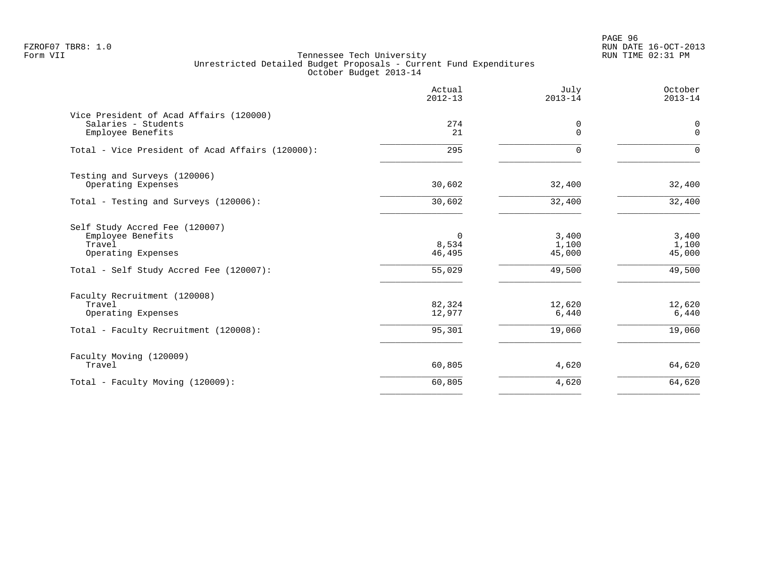PAGE 96 FZROF07 TBR8: 1.0 RUN DATE 16-OCT-2013

|                                                                                                                                | Actual<br>$2012 - 13$                    | July<br>$2013 - 14$                | October<br>$2013 - 14$             |
|--------------------------------------------------------------------------------------------------------------------------------|------------------------------------------|------------------------------------|------------------------------------|
| Vice President of Acad Affairs (120000)<br>Salaries - Students<br>Employee Benefits                                            | 274<br>21                                | 0<br>$\Omega$                      | 0<br>$\Omega$                      |
| Total - Vice President of Acad Affairs (120000):                                                                               | 295                                      | $\Omega$                           | $\Omega$                           |
| Testing and Surveys (120006)<br>Operating Expenses                                                                             | 30,602                                   | 32,400                             | 32,400                             |
| Total - Testing and Surveys (120006):                                                                                          | 30,602                                   | 32,400                             | 32,400                             |
| Self Study Accred Fee (120007)<br>Employee Benefits<br>Travel<br>Operating Expenses<br>Total - Self Study Accred Fee (120007): | $\mathbf 0$<br>8,534<br>46,495<br>55,029 | 3,400<br>1,100<br>45,000<br>49,500 | 3,400<br>1,100<br>45,000<br>49,500 |
| Faculty Recruitment (120008)<br>Travel<br>Operating Expenses                                                                   | 82,324<br>12,977                         | 12,620<br>6,440                    | 12,620<br>6,440                    |
| Total - Faculty Recruitment (120008):                                                                                          | 95,301                                   | 19,060                             | 19,060                             |
| Faculty Moving (120009)<br>Travel                                                                                              | 60,805                                   | 4,620                              | 64,620                             |
| Total - Faculty Moving (120009):                                                                                               | 60,805                                   | 4,620                              | 64,620                             |
|                                                                                                                                |                                          |                                    |                                    |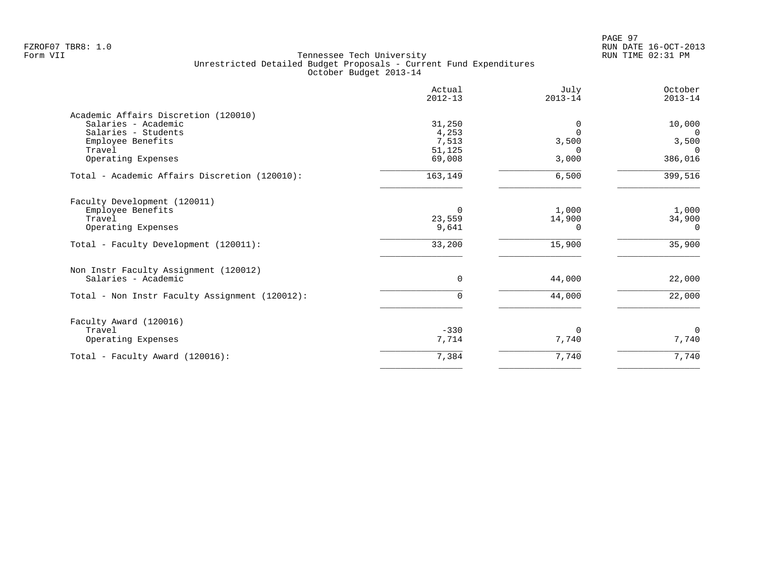|                                                | Actual<br>$2012 - 13$ | July<br>$2013 - 14$ | October<br>$2013 - 14$ |
|------------------------------------------------|-----------------------|---------------------|------------------------|
| Academic Affairs Discretion (120010)           |                       |                     |                        |
| Salaries - Academic                            | 31,250                | 0                   | 10,000                 |
| Salaries - Students                            | 4,253                 | $\Omega$            | $\Omega$               |
| Employee Benefits                              | 7,513                 | 3,500               | 3,500                  |
| Travel                                         | 51,125                | $\Omega$            | $\Omega$               |
| Operating Expenses                             | 69,008                | 3,000               | 386,016                |
| Total - Academic Affairs Discretion (120010):  | 163,149               | 6,500               | 399,516                |
| Faculty Development (120011)                   |                       |                     |                        |
| Employee Benefits                              | $\Omega$              | 1,000               | 1,000                  |
| Travel                                         | 23,559                | 14,900              | 34,900                 |
| Operating Expenses                             | 9,641                 | 0                   | $\Omega$               |
| Total - Faculty Development (120011):          | 33,200                | 15,900              | 35,900                 |
| Non Instr Faculty Assignment (120012)          |                       |                     |                        |
| Salaries - Academic                            | $\mathbf 0$           | 44,000              | 22,000                 |
| Total - Non Instr Faculty Assignment (120012): | $\Omega$              | 44,000              | 22,000                 |
| Faculty Award (120016)                         |                       |                     |                        |
| Travel                                         | $-330$                | 0                   | $\mathbf 0$            |
| Operating Expenses                             | 7,714                 | 7,740               | 7,740                  |
| Total - Faculty Award (120016):                | 7,384                 | 7,740               | 7,740                  |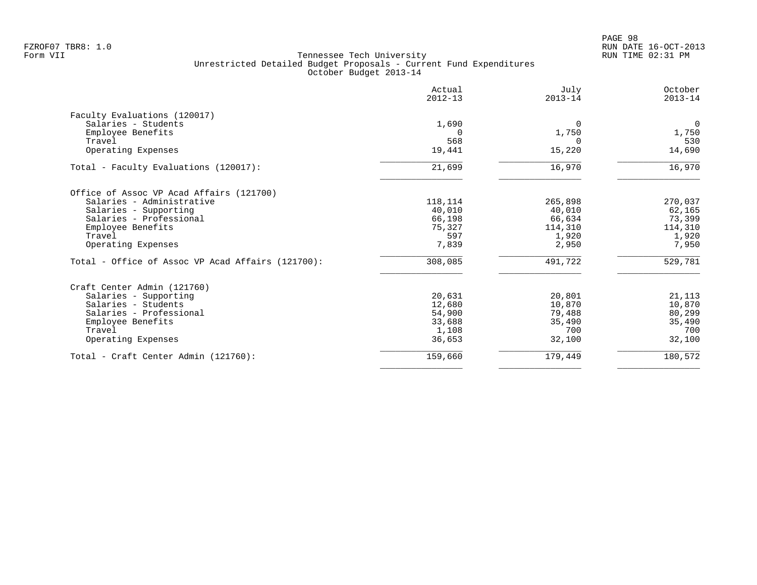PAGE 98 FZROF07 TBR8: 1.0 RUN DATE 16-OCT-2013

|                                                   | Actual<br>$2012 - 13$ | July<br>$2013 - 14$ | October<br>$2013 - 14$ |
|---------------------------------------------------|-----------------------|---------------------|------------------------|
| Faculty Evaluations (120017)                      |                       |                     |                        |
| Salaries - Students                               | 1,690                 | $\Omega$            | $\overline{0}$         |
| Employee Benefits                                 |                       | 1,750               | 1,750                  |
| Travel                                            | 568                   |                     | 530                    |
| Operating Expenses                                | 19,441                | 15,220              | 14,690                 |
| Total - Faculty Evaluations (120017):             | 21,699                | 16,970              | 16,970                 |
| Office of Assoc VP Acad Affairs (121700)          |                       |                     |                        |
| Salaries - Administrative                         | 118,114               | 265,898             | 270,037                |
| Salaries - Supporting                             | 40,010                | 40,010              | 62,165                 |
| Salaries - Professional                           | 66,198                | 66,634              | 73,399                 |
| Employee Benefits                                 | 75,327                | 114,310             | 114,310                |
| Travel                                            | 597                   | 1,920               | 1,920                  |
| Operating Expenses                                | 7,839                 | 2,950               | 7,950                  |
| Total - Office of Assoc VP Acad Affairs (121700): | 308,085               | 491,722             | 529,781                |
| Craft Center Admin (121760)                       |                       |                     |                        |
| Salaries - Supporting                             | 20,631                | 20,801              | 21,113                 |
| Salaries - Students                               | 12,680                | 10,870              | 10,870                 |
| Salaries - Professional                           | 54,900                | 79,488              | 80,299                 |
| Employee Benefits                                 | 33,688                | 35,490              | 35,490                 |
| Travel                                            | 1,108                 | 700                 | 700                    |
| Operating Expenses                                | 36,653                | 32,100              | 32,100                 |
| Total - Craft Center Admin (121760):              | 159,660               | 179,449             | 180,572                |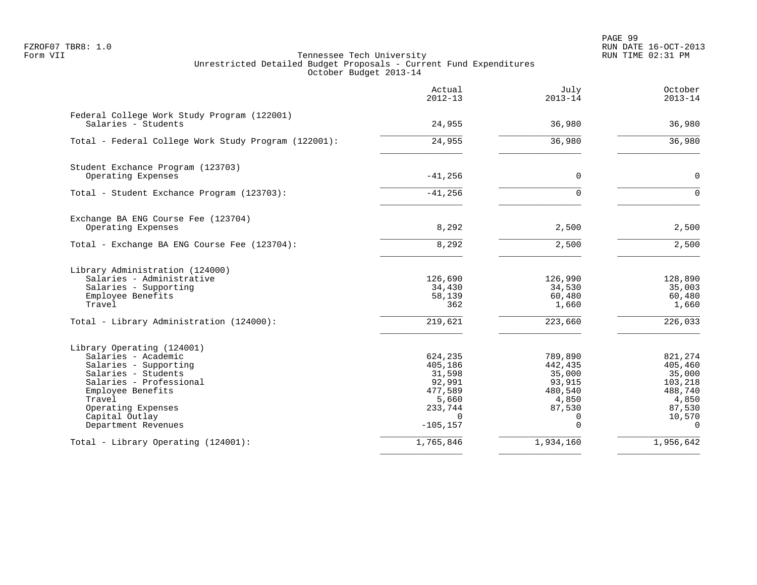PAGE 99 FZROF07 TBR8: 1.0 RUN DATE 16-OCT-2013

|                                                                    | Actual<br>$2012 - 13$   | July<br>$2013 - 14$ | October<br>$2013 - 14$ |
|--------------------------------------------------------------------|-------------------------|---------------------|------------------------|
| Federal College Work Study Program (122001)<br>Salaries - Students | 24,955                  | 36,980              | 36,980                 |
| Total - Federal College Work Study Program (122001):               | 24,955                  | 36,980              | 36,980                 |
| Student Exchance Program (123703)                                  |                         |                     |                        |
| Operating Expenses                                                 | $-41, 256$              | $\mathbf 0$         | $\mathbf 0$            |
| Total - Student Exchance Program (123703):                         | $-41,256$               | $\Omega$            | $\Omega$               |
| Exchange BA ENG Course Fee (123704)                                |                         |                     |                        |
| Operating Expenses                                                 | 8,292                   | 2,500               | 2,500                  |
| Total - Exchange BA ENG Course Fee (123704):                       | 8,292                   | 2,500               | 2,500                  |
| Library Administration (124000)                                    |                         |                     |                        |
| Salaries - Administrative<br>Salaries - Supporting                 | 126,690<br>34,430       | 126,990<br>34,530   | 128,890<br>35,003      |
| Employee Benefits                                                  | 58,139                  | 60,480              | 60,480                 |
| Travel                                                             | 362                     | 1,660               | 1,660                  |
| Total - Library Administration (124000):                           | 219,621                 | 223,660             | 226,033                |
| Library Operating (124001)                                         |                         |                     |                        |
| Salaries - Academic                                                | 624,235                 | 789,890             | 821,274                |
| Salaries - Supporting<br>Salaries - Students                       | 405,186<br>31,598       | 442,435<br>35,000   | 405,460<br>35,000      |
| Salaries - Professional                                            | 92,991                  | 93,915              | 103,218                |
| Employee Benefits                                                  | 477,589                 | 480,540             | 488,740                |
| Travel                                                             | 5,660                   | 4,850               | 4,850                  |
| Operating Expenses                                                 | 233,744                 | 87,530              | 87,530                 |
| Capital Outlay<br>Department Revenues                              | $\Omega$<br>$-105, 157$ | 0<br>$\Omega$       | 10,570<br>$\Omega$     |
| Total - Library Operating (124001):                                | 1,765,846               | 1,934,160           | 1,956,642              |
|                                                                    |                         |                     |                        |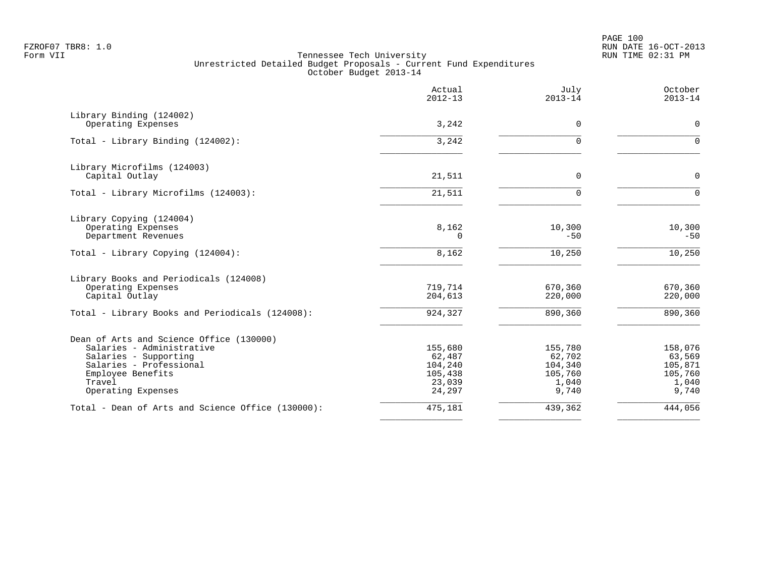PAGE 100 FZROF07 TBR8: 1.0 RUN DATE 16-OCT-2013

|                                                   | Actual<br>$2012 - 13$ | July<br>$2013 - 14$ | October<br>$2013 - 14$ |
|---------------------------------------------------|-----------------------|---------------------|------------------------|
| Library Binding (124002)<br>Operating Expenses    | 3,242                 | 0                   | $\mathbf 0$            |
|                                                   |                       |                     |                        |
| Total - Library Binding (124002):                 | 3,242                 | U                   | $\Omega$               |
| Library Microfilms (124003)                       |                       |                     |                        |
| Capital Outlay                                    | 21,511                | $\Omega$            | $\Omega$               |
| Total - Library Microfilms (124003):              | 21,511                | $\Omega$            | $\Omega$               |
| Library Copying (124004)                          |                       |                     |                        |
| Operating Expenses<br>Department Revenues         | 8,162<br>0            | 10,300<br>$-50$     | 10,300<br>$-50$        |
| Total - Library Copying (124004):                 | 8,162                 | 10,250              | 10,250                 |
| Library Books and Periodicals (124008)            |                       |                     |                        |
| Operating Expenses                                | 719,714               | 670,360             | 670,360                |
| Capital Outlay                                    | 204,613               | 220,000             | 220,000                |
| Total - Library Books and Periodicals (124008):   | 924,327               | 890,360             | 890,360                |
| Dean of Arts and Science Office (130000)          |                       |                     |                        |
| Salaries - Administrative                         | 155,680               | 155,780             | 158,076                |
| Salaries - Supporting                             | 62,487                | 62,702              | 63,569                 |
| Salaries - Professional<br>Employee Benefits      | 104,240<br>105,438    | 104,340<br>105,760  | 105,871<br>105,760     |
| Travel                                            | 23,039                | 1,040               | 1,040                  |
| Operating Expenses                                | 24,297                | 9,740               | 9,740                  |
| Total - Dean of Arts and Science Office (130000): | 475,181               | 439,362             | 444,056                |
|                                                   |                       |                     |                        |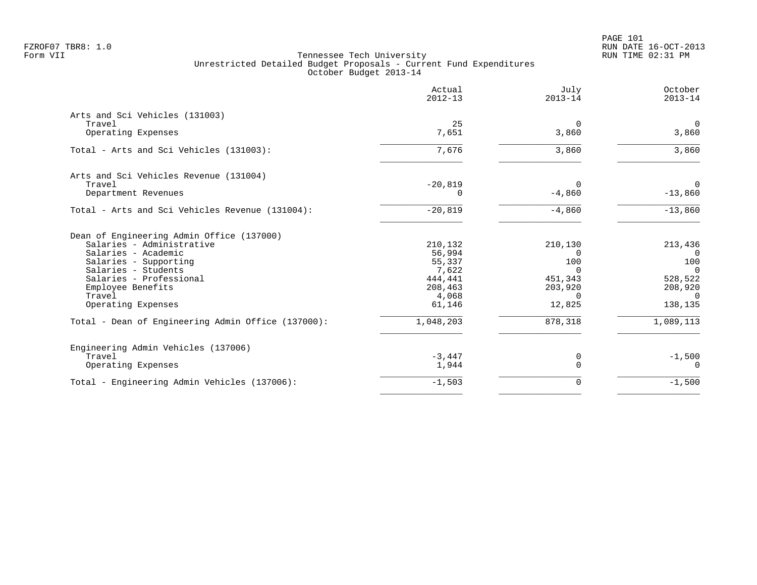|                                                    | Actual<br>$2012 - 13$ | July<br>$2013 - 14$ | October<br>$2013 - 14$ |
|----------------------------------------------------|-----------------------|---------------------|------------------------|
| Arts and Sci Vehicles (131003)                     |                       |                     |                        |
| Travel                                             | 25                    | $\mathbf 0$         | $\overline{0}$         |
| Operating Expenses                                 | 7,651                 | 3,860               | 3,860                  |
| Total - Arts and Sci Vehicles (131003):            | 7,676                 | 3,860               | 3,860                  |
| Arts and Sci Vehicles Revenue (131004)             |                       |                     |                        |
| Travel                                             | $-20,819$             | $\Omega$            | $\Omega$               |
| Department Revenues                                | $\Omega$              | $-4,860$            | $-13,860$              |
| Total - Arts and Sci Vehicles Revenue (131004):    | $-20,819$             | $-4,860$            | $-13,860$              |
| Dean of Engineering Admin Office (137000)          |                       |                     |                        |
| Salaries - Administrative                          | 210,132               | 210,130             | 213,436                |
| Salaries - Academic                                | 56,994                | $\Omega$            | $\Omega$               |
| Salaries - Supporting                              | 55,337                | 100                 | 100                    |
| Salaries - Students                                | 7,622                 | $\Omega$            | $\overline{0}$         |
| Salaries - Professional                            | 444,441               | 451,343             | 528,522                |
| Employee Benefits<br>Travel                        | 208,463<br>4,068      | 203,920<br>$\Omega$ | 208,920<br>$\Omega$    |
| Operating Expenses                                 | 61,146                | 12,825              | 138,135                |
| Total - Dean of Engineering Admin Office (137000): | 1,048,203             | 878,318             | 1,089,113              |
| Engineering Admin Vehicles (137006)                |                       |                     |                        |
| Travel                                             | $-3,447$              | 0                   | $-1,500$               |
| Operating Expenses                                 | 1,944                 | $\mathbf 0$         | $\Omega$               |
| Total - Engineering Admin Vehicles (137006):       | $-1,503$              | 0                   | $-1,500$               |
|                                                    |                       |                     |                        |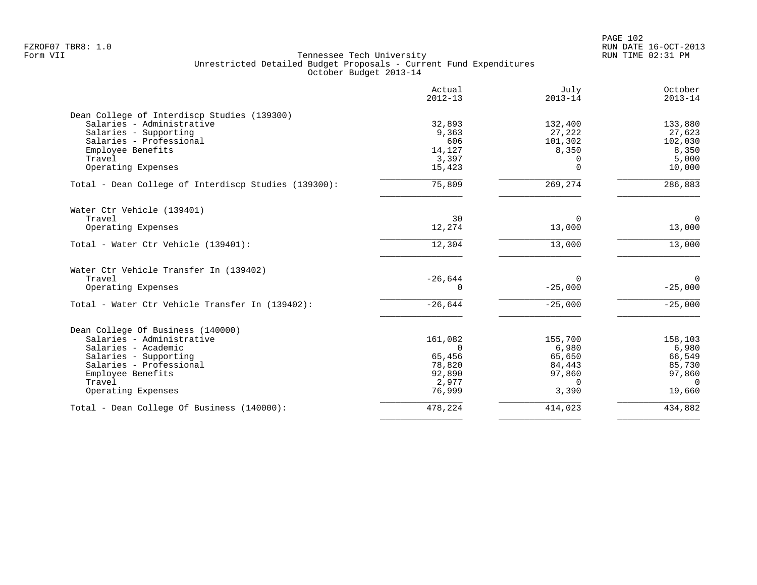PAGE 102 FZROF07 TBR8: 1.0 RUN DATE 16-OCT-2013

| Actual<br>$2012 - 13$ | July<br>$2013 - 14$                                                                        | October<br>$2013 - 14$                                                                   |
|-----------------------|--------------------------------------------------------------------------------------------|------------------------------------------------------------------------------------------|
|                       |                                                                                            |                                                                                          |
|                       |                                                                                            | 133,880                                                                                  |
|                       |                                                                                            | 27,623                                                                                   |
|                       |                                                                                            | 102,030                                                                                  |
|                       |                                                                                            | 8,350<br>5,000                                                                           |
| 15,423                | $\Omega$                                                                                   | 10,000                                                                                   |
| 75,809                | 269,274                                                                                    | 286,883                                                                                  |
|                       |                                                                                            |                                                                                          |
| 30                    | $\Omega$                                                                                   | $\mathbf 0$                                                                              |
| 12,274                | 13,000                                                                                     | 13,000                                                                                   |
| 12,304                | 13,000                                                                                     | 13,000                                                                                   |
|                       |                                                                                            |                                                                                          |
| $-26,644$             | $\Omega$                                                                                   | $\Omega$                                                                                 |
| 0                     | $-25,000$                                                                                  | $-25,000$                                                                                |
| $-26,644$             | $-25,000$                                                                                  | $-25,000$                                                                                |
|                       |                                                                                            |                                                                                          |
| 161,082               | 155,700                                                                                    | 158,103                                                                                  |
| $\Omega$              | 6,980                                                                                      | 6,980                                                                                    |
|                       |                                                                                            | 66,549                                                                                   |
|                       |                                                                                            | 85,730                                                                                   |
|                       |                                                                                            | 97,860                                                                                   |
|                       |                                                                                            | $\Omega$                                                                                 |
|                       |                                                                                            | 19,660                                                                                   |
| 478,224               | 414,023                                                                                    | 434,882                                                                                  |
|                       | 32,893<br>9,363<br>606<br>14,127<br>3,397<br>65,456<br>78,820<br>92,890<br>2,977<br>76,999 | 132,400<br>27,222<br>101,302<br>8,350<br>65,650<br>84,443<br>97,860<br>$\Omega$<br>3,390 |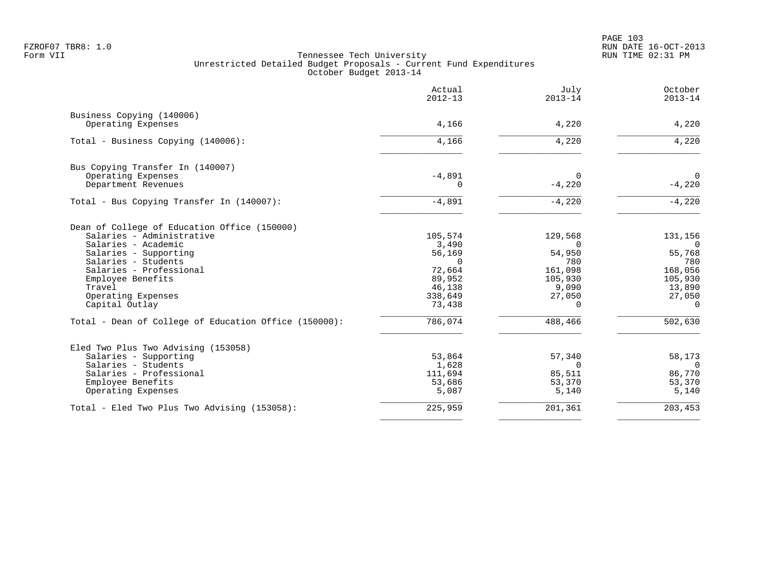|                                                       | Actual<br>$2012 - 13$ | July<br>$2013 - 14$ | October<br>$2013 - 14$ |
|-------------------------------------------------------|-----------------------|---------------------|------------------------|
| Business Copying (140006)                             |                       |                     |                        |
| Operating Expenses                                    | 4,166                 | 4,220               | 4,220                  |
| Total - Business Copying (140006):                    | 4,166                 | 4,220               | 4,220                  |
| Bus Copying Transfer In (140007)                      |                       |                     |                        |
| Operating Expenses                                    | $-4,891$              | $\Omega$            | $\overline{0}$         |
| Department Revenues                                   | $\Omega$              | $-4,220$            | $-4,220$               |
| Total - Bus Copying Transfer In (140007):             | $-4,891$              | $-4,220$            | $-4,220$               |
| Dean of College of Education Office (150000)          |                       |                     |                        |
| Salaries - Administrative                             | 105,574               | 129,568             | 131,156                |
| Salaries - Academic                                   | 3,490                 | $\Omega$            | $\overline{0}$         |
| Salaries - Supporting                                 | 56,169                | 54,950              | 55,768                 |
| Salaries - Students                                   | $\Omega$              | 780                 | 780                    |
| Salaries - Professional                               | 72,664                | 161,098             | 168,056                |
| Employee Benefits                                     | 89,952                | 105,930             | 105,930                |
| Travel                                                | 46,138                | 9,090               | 13,890                 |
| Operating Expenses<br>Capital Outlay                  | 338,649<br>73,438     | 27,050<br>$\Omega$  | 27,050<br>$\Omega$     |
|                                                       |                       |                     |                        |
| Total - Dean of College of Education Office (150000): | 786,074               | 488,466             | 502,630                |
| Eled Two Plus Two Advising (153058)                   |                       |                     |                        |
| Salaries - Supporting                                 | 53,864                | 57,340              | 58,173                 |
| Salaries - Students                                   | 1,628                 | $\Omega$            | $\Omega$               |
| Salaries - Professional                               | 111,694               | 85,511              | 86,770                 |
| Employee Benefits                                     | 53,686                | 53,370              | 53,370                 |
| Operating Expenses                                    | 5,087                 | 5,140               | 5,140                  |
| Total - Eled Two Plus Two Advising (153058):          | 225,959               | 201,361             | 203,453                |
|                                                       |                       |                     |                        |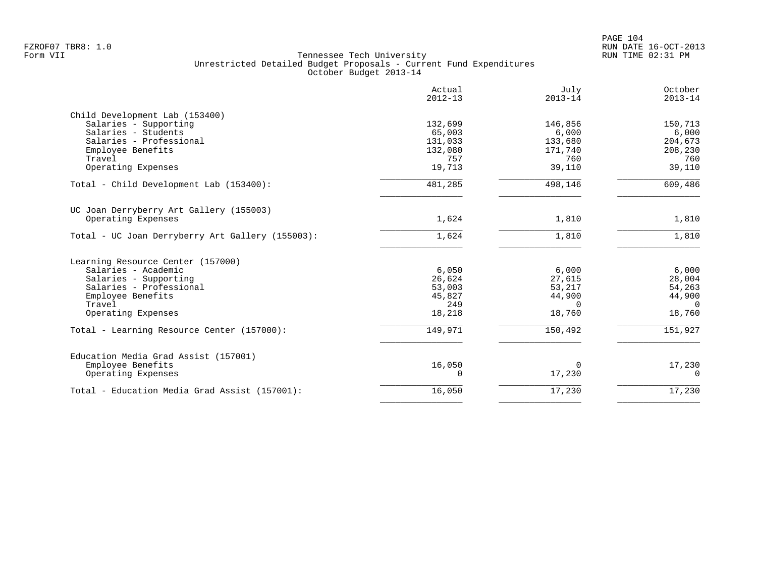|                                                                                 | Actual<br>$2012 - 13$ | July<br>$2013 - 14$ | October<br>$2013 - 14$ |
|---------------------------------------------------------------------------------|-----------------------|---------------------|------------------------|
| Child Development Lab (153400)                                                  |                       |                     |                        |
| Salaries - Supporting                                                           | 132,699               | 146,856             | 150,713                |
| Salaries - Students                                                             | 65,003                | 6,000               | 6,000                  |
| Salaries - Professional                                                         | 131,033               | 133,680             | 204,673                |
| Employee Benefits                                                               | 132,080               | 171,740             | 208,230                |
| Travel                                                                          | 757                   | 760                 | 760                    |
| Operating Expenses                                                              | 19,713                | 39,110              | 39,110                 |
| Total - Child Development Lab (153400):                                         | 481,285               | 498,146             | 609,486                |
| UC Joan Derryberry Art Gallery (155003)                                         |                       |                     |                        |
| Operating Expenses                                                              | 1,624                 | 1,810               | 1,810                  |
| Total - UC Joan Derryberry Art Gallery (155003):                                | 1,624                 | 1,810               | 1,810                  |
| Learning Resource Center (157000)                                               |                       |                     |                        |
| Salaries - Academic                                                             | 6,050                 | 6,000               | 6,000                  |
| Salaries - Supporting                                                           | 26,624                | 27,615              | 28,004                 |
| Salaries - Professional                                                         | 53,003                | 53,217              | 54,263                 |
| Employee Benefits                                                               | 45,827                | 44,900              | 44,900                 |
| Travel                                                                          | 249                   | $\Omega$            | $\Omega$               |
| Operating Expenses                                                              | 18,218                | 18,760              | 18,760                 |
| Total - Learning Resource Center (157000):                                      | 149,971               | 150,492             | 151,927                |
| Education Media Grad Assist (157001)<br>Employee Benefits<br>Operating Expenses | 16,050<br>0           | $\Omega$<br>17,230  | 17,230<br>$\mathbf 0$  |
|                                                                                 |                       |                     |                        |
| Total - Education Media Grad Assist (157001):                                   | 16,050                | 17,230              | 17,230                 |
|                                                                                 |                       |                     |                        |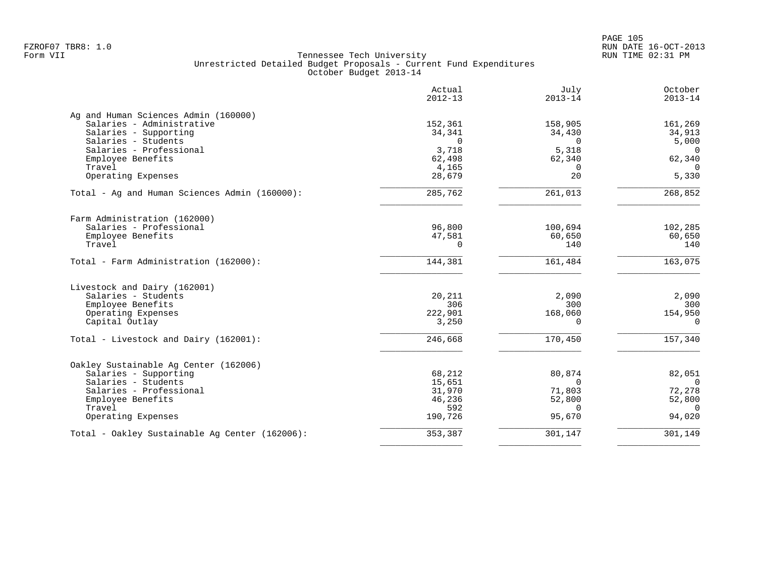PAGE 105 FZROF07 TBR8: 1.0 RUN DATE 16-OCT-2013

| 152,361<br>34,341 | 158,905                                                                                                        |                                                                                           |
|-------------------|----------------------------------------------------------------------------------------------------------------|-------------------------------------------------------------------------------------------|
|                   |                                                                                                                |                                                                                           |
|                   |                                                                                                                | 161,269                                                                                   |
|                   | 34,430                                                                                                         | 34,913                                                                                    |
|                   |                                                                                                                | 5,000                                                                                     |
|                   |                                                                                                                | $\Omega$                                                                                  |
|                   |                                                                                                                | 62,340                                                                                    |
|                   |                                                                                                                | $\Omega$                                                                                  |
|                   |                                                                                                                | 5,330                                                                                     |
| 285,762           | 261,013                                                                                                        | 268,852                                                                                   |
|                   |                                                                                                                |                                                                                           |
|                   |                                                                                                                | 102,285                                                                                   |
|                   |                                                                                                                | 60,650                                                                                    |
| $\Omega$          | 140                                                                                                            | 140                                                                                       |
| 144,381           | 161,484                                                                                                        | 163,075                                                                                   |
|                   |                                                                                                                |                                                                                           |
|                   |                                                                                                                | 2,090                                                                                     |
| 306               | 300                                                                                                            | 300                                                                                       |
|                   |                                                                                                                | 154,950                                                                                   |
| 3,250             | $\Omega$                                                                                                       | $\Omega$                                                                                  |
| 246,668           | 170,450                                                                                                        | 157,340                                                                                   |
|                   |                                                                                                                |                                                                                           |
|                   |                                                                                                                | 82,051                                                                                    |
| 15,651            | $\mathbf 0$                                                                                                    | $\overline{0}$                                                                            |
|                   | 71,803                                                                                                         | 72,278                                                                                    |
| 46,236            | 52,800                                                                                                         | 52,800                                                                                    |
| 592               | $\Omega$                                                                                                       | $\Omega$                                                                                  |
| 190,726           | 95,670                                                                                                         | 94,020                                                                                    |
| 353,387           | 301,147                                                                                                        | 301,149                                                                                   |
|                   | $\mathbf 0$<br>3,718<br>62,498<br>4,165<br>28,679<br>96,800<br>47,581<br>20,211<br>222,901<br>68,212<br>31,970 | 0<br>5,318<br>62,340<br>$\Omega$<br>20<br>100,694<br>60,650<br>2,090<br>168,060<br>80,874 |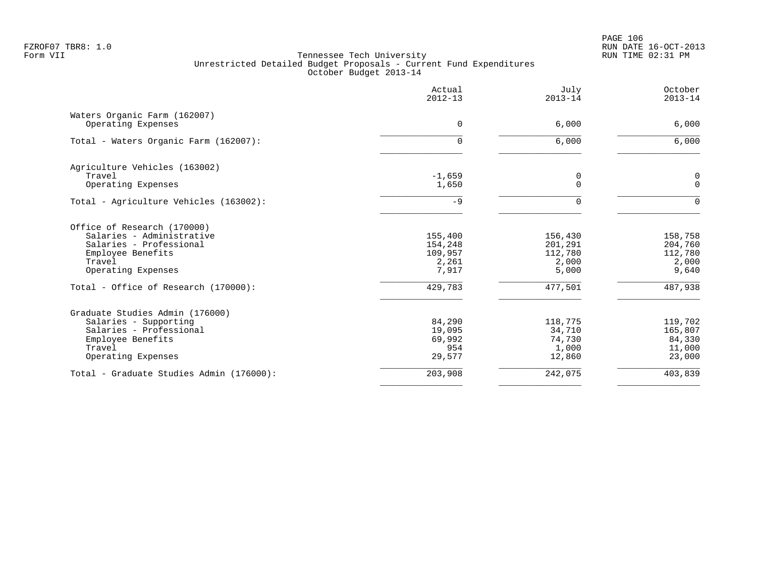PAGE 106 FZROF07 TBR8: 1.0 RUN DATE 16-OCT-2013

|                                                    | Actual<br>$2012 - 13$ | July<br>$2013 - 14$ | October<br>$2013 - 14$ |
|----------------------------------------------------|-----------------------|---------------------|------------------------|
| Waters Organic Farm (162007)<br>Operating Expenses | $\Omega$              | 6,000               | 6,000                  |
|                                                    |                       |                     |                        |
| Total - Waters Organic Farm (162007):              | 0                     | 6,000               | 6,000                  |
| Agriculture Vehicles (163002)                      |                       |                     |                        |
| Travel                                             | $-1,659$              | 0                   | 0                      |
| Operating Expenses                                 | 1,650                 | $\Omega$            | $\Omega$               |
| Total - Agriculture Vehicles (163002):             | $-9$                  | $\Omega$            | $\Omega$               |
| Office of Research (170000)                        |                       |                     |                        |
| Salaries - Administrative                          | 155,400               | 156,430             | 158,758                |
| Salaries - Professional                            | 154,248               | 201,291             | 204,760                |
| Employee Benefits                                  | 109,957               | 112,780             | 112,780                |
| Travel                                             | 2,261                 | 2,000               | 2,000                  |
| Operating Expenses                                 | 7,917                 | 5,000               | 9,640                  |
| Total - Office of Research (170000):               | 429,783               | 477,501             | 487,938                |
| Graduate Studies Admin (176000)                    |                       |                     |                        |
| Salaries - Supporting                              | 84,290                | 118,775             | 119,702                |
| Salaries - Professional                            | 19,095                | 34,710              | 165,807                |
| Employee Benefits                                  | 69,992                | 74,730              | 84,330                 |
| Travel                                             | 954                   | 1,000               | 11,000                 |
| Operating Expenses                                 | 29,577                | 12,860              | 23,000                 |
| Total - Graduate Studies Admin (176000):           | 203,908               | 242,075             | 403,839                |
|                                                    |                       |                     |                        |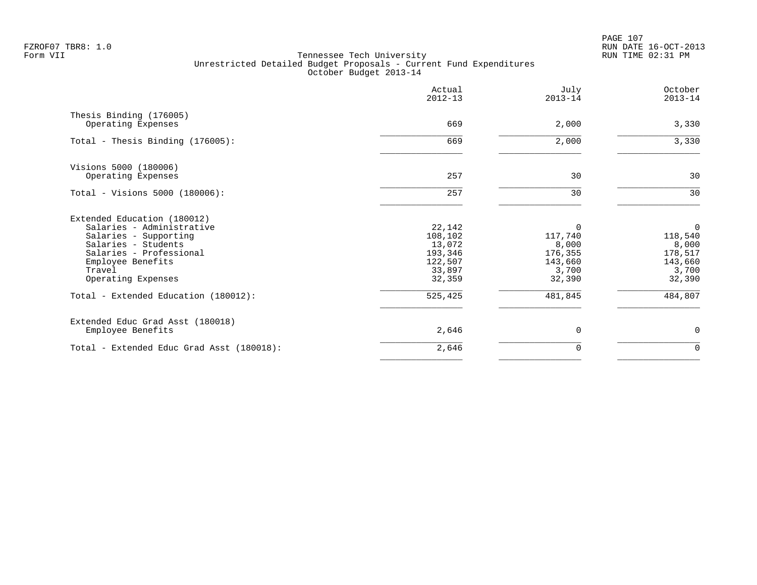PAGE 107 FZROF07 TBR8: 1.0 RUN DATE 16-OCT-2013

|                                                                                                                                                                                          | Actual<br>$2012 - 13$                                                 | July<br>$2013 - 14$                                                   | October<br>$2013 - 14$                                         |
|------------------------------------------------------------------------------------------------------------------------------------------------------------------------------------------|-----------------------------------------------------------------------|-----------------------------------------------------------------------|----------------------------------------------------------------|
| Thesis Binding (176005)<br>Operating Expenses                                                                                                                                            | 669                                                                   | 2,000                                                                 | 3,330                                                          |
| Total - Thesis Binding (176005):                                                                                                                                                         | 669                                                                   | 2,000                                                                 | 3,330                                                          |
| Visions 5000 (180006)<br>Operating Expenses                                                                                                                                              | 257                                                                   | 30                                                                    | 30                                                             |
| Total - Visions 5000 (180006):                                                                                                                                                           | 257                                                                   | 30                                                                    | 30                                                             |
| Extended Education (180012)<br>Salaries - Administrative<br>Salaries - Supporting<br>Salaries - Students<br>Salaries - Professional<br>Employee Benefits<br>Travel<br>Operating Expenses | 22,142<br>108,102<br>13,072<br>193,346<br>122,507<br>33,897<br>32,359 | $\Omega$<br>117,740<br>8,000<br>176,355<br>143,660<br>3,700<br>32,390 | 0<br>118,540<br>8,000<br>178,517<br>143,660<br>3,700<br>32,390 |
| Total - Extended Education (180012):                                                                                                                                                     | 525,425                                                               | 481,845                                                               | 484,807                                                        |
| Extended Educ Grad Asst (180018)<br>Employee Benefits                                                                                                                                    | 2,646                                                                 | $\Omega$                                                              | $\mathbf 0$                                                    |
| Total - Extended Educ Grad Asst (180018):                                                                                                                                                | 2,646                                                                 | 0                                                                     | $\mathbf 0$                                                    |
|                                                                                                                                                                                          |                                                                       |                                                                       |                                                                |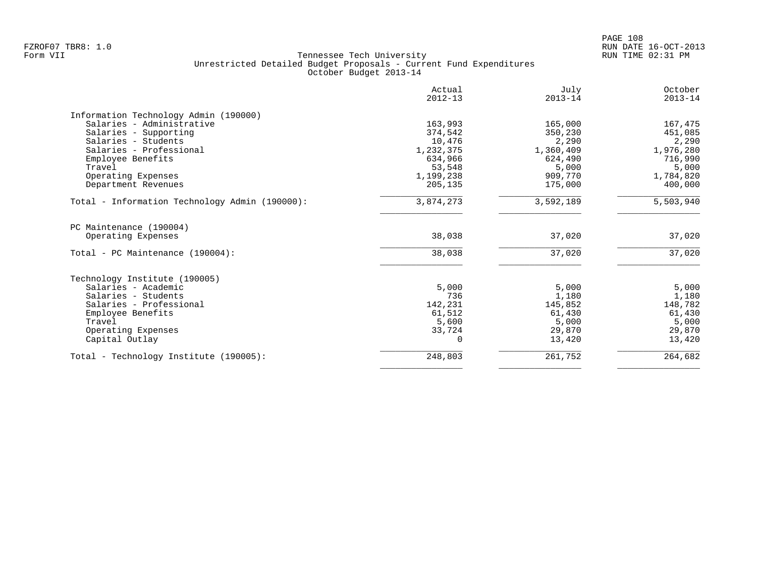| Actual<br>$2012 - 13$ | July<br>$2013 - 14$                                               | October<br>$2013 - 14$                       |
|-----------------------|-------------------------------------------------------------------|----------------------------------------------|
|                       |                                                                   |                                              |
| 163,993               | 165,000                                                           | 167,475                                      |
| 374,542               | 350,230                                                           | 451,085                                      |
| 10,476                | 2,290                                                             | 2,290                                        |
| 1,232,375             | 1,360,409                                                         | 1,976,280                                    |
| 634,966               | 624,490                                                           | 716,990                                      |
| 53,548                | 5,000                                                             | 5,000                                        |
|                       | 909,770                                                           | 1,784,820                                    |
| 205,135               | 175,000                                                           | 400,000                                      |
| 3,874,273             | 3,592,189                                                         | 5,503,940                                    |
|                       |                                                                   |                                              |
| 38,038                | 37,020                                                            | 37,020                                       |
| 38,038                | 37,020                                                            | 37,020                                       |
|                       |                                                                   |                                              |
|                       |                                                                   | 5,000                                        |
|                       |                                                                   | 1,180                                        |
|                       |                                                                   | 148,782                                      |
|                       |                                                                   | 61,430                                       |
|                       |                                                                   | 5,000                                        |
|                       | 29,870                                                            | 29,870                                       |
| $\Omega$              | 13,420                                                            | 13,420                                       |
|                       |                                                                   |                                              |
|                       | 1,199,238<br>5,000<br>736<br>142,231<br>61,512<br>5,600<br>33,724 | 5,000<br>1,180<br>145,852<br>61,430<br>5,000 |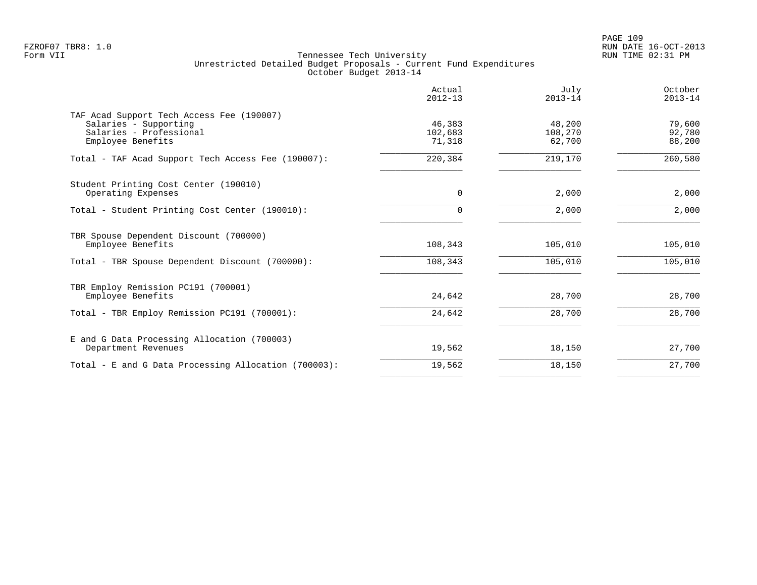|                                                                                                                    | Actual<br>$2012 - 13$       | July<br>$2013 - 14$         | October<br>$2013 - 14$     |
|--------------------------------------------------------------------------------------------------------------------|-----------------------------|-----------------------------|----------------------------|
| TAF Acad Support Tech Access Fee (190007)<br>Salaries - Supporting<br>Salaries - Professional<br>Employee Benefits | 46,383<br>102,683<br>71,318 | 48,200<br>108,270<br>62,700 | 79,600<br>92,780<br>88,200 |
| Total - TAF Acad Support Tech Access Fee (190007):                                                                 | 220,384                     | 219,170                     | 260,580                    |
| Student Printing Cost Center (190010)<br>Operating Expenses                                                        | 0                           | 2,000                       | 2,000                      |
| Total - Student Printing Cost Center (190010):                                                                     | $\Omega$                    | 2,000                       | 2,000                      |
| TBR Spouse Dependent Discount (700000)<br>Employee Benefits                                                        | 108,343                     | 105,010                     | 105,010                    |
| Total - TBR Spouse Dependent Discount (700000):                                                                    | 108,343                     | 105,010                     | 105,010                    |
| TBR Employ Remission PC191 (700001)<br>Employee Benefits                                                           | 24,642                      | 28,700                      | 28,700                     |
| Total - TBR Employ Remission PC191 (700001):                                                                       | 24,642                      | 28,700                      | 28,700                     |
| E and G Data Processing Allocation (700003)<br>Department Revenues                                                 | 19,562                      | 18,150                      | 27,700                     |
| Total - E and G Data Processing Allocation (700003):                                                               | 19,562                      | 18,150                      | 27,700                     |
|                                                                                                                    |                             |                             |                            |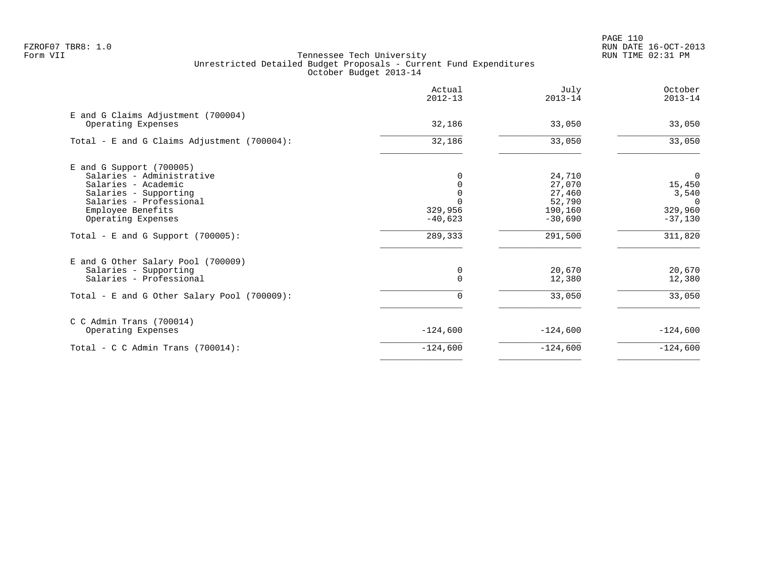PAGE 110 FZROF07 TBR8: 1.0 RUN DATE 16-OCT-2013

|                                                          | Actual<br>$2012 - 13$ | July<br>$2013 - 14$ | October<br>$2013 - 14$ |
|----------------------------------------------------------|-----------------------|---------------------|------------------------|
| E and G Claims Adjustment (700004)<br>Operating Expenses | 32,186                | 33,050              | 33,050                 |
| Total - E and G Claims Adjustment (700004):              | 32,186                | 33,050              | 33,050                 |
| $E$ and G Support (700005)                               |                       |                     |                        |
| Salaries - Administrative                                |                       | 24,710              | 0                      |
| Salaries - Academic                                      |                       | 27,070              | 15,450                 |
| Salaries - Supporting                                    |                       | 27,460              | 3,540                  |
| Salaries - Professional                                  |                       | 52,790              | $\Omega$               |
| Employee Benefits                                        | 329,956               | 190,160             | 329,960                |
| Operating Expenses                                       | $-40,623$             | $-30,690$           | $-37,130$              |
| Total - E and G Support $(700005)$ :                     | 289,333               | 291,500             | 311,820                |
| E and G Other Salary Pool (700009)                       |                       |                     |                        |
| Salaries - Supporting                                    | 0                     | 20,670              | 20,670                 |
| Salaries - Professional                                  | $\Omega$              | 12,380              | 12,380                 |
| Total - E and G Other Salary Pool (700009):              | 0                     | 33,050              | 33,050                 |
| $C$ C Admin Trans (700014)                               |                       |                     |                        |
| Operating Expenses                                       | $-124,600$            | $-124,600$          | $-124,600$             |
| Total - C C Admin Trans $(700014)$ :                     | $-124,600$            | $-124,600$          | $-124,600$             |
|                                                          |                       |                     |                        |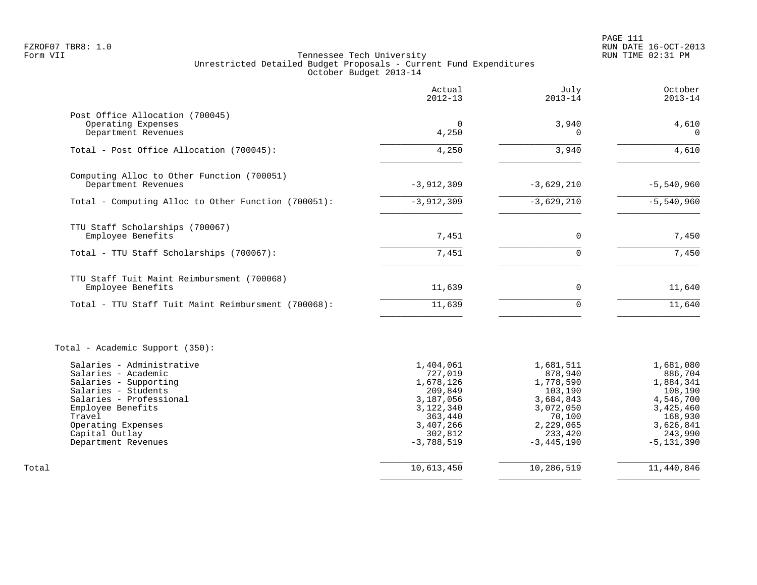|                                                                                                                                                                                                                           | Actual<br>$2012 - 13$                                                                                                     | July<br>$2013 - 14$                                                                                                      | October<br>$2013 - 14$                                                                                                      |
|---------------------------------------------------------------------------------------------------------------------------------------------------------------------------------------------------------------------------|---------------------------------------------------------------------------------------------------------------------------|--------------------------------------------------------------------------------------------------------------------------|-----------------------------------------------------------------------------------------------------------------------------|
| Post Office Allocation (700045)<br>Operating Expenses<br>Department Revenues                                                                                                                                              | $\Omega$<br>4,250                                                                                                         | 3,940<br>$\Omega$                                                                                                        | 4,610<br>$\Omega$                                                                                                           |
| Total - Post Office Allocation (700045):                                                                                                                                                                                  | 4,250                                                                                                                     | 3,940                                                                                                                    | 4,610                                                                                                                       |
| Computing Alloc to Other Function (700051)<br>Department Revenues                                                                                                                                                         | $-3,912,309$                                                                                                              | $-3,629,210$                                                                                                             | $-5,540,960$                                                                                                                |
| Total - Computing Alloc to Other Function (700051):                                                                                                                                                                       | $-3,912,309$                                                                                                              | $-3,629,210$                                                                                                             | $-5,540,960$                                                                                                                |
| TTU Staff Scholarships (700067)<br>Employee Benefits<br>Total - TTU Staff Scholarships (700067):                                                                                                                          | 7,451<br>7,451                                                                                                            | $\Omega$<br>$\Omega$                                                                                                     | 7,450<br>7,450                                                                                                              |
| TTU Staff Tuit Maint Reimbursment (700068)<br>Employee Benefits<br>Total - TTU Staff Tuit Maint Reimbursment (700068):                                                                                                    | 11,639<br>11,639                                                                                                          | $\mathbf 0$<br>$\Omega$                                                                                                  | 11,640<br>11,640                                                                                                            |
|                                                                                                                                                                                                                           |                                                                                                                           |                                                                                                                          |                                                                                                                             |
| Total - Academic Support (350):                                                                                                                                                                                           |                                                                                                                           |                                                                                                                          |                                                                                                                             |
| Salaries - Administrative<br>Salaries - Academic<br>Salaries - Supporting<br>Salaries - Students<br>Salaries - Professional<br>Employee Benefits<br>Travel<br>Operating Expenses<br>Capital Outlay<br>Department Revenues | 1,404,061<br>727,019<br>1,678,126<br>209,849<br>3,187,056<br>3,122,340<br>363,440<br>3,407,266<br>302,812<br>$-3,788,519$ | 1,681,511<br>878,940<br>1,778,590<br>103,190<br>3,684,843<br>3,072,050<br>70,100<br>2,229,065<br>233,420<br>$-3,445,190$ | 1,681,080<br>886,704<br>1,884,341<br>108,190<br>4,546,700<br>3,425,460<br>168,930<br>3,626,841<br>243,990<br>$-5, 131, 390$ |
| Total                                                                                                                                                                                                                     | 10,613,450                                                                                                                | 10,286,519                                                                                                               | 11,440,846                                                                                                                  |
|                                                                                                                                                                                                                           |                                                                                                                           |                                                                                                                          |                                                                                                                             |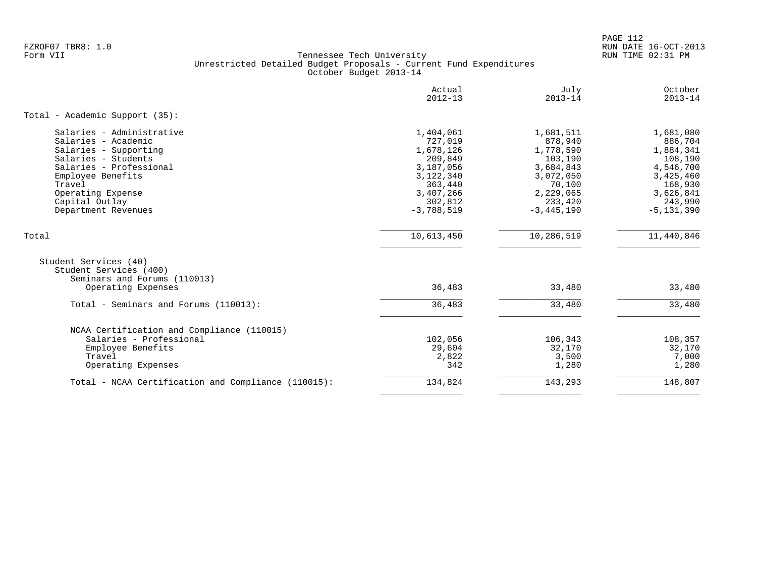PAGE 112 FZROF07 TBR8: 1.0 RUN DATE 16-OCT-2013

|                                                                                 | Actual<br>$2012 - 13$ | July<br>$2013 - 14$  | October<br>$2013 - 14$ |
|---------------------------------------------------------------------------------|-----------------------|----------------------|------------------------|
| Total - Academic Support (35):                                                  |                       |                      |                        |
| Salaries - Administrative<br>Salaries - Academic                                | 1,404,061<br>727,019  | 1,681,511<br>878,940 | 1,681,080<br>886,704   |
| Salaries - Supporting                                                           | 1,678,126             | 1,778,590            | 1,884,341              |
| Salaries - Students                                                             | 209,849               | 103,190              | 108,190                |
| Salaries - Professional                                                         | 3,187,056             | 3,684,843            | 4,546,700              |
| Employee Benefits                                                               | 3,122,340             | 3,072,050            | 3,425,460              |
| Travel                                                                          | 363,440               | 70,100               | 168,930                |
| Operating Expense                                                               | 3,407,266             | 2,229,065            | 3,626,841              |
| Capital Outlay                                                                  | 302,812               | 233,420              | 243,990                |
| Department Revenues                                                             | $-3,788,519$          | $-3,445,190$         | $-5, 131, 390$         |
| Total                                                                           | 10,613,450            | 10,286,519           | 11,440,846             |
| Student Services (40)<br>Student Services (400)<br>Seminars and Forums (110013) |                       |                      |                        |
| Operating Expenses                                                              | 36,483                | 33,480               | 33,480                 |
| Total - Seminars and Forums (110013):                                           | 36,483                | 33,480               | 33,480                 |
|                                                                                 |                       |                      |                        |
| NCAA Certification and Compliance (110015)                                      |                       |                      |                        |
| Salaries - Professional                                                         | 102,056               | 106,343              | 108,357                |
| Employee Benefits                                                               | 29,604                | 32,170               | 32,170                 |
| Travel                                                                          | 2,822                 | 3,500                | 7,000                  |
| Operating Expenses                                                              | 342                   | 1,280                | 1,280                  |
| Total - NCAA Certification and Compliance (110015):                             | 134,824               | 143,293              | 148,807                |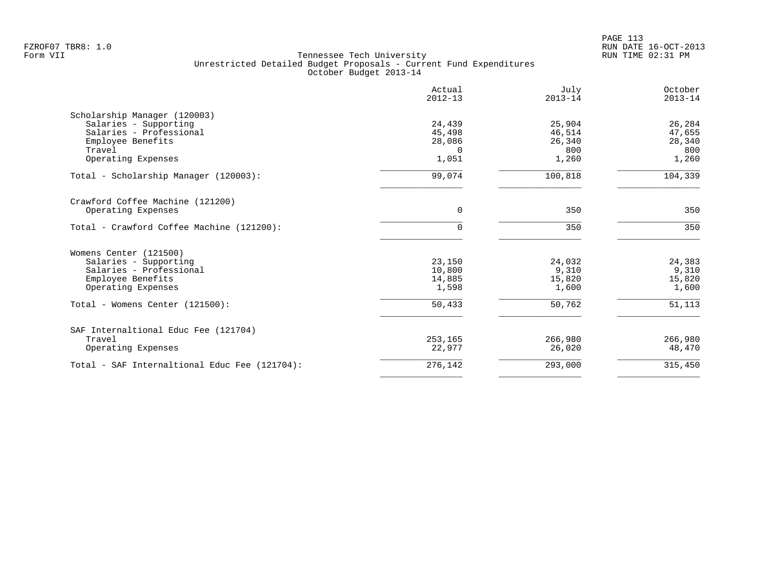| Actual<br>$2012 - 13$ | July<br>$2013 - 14$                                                            | October<br>$2013 - 14$                                                   |
|-----------------------|--------------------------------------------------------------------------------|--------------------------------------------------------------------------|
|                       |                                                                                |                                                                          |
| 24,439                | 25,904                                                                         | 26,284                                                                   |
|                       |                                                                                | 47,655                                                                   |
|                       |                                                                                | 28,340                                                                   |
|                       |                                                                                | 800                                                                      |
|                       |                                                                                | 1,260                                                                    |
| 99,074                | 100,818                                                                        | 104,339                                                                  |
|                       |                                                                                |                                                                          |
| 0                     | 350                                                                            | 350                                                                      |
| $\Omega$              | 350                                                                            | 350                                                                      |
|                       |                                                                                |                                                                          |
|                       |                                                                                | 24,383                                                                   |
|                       |                                                                                | 9,310                                                                    |
|                       |                                                                                | 15,820                                                                   |
| 1,598                 | 1,600                                                                          | 1,600                                                                    |
| 50,433                | 50,762                                                                         | 51,113                                                                   |
|                       |                                                                                |                                                                          |
|                       |                                                                                | 266,980                                                                  |
| 22,977                | 26,020                                                                         | 48,470                                                                   |
| 276,142               | 293,000                                                                        | 315,450                                                                  |
|                       | 45,498<br>28,086<br>$\Omega$<br>1,051<br>23,150<br>10,800<br>14,885<br>253,165 | 46,514<br>26,340<br>800<br>1,260<br>24,032<br>9,310<br>15,820<br>266,980 |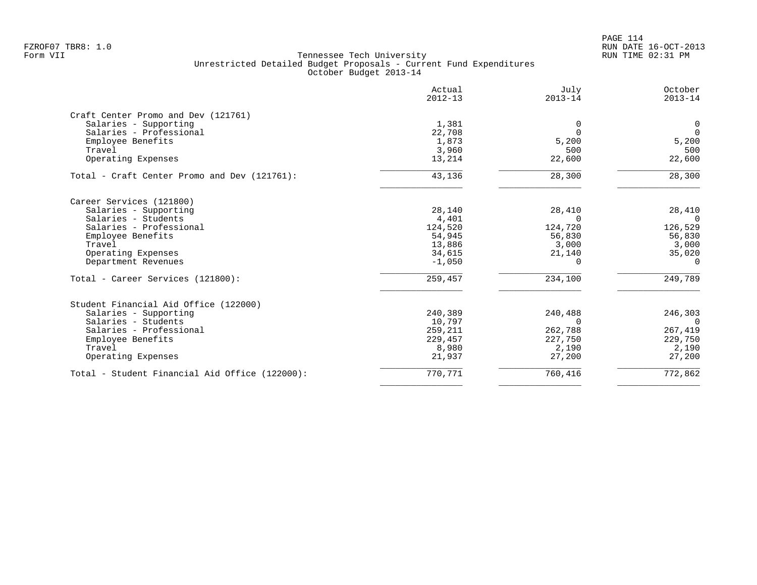|                                                | Actual<br>$2012 - 13$ | July<br>$2013 - 14$ | October<br>$2013 - 14$ |
|------------------------------------------------|-----------------------|---------------------|------------------------|
| Craft Center Promo and Dev (121761)            |                       |                     |                        |
| Salaries - Supporting                          | 1,381                 | $\Omega$            | $\overline{0}$         |
| Salaries - Professional                        | 22,708                | $\Omega$            | $\overline{0}$         |
| Employee Benefits                              | 1,873                 | 5,200               | 5,200                  |
| Travel                                         | 3,960                 | 500                 | 500                    |
| Operating Expenses                             | 13,214                | 22,600              | 22,600                 |
| Total - Craft Center Promo and Dev (121761):   | 43,136                | 28,300              | 28,300                 |
| Career Services (121800)                       |                       |                     |                        |
| Salaries - Supporting                          | 28,140                | 28,410              | 28,410                 |
| Salaries - Students                            | 4,401                 | $\Omega$            | $\Omega$               |
| Salaries - Professional                        | 124,520               | 124,720             | 126,529                |
| Employee Benefits                              | 54,945                | 56,830              | 56,830                 |
| Travel                                         | 13,886                | 3,000               | 3,000                  |
| Operating Expenses                             | 34,615                | 21,140              | 35,020                 |
| Department Revenues                            | $-1,050$              | $\Omega$            | $\Omega$               |
| Total - Career Services (121800):              | 259,457               | 234,100             | 249,789                |
| Student Financial Aid Office (122000)          |                       |                     |                        |
| Salaries - Supporting                          | 240,389               | 240,488             | 246,303                |
| Salaries - Students                            | 10,797                | $\Omega$            | $\Omega$               |
| Salaries - Professional                        | 259,211               | 262,788             | 267,419                |
| Employee Benefits                              | 229,457               | 227,750             | 229,750                |
| Travel                                         | 8,980                 | 2,190               | 2,190                  |
| Operating Expenses                             | 21,937                | 27,200              | 27,200                 |
| Total - Student Financial Aid Office (122000): | 770,771               | 760,416             | 772,862                |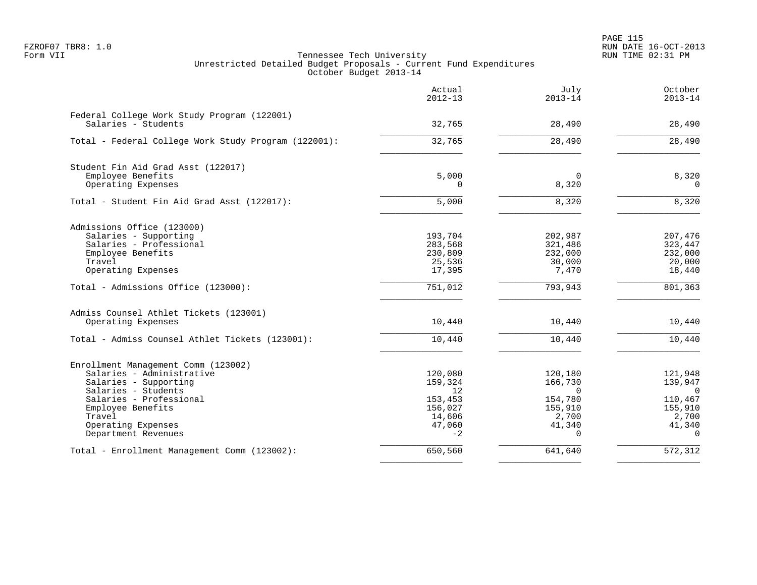|                                                                    | Actual<br>$2012 - 13$ | July<br>$2013 - 14$ | October<br>$2013 - 14$ |
|--------------------------------------------------------------------|-----------------------|---------------------|------------------------|
| Federal College Work Study Program (122001)<br>Salaries - Students | 32,765                | 28,490              | 28,490                 |
| Total - Federal College Work Study Program (122001):               | 32,765                | 28,490              | 28,490                 |
|                                                                    |                       |                     |                        |
| Student Fin Aid Grad Asst (122017)                                 |                       |                     |                        |
| Employee Benefits<br>Operating Expenses                            | 5,000<br>$\Omega$     | $\Omega$<br>8,320   | 8,320<br>$\mathbf 0$   |
| Total - Student Fin Aid Grad Asst (122017):                        | 5,000                 | 8,320               | 8,320                  |
|                                                                    |                       |                     |                        |
| Admissions Office (123000)                                         |                       |                     |                        |
| Salaries - Supporting<br>Salaries - Professional                   | 193,704               | 202,987             | 207,476                |
| Employee Benefits                                                  | 283,568<br>230,809    | 321,486<br>232,000  | 323,447<br>232,000     |
| Travel                                                             | 25,536                | 30,000              | 20,000                 |
| Operating Expenses                                                 | 17,395                | 7,470               | 18,440                 |
| Total - Admissions Office (123000):                                | 751,012               | 793,943             | 801,363                |
| Admiss Counsel Athlet Tickets (123001)                             |                       |                     |                        |
| Operating Expenses                                                 | 10,440                | 10,440              | 10,440                 |
| Total - Admiss Counsel Athlet Tickets (123001):                    | 10,440                | 10,440              | 10,440                 |
| Enrollment Management Comm (123002)                                |                       |                     |                        |
| Salaries - Administrative                                          | 120,080               | 120,180             | 121,948                |
| Salaries - Supporting                                              | 159,324               | 166,730             | 139,947                |
| Salaries - Students                                                | 12                    | $\Omega$            | $\overline{0}$         |
| Salaries - Professional                                            | 153,453               | 154,780             | 110,467                |
| Employee Benefits                                                  | 156,027               | 155,910             | 155,910                |
| Travel                                                             | 14,606                | 2,700               | 2,700                  |
| Operating Expenses<br>Department Revenues                          | 47,060<br>$-2$        | 41,340<br>$\Omega$  | 41,340<br>$\Omega$     |
| Total - Enrollment Management Comm (123002):                       | 650,560               | 641,640             | 572,312                |
|                                                                    |                       |                     |                        |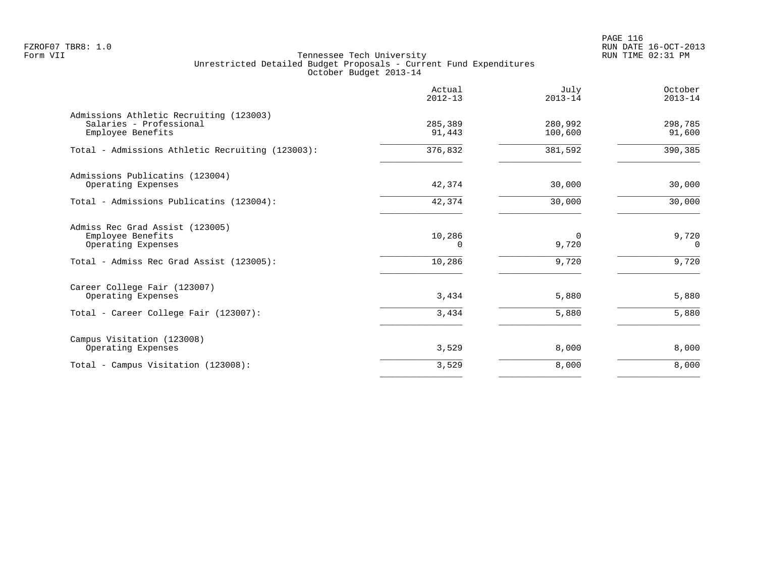PAGE 116 FZROF07 TBR8: 1.0 RUN DATE 16-OCT-2013

|                                                                                                                        | Actual<br>$2012 - 13$        | July<br>$2013 - 14$        | October<br>$2013 - 14$     |
|------------------------------------------------------------------------------------------------------------------------|------------------------------|----------------------------|----------------------------|
| Admissions Athletic Recruiting (123003)<br>Salaries - Professional<br>Employee Benefits                                | 285,389<br>91,443            | 280,992<br>100,600         | 298,785<br>91,600          |
| Total - Admissions Athletic Recruiting (123003):                                                                       | 376,832                      | 381,592                    | 390,385                    |
| Admissions Publicatins (123004)<br>Operating Expenses                                                                  | 42,374                       | 30,000                     | 30,000                     |
| Total - Admissions Publicatins (123004):                                                                               | 42,374                       | 30,000                     | 30,000                     |
| Admiss Rec Grad Assist (123005)<br>Employee Benefits<br>Operating Expenses<br>Total - Admiss Rec Grad Assist (123005): | 10,286<br>$\Omega$<br>10,286 | $\Omega$<br>9,720<br>9,720 | 9,720<br>$\Omega$<br>9,720 |
| Career College Fair (123007)<br>Operating Expenses<br>Total - Career College Fair (123007):                            | 3,434<br>3,434               | 5,880<br>5,880             | 5,880<br>5,880             |
| Campus Visitation (123008)<br>Operating Expenses                                                                       | 3,529                        | 8,000                      | 8,000                      |
| Total - Campus Visitation (123008):                                                                                    | 3,529                        | 8,000                      | 8,000                      |
|                                                                                                                        |                              |                            |                            |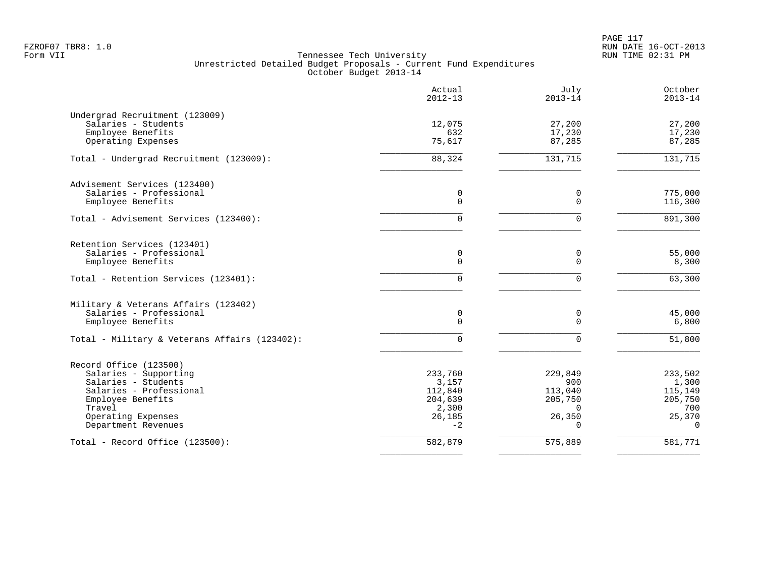PAGE 117 FZROF07 TBR8: 1.0 RUN DATE 16-OCT-2013

|                                               | Actual<br>$2012 - 13$ | July<br>$2013 - 14$ | October<br>$2013 - 14$ |
|-----------------------------------------------|-----------------------|---------------------|------------------------|
| Undergrad Recruitment (123009)                |                       |                     |                        |
| Salaries - Students                           | 12,075                | 27,200              | 27,200                 |
| Employee Benefits                             | 632                   | 17,230              | 17,230                 |
| Operating Expenses                            | 75,617                | 87,285              | 87,285                 |
| Total - Undergrad Recruitment (123009):       | 88,324                | 131,715             | 131,715                |
| Advisement Services (123400)                  |                       |                     |                        |
| Salaries - Professional                       | 0                     | 0                   | 775,000                |
| Employee Benefits                             | $\mathbf 0$           | $\Omega$            | 116,300                |
| Total - Advisement Services (123400):         | $\Omega$              | $\Omega$            | 891,300                |
| Retention Services (123401)                   |                       |                     |                        |
| Salaries - Professional                       | 0                     | 0                   | 55,000                 |
| Employee Benefits                             | $\mathbf 0$           | $\Omega$            | 8,300                  |
| Total - Retention Services (123401):          | $\Omega$              | $\Omega$            | 63,300                 |
| Military & Veterans Affairs (123402)          |                       |                     |                        |
| Salaries - Professional                       | 0                     | 0                   | 45,000                 |
| Employee Benefits                             | $\mathbf 0$           | $\Omega$            | 6,800                  |
| Total - Military & Veterans Affairs (123402): | $\Omega$              | U                   | $\overline{51,800}$    |
| Record Office (123500)                        |                       |                     |                        |
| Salaries - Supporting                         | 233,760               | 229,849             | 233,502                |
| Salaries - Students                           | 3,157                 | 900                 | 1,300                  |
| Salaries - Professional                       | 112,840               | 113,040             | 115,149                |
| Employee Benefits                             | 204,639               | 205,750             | 205,750                |
| Travel                                        | 2,300                 | $\Omega$            | 700                    |
| Operating Expenses<br>Department Revenues     | 26,185<br>$-2$        | 26,350<br>$\Omega$  | 25,370<br>$\Omega$     |
| Total - Record Office (123500):               | 582,879               | 575,889             | 581,771                |
|                                               |                       |                     |                        |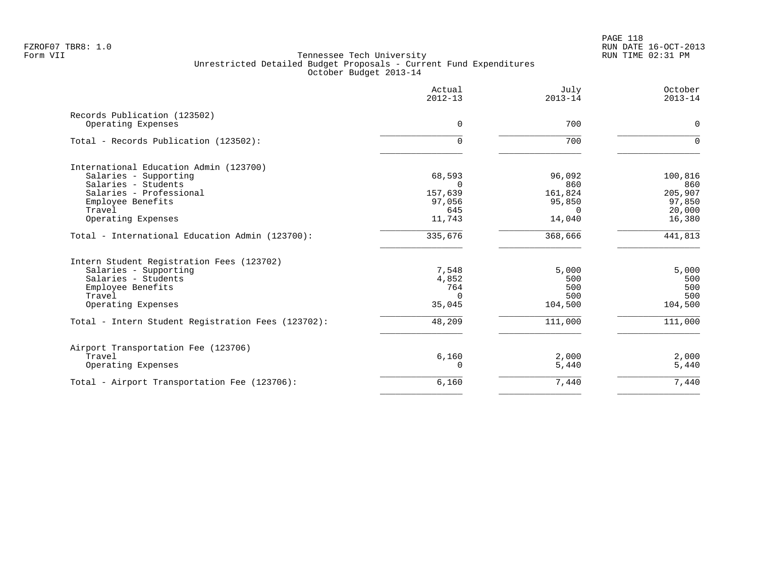|                                                    | Actual<br>$2012 - 13$ | July<br>$2013 - 14$ | October<br>$2013 - 14$ |
|----------------------------------------------------|-----------------------|---------------------|------------------------|
| Records Publication (123502)                       |                       |                     |                        |
| Operating Expenses                                 | $\Omega$              | 700                 | $\mathbf 0$            |
| Total - Records Publication (123502):              | $\Omega$              | 700                 | $\Omega$               |
| International Education Admin (123700)             |                       |                     |                        |
| Salaries - Supporting                              | 68,593                | 96,092              | 100,816                |
| Salaries - Students                                | $\Omega$              | 860                 | 860                    |
| Salaries - Professional                            | 157,639               | 161,824             | 205,907                |
| Employee Benefits<br>Travel                        | 97,056<br>645         | 95,850<br>$\Omega$  | 97,850<br>20,000       |
| Operating Expenses                                 | 11,743                | 14,040              | 16,380                 |
| Total - International Education Admin (123700):    | 335,676               | 368,666             | 441,813                |
| Intern Student Registration Fees (123702)          |                       |                     |                        |
| Salaries - Supporting                              | 7,548                 | 5,000               | 5,000                  |
| Salaries - Students                                | 4,852                 | 500                 | 500                    |
| Employee Benefits                                  | 764                   | 500                 | 500                    |
| Travel                                             | $\cap$                | 500                 | 500                    |
| Operating Expenses                                 | 35,045                | 104,500             | 104,500                |
| Total - Intern Student Registration Fees (123702): | 48,209                | 111,000             | 111,000                |
| Airport Transportation Fee (123706)                |                       |                     |                        |
| Travel                                             | 6,160                 | 2,000               | 2,000                  |
| Operating Expenses                                 | $\Omega$              | 5,440               | 5,440                  |
| Total - Airport Transportation Fee (123706):       | 6,160                 | 7,440               | 7,440                  |
|                                                    |                       |                     |                        |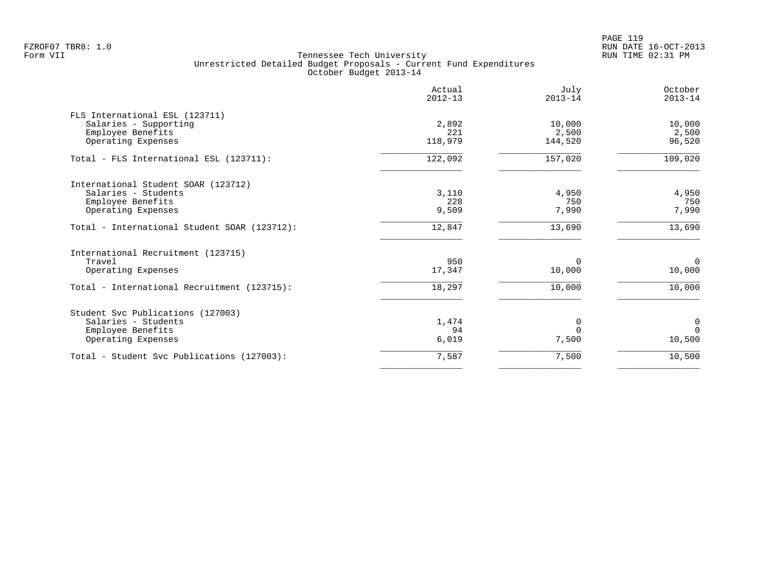PAGE 119 FZROF07 TBR8: 1.0 RUN DATE 16-OCT-2013

|                                              | Actual<br>$2012 - 13$ | July<br>$2013 - 14$ | October<br>$2013 - 14$ |
|----------------------------------------------|-----------------------|---------------------|------------------------|
| FLS International ESL (123711)               |                       |                     |                        |
| Salaries - Supporting                        | 2,892                 | 10,000              | 10,000                 |
| Employee Benefits                            | 221                   | 2,500               | 2,500                  |
| Operating Expenses                           | 118,979               | 144,520             | 96,520                 |
| Total - FLS International ESL (123711):      | 122,092               | 157,020             | 109,020                |
| International Student SOAR (123712)          |                       |                     |                        |
| Salaries - Students                          | 3,110                 | 4,950               | 4,950                  |
| Employee Benefits                            | 228                   | 750                 | 750                    |
| Operating Expenses                           | 9,509                 | 7,990               | 7,990                  |
| Total - International Student SOAR (123712): | 12,847                | 13,690              | 13,690                 |
| International Recruitment (123715)           |                       |                     |                        |
| Travel                                       | 950                   | $\Omega$            | $\overline{0}$         |
| Operating Expenses                           | 17,347                | 10,000              | 10,000                 |
| Total - International Recruitment (123715):  | 18,297                | 10,000              | 10,000                 |
| Student Svc Publications (127003)            |                       |                     |                        |
| Salaries - Students                          | 1,474                 | 0                   | $\overline{0}$         |
| Employee Benefits                            | 94                    | $\Omega$            | $\Omega$               |
| Operating Expenses                           | 6,019                 | 7,500               | 10,500                 |
| Total - Student Svc Publications (127003):   | 7,587                 | 7,500               | 10,500                 |
|                                              |                       |                     |                        |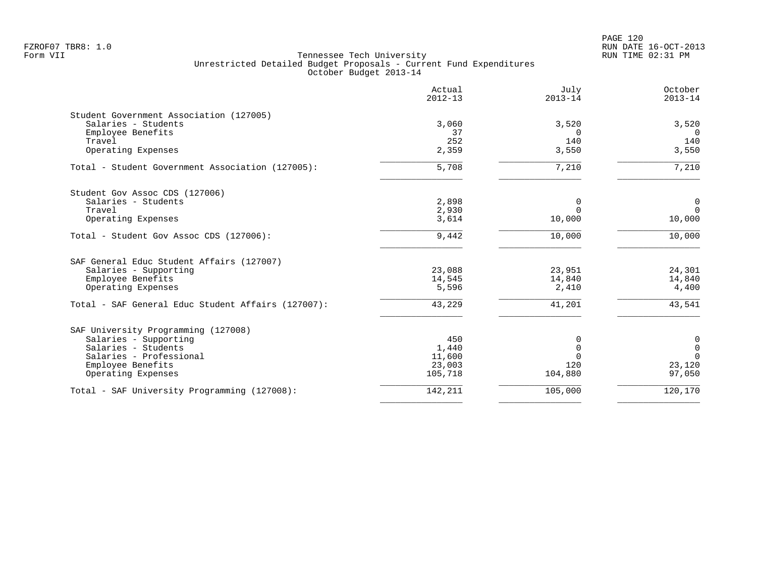| Actual<br>$2012 - 13$ | July<br>$2013 - 14$                                                    | October<br>$2013 - 14$                                                                    |
|-----------------------|------------------------------------------------------------------------|-------------------------------------------------------------------------------------------|
|                       |                                                                        |                                                                                           |
| 3,060                 | 3,520                                                                  | 3,520                                                                                     |
| 37                    | <sup>n</sup>                                                           | $\Omega$                                                                                  |
| 252                   | 140                                                                    | 140                                                                                       |
| 2,359                 | 3,550                                                                  | 3,550                                                                                     |
| 5,708                 | 7,210                                                                  | 7,210                                                                                     |
|                       |                                                                        |                                                                                           |
|                       |                                                                        | $\mathbf 0$                                                                               |
|                       |                                                                        | $\overline{0}$                                                                            |
| 3,614                 | 10,000                                                                 | 10,000                                                                                    |
| 9,442                 | 10,000                                                                 | 10,000                                                                                    |
|                       |                                                                        |                                                                                           |
|                       |                                                                        | 24,301                                                                                    |
|                       |                                                                        | 14,840                                                                                    |
| 5,596                 | 2,410                                                                  | 4,400                                                                                     |
| 43,229                | 41,201                                                                 | 43,541                                                                                    |
|                       |                                                                        |                                                                                           |
|                       |                                                                        | 0                                                                                         |
|                       |                                                                        | $\mathbf 0$                                                                               |
|                       |                                                                        | $\Omega$                                                                                  |
|                       |                                                                        | 23,120                                                                                    |
| 105,718               | 104,880                                                                | 97,050                                                                                    |
|                       |                                                                        | 120,170                                                                                   |
|                       | 2,898<br>2,930<br>23,088<br>14,545<br>450<br>1,440<br>11,600<br>23,003 | $\Omega$<br>$\Omega$<br>23,951<br>14,840<br>0<br>$\mathbf 0$<br>120<br>142,211<br>105,000 |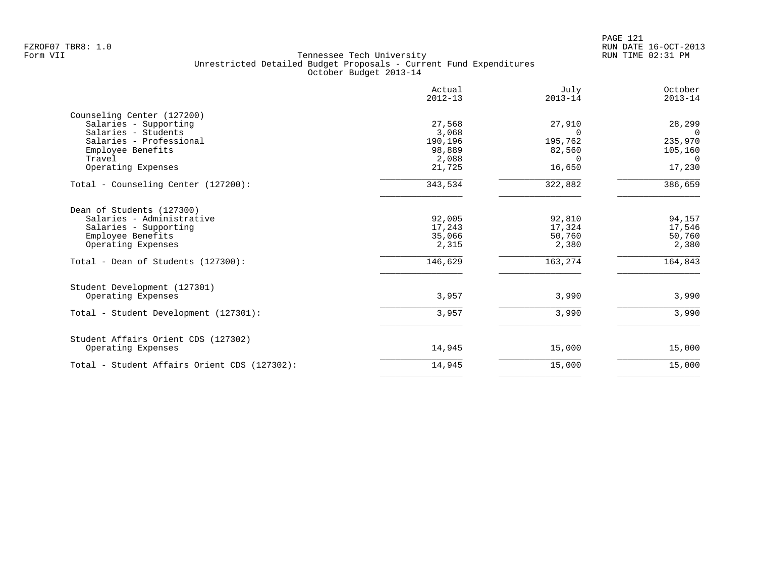|                                              | Actual<br>$2012 - 13$ | July<br>$2013 - 14$ | October<br>$2013 - 14$ |
|----------------------------------------------|-----------------------|---------------------|------------------------|
| Counseling Center (127200)                   |                       |                     |                        |
| Salaries - Supporting                        | 27,568                | 27,910              | 28,299                 |
| Salaries - Students                          | 3,068                 | $\Omega$            | $\Omega$               |
| Salaries - Professional                      | 190,196               | 195,762             | 235,970                |
| Employee Benefits                            | 98,889                | 82,560              | 105,160                |
| Travel                                       | 2,088                 | $\cap$              | $\Omega$               |
| Operating Expenses                           | 21,725                | 16,650              | 17,230                 |
| Total - Counseling Center (127200):          | 343,534               | 322,882             | 386,659                |
| Dean of Students (127300)                    |                       |                     |                        |
| Salaries - Administrative                    | 92,005                | 92,810              | 94,157                 |
| Salaries - Supporting                        | 17,243                | 17,324              | 17,546                 |
| Employee Benefits                            | 35,066                | 50,760              | 50,760                 |
| Operating Expenses                           | 2,315                 | 2,380               | 2,380                  |
| Total - Dean of Students (127300):           | 146,629               | 163,274             | 164,843                |
| Student Development (127301)                 |                       |                     |                        |
| Operating Expenses                           | 3,957                 | 3,990               | 3,990                  |
| Total - Student Development (127301):        | 3,957                 | 3,990               | 3,990                  |
| Student Affairs Orient CDS (127302)          |                       |                     |                        |
| Operating Expenses                           | 14,945                | 15,000              | 15,000                 |
| Total - Student Affairs Orient CDS (127302): | 14,945                | 15,000              | 15,000                 |
|                                              |                       |                     |                        |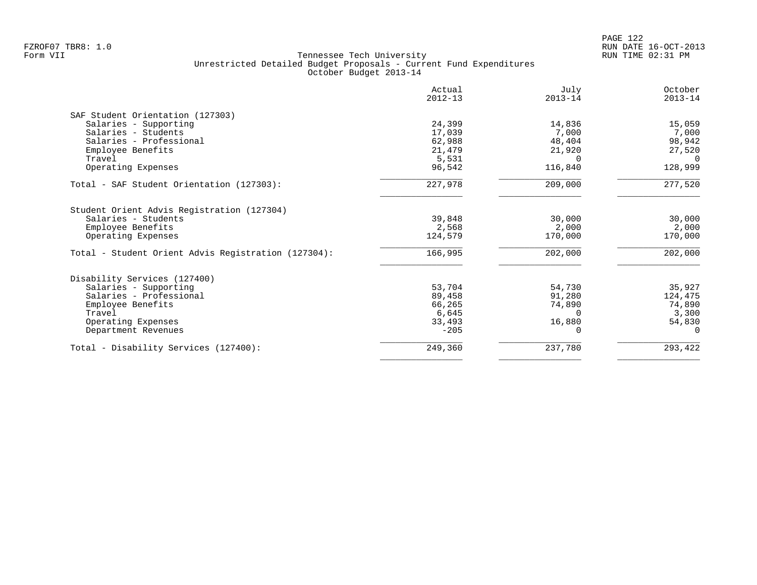|                                                                                                              | Actual<br>$2012 - 13$      | July<br>$2013 - 14$        | October<br>$2013 - 14$     |
|--------------------------------------------------------------------------------------------------------------|----------------------------|----------------------------|----------------------------|
| SAF Student Orientation (127303)                                                                             |                            |                            |                            |
| Salaries - Supporting                                                                                        | 24,399                     | 14,836                     | 15,059                     |
| Salaries - Students                                                                                          | 17,039                     | 7,000                      | 7,000                      |
| Salaries - Professional                                                                                      | 62,988                     | 48,404                     | 98,942                     |
| Employee Benefits                                                                                            | 21,479                     | 21,920                     | 27,520                     |
| Travel                                                                                                       | 5,531                      | $\Omega$                   | $\Omega$                   |
| Operating Expenses                                                                                           | 96,542                     | 116,840                    | 128,999                    |
| Total - SAF Student Orientation (127303):                                                                    | 227,978                    | 209,000                    | 277,520                    |
| Student Orient Advis Registration (127304)<br>Salaries - Students<br>Employee Benefits<br>Operating Expenses | 39,848<br>2,568<br>124,579 | 30,000<br>2,000<br>170,000 | 30,000<br>2,000<br>170,000 |
| Total - Student Orient Advis Registration (127304):                                                          | 166,995                    | 202,000                    | 202,000                    |
| Disability Services (127400)                                                                                 |                            |                            |                            |
| Salaries - Supporting                                                                                        | 53,704                     | 54,730                     | 35,927                     |
| Salaries - Professional                                                                                      | 89,458                     | 91,280                     | 124,475                    |
| Employee Benefits                                                                                            | 66,265                     | 74,890                     | 74,890                     |
| Travel                                                                                                       | 6,645                      | $\Omega$                   | 3,300                      |
| Operating Expenses                                                                                           | 33,493                     | 16,880                     | 54,830                     |
| Department Revenues                                                                                          | $-205$                     |                            | $\Omega$                   |
| Total - Disability Services (127400):                                                                        | 249,360                    | 237,780                    | 293,422                    |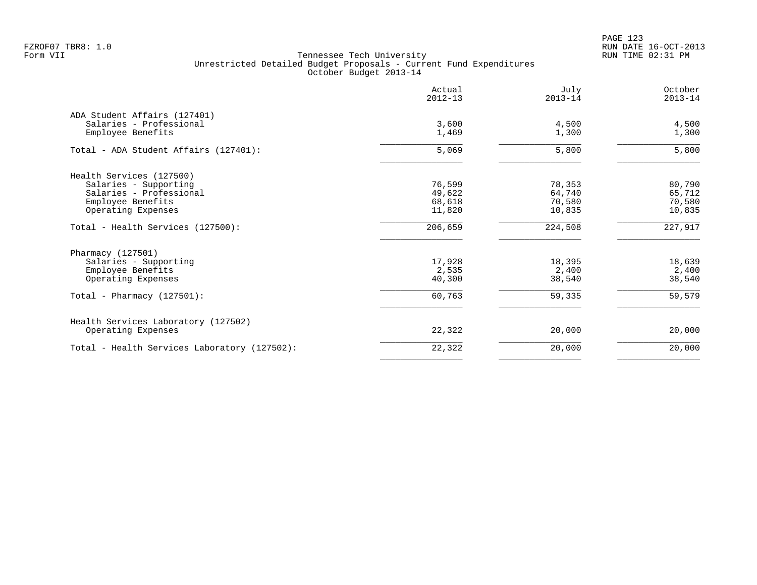PAGE 123 FZROF07 TBR8: 1.0 RUN DATE 16-OCT-2013

|                                              | Actual<br>$2012 - 13$ | July<br>$2013 - 14$ | October<br>$2013 - 14$ |
|----------------------------------------------|-----------------------|---------------------|------------------------|
| ADA Student Affairs (127401)                 |                       |                     |                        |
| Salaries - Professional                      | 3,600                 | 4,500               | 4,500                  |
| Employee Benefits                            | 1,469                 | 1,300               | 1,300                  |
| Total - ADA Student Affairs (127401):        | 5,069                 | 5,800               | 5,800                  |
| Health Services (127500)                     |                       |                     |                        |
| Salaries - Supporting                        | 76,599                | 78,353              | 80,790                 |
| Salaries - Professional                      | 49,622                | 64,740              | 65,712                 |
| Employee Benefits                            | 68,618                | 70,580              | 70,580                 |
| Operating Expenses                           | 11,820                | 10,835              | 10,835                 |
| Total - Health Services (127500):            | 206,659               | 224,508             | 227,917                |
| Pharmacy (127501)                            |                       |                     |                        |
| Salaries - Supporting                        | 17,928                | 18,395              | 18,639                 |
| Employee Benefits                            | 2,535                 | 2,400               | 2,400                  |
| Operating Expenses                           | 40,300                | 38,540              | 38,540                 |
| Total - Pharmacy $(127501)$ :                | 60,763                | 59,335              | 59,579                 |
| Health Services Laboratory (127502)          |                       |                     |                        |
| Operating Expenses                           | 22,322                | 20,000              | 20,000                 |
| Total - Health Services Laboratory (127502): | 22,322                | 20,000              | 20,000                 |
|                                              |                       |                     |                        |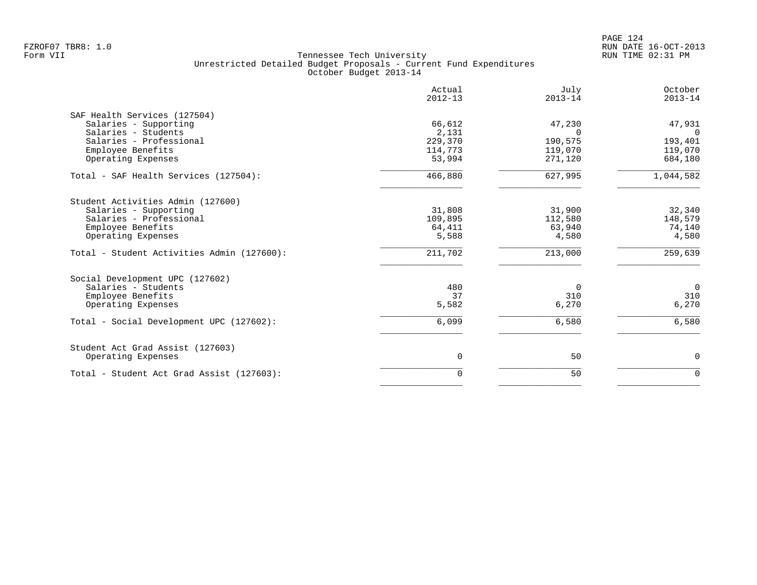PAGE 124 FZROF07 TBR8: 1.0 RUN DATE 16-OCT-2013

|                                            | Actual<br>$2012 - 13$ | July<br>$2013 - 14$ | October<br>$2013 - 14$ |
|--------------------------------------------|-----------------------|---------------------|------------------------|
| SAF Health Services (127504)               |                       |                     |                        |
| Salaries - Supporting                      | 66,612                | 47,230              | 47,931                 |
| Salaries - Students                        | 2,131                 | $\Omega$            | $\Omega$               |
| Salaries - Professional                    | 229,370               | 190,575             | 193,401                |
| Employee Benefits                          | 114,773               | 119,070             | 119,070                |
| Operating Expenses                         | 53,994                | 271,120             | 684,180                |
| Total - SAF Health Services (127504):      | 466,880               | 627,995             | 1,044,582              |
| Student Activities Admin (127600)          |                       |                     |                        |
| Salaries - Supporting                      | 31,808                | 31,900              | 32,340                 |
| Salaries - Professional                    | 109,895               | 112,580             | 148,579                |
| Employee Benefits                          | 64,411                | 63,940              | 74,140                 |
| Operating Expenses                         | 5,588                 | 4,580               | 4,580                  |
| Total - Student Activities Admin (127600): | 211,702               | 213,000             | 259,639                |
| Social Development UPC (127602)            |                       |                     |                        |
| Salaries - Students                        | 480                   | $\Omega$            | $\overline{0}$         |
| Employee Benefits                          | 37                    | 310                 | 310                    |
| Operating Expenses                         | 5,582                 | 6,270               | 6,270                  |
| Total - Social Development UPC (127602):   | 6,099                 | 6,580               | 6,580                  |
| Student Act Grad Assist (127603)           |                       |                     |                        |
| Operating Expenses                         | $\mathbf 0$           | 50                  | $\mathsf{O}$           |
| Total - Student Act Grad Assist (127603):  | $\Omega$              | 50                  | $\mathbf 0$            |
|                                            |                       |                     |                        |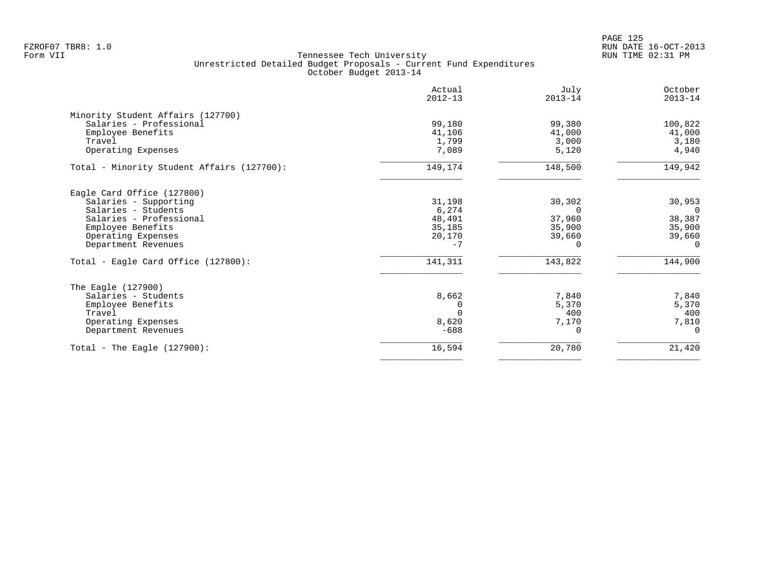|                                            | Actual<br>$2012 - 13$ | July<br>$2013 - 14$ | October<br>$2013 - 14$ |
|--------------------------------------------|-----------------------|---------------------|------------------------|
| Minority Student Affairs (127700)          |                       |                     |                        |
| Salaries - Professional                    | 99,180                | 99,380              | 100,822                |
| Employee Benefits                          | 41,106                | 41,000              | 41,000                 |
| Travel                                     | 1,799                 | 3,000               | 3,180                  |
| Operating Expenses                         | 7,089                 | 5,120               | 4,940                  |
| Total - Minority Student Affairs (127700): | 149,174               | 148,500             | 149,942                |
| Eagle Card Office (127800)                 |                       |                     |                        |
| Salaries - Supporting                      | 31,198                | 30,302              | 30,953                 |
| Salaries - Students                        | 6,274                 | $\Omega$            | $\Omega$               |
| Salaries - Professional                    | 48,491                | 37,960              | 38,387                 |
| Employee Benefits                          | 35,185                | 35,900              | 35,900                 |
| Operating Expenses                         | 20,170                | 39,660              | 39,660                 |
| Department Revenues                        | $-7$                  | 0                   | $\Omega$               |
| Total - Eagle Card Office (127800):        | 141,311               | 143,822             | 144,900                |
| The Eagle (127900)                         |                       |                     |                        |
| Salaries - Students                        | 8,662                 | 7,840               | 7,840                  |
| Employee Benefits                          | 0                     | 5,370               | 5,370                  |
| Travel                                     |                       | 400                 | 400                    |
| Operating Expenses                         | 8,620                 | 7,170               | 7,810                  |
| Department Revenues                        | $-688$                | $\Omega$            | $\Omega$               |
| Total - The Eagle $(127900)$ :             | 16,594                | 20,780              | 21,420                 |
|                                            |                       |                     |                        |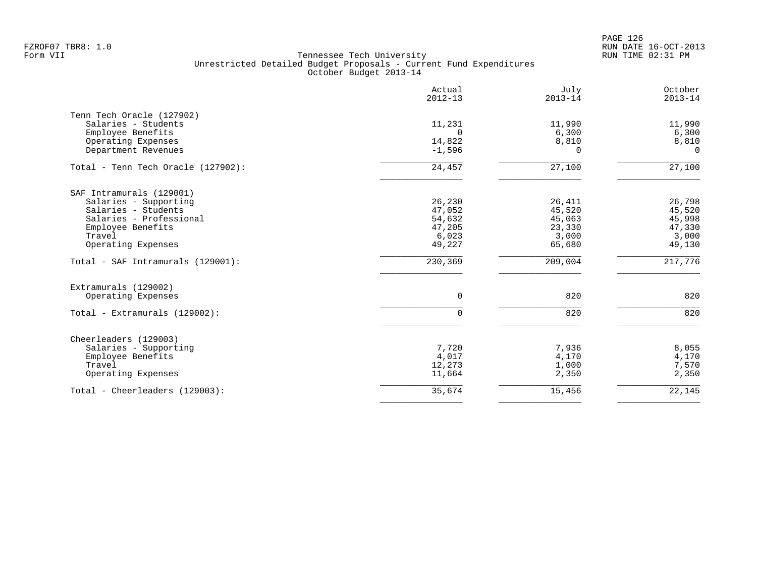PAGE 126 FZROF07 TBR8: 1.0 RUN DATE 16-OCT-2013

|                                    | Actual<br>$2012 - 13$ | July<br>$2013 - 14$ | October<br>$2013 - 14$ |
|------------------------------------|-----------------------|---------------------|------------------------|
| Tenn Tech Oracle (127902)          |                       |                     |                        |
| Salaries - Students                | 11,231                | 11,990              | 11,990                 |
| Employee Benefits                  | $\Omega$              | 6,300               | 6,300                  |
| Operating Expenses                 | 14,822                | 8,810               | 8,810                  |
| Department Revenues                | $-1,596$              | 0                   | $\Omega$               |
| Total - Tenn Tech Oracle (127902): | 24,457                | 27,100              | 27,100                 |
| SAF Intramurals (129001)           |                       |                     |                        |
| Salaries - Supporting              | 26,230                | 26,411              | 26,798                 |
| Salaries - Students                | 47,052                | 45,520              | 45,520                 |
| Salaries - Professional            | 54,632                | 45,063              | 45,998                 |
| Employee Benefits                  | 47,205                | 23,330              | 47,330                 |
| Travel                             | 6,023                 | 3,000               | 3,000                  |
| Operating Expenses                 | 49,227                | 65,680              | 49,130                 |
| Total - SAF Intramurals (129001):  | 230,369               | 209,004             | 217,776                |
| Extramurals (129002)               |                       |                     |                        |
| Operating Expenses                 | $\mathbf 0$           | 820                 | 820                    |
| Total - Extramurals (129002):      | 0                     | 820                 | 820                    |
| Cheerleaders (129003)              |                       |                     |                        |
| Salaries - Supporting              | 7,720                 | 7,936               | 8,055                  |
| Employee Benefits                  | 4,017                 | 4,170               | 4,170                  |
| Travel                             | 12,273                | 1,000               | 7,570                  |
| Operating Expenses                 | 11,664                | 2,350               | 2,350                  |
| Total - Cheerleaders (129003):     | 35,674                | 15,456              | 22,145                 |
|                                    |                       |                     |                        |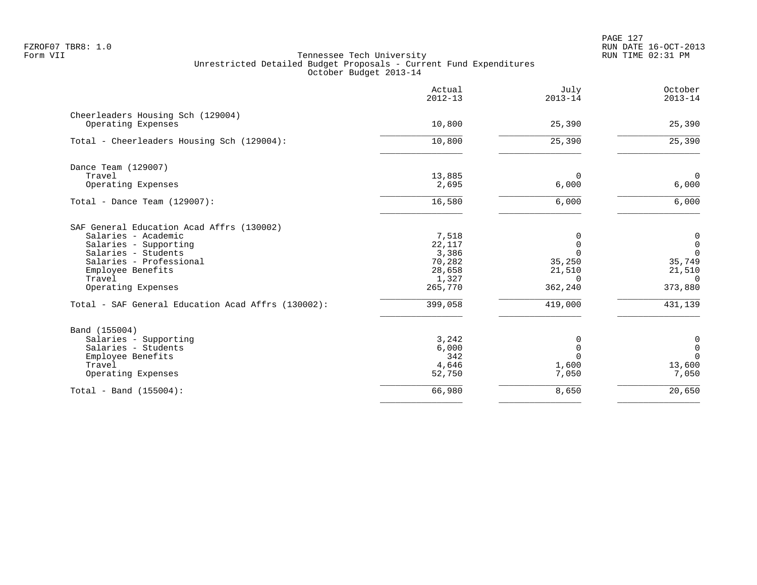PAGE 127 FZROF07 TBR8: 1.0 RUN DATE 16-OCT-2013

|                                                    | Actual<br>$2012 - 13$ | July<br>$2013 - 14$ | October<br>$2013 - 14$ |
|----------------------------------------------------|-----------------------|---------------------|------------------------|
| Cheerleaders Housing Sch (129004)                  |                       |                     |                        |
| Operating Expenses                                 | 10,800                | 25,390              | 25,390                 |
| Total - Cheerleaders Housing Sch (129004):         | 10,800                | 25,390              | 25,390                 |
| Dance Team (129007)                                |                       |                     |                        |
| Travel                                             | 13,885                | 0                   | $\mathbf 0$            |
| Operating Expenses                                 | 2,695                 | 6,000               | 6,000                  |
| Total - Dance Team $(129007)$ :                    | 16,580                | 6,000               | 6,000                  |
| SAF General Education Acad Affrs (130002)          |                       |                     |                        |
| Salaries - Academic                                | 7,518                 | 0                   | 0                      |
| Salaries - Supporting                              | 22,117                | $\Omega$            | $\mathsf 0$            |
| Salaries - Students                                | 3,386                 | $\Omega$            | $\mathbf 0$            |
| Salaries - Professional                            | 70,282                | 35,250              | 35,749                 |
| Employee Benefits                                  | 28,658                | 21,510              | 21,510                 |
| Travel                                             | 1,327                 | $\Omega$            | $\Omega$               |
| Operating Expenses                                 | 265,770               | 362,240             | 373,880                |
| Total - SAF General Education Acad Affrs (130002): | 399,058               | 419,000             | 431,139                |
| Band (155004)                                      |                       |                     |                        |
| Salaries - Supporting                              | 3,242                 | 0                   | 0                      |
| Salaries - Students                                | 6,000                 | $\mathbf 0$         | $\mathbf 0$            |
| Employee Benefits                                  | 342                   | $\Omega$            | $\mathbf 0$            |
| Travel                                             | 4,646                 | 1,600               | 13,600                 |
| Operating Expenses                                 | 52,750                | 7,050               | 7,050                  |
| Total - Band $(155004)$ :                          | 66,980                | 8,650               | 20,650                 |
|                                                    |                       |                     |                        |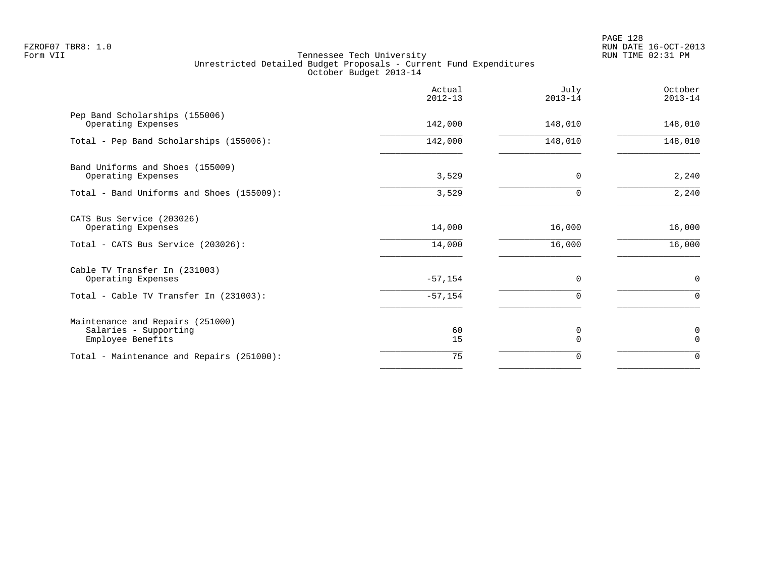|                                                                                | Actual<br>$2012 - 13$ | July<br>$2013 - 14$ | October<br>$2013 - 14$ |
|--------------------------------------------------------------------------------|-----------------------|---------------------|------------------------|
| Pep Band Scholarships (155006)<br>Operating Expenses                           | 142,000               | 148,010             | 148,010                |
| Total - Pep Band Scholarships (155006):                                        | 142,000               | 148,010             | 148,010                |
| Band Uniforms and Shoes (155009)<br>Operating Expenses                         | 3,529                 | 0                   | 2,240                  |
| Total - Band Uniforms and Shoes (155009):                                      | 3,529                 | $\Omega$            | 2,240                  |
| CATS Bus Service (203026)<br>Operating Expenses                                | 14,000                | 16,000              | 16,000                 |
| Total - CATS Bus Service (203026):                                             | 14,000                | 16,000              | 16,000                 |
| Cable TV Transfer In (231003)<br>Operating Expenses                            | $-57, 154$            | 0                   | $\mathbf 0$            |
| Total - Cable TV Transfer In (231003):                                         | $-57,154$             | 0                   | $\mathbf 0$            |
| Maintenance and Repairs (251000)<br>Salaries - Supporting<br>Employee Benefits | 60<br>15              | 0<br>$\Omega$       | 0<br>$\Omega$          |
| Total - Maintenance and Repairs (251000):                                      | 75                    | 0                   | $\mathbf 0$            |
|                                                                                |                       |                     |                        |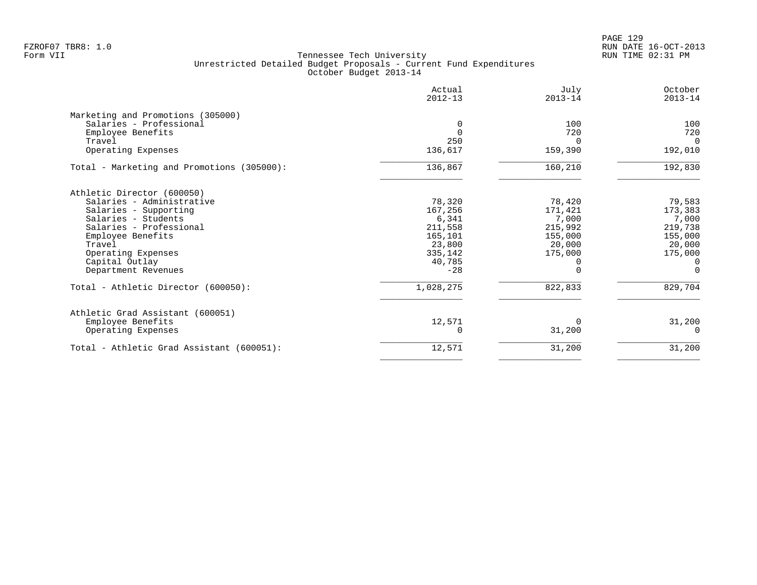PAGE 129 FZROF07 TBR8: 1.0 RUN DATE 16-OCT-2013

|                                            | Actual<br>$2012 - 13$ | July<br>$2013 - 14$ | October<br>$2013 - 14$ |
|--------------------------------------------|-----------------------|---------------------|------------------------|
| Marketing and Promotions (305000)          |                       |                     |                        |
| Salaries - Professional                    |                       | 100                 | 100                    |
| Employee Benefits                          | $\Omega$              | 720                 | 720                    |
| Travel                                     | 250                   | 0                   | $\Omega$               |
| Operating Expenses                         | 136,617               | 159,390             | 192,010                |
| Total - Marketing and Promotions (305000): | 136,867               | 160,210             | 192,830                |
| Athletic Director (600050)                 |                       |                     |                        |
| Salaries - Administrative                  | 78,320                | 78,420              | 79,583                 |
| Salaries - Supporting                      | 167,256               | 171,421             | 173,383                |
| Salaries - Students                        | 6,341                 | 7,000               | 7,000                  |
| Salaries - Professional                    | 211,558               | 215,992             | 219,738                |
| Employee Benefits                          | 165,101               | 155,000             | 155,000                |
| Travel                                     | 23,800                | 20,000              | 20,000                 |
| Operating Expenses                         | 335,142               | 175,000             | 175,000                |
| Capital Outlay                             | 40,785                |                     | $\Omega$               |
| Department Revenues                        | $-28$                 |                     | $\Omega$               |
| Total - Athletic Director (600050):        | 1,028,275             | 822,833             | 829,704                |
| Athletic Grad Assistant (600051)           |                       |                     |                        |
| Employee Benefits                          | 12,571                | 0                   | 31,200                 |
| Operating Expenses                         |                       | 31,200              | $\Omega$               |
| Total - Athletic Grad Assistant (600051):  | 12,571                | 31,200              | 31,200                 |
|                                            |                       |                     |                        |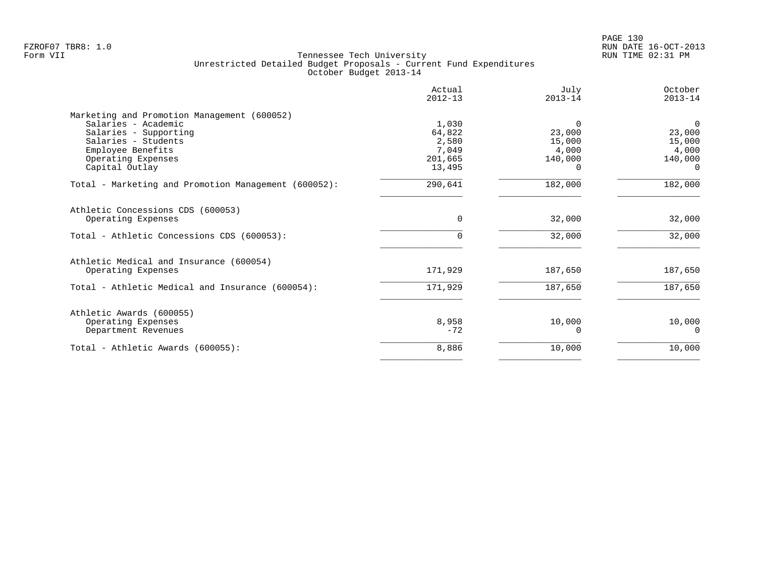| Actual<br>$2012 - 13$                                  | July<br>$2013 - 14$                              | October<br>$2013 - 14$                                       |
|--------------------------------------------------------|--------------------------------------------------|--------------------------------------------------------------|
| 1,030<br>64,822<br>2,580<br>7,049<br>201,665<br>13,495 | $\Omega$<br>23,000<br>15,000<br>4,000<br>140,000 | $\Omega$<br>23,000<br>15,000<br>4,000<br>140,000<br>$\Omega$ |
| 290,641                                                | 182,000                                          | 182,000                                                      |
| $\Omega$<br>0                                          | 32,000<br>32,000                                 | 32,000<br>32,000                                             |
| 171,929                                                | 187,650                                          | 187,650                                                      |
| 171,929                                                | 187,650                                          | 187,650                                                      |
| 8,958<br>$-72$                                         | 10,000<br>∩                                      | 10,000<br>$\Omega$                                           |
| 8,886                                                  | 10,000                                           | 10,000                                                       |
|                                                        |                                                  |                                                              |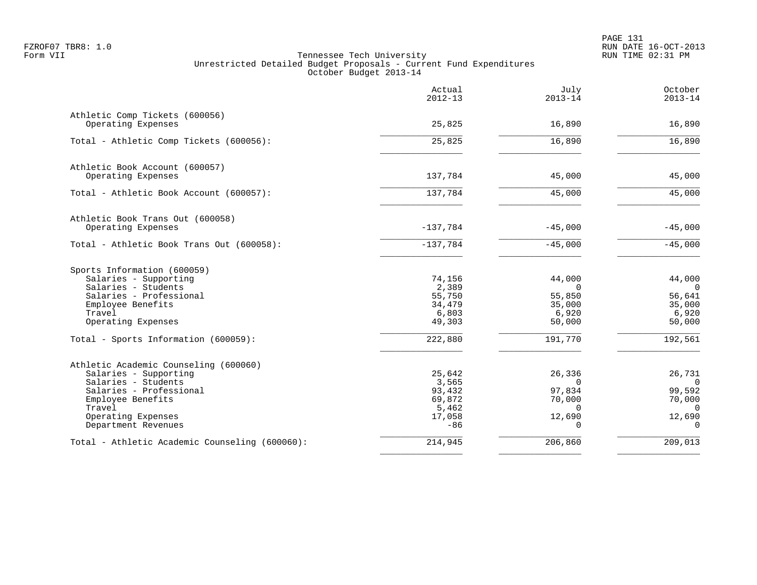PAGE 131 FZROF07 TBR8: 1.0 RUN DATE 16-OCT-2013

|                                                      | Actual<br>$2012 - 13$ | July<br>$2013 - 14$ | October<br>$2013 - 14$ |
|------------------------------------------------------|-----------------------|---------------------|------------------------|
| Athletic Comp Tickets (600056)<br>Operating Expenses | 25,825                | 16,890              | 16,890                 |
|                                                      |                       |                     |                        |
| Total - Athletic Comp Tickets (600056):              | 25,825                | 16,890              | 16,890                 |
| Athletic Book Account (600057)                       |                       |                     |                        |
| Operating Expenses                                   | 137,784               | 45,000              | 45,000                 |
| Total - Athletic Book Account (600057):              | 137,784               | 45,000              | 45,000                 |
| Athletic Book Trans Out (600058)                     |                       |                     |                        |
| Operating Expenses                                   | $-137,784$            | $-45,000$           | $-45,000$              |
| Total - Athletic Book Trans Out (600058):            | $-137,784$            | $-45,000$           | $-45,000$              |
| Sports Information (600059)                          |                       |                     |                        |
| Salaries - Supporting                                | 74,156                | 44,000              | 44,000                 |
| Salaries - Students<br>Salaries - Professional       | 2,389<br>55,750       | $\Omega$<br>55,850  | $\Omega$<br>56,641     |
| Employee Benefits                                    | 34,479                | 35,000              | 35,000                 |
| Travel                                               | 6,803                 | 6,920               | 6,920                  |
| Operating Expenses                                   | 49,303                | 50,000              | 50,000                 |
| Total - Sports Information (600059):                 | 222,880               | 191,770             | 192,561                |
| Athletic Academic Counseling (600060)                |                       |                     |                        |
| Salaries - Supporting                                | 25,642                | 26,336              | 26,731                 |
| Salaries - Students                                  | 3,565                 | $\Omega$            | $\overline{0}$         |
| Salaries - Professional                              | 93,432                | 97,834              | 99,592                 |
| Employee Benefits<br>Travel                          | 69,872<br>5,462       | 70,000<br>$\Omega$  | 70,000<br>$\Omega$     |
| Operating Expenses                                   | 17,058                | 12,690              | 12,690                 |
| Department Revenues                                  | $-86$                 | $\Omega$            | $\Omega$               |
| Total - Athletic Academic Counseling (600060):       | 214,945               | 206,860             | 209,013                |
|                                                      |                       |                     |                        |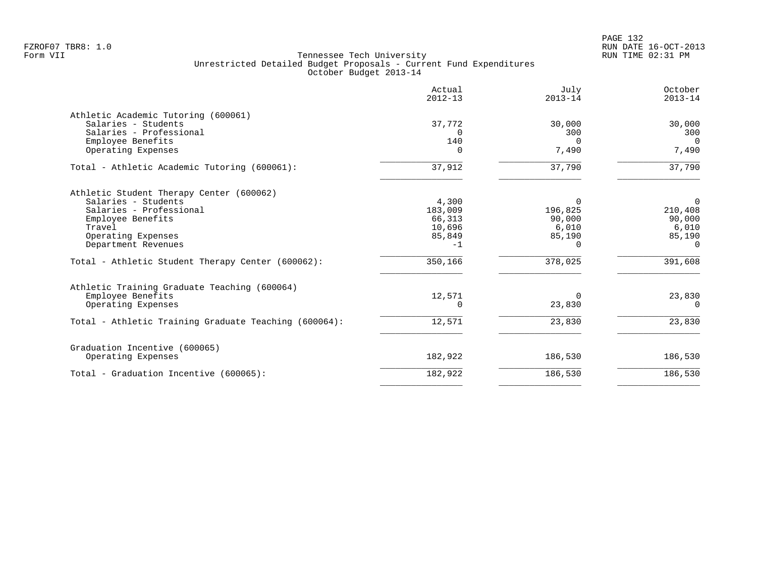|                                                       | Actual<br>$2012 - 13$ | July<br>$2013 - 14$ | October<br>$2013 - 14$ |
|-------------------------------------------------------|-----------------------|---------------------|------------------------|
| Athletic Academic Tutoring (600061)                   |                       |                     |                        |
| Salaries - Students                                   | 37,772                | 30,000              | 30,000                 |
| Salaries - Professional                               | $\Omega$              | 300                 | 300                    |
| Employee Benefits                                     | 140                   | $\Omega$            | $\Omega$               |
| Operating Expenses                                    | 0                     | 7,490               | 7,490                  |
| Total - Athletic Academic Tutoring (600061):          | 37,912                | 37,790              | 37,790                 |
| Athletic Student Therapy Center (600062)              |                       |                     |                        |
| Salaries - Students                                   | 4,300                 | $\Omega$            | $\Omega$               |
| Salaries - Professional                               | 183,009               | 196,825             | 210,408                |
| Employee Benefits                                     | 66,313                | 90,000              | 90,000                 |
| Travel                                                | 10,696                | 6,010               | 6,010                  |
| Operating Expenses                                    | 85,849                | 85,190              | 85,190                 |
| Department Revenues                                   | $-1$                  | $\Omega$            | $\Omega$               |
| Total - Athletic Student Therapy Center (600062):     | 350,166               | 378,025             | 391,608                |
| Athletic Training Graduate Teaching (600064)          |                       |                     |                        |
| Employee Benefits                                     | 12,571                | $\Omega$            | 23,830                 |
| Operating Expenses                                    | 0                     | 23,830              | $\Omega$               |
| Total - Athletic Training Graduate Teaching (600064): | 12,571                | 23,830              | 23,830                 |
| Graduation Incentive (600065)                         |                       |                     |                        |
| Operating Expenses                                    | 182,922               | 186,530             | 186,530                |
| Total - Graduation Incentive (600065):                | 182,922               | 186,530             | 186,530                |
|                                                       |                       |                     |                        |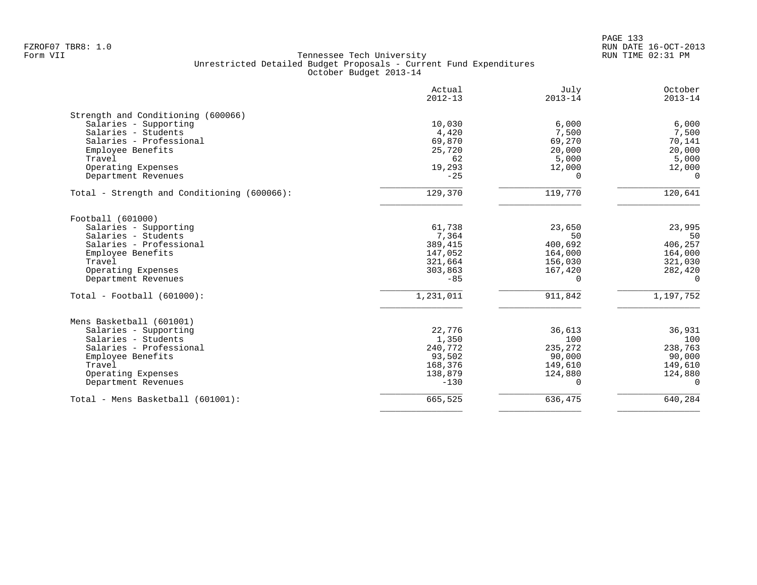|                                             | Actual<br>$2012 - 13$ | July<br>$2013 - 14$ | October<br>$2013 - 14$ |
|---------------------------------------------|-----------------------|---------------------|------------------------|
| Strength and Conditioning (600066)          |                       |                     |                        |
| Salaries - Supporting                       | 10,030                | 6,000               | 6,000                  |
| Salaries - Students                         | 4,420                 | 7,500               | 7,500                  |
| Salaries - Professional                     | 69,870                | 69,270              | 70,141                 |
| Employee Benefits                           | 25,720                | 20,000              | 20,000                 |
| Travel                                      | 62                    | 5,000               | 5,000                  |
| Operating Expenses                          | 19,293                | 12,000              | 12,000                 |
| Department Revenues                         | $-25$                 | $\Omega$            | $\Omega$               |
| Total - Strength and Conditioning (600066): | 129,370               | 119,770             | 120,641                |
| Football (601000)                           |                       |                     |                        |
| Salaries - Supporting                       | 61,738                | 23,650              | 23,995                 |
| Salaries - Students                         | 7,364                 | 50                  | 50                     |
| Salaries - Professional                     | 389,415               | 400,692             | 406,257                |
| Employee Benefits                           | 147,052               | 164,000             | 164,000                |
| Travel                                      | 321,664               | 156,030             | 321,030                |
| Operating Expenses                          | 303,863               | 167,420             | 282,420                |
| Department Revenues                         | $-85$                 | $\Omega$            | $\Omega$               |
| $Total - Football (601000):$                | 1,231,011             | 911,842             | 1,197,752              |
| Mens Basketball (601001)                    |                       |                     |                        |
| Salaries - Supporting                       | 22,776                | 36,613              | 36,931                 |
| Salaries - Students                         | 1,350                 | 100                 | 100                    |
| Salaries - Professional                     | 240,772               | 235,272             | 238,763                |
| Employee Benefits                           | 93,502                | 90,000              | 90,000                 |
| Travel                                      | 168,376               | 149,610             | 149,610                |
| Operating Expenses                          | 138,879               | 124,880             | 124,880                |
| Department Revenues                         | $-130$                | $\Omega$            | $\Omega$               |
| Total - Mens Basketball (601001):           | 665,525               | 636,475             | 640,284                |
|                                             |                       |                     |                        |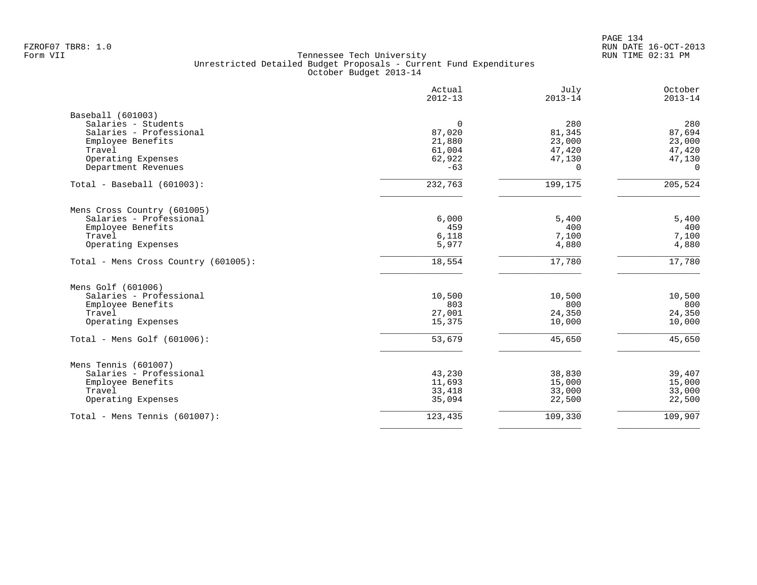| 280<br>87,694<br>23,000<br>47,420<br>47,130<br>$\Omega$<br>205,524<br>5,400<br>400 |
|------------------------------------------------------------------------------------|
|                                                                                    |
|                                                                                    |
|                                                                                    |
|                                                                                    |
|                                                                                    |
|                                                                                    |
|                                                                                    |
|                                                                                    |
|                                                                                    |
|                                                                                    |
|                                                                                    |
| 7,100                                                                              |
| 4,880                                                                              |
| 17,780                                                                             |
|                                                                                    |
| 10,500                                                                             |
| 800                                                                                |
| 24,350                                                                             |
| 10,000                                                                             |
| 45,650                                                                             |
|                                                                                    |
| 39,407                                                                             |
|                                                                                    |
|                                                                                    |
| 15,000                                                                             |
| 33,000<br>22,500                                                                   |
|                                                                                    |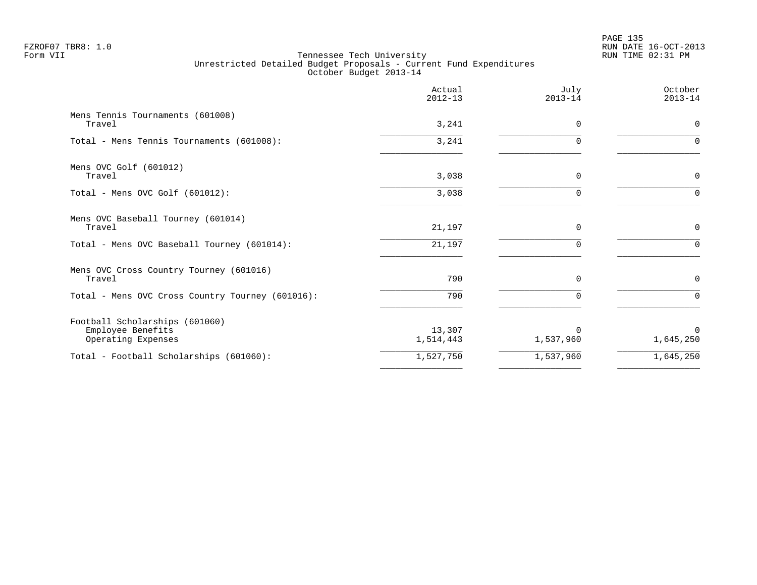|                                                                           | Actual<br>$2012 - 13$ | July<br>$2013 - 14$   | October<br>$2013 - 14$ |
|---------------------------------------------------------------------------|-----------------------|-----------------------|------------------------|
| Mens Tennis Tournaments (601008)<br>Travel                                | 3,241                 | $\Omega$              | $\mathbf 0$            |
| Total - Mens Tennis Tournaments (601008):                                 | 3,241                 | ∩                     | $\Omega$               |
| Mens OVC Golf (601012)<br>Travel                                          | 3,038                 | $\Omega$              | $\mathbf 0$            |
| Total - Mens OVC Golf $(601012)$ :                                        | 3,038                 | $\Omega$              | $\Omega$               |
| Mens OVC Baseball Tourney (601014)<br>Travel                              | 21,197                | 0                     | $\mathsf{O}$           |
| Total - Mens OVC Baseball Tourney (601014):                               | 21,197                | $\Omega$              | $\Omega$               |
| Mens OVC Cross Country Tourney (601016)<br>Travel                         | 790                   | $\Omega$              | $\mathbf 0$            |
| Total - Mens OVC Cross Country Tourney (601016):                          | 790                   | 0                     | $\Omega$               |
| Football Scholarships (601060)<br>Employee Benefits<br>Operating Expenses | 13,307<br>1,514,443   | $\Omega$<br>1,537,960 | $\Omega$<br>1,645,250  |
| Total - Football Scholarships (601060):                                   | 1,527,750             | 1,537,960             | 1,645,250              |
|                                                                           |                       |                       |                        |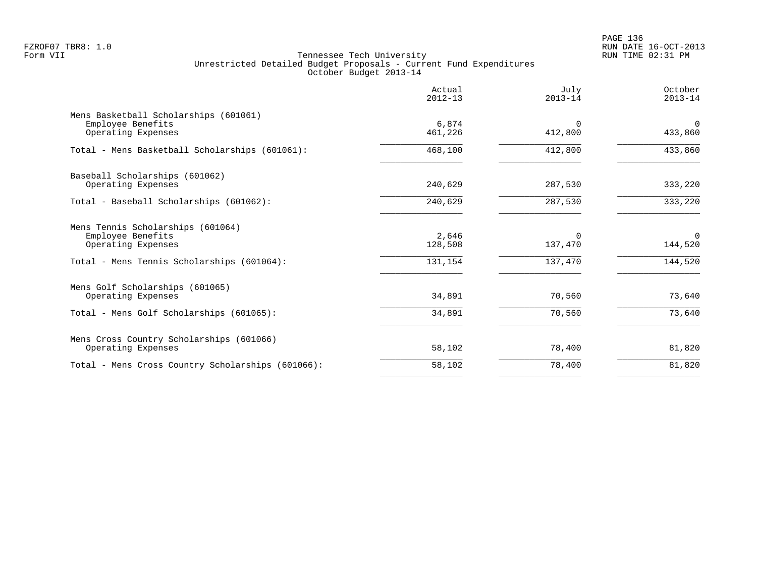PAGE 136 FZROF07 TBR8: 1.0 RUN DATE 16-OCT-2013

|                                                                                                                            | Actual<br>$2012 - 13$       | July<br>$2013 - 14$            | October<br>$2013 - 14$            |
|----------------------------------------------------------------------------------------------------------------------------|-----------------------------|--------------------------------|-----------------------------------|
| Mens Basketball Scholarships (601061)<br>Employee Benefits<br>Operating Expenses                                           | 6,874<br>461,226            | $\Omega$<br>412,800            | $\mathbf 0$<br>433,860            |
| Total - Mens Basketball Scholarships (601061):                                                                             | 468,100                     | 412,800                        | 433,860                           |
| Baseball Scholarships (601062)<br>Operating Expenses                                                                       | 240,629                     | 287,530                        | 333,220                           |
| Total - Baseball Scholarships (601062):                                                                                    | 240,629                     | 287,530                        | 333,220                           |
| Mens Tennis Scholarships (601064)<br>Employee Benefits<br>Operating Expenses<br>Total - Mens Tennis Scholarships (601064): | 2,646<br>128,508<br>131,154 | $\Omega$<br>137,470<br>137,470 | $\mathbf 0$<br>144,520<br>144,520 |
| Mens Golf Scholarships (601065)<br>Operating Expenses<br>Total - Mens Golf Scholarships (601065):                          | 34,891<br>34,891            | 70,560<br>70,560               | 73,640<br>73,640                  |
| Mens Cross Country Scholarships (601066)<br>Operating Expenses                                                             | 58,102                      | 78,400                         | 81,820                            |
| Total - Mens Cross Country Scholarships (601066):                                                                          | 58,102                      | 78,400                         | 81,820                            |
|                                                                                                                            |                             |                                |                                   |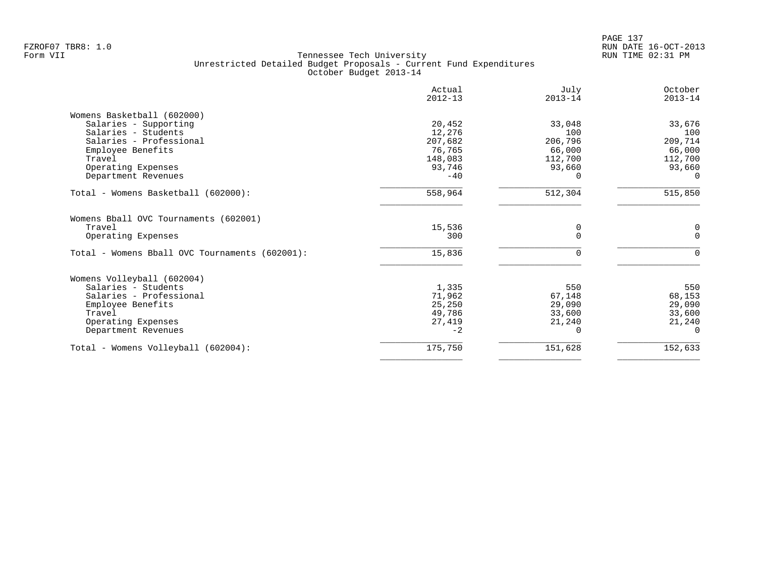| Actual<br>$2012 - 13$ | July<br>$2013 - 14$                                                                                      | October<br>$2013 - 14$                                                     |
|-----------------------|----------------------------------------------------------------------------------------------------------|----------------------------------------------------------------------------|
|                       |                                                                                                          |                                                                            |
| 20,452                | 33,048                                                                                                   | 33,676                                                                     |
| 12,276                | 100                                                                                                      | 100                                                                        |
|                       | 206,796                                                                                                  | 209,714                                                                    |
|                       |                                                                                                          | 66,000                                                                     |
|                       |                                                                                                          | 112,700                                                                    |
|                       |                                                                                                          | 93,660                                                                     |
| $-40$                 |                                                                                                          | $\Omega$                                                                   |
| 558,964               | 512,304                                                                                                  | 515,850                                                                    |
|                       |                                                                                                          |                                                                            |
|                       | 0                                                                                                        | 0                                                                          |
|                       |                                                                                                          | $\Omega$                                                                   |
| 15,836                | $\Omega$                                                                                                 | $\Omega$                                                                   |
|                       |                                                                                                          |                                                                            |
|                       |                                                                                                          | 550                                                                        |
|                       |                                                                                                          | 68,153                                                                     |
|                       |                                                                                                          | 29,090                                                                     |
|                       |                                                                                                          | 33,600                                                                     |
|                       |                                                                                                          | 21,240                                                                     |
| $-2$                  |                                                                                                          | $\cap$                                                                     |
| 175,750               | 151,628                                                                                                  | 152,633                                                                    |
|                       | 207,682<br>76,765<br>148,083<br>93,746<br>15,536<br>300<br>1,335<br>71,962<br>25,250<br>49,786<br>27,419 | 66,000<br>112,700<br>93,660<br>550<br>67,148<br>29,090<br>33,600<br>21,240 |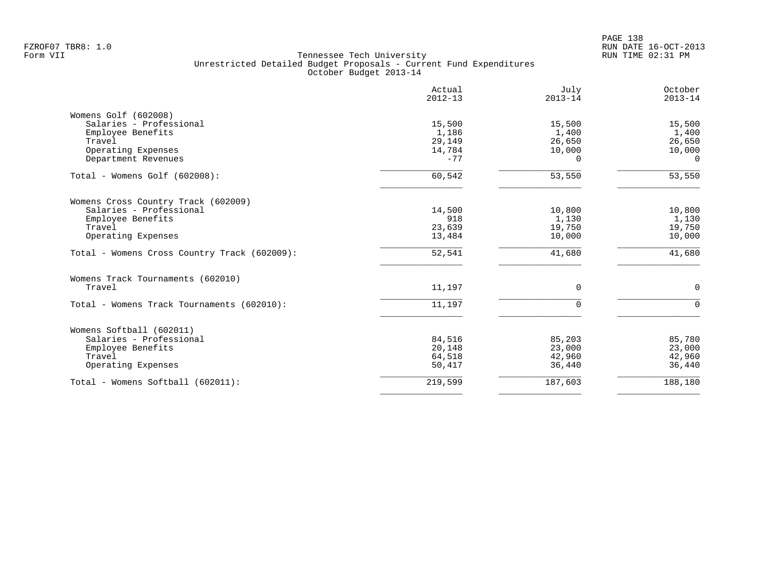|                                              | Actual<br>$2012 - 13$ | July<br>$2013 - 14$ | October<br>$2013 - 14$ |
|----------------------------------------------|-----------------------|---------------------|------------------------|
| Womens Golf (602008)                         |                       |                     |                        |
| Salaries - Professional                      | 15,500                | 15,500              | 15,500                 |
| Employee Benefits                            | 1,186                 | 1,400               | 1,400                  |
| Travel                                       | 29,149                | 26,650              | 26,650                 |
| Operating Expenses                           | 14,784                | 10,000              | 10,000                 |
| Department Revenues                          | $-77$                 | $\Omega$            | $\Omega$               |
| Total - Womens Golf (602008):                | 60,542                | 53,550              | 53,550                 |
| Womens Cross Country Track (602009)          |                       |                     |                        |
| Salaries - Professional                      | 14,500                | 10,800              | 10,800                 |
| Employee Benefits                            | 918                   | 1,130               | 1,130                  |
| Travel                                       | 23,639                | 19,750              | 19,750                 |
| Operating Expenses                           | 13,484                | 10,000              | 10,000                 |
| Total - Womens Cross Country Track (602009): | 52,541                | 41,680              | 41,680                 |
| Womens Track Tournaments (602010)            |                       |                     |                        |
| Travel                                       | 11,197                | 0                   | $\mathbf 0$            |
| Total - Womens Track Tournaments (602010):   | 11,197                | $\Omega$            | $\Omega$               |
| Womens Softball (602011)                     |                       |                     |                        |
| Salaries - Professional                      | 84,516                | 85,203              | 85,780                 |
| Employee Benefits                            | 20,148                | 23,000              | 23,000                 |
| Travel                                       | 64,518                | 42,960              | 42,960                 |
| Operating Expenses                           | 50,417                | 36,440              | 36,440                 |
|                                              |                       |                     |                        |
| Total - Womens Softball (602011):            | 219,599               | 187,603             | 188,180                |
|                                              |                       |                     |                        |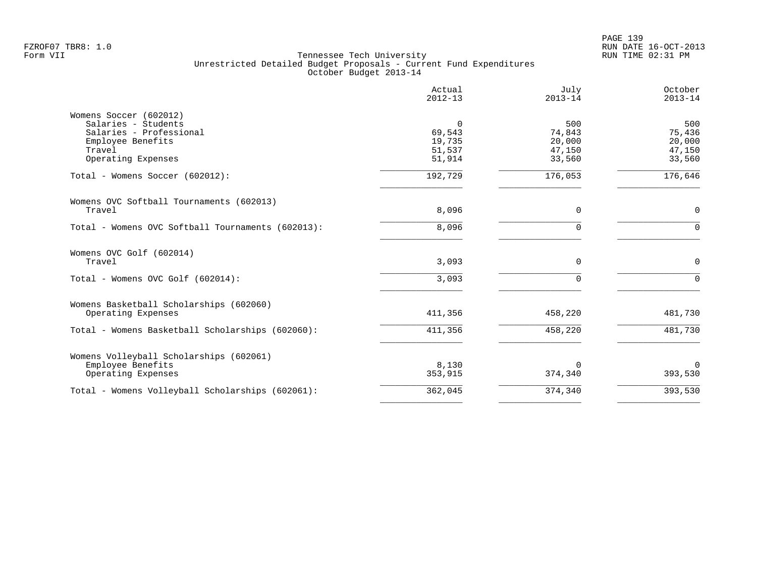PAGE 139 FZROF07 TBR8: 1.0 RUN DATE 16-OCT-2013

|                                                   | Actual<br>$2012 - 13$ | July<br>$2013 - 14$ | October<br>$2013 - 14$ |
|---------------------------------------------------|-----------------------|---------------------|------------------------|
| Womens Soccer (602012)                            |                       |                     |                        |
| Salaries - Students                               | 0                     | 500                 | 500                    |
| Salaries - Professional                           | 69,543                | 74,843              | 75,436                 |
| Employee Benefits<br>Travel                       | 19,735                | 20,000              | 20,000                 |
| Operating Expenses                                | 51,537<br>51,914      | 47,150<br>33,560    | 47,150<br>33,560       |
|                                                   |                       |                     |                        |
| Total - Womens Soccer (602012):                   | 192,729               | 176,053             | 176,646                |
| Womens OVC Softball Tournaments (602013)          |                       |                     |                        |
| Travel                                            | 8,096                 | 0                   | 0                      |
| Total - Womens OVC Softball Tournaments (602013): | 8,096                 | $\Omega$            | $\Omega$               |
| Womens OVC Golf (602014)                          |                       |                     |                        |
| Travel                                            | 3,093                 | 0                   | 0                      |
| Total - Womens OVC Golf (602014):                 | 3,093                 | $\Omega$            | $\Omega$               |
| Womens Basketball Scholarships (602060)           |                       |                     |                        |
| Operating Expenses                                | 411,356               | 458,220             | 481,730                |
| Total - Womens Basketball Scholarships (602060):  | 411,356               | 458,220             | 481,730                |
| Womens Volleyball Scholarships (602061)           |                       |                     |                        |
| Employee Benefits                                 | 8,130                 | $\Omega$            | $\mathbf 0$            |
| Operating Expenses                                | 353,915               | 374,340             | 393,530                |
| Total - Womens Volleyball Scholarships (602061):  | 362,045               | 374,340             | 393,530                |
|                                                   |                       |                     |                        |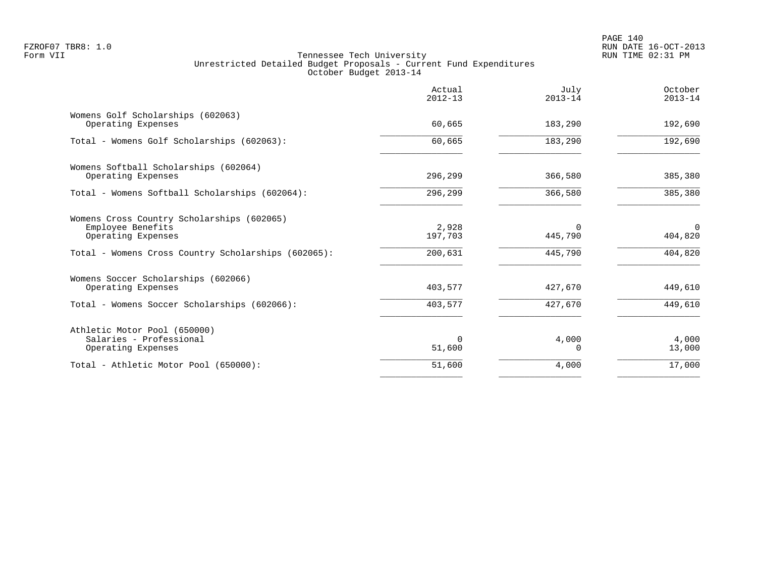|                                                                                                                                              | Actual<br>$2012 - 13$       | July<br>$2013 - 14$            | October<br>$2013 - 14$         |
|----------------------------------------------------------------------------------------------------------------------------------------------|-----------------------------|--------------------------------|--------------------------------|
| Womens Golf Scholarships (602063)<br>Operating Expenses                                                                                      | 60,665                      | 183,290                        | 192,690                        |
| Total - Womens Golf Scholarships (602063):                                                                                                   | 60,665                      | 183,290                        | 192,690                        |
| Womens Softball Scholarships (602064)<br>Operating Expenses                                                                                  | 296,299                     | 366,580                        | 385,380                        |
| Total - Womens Softball Scholarships (602064):                                                                                               | 296,299                     | 366,580                        | 385,380                        |
| Womens Cross Country Scholarships (602065)<br>Employee Benefits<br>Operating Expenses<br>Total - Womens Cross Country Scholarships (602065): | 2,928<br>197,703<br>200,631 | $\Omega$<br>445,790<br>445,790 | $\Omega$<br>404,820<br>404,820 |
| Womens Soccer Scholarships (602066)<br>Operating Expenses                                                                                    | 403,577                     | 427,670                        | 449,610                        |
| Total - Womens Soccer Scholarships (602066):                                                                                                 | 403,577                     | 427,670                        | 449,610                        |
| Athletic Motor Pool (650000)<br>Salaries - Professional<br>Operating Expenses                                                                | $\Omega$<br>51,600          | 4,000<br>0                     | 4,000<br>13,000                |
| Total - Athletic Motor Pool (650000):                                                                                                        | 51,600                      | 4,000                          | 17,000                         |
|                                                                                                                                              |                             |                                |                                |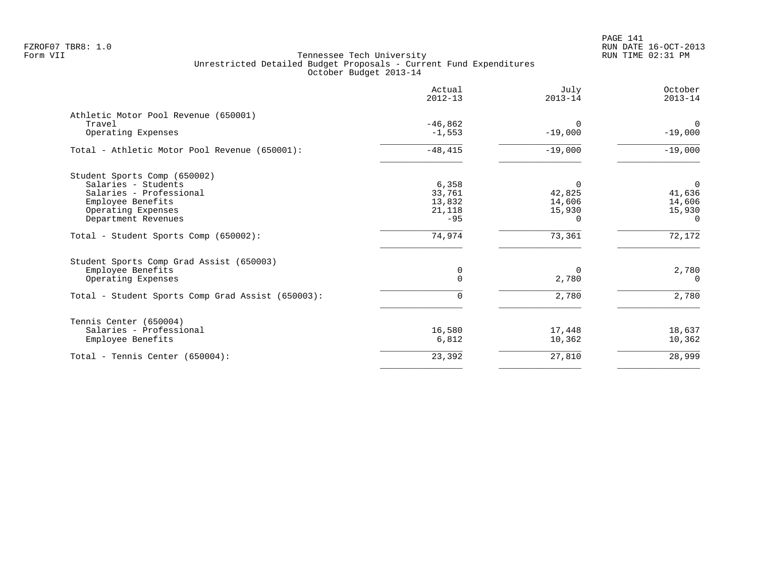|                                                                                                                                                  | Actual<br>$2012 - 13$                        | July<br>$2013 - 14$                                | October<br>$2013 - 14$                                 |
|--------------------------------------------------------------------------------------------------------------------------------------------------|----------------------------------------------|----------------------------------------------------|--------------------------------------------------------|
| Athletic Motor Pool Revenue (650001)<br>Travel<br>Operating Expenses                                                                             | $-46,862$<br>$-1,553$                        | $\Omega$<br>$-19,000$                              | $\overline{0}$<br>$-19,000$                            |
| Total - Athletic Motor Pool Revenue (650001):                                                                                                    | $-48, 415$                                   | $-19,000$                                          | $-19,000$                                              |
| Student Sports Comp (650002)<br>Salaries - Students<br>Salaries - Professional<br>Employee Benefits<br>Operating Expenses<br>Department Revenues | 6,358<br>33,761<br>13,832<br>21,118<br>$-95$ | $\Omega$<br>42,825<br>14,606<br>15,930<br>$\Omega$ | $\mathsf{O}$<br>41,636<br>14,606<br>15,930<br>$\Omega$ |
| Total - Student Sports Comp (650002):                                                                                                            | 74,974                                       | 73,361                                             | 72,172                                                 |
| Student Sports Comp Grad Assist (650003)<br>Employee Benefits<br>Operating Expenses<br>Total - Student Sports Comp Grad Assist (650003):         | 0<br>$\Omega$<br>0                           | $\Omega$<br>2,780<br>2,780                         | 2,780<br>$\Omega$<br>2,780                             |
| Tennis Center (650004)<br>Salaries - Professional<br>Employee Benefits                                                                           | 16,580<br>6,812                              | 17,448<br>10,362                                   | 18,637<br>10,362                                       |
| Total - Tennis Center $(650004)$ :                                                                                                               | 23,392                                       | 27,810                                             | 28,999                                                 |
|                                                                                                                                                  |                                              |                                                    |                                                        |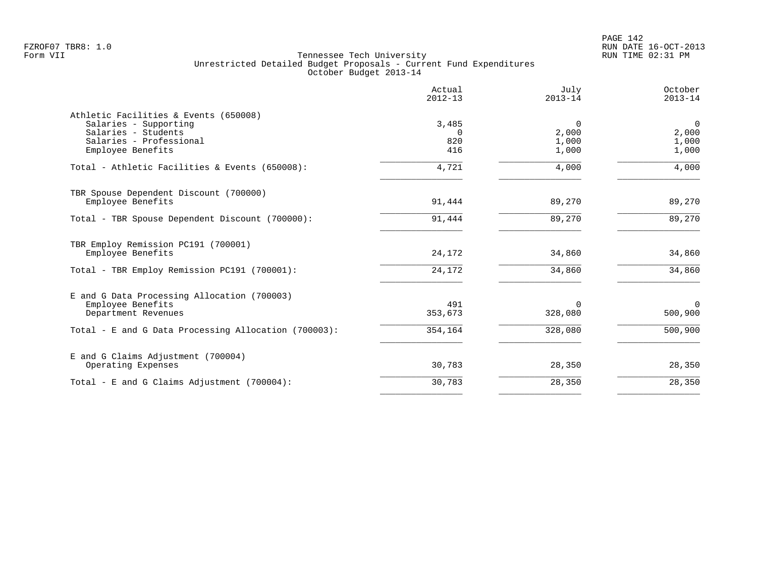|                                                                                                                                       | Actual<br>$2012 - 13$           | July<br>$2013 - 14$                 | October<br>$2013 - 14$                    |
|---------------------------------------------------------------------------------------------------------------------------------------|---------------------------------|-------------------------------------|-------------------------------------------|
| Athletic Facilities & Events (650008)<br>Salaries - Supporting<br>Salaries - Students<br>Salaries - Professional<br>Employee Benefits | 3,485<br>$\Omega$<br>820<br>416 | $\Omega$<br>2,000<br>1,000<br>1,000 | $\overline{0}$<br>2,000<br>1,000<br>1,000 |
| Total - Athletic Facilities & Events (650008):                                                                                        | 4,721                           | 4,000                               | 4,000                                     |
| TBR Spouse Dependent Discount (700000)<br>Employee Benefits                                                                           | 91,444                          | 89,270                              | 89,270                                    |
| Total - TBR Spouse Dependent Discount (700000):                                                                                       | 91,444                          | 89,270                              | 89,270                                    |
| TBR Employ Remission PC191 (700001)<br>Employee Benefits                                                                              | 24,172                          | 34,860                              | 34,860                                    |
| Total - TBR Employ Remission PC191 (700001):                                                                                          | 24,172                          | 34,860                              | 34,860                                    |
| E and G Data Processing Allocation (700003)<br>Employee Benefits<br>Department Revenues                                               | 491<br>353,673                  | $\Omega$<br>328,080                 | $\Omega$<br>500,900                       |
| Total - E and G Data Processing Allocation (700003):                                                                                  | 354,164                         | 328,080                             | 500,900                                   |
| E and G Claims Adjustment (700004)<br>Operating Expenses                                                                              | 30,783                          | 28,350                              | 28,350                                    |
| Total - E and G Claims Adjustment $(700004)$ :                                                                                        | 30,783                          | 28,350                              | 28,350                                    |
|                                                                                                                                       |                                 |                                     |                                           |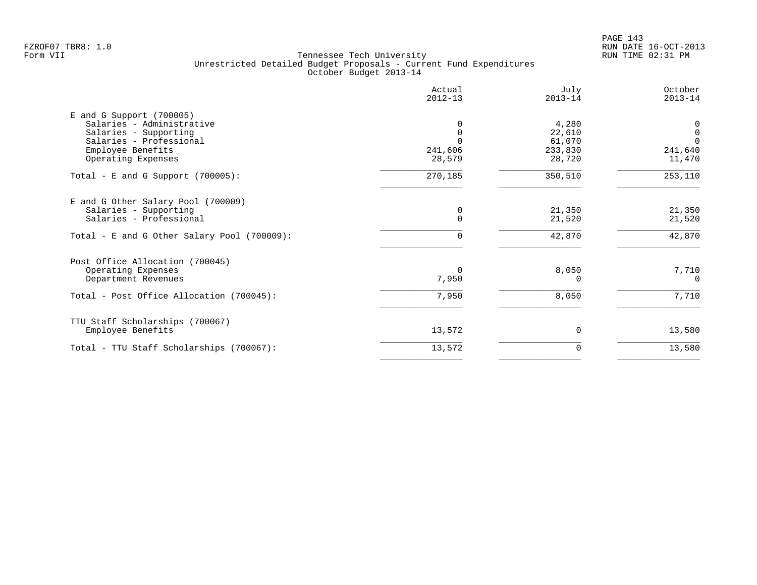PAGE 143 FZROF07 TBR8: 1.0 RUN DATE 16-OCT-2013

|                                                                                                                                                        | Actual<br>$2012 - 13$ | July<br>$2013 - 14$                            | October<br>$2013 - 14$                            |
|--------------------------------------------------------------------------------------------------------------------------------------------------------|-----------------------|------------------------------------------------|---------------------------------------------------|
| $E$ and G Support (700005)<br>Salaries - Administrative<br>Salaries - Supporting<br>Salaries - Professional<br>Employee Benefits<br>Operating Expenses | 241,606<br>28,579     | 4,280<br>22,610<br>61,070<br>233,830<br>28,720 | 0<br>$\mathbf 0$<br>$\Omega$<br>241,640<br>11,470 |
| Total - E and G Support $(700005)$ :                                                                                                                   | 270,185               | 350,510                                        | 253,110                                           |
| E and G Other Salary Pool (700009)<br>Salaries - Supporting<br>Salaries - Professional                                                                 | $\Omega$              | 21,350<br>21,520                               | 21,350<br>21,520                                  |
| Total - E and G Other Salary Pool (700009):                                                                                                            |                       | 42,870                                         | 42,870                                            |
| Post Office Allocation (700045)<br>Operating Expenses<br>Department Revenues                                                                           | 7,950                 | 8,050<br>O                                     | 7,710<br>$\Omega$                                 |
| Total - Post Office Allocation (700045):                                                                                                               | 7,950                 | 8,050                                          | 7,710                                             |
| TTU Staff Scholarships (700067)<br>Employee Benefits                                                                                                   | 13,572                | $\Omega$                                       | 13,580                                            |
| Total - TTU Staff Scholarships (700067):                                                                                                               | 13,572                | $\Omega$                                       | 13,580                                            |
|                                                                                                                                                        |                       |                                                |                                                   |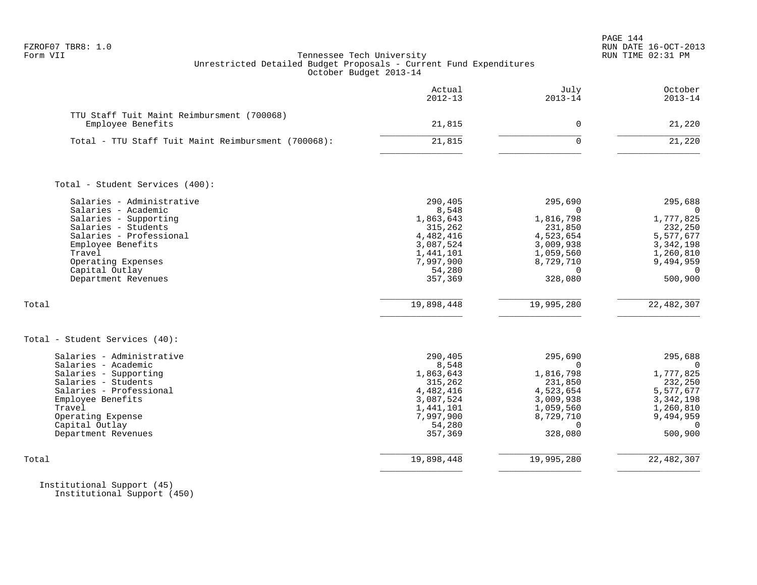| FZROF07 TBR8: |  |  |
|---------------|--|--|
|---------------|--|--|

|                                                                                                                                                                                                                                                            | Actual<br>$2012 - 13$                                                                                                           | July<br>$2013 - 14$                                                                                                                  | October<br>$2013 - 14$                                                                                                                 |
|------------------------------------------------------------------------------------------------------------------------------------------------------------------------------------------------------------------------------------------------------------|---------------------------------------------------------------------------------------------------------------------------------|--------------------------------------------------------------------------------------------------------------------------------------|----------------------------------------------------------------------------------------------------------------------------------------|
| TTU Staff Tuit Maint Reimbursment (700068)<br>Employee Benefits                                                                                                                                                                                            | 21,815                                                                                                                          | $\mathbf 0$                                                                                                                          | 21,220                                                                                                                                 |
| Total - TTU Staff Tuit Maint Reimbursment (700068):                                                                                                                                                                                                        | 21,815                                                                                                                          | $\Omega$                                                                                                                             | 21,220                                                                                                                                 |
| Total - Student Services (400):                                                                                                                                                                                                                            |                                                                                                                                 |                                                                                                                                      |                                                                                                                                        |
| Salaries - Administrative<br>Salaries - Academic<br>Salaries - Supporting<br>Salaries - Students<br>Salaries - Professional<br>Employee Benefits<br>Travel<br>Operating Expenses<br>Capital Outlay<br>Department Revenues<br>Total                         | 290,405<br>8,548<br>1,863,643<br>315,262<br>4,482,416<br>3,087,524<br>1,441,101<br>7,997,900<br>54,280<br>357,369<br>19,898,448 | 295,690<br>$\Omega$<br>1,816,798<br>231,850<br>4,523,654<br>3,009,938<br>1,059,560<br>8,729,710<br>$\Omega$<br>328,080<br>19,995,280 | 295,688<br>$\Omega$<br>1,777,825<br>232,250<br>5,577,677<br>3,342,198<br>1,260,810<br>9,494,959<br>$\Omega$<br>500,900<br>22, 482, 307 |
| Total - Student Services (40):<br>Salaries - Administrative<br>Salaries - Academic<br>Salaries - Supporting<br>Salaries - Students<br>Salaries - Professional<br>Employee Benefits<br>Travel<br>Operating Expense<br>Capital Outlay<br>Department Revenues | 290,405<br>8,548<br>1,863,643<br>315,262<br>4,482,416<br>3,087,524<br>1,441,101<br>7,997,900<br>54,280<br>357,369               | 295,690<br>$\Omega$<br>1,816,798<br>231,850<br>4,523,654<br>3,009,938<br>1,059,560<br>8,729,710<br>$\Omega$<br>328,080               | 295,688<br>$\Omega$<br>1,777,825<br>232,250<br>5,577,677<br>3, 342, 198<br>1,260,810<br>9,494,959<br>$\Omega$<br>500,900               |
| Total                                                                                                                                                                                                                                                      | 19,898,448                                                                                                                      | 19,995,280                                                                                                                           | 22, 482, 307                                                                                                                           |

 Institutional Support (45) Institutional Support (450)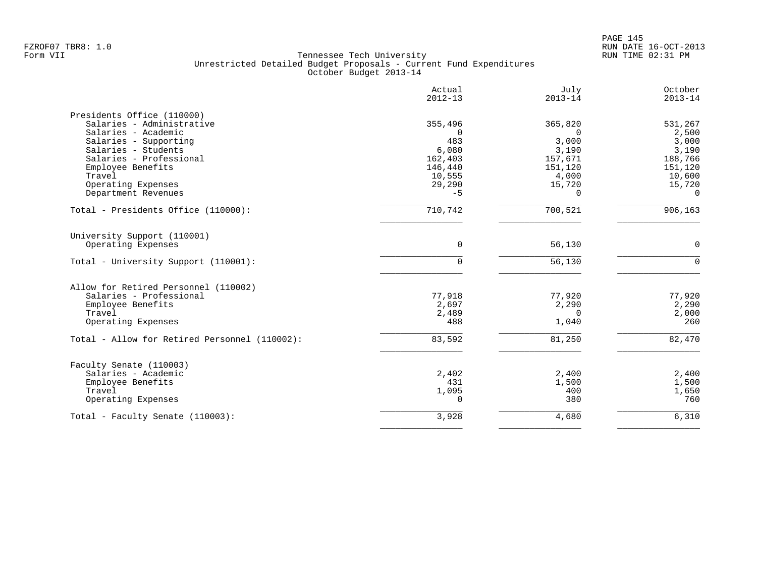|                                               | Actual<br>$2012 - 13$ | July<br>$2013 - 14$ | October<br>$2013 - 14$ |
|-----------------------------------------------|-----------------------|---------------------|------------------------|
| Presidents Office (110000)                    |                       |                     |                        |
| Salaries - Administrative                     | 355,496               | 365,820             | 531,267                |
| Salaries - Academic                           | $\Omega$              | $\Omega$            | 2,500                  |
| Salaries - Supporting                         | 483                   | 3,000               | 3,000                  |
| Salaries - Students                           | 6,080                 | 3,190               | 3,190                  |
| Salaries - Professional                       | 162,403               | 157,671             | 188,766                |
| Employee Benefits                             | 146,440               | 151,120             | 151,120                |
| Travel                                        | 10,555                | 4,000               | 10,600                 |
| Operating Expenses                            | 29,290                | 15,720              | 15,720                 |
| Department Revenues                           | $-5$                  | $\Omega$            | $\overline{0}$         |
| Total - Presidents Office (110000):           | 710,742               | 700,521             | 906,163                |
| University Support (110001)                   |                       |                     |                        |
| Operating Expenses                            | $\Omega$              | 56,130              | $\Omega$               |
| Total - University Support (110001):          | $\Omega$              | 56,130              | $\Omega$               |
| Allow for Retired Personnel (110002)          |                       |                     |                        |
| Salaries - Professional                       | 77,918                | 77,920              | 77,920                 |
| Employee Benefits                             | 2,697                 | 2,290               | 2,290                  |
| Travel                                        | 2,489                 | $\mathbf 0$         | 2,000                  |
| Operating Expenses                            | 488                   | 1,040               | 260                    |
| Total - Allow for Retired Personnel (110002): | 83,592                | 81,250              | 82,470                 |
| Faculty Senate (110003)                       |                       |                     |                        |
| Salaries - Academic                           | 2,402                 | 2,400               | 2,400                  |
| Employee Benefits                             | 431                   | 1,500               | 1,500                  |
| Travel                                        | 1,095                 | 400                 | 1,650                  |
| Operating Expenses                            | $\Omega$              | 380                 | 760                    |
| Total - Faculty Senate (110003):              | 3,928                 | 4,680               | 6,310                  |
|                                               |                       |                     |                        |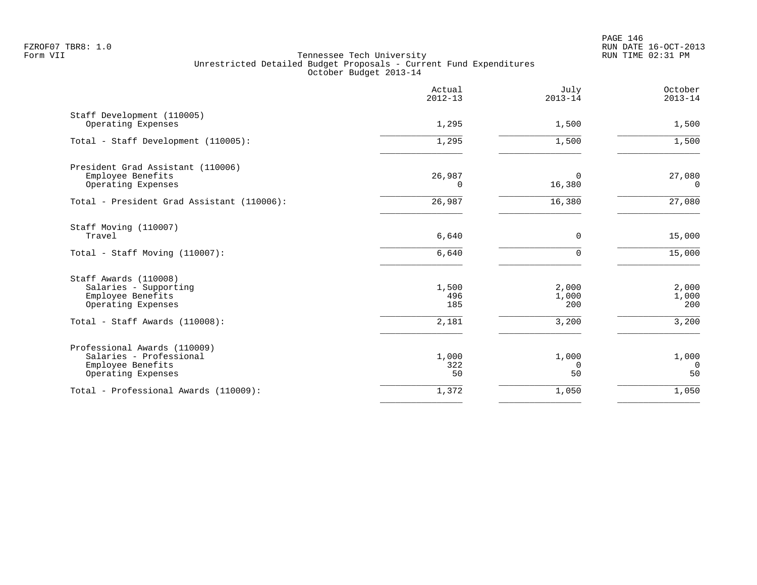|                                                                                                    | Actual<br>$2012 - 13$ | July<br>$2013 - 14$   | October<br>$2013 - 14$        |
|----------------------------------------------------------------------------------------------------|-----------------------|-----------------------|-------------------------------|
| Staff Development (110005)<br>Operating Expenses                                                   | 1,295                 | 1,500                 | 1,500                         |
| Total - Staff Development (110005):                                                                | 1,295                 | 1,500                 | 1,500                         |
| President Grad Assistant (110006)<br>Employee Benefits<br>Operating Expenses                       | 26,987<br>0           | 0<br>16,380           | 27,080<br>0                   |
| Total - President Grad Assistant (110006):                                                         | 26,987                | 16,380                | 27,080                        |
| Staff Moving (110007)<br>Travel                                                                    | 6,640                 | 0                     | 15,000                        |
| Total - Staff Moving (110007):                                                                     | 6,640                 | $\Omega$              | 15,000                        |
| Staff Awards (110008)<br>Salaries - Supporting<br>Employee Benefits<br>Operating Expenses          | 1,500<br>496<br>185   | 2,000<br>1,000<br>200 | 2,000<br>1,000<br>200         |
| Total - Staff Awards (110008):                                                                     | 2,181                 | 3,200                 | 3,200                         |
| Professional Awards (110009)<br>Salaries - Professional<br>Employee Benefits<br>Operating Expenses | 1,000<br>322<br>50    | 1,000<br>0<br>50      | 1,000<br>$\overline{0}$<br>50 |
| Total - Professional Awards (110009):                                                              | 1,372                 | 1,050                 | 1,050                         |
|                                                                                                    |                       |                       |                               |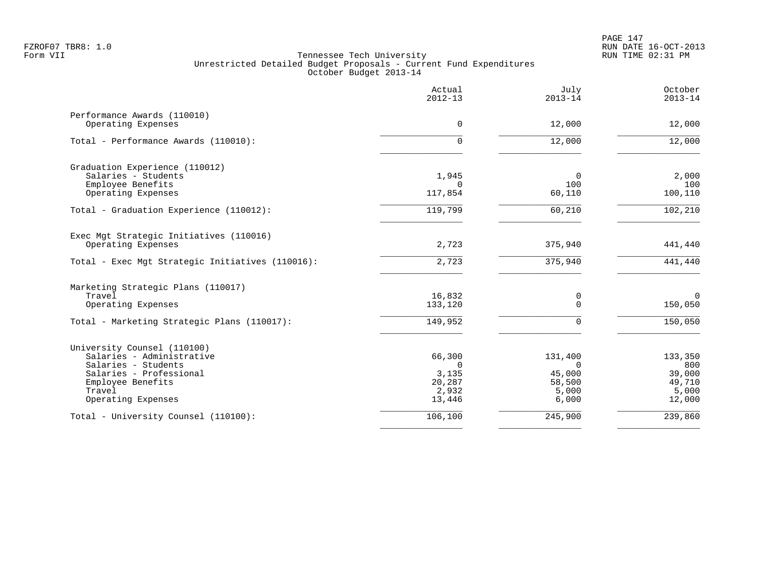|                                                  | Actual<br>$2012 - 13$ | July<br>$2013 - 14$ | October<br>$2013 - 14$ |
|--------------------------------------------------|-----------------------|---------------------|------------------------|
| Performance Awards (110010)                      | 0                     |                     |                        |
| Operating Expenses                               |                       | 12,000              | 12,000                 |
| Total - Performance Awards (110010):             | $\Omega$              | 12,000              | 12,000                 |
| Graduation Experience (110012)                   |                       |                     |                        |
| Salaries - Students                              | 1,945<br>$\Omega$     | $\Omega$            | 2,000                  |
| Employee Benefits<br>Operating Expenses          | 117,854               | 100<br>60,110       | 100<br>100,110         |
| Total - Graduation Experience (110012):          | 119,799               | 60,210              | 102,210                |
| Exec Mgt Strategic Initiatives (110016)          |                       |                     |                        |
| Operating Expenses                               | 2,723                 | 375,940             | 441,440                |
| Total - Exec Mgt Strategic Initiatives (110016): | 2,723                 | 375,940             | 441,440                |
| Marketing Strategic Plans (110017)               |                       |                     |                        |
| Travel                                           | 16,832                | 0                   | $\mathbf 0$            |
| Operating Expenses                               | 133,120               | $\Omega$            | 150,050                |
| Total - Marketing Strategic Plans (110017):      | 149,952               | $\Omega$            | 150,050                |
| University Counsel (110100)                      |                       |                     |                        |
| Salaries - Administrative                        | 66,300                | 131,400             | 133,350                |
| Salaries - Students                              | $\Omega$              | $\Omega$            | 800                    |
| Salaries - Professional<br>Employee Benefits     | 3,135<br>20,287       | 45,000<br>58,500    | 39,000<br>49,710       |
| Travel                                           | 2,932                 | 5,000               | 5,000                  |
| Operating Expenses                               | 13,446                | 6,000               | 12,000                 |
| Total - University Counsel (110100):             | 106,100               | 245,900             | 239,860                |
|                                                  |                       |                     |                        |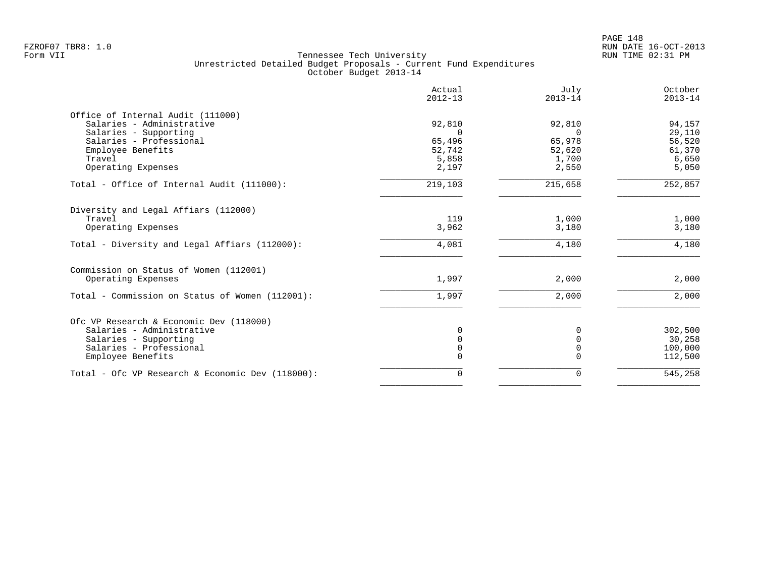| Actual<br>$2012 - 13$ | July<br>$2013 - 14$                               | October<br>$2013 - 14$                             |
|-----------------------|---------------------------------------------------|----------------------------------------------------|
|                       |                                                   |                                                    |
| 92,810                | 92,810                                            | 94,157                                             |
| $\Omega$              | $\Omega$                                          | 29,110                                             |
| 65,496                | 65,978                                            | 56,520                                             |
|                       | 52,620                                            | 61,370                                             |
|                       |                                                   | 6,650                                              |
| 2,197                 | 2,550                                             | 5,050                                              |
| 219,103               | 215,658                                           | 252,857                                            |
|                       |                                                   |                                                    |
|                       |                                                   | 1,000                                              |
| 3,962                 | 3,180                                             | 3,180                                              |
| 4,081                 | 4,180                                             | 4,180                                              |
|                       |                                                   |                                                    |
| 1,997                 | 2,000                                             | 2,000                                              |
| 1,997                 | 2,000                                             | 2,000                                              |
|                       |                                                   |                                                    |
|                       |                                                   | 302,500                                            |
|                       |                                                   |                                                    |
|                       |                                                   | 30,258                                             |
|                       |                                                   | 100,000                                            |
|                       |                                                   | 112,500                                            |
| $\Omega$              | $\Omega$                                          | 545,258                                            |
|                       | 52,742<br>5,858<br>119<br>0<br>$\Omega$<br>0<br>0 | 1,700<br>1,000<br>$\Omega$<br>$\Omega$<br>$\Omega$ |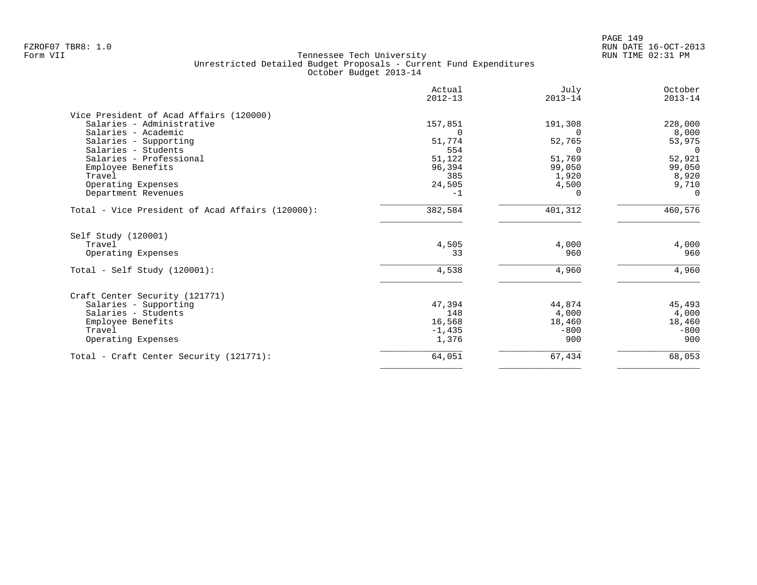| Actual<br>$2012 - 13$ | July<br>$2013 - 14$                                                                     | October<br>$2013 - 14$                                                    |
|-----------------------|-----------------------------------------------------------------------------------------|---------------------------------------------------------------------------|
|                       |                                                                                         |                                                                           |
| 157,851               | 191,308                                                                                 | 228,000                                                                   |
| $\Omega$              | $\Omega$                                                                                | 8,000                                                                     |
| 51,774                | 52,765                                                                                  | 53,975                                                                    |
|                       | $\Omega$                                                                                | $\Omega$                                                                  |
|                       |                                                                                         | 52,921                                                                    |
|                       |                                                                                         | 99,050                                                                    |
|                       |                                                                                         | 8,920                                                                     |
|                       |                                                                                         | 9,710                                                                     |
|                       | ∩                                                                                       | $\Omega$                                                                  |
| 382,584               | 401,312                                                                                 | 460,576                                                                   |
|                       |                                                                                         |                                                                           |
| 4,505                 | 4,000                                                                                   | 4,000                                                                     |
| 33                    | 960                                                                                     | 960                                                                       |
| 4,538                 | 4,960                                                                                   | 4,960                                                                     |
|                       |                                                                                         |                                                                           |
|                       |                                                                                         | 45,493                                                                    |
|                       |                                                                                         | 4,000                                                                     |
|                       |                                                                                         | 18,460                                                                    |
|                       |                                                                                         | $-800$                                                                    |
| 1,376                 | 900                                                                                     | 900                                                                       |
|                       |                                                                                         |                                                                           |
|                       | 554<br>51,122<br>96,394<br>385<br>24,505<br>$-1$<br>47,394<br>148<br>16,568<br>$-1,435$ | 51,769<br>99,050<br>1,920<br>4,500<br>44,874<br>4,000<br>18,460<br>$-800$ |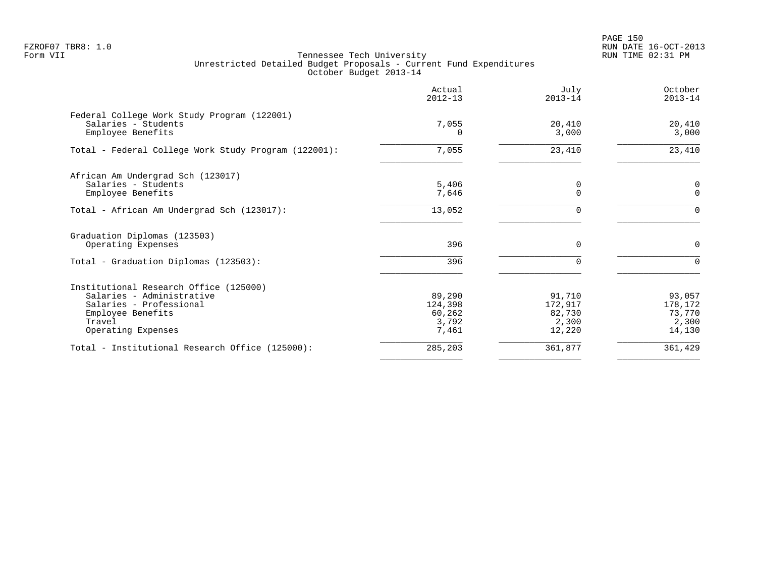PAGE 150 FZROF07 TBR8: 1.0 RUN DATE 16-OCT-2013

| Actual<br>$2012 - 13$                         | July<br>$2013 - 14$                            | October<br>$2013 - 14$                         |
|-----------------------------------------------|------------------------------------------------|------------------------------------------------|
| 7,055<br>O.                                   | 20,410<br>3,000                                | 20,410<br>3,000                                |
| 7,055                                         | 23,410                                         | 23,410                                         |
| 5,406<br>7,646                                | 0<br>$\mathbf 0$                               | 0<br>$\mathbf{0}$                              |
| 13,052                                        | $\Omega$                                       | $\Omega$                                       |
| 396                                           | $\mathbf 0$                                    | 0                                              |
| 396                                           | $\Omega$                                       | $\Omega$                                       |
| 89,290<br>124,398<br>60,262<br>3,792<br>7,461 | 91,710<br>172,917<br>82,730<br>2,300<br>12,220 | 93,057<br>178,172<br>73,770<br>2,300<br>14,130 |
| 285,203                                       | 361,877                                        | 361,429                                        |
|                                               |                                                |                                                |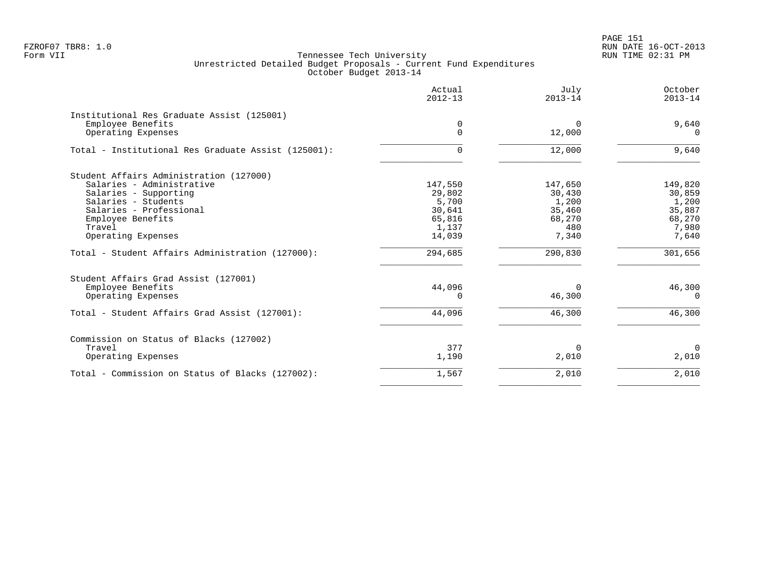PAGE 151 FZROF07 TBR8: 1.0 RUN DATE 16-OCT-2013

|                                                                 | Actual<br>$2012 - 13$ | July<br>$2013 - 14$ | October<br>$2013 - 14$ |
|-----------------------------------------------------------------|-----------------------|---------------------|------------------------|
| Institutional Res Graduate Assist (125001)<br>Employee Benefits | 0                     | $\Omega$            | 9,640                  |
| Operating Expenses                                              | 0                     | 12,000              | $\Omega$               |
| Total - Institutional Res Graduate Assist (125001):             | 0                     | 12,000              | 9,640                  |
| Student Affairs Administration (127000)                         |                       |                     |                        |
| Salaries - Administrative                                       | 147,550               | 147,650             | 149,820                |
| Salaries - Supporting<br>Salaries - Students                    | 29,802<br>5,700       | 30,430<br>1,200     | 30,859<br>1,200        |
| Salaries - Professional                                         | 30,641                | 35,460              | 35,887                 |
| Employee Benefits                                               | 65,816                | 68,270              | 68,270                 |
| Travel                                                          | 1,137                 | 480                 | 7,980                  |
| Operating Expenses                                              | 14,039                | 7,340               | 7,640                  |
| Total - Student Affairs Administration (127000):                | 294,685               | 290,830             | 301,656                |
| Student Affairs Grad Assist (127001)                            |                       |                     |                        |
| Employee Benefits                                               | 44,096                | $\Omega$            | 46,300                 |
| Operating Expenses                                              | 0                     | 46,300              | $\Omega$               |
| Total - Student Affairs Grad Assist (127001):                   | 44,096                | 46,300              | 46,300                 |
| Commission on Status of Blacks (127002)                         |                       |                     |                        |
| Travel                                                          | 377                   | $\Omega$            | $\Omega$               |
| Operating Expenses                                              | 1,190                 | 2,010               | 2,010                  |
| Total - Commission on Status of Blacks (127002):                | 1,567                 | 2,010               | 2,010                  |
|                                                                 |                       |                     |                        |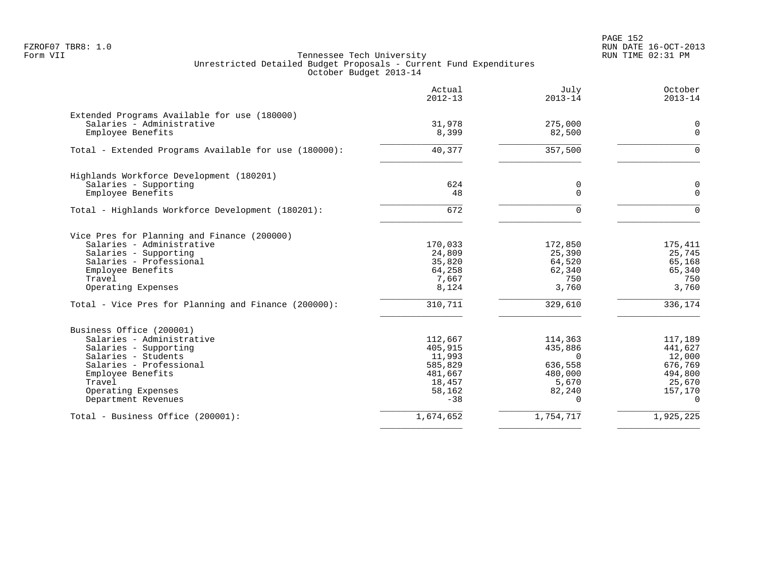PAGE 152 FZROF07 TBR8: 1.0 RUN DATE 16-OCT-2013

|                                                                                                                                                                                                                                           | Actual<br>$2012 - 13$                                                           | July<br>$2013 - 14$                                                               | October<br>$2013 - 14$                                                              |
|-------------------------------------------------------------------------------------------------------------------------------------------------------------------------------------------------------------------------------------------|---------------------------------------------------------------------------------|-----------------------------------------------------------------------------------|-------------------------------------------------------------------------------------|
| Extended Programs Available for use (180000)<br>Salaries - Administrative<br>Employee Benefits                                                                                                                                            | 31,978<br>8,399                                                                 | 275,000<br>82,500                                                                 | 0<br>$\mathbf 0$                                                                    |
| Total - Extended Programs Available for use (180000):                                                                                                                                                                                     | 40,377                                                                          | 357,500                                                                           | $\Omega$                                                                            |
| Highlands Workforce Development (180201)<br>Salaries - Supporting<br>Employee Benefits                                                                                                                                                    | 624<br>48                                                                       | 0<br>$\overline{0}$                                                               | 0<br>$\mathbf 0$                                                                    |
| Total - Highlands Workforce Development (180201):                                                                                                                                                                                         | 672                                                                             | <sup>n</sup>                                                                      | $\Omega$                                                                            |
| Vice Pres for Planning and Finance (200000)<br>Salaries - Administrative<br>Salaries - Supporting<br>Salaries - Professional<br>Employee Benefits<br>Travel<br>Operating Expenses<br>Total - Vice Pres for Planning and Finance (200000): | 170,033<br>24,809<br>35,820<br>64,258<br>7,667<br>8,124<br>310,711              | 172,850<br>25,390<br>64,520<br>62,340<br>750<br>3,760<br>329,610                  | 175,411<br>25,745<br>65,168<br>65,340<br>750<br>3,760<br>336,174                    |
| Business Office (200001)<br>Salaries - Administrative<br>Salaries - Supporting<br>Salaries - Students<br>Salaries - Professional<br>Employee Benefits<br>Travel<br>Operating Expenses<br>Department Revenues                              | 112,667<br>405,915<br>11,993<br>585,829<br>481,667<br>18,457<br>58,162<br>$-38$ | 114,363<br>435,886<br>$\Omega$<br>636,558<br>480,000<br>5,670<br>82,240<br>$\cap$ | 117,189<br>441,627<br>12,000<br>676,769<br>494,800<br>25,670<br>157,170<br>$\Omega$ |
| Total - Business Office (200001):                                                                                                                                                                                                         | 1,674,652                                                                       | 1,754,717                                                                         | 1,925,225                                                                           |
|                                                                                                                                                                                                                                           |                                                                                 |                                                                                   |                                                                                     |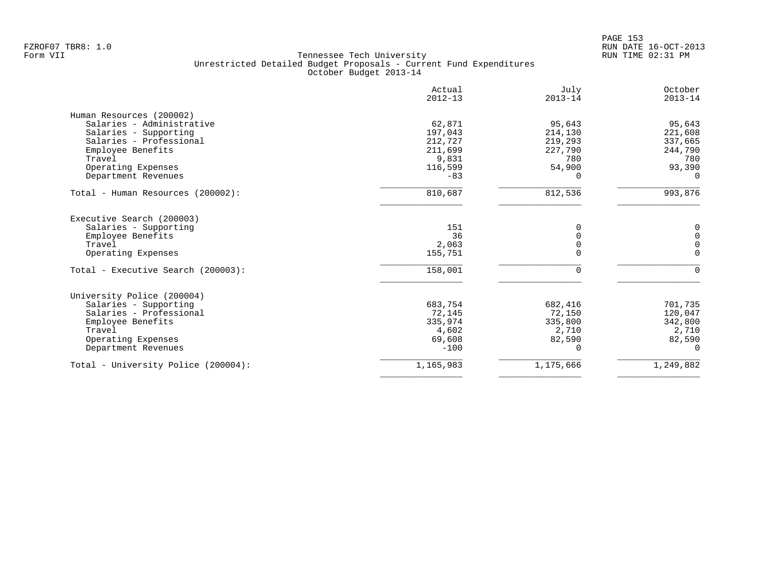| Actual<br>$2012 - 13$ | July<br>$2013 - 14$                               | October<br>$2013 - 14$                          |
|-----------------------|---------------------------------------------------|-------------------------------------------------|
|                       |                                                   |                                                 |
| 62,871                | 95,643                                            | 95,643                                          |
| 197,043               | 214,130                                           | 221,608                                         |
|                       |                                                   | 337,665                                         |
|                       |                                                   | 244,790                                         |
|                       |                                                   | 780                                             |
|                       |                                                   | 93,390                                          |
| $-83$                 |                                                   | $\Omega$                                        |
| 810,687               | 812,536                                           | 993,876                                         |
|                       |                                                   |                                                 |
| 151                   | $\Omega$                                          | 0                                               |
| 36                    | $\Omega$                                          | $\mathbf 0$                                     |
| 2,063                 | 0                                                 | 0                                               |
|                       |                                                   | $\Omega$                                        |
| 158,001               | $\Omega$                                          | $\Omega$                                        |
|                       |                                                   |                                                 |
| 683,754               | 682,416                                           | 701,735                                         |
| 72,145                | 72,150                                            | 120,047                                         |
| 335,974               | 335,800                                           | 342,800                                         |
| 4,602                 | 2,710                                             | 2,710                                           |
| 69,608                | 82,590                                            | 82,590                                          |
| $-100$                | $\Omega$                                          | $\Omega$                                        |
| 1,165,983             | 1,175,666                                         | 1,249,882                                       |
|                       | 212,727<br>211,699<br>9,831<br>116,599<br>155,751 | 219,293<br>227,790<br>780<br>54,900<br>$\Omega$ |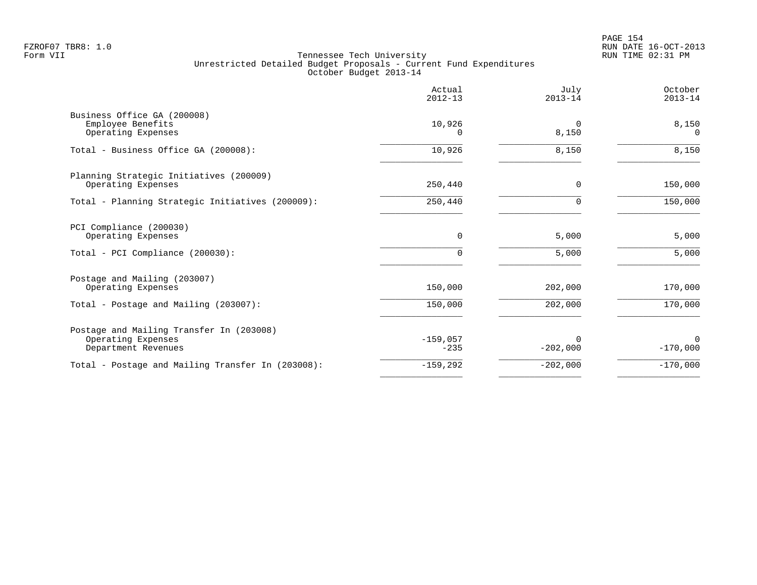|                                                                                       | Actual<br>$2012 - 13$ | July<br>$2013 - 14$        | October<br>$2013 - 14$ |
|---------------------------------------------------------------------------------------|-----------------------|----------------------------|------------------------|
| Business Office GA (200008)<br>Employee Benefits<br>Operating Expenses                | 10,926<br>0           | $\Omega$<br>8,150          | 8,150<br>$\Omega$      |
| Total - Business Office GA (200008):                                                  | 10,926                | 8,150                      | 8,150                  |
| Planning Strategic Initiatives (200009)<br>Operating Expenses                         | 250,440               | 0                          | 150,000                |
| Total - Planning Strategic Initiatives (200009):                                      | 250,440               | $\Omega$                   | 150,000                |
| PCI Compliance (200030)<br>Operating Expenses<br>Total - PCI Compliance (200030):     | 0<br>0                | 5,000<br>5,000             | 5,000<br>5,000         |
| Postage and Mailing (203007)<br>Operating Expenses                                    | 150,000               | 202,000                    | 170,000                |
| Total - Postage and Mailing (203007):                                                 | 150,000               | 202,000                    | 170,000                |
| Postage and Mailing Transfer In (203008)<br>Operating Expenses<br>Department Revenues | $-159,057$<br>$-235$  | <sup>0</sup><br>$-202,000$ | $\Omega$<br>$-170,000$ |
| Total - Postage and Mailing Transfer In (203008):                                     | $-159,292$            | $-202,000$                 | $-170,000$             |
|                                                                                       |                       |                            |                        |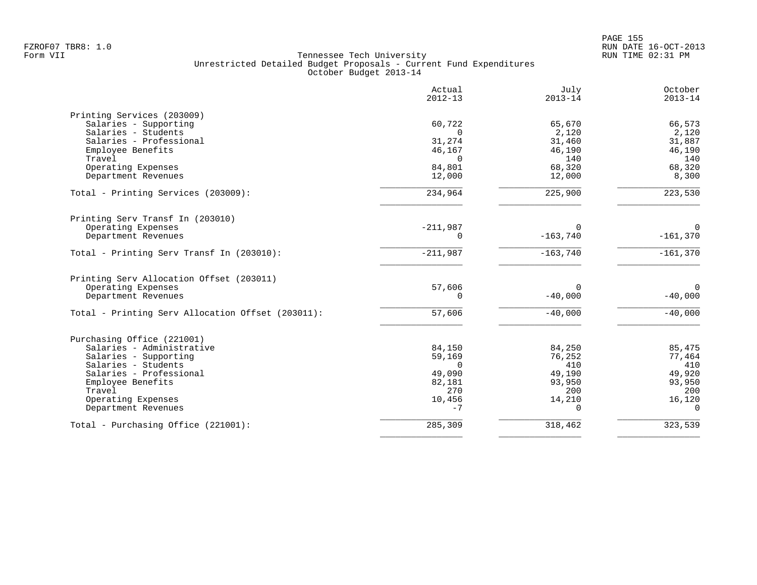|                                                   | Actual<br>$2012 - 13$ | July<br>$2013 - 14$ | October<br>$2013 - 14$ |
|---------------------------------------------------|-----------------------|---------------------|------------------------|
| Printing Services (203009)                        |                       |                     |                        |
| Salaries - Supporting                             | 60,722                | 65,670              | 66,573                 |
| Salaries - Students                               | $\Omega$              | 2,120               | 2,120                  |
| Salaries - Professional                           | 31,274                | 31,460              | 31,887                 |
| Employee Benefits<br>Travel                       | 46,167<br>$\Omega$    | 46,190<br>140       | 46,190<br>140          |
| Operating Expenses                                | 84,801                | 68,320              | 68,320                 |
| Department Revenues                               | 12,000                | 12,000              | 8,300                  |
| Total - Printing Services (203009):               | 234,964               | 225,900             | 223,530                |
| Printing Serv Transf In (203010)                  |                       |                     |                        |
| Operating Expenses                                | $-211,987$            | $\Omega$            | $\Omega$               |
| Department Revenues                               | $\Omega$              | $-163,740$          | $-161,370$             |
| Total - Printing Serv Transf In (203010):         | $-211,987$            | $-163,740$          | $-161,370$             |
| Printing Serv Allocation Offset (203011)          |                       |                     |                        |
| Operating Expenses                                | 57,606                | 0                   | $\Omega$               |
| Department Revenues                               | $\Omega$              | $-40,000$           | $-40,000$              |
| Total - Printing Serv Allocation Offset (203011): | 57,606                | $-40,000$           | $-40,000$              |
| Purchasing Office (221001)                        |                       |                     |                        |
| Salaries - Administrative                         | 84,150                | 84,250              | 85,475                 |
| Salaries - Supporting                             | 59,169                | 76,252              | 77,464                 |
| Salaries - Students                               | $\Omega$              | 410                 | 410                    |
| Salaries - Professional                           | 49,090                | 49,190              | 49,920                 |
| Employee Benefits                                 | 82,181                | 93,950              | 93,950                 |
| Travel                                            | 270                   | 200                 | 200                    |
| Operating Expenses<br>Department Revenues         | 10,456<br>$-7$        | 14,210<br>$\Omega$  | 16,120<br>$\Omega$     |
| Total - Purchasing Office (221001):               | 285,309               | 318,462             | 323,539                |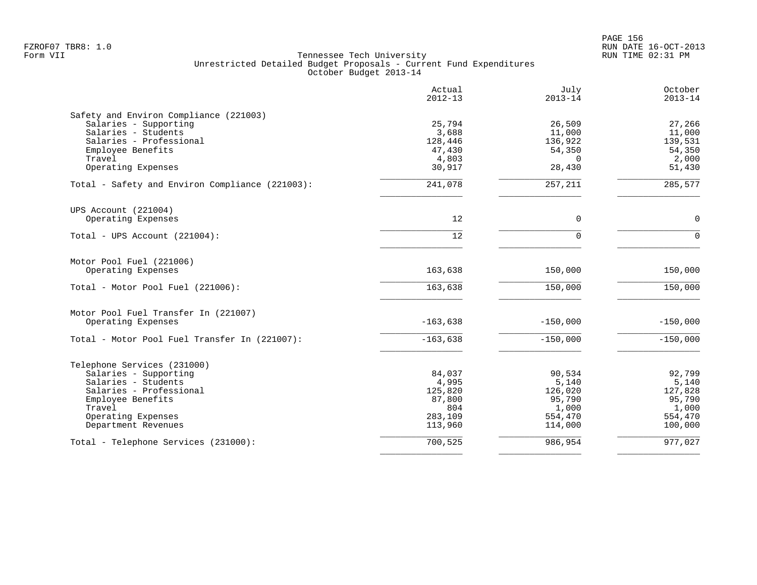|                                                 | Actual<br>$2012 - 13$ | July<br>$2013 - 14$ | October<br>$2013 - 14$ |
|-------------------------------------------------|-----------------------|---------------------|------------------------|
| Safety and Environ Compliance (221003)          |                       |                     |                        |
| Salaries - Supporting                           | 25,794                | 26,509              | 27,266                 |
| Salaries - Students                             | 3,688                 | 11,000              | 11,000                 |
| Salaries - Professional                         | 128,446               | 136,922             | 139,531                |
| Employee Benefits                               | 47,430                | 54,350              | 54,350                 |
| Travel                                          | 4,803                 | $\Omega$            | 2,000                  |
| Operating Expenses                              | 30,917                | 28,430              | 51,430                 |
| Total - Safety and Environ Compliance (221003): | 241,078               | 257,211             | 285,577                |
| UPS Account (221004)                            |                       |                     |                        |
| Operating Expenses                              | 12                    | $\mathbf 0$         | $\mathbf 0$            |
| Total - UPS Account $(221004)$ :                | 12                    | $\Omega$            | $\Omega$               |
| Motor Pool Fuel (221006)                        |                       |                     |                        |
| Operating Expenses                              | 163,638               | 150,000             | 150,000                |
| Total - Motor Pool Fuel (221006):               | 163,638               | 150,000             | 150,000                |
| Motor Pool Fuel Transfer In (221007)            |                       |                     |                        |
| Operating Expenses                              | $-163,638$            | $-150,000$          | $-150,000$             |
| Total - Motor Pool Fuel Transfer In (221007):   | $-163,638$            | $-150,000$          | $-150,000$             |
| Telephone Services (231000)                     |                       |                     |                        |
| Salaries - Supporting                           | 84,037                | 90,534              | 92,799                 |
| Salaries - Students                             | 4,995                 | 5,140               | 5,140                  |
| Salaries - Professional                         | 125,820               | 126,020             | 127,828                |
| Employee Benefits                               | 87,800                | 95,790              | 95,790                 |
| Travel                                          | 804                   | 1,000               | 1,000                  |
| Operating Expenses                              | 283,109               | 554,470             | 554,470                |
| Department Revenues                             | 113,960               | 114,000             | 100,000                |
| Total - Telephone Services (231000):            | 700,525               | 986,954             | 977,027                |
|                                                 |                       |                     |                        |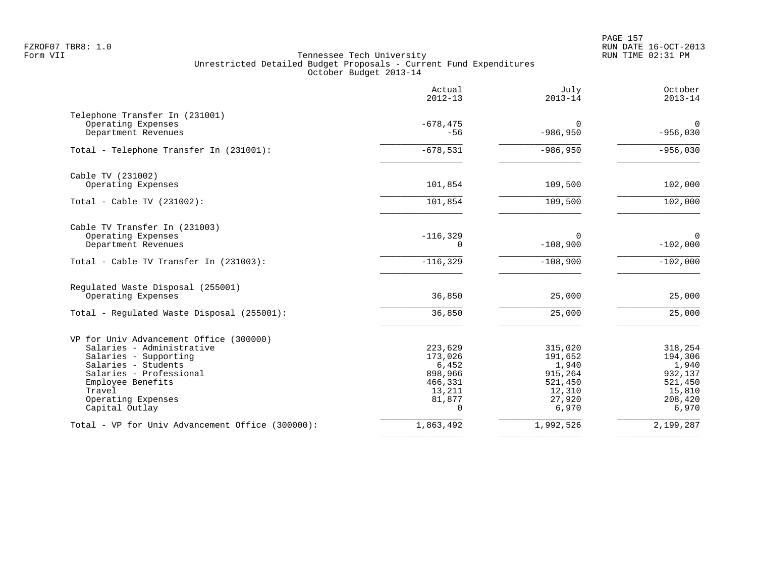PAGE 157 FZROF07 TBR8: 1.0 RUN DATE 16-OCT-2013

|                                                  | Actual<br>$2012 - 13$   | July<br>$2013 - 14$    | October<br>$2013 - 14$    |
|--------------------------------------------------|-------------------------|------------------------|---------------------------|
| Telephone Transfer In (231001)                   |                         |                        |                           |
| Operating Expenses<br>Department Revenues        | $-678, 475$<br>$-56$    | $\Omega$<br>$-986,950$ | $\mathbf 0$<br>$-956,030$ |
| Total - Telephone Transfer In (231001):          | $-678,531$              | $-986,950$             | $-956,030$                |
| Cable TV (231002)                                |                         |                        |                           |
| Operating Expenses                               | 101,854                 | 109,500                | 102,000                   |
| Total - Cable TV $(231002)$ :                    | 101,854                 | 109,500                | 102,000                   |
| Cable TV Transfer In (231003)                    |                         |                        |                           |
| Operating Expenses<br>Department Revenues        | $-116, 329$<br>$\Omega$ | 0<br>$-108,900$        | $\mathbf 0$<br>$-102,000$ |
| Total - Cable TV Transfer In (231003):           | $-116, 329$             | $-108,900$             | $-102,000$                |
| Regulated Waste Disposal (255001)                |                         |                        |                           |
| Operating Expenses                               | 36,850                  | 25,000                 | 25,000                    |
| Total - Regulated Waste Disposal (255001):       | 36,850                  | 25,000                 | 25,000                    |
| VP for Univ Advancement Office (300000)          |                         |                        |                           |
| Salaries - Administrative                        | 223,629                 | 315,020                | 318,254                   |
| Salaries - Supporting<br>Salaries - Students     | 173,026<br>6,452        | 191,652<br>1,940       | 194,306<br>1,940          |
| Salaries - Professional                          | 898,966                 | 915,264                | 932,137                   |
| Employee Benefits                                | 466,331                 | 521,450                | 521,450                   |
| Travel                                           | 13,211                  | 12,310                 | 15,810                    |
| Operating Expenses<br>Capital Outlay             | 81,877<br>$\Omega$      | 27,920<br>6,970        | 208,420<br>6,970          |
| Total - VP for Univ Advancement Office (300000): | 1,863,492               | 1,992,526              | 2,199,287                 |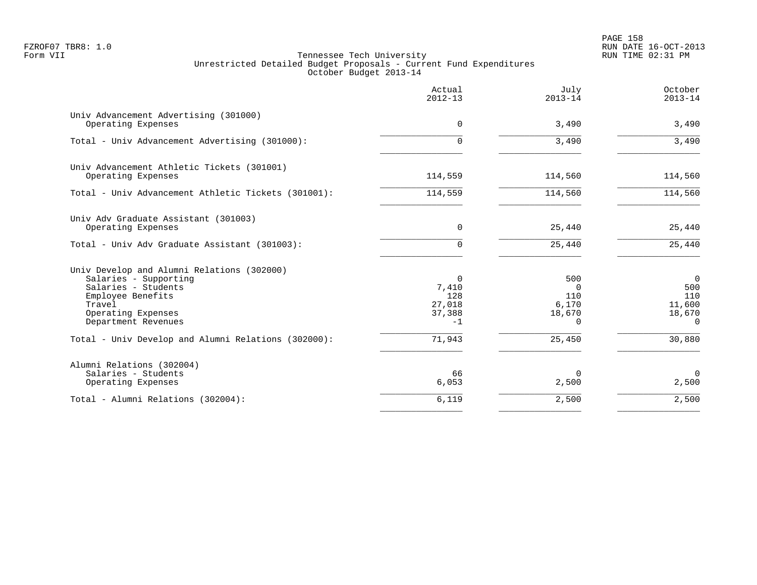PAGE 158 FZROF07 TBR8: 1.0 RUN DATE 16-OCT-2013

|                                                                                                                                                                        | Actual<br>$2012 - 13$                         | July<br>$2013 - 14$                                   | October<br>$2013 - 14$                                       |
|------------------------------------------------------------------------------------------------------------------------------------------------------------------------|-----------------------------------------------|-------------------------------------------------------|--------------------------------------------------------------|
| Univ Advancement Advertising (301000)<br>Operating Expenses                                                                                                            | $\Omega$                                      | 3,490                                                 | 3,490                                                        |
| Total - Univ Advancement Advertising (301000):                                                                                                                         | $\Omega$                                      | 3,490                                                 | 3,490                                                        |
| Univ Advancement Athletic Tickets (301001)<br>Operating Expenses                                                                                                       | 114,559                                       | 114,560                                               | 114,560                                                      |
| Total - Univ Advancement Athletic Tickets (301001):                                                                                                                    | 114,559                                       | 114,560                                               | 114,560                                                      |
| Univ Adv Graduate Assistant (301003)<br>Operating Expenses                                                                                                             | $\Omega$                                      | 25,440                                                | 25,440                                                       |
| Total - Univ Adv Graduate Assistant (301003):                                                                                                                          | $\Omega$                                      | 25,440                                                | 25,440                                                       |
| Univ Develop and Alumni Relations (302000)<br>Salaries - Supporting<br>Salaries - Students<br>Employee Benefits<br>Travel<br>Operating Expenses<br>Department Revenues | 0<br>7,410<br>128<br>27,018<br>37,388<br>$-1$ | 500<br>$\Omega$<br>110<br>6,170<br>18,670<br>$\Omega$ | $\overline{0}$<br>500<br>110<br>11,600<br>18,670<br>$\Omega$ |
| Total - Univ Develop and Alumni Relations (302000):                                                                                                                    | 71,943                                        | 25,450                                                | 30,880                                                       |
| Alumni Relations (302004)<br>Salaries - Students<br>Operating Expenses                                                                                                 | 66<br>6,053                                   | 0<br>2,500                                            | $\mathbf 0$<br>2,500                                         |
| Total - Alumni Relations (302004):                                                                                                                                     | 6,119                                         | 2,500                                                 | 2,500                                                        |
|                                                                                                                                                                        |                                               |                                                       |                                                              |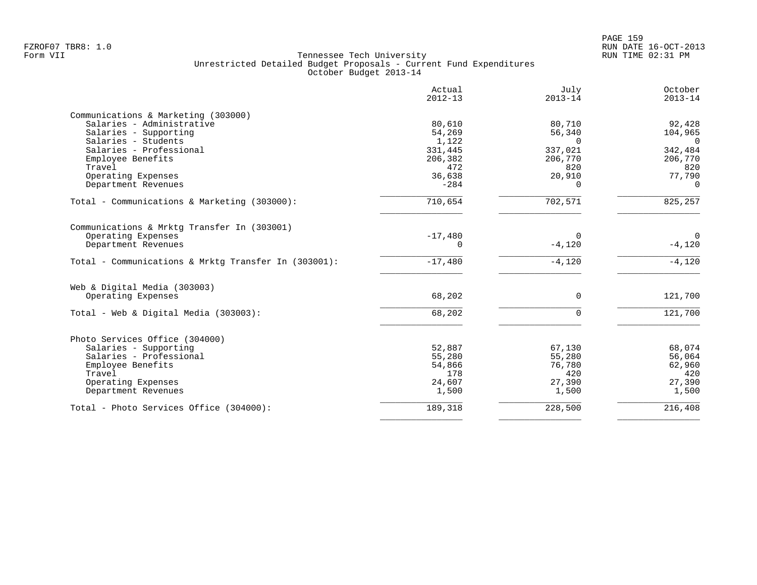| Actual<br>$2012 - 13$ | July<br>$2013 - 14$                                 | October<br>$2013 - 14$                     |
|-----------------------|-----------------------------------------------------|--------------------------------------------|
|                       |                                                     |                                            |
| 80,610                | 80,710                                              | 92,428                                     |
| 54,269                | 56,340                                              | 104,965                                    |
| 1,122                 | $\Omega$                                            | $\Omega$                                   |
| 331,445               | 337,021                                             | 342,484                                    |
| 206,382               | 206,770                                             | 206,770                                    |
| 472                   | 820                                                 | 820                                        |
| 36,638                | 20,910                                              | 77,790                                     |
| $-284$                | $\Omega$                                            | $\Omega$                                   |
| 710,654               | 702,571                                             | 825,257                                    |
|                       |                                                     |                                            |
|                       |                                                     | $\mathbf{0}$                               |
|                       |                                                     | $-4,120$                                   |
|                       |                                                     |                                            |
| $-17,480$             | $-4,120$                                            | $-4,120$                                   |
|                       |                                                     |                                            |
| 68,202                | $\Omega$                                            | 121,700                                    |
|                       |                                                     |                                            |
|                       |                                                     | 121,700                                    |
|                       |                                                     |                                            |
|                       | 67,130                                              | 68,074                                     |
| 55,280                | 55,280                                              | 56,064                                     |
|                       |                                                     | 62,960                                     |
| 178                   | 420                                                 | 420                                        |
| 24,607                | 27,390                                              | 27,390                                     |
| 1,500                 | 1,500                                               | 1,500                                      |
|                       |                                                     | 216,408                                    |
|                       | $-17,480$<br>$\Omega$<br>68,202<br>52,887<br>54,866 | $\Omega$<br>$-4,120$<br>$\Omega$<br>76,780 |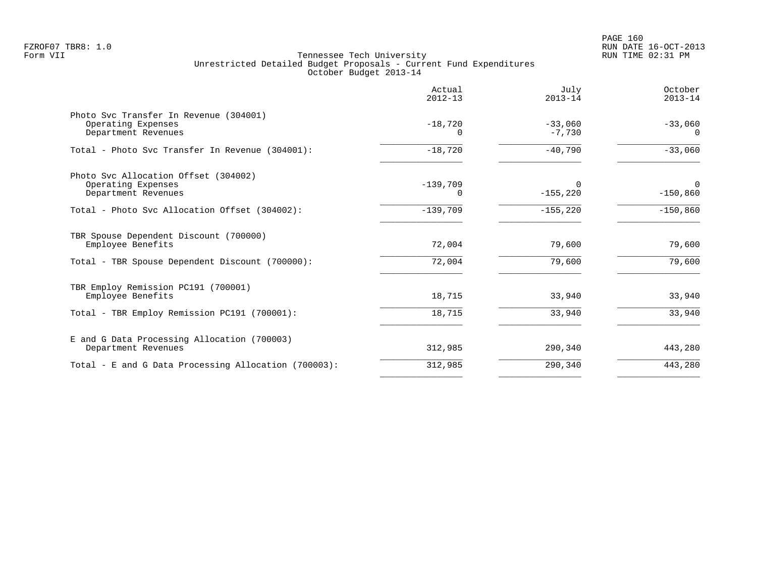|                                                                                     | Actual<br>$2012 - 13$ | July<br>$2013 - 14$     | October<br>$2013 - 14$ |
|-------------------------------------------------------------------------------------|-----------------------|-------------------------|------------------------|
| Photo Svc Transfer In Revenue (304001)<br>Operating Expenses<br>Department Revenues | $-18,720$<br>$\Omega$ | $-33,060$<br>$-7,730$   | $-33,060$<br>$\Omega$  |
| Total - Photo Svc Transfer In Revenue (304001):                                     | $-18,720$             | $-40,790$               | $-33,060$              |
| Photo Svc Allocation Offset (304002)<br>Operating Expenses<br>Department Revenues   | $-139,709$<br>0       | $\Omega$<br>$-155, 220$ | 0<br>$-150,860$        |
| Total - Photo Syc Allocation Offset (304002):                                       | $-139,709$            | $-155, 220$             | $-150,860$             |
| TBR Spouse Dependent Discount (700000)<br>Employee Benefits                         | 72,004                | 79,600                  | 79,600                 |
| Total - TBR Spouse Dependent Discount (700000):                                     | 72,004                | 79,600                  | 79,600                 |
| TBR Employ Remission PC191 (700001)<br>Employee Benefits                            | 18,715                | 33,940                  | 33,940                 |
| Total - TBR Employ Remission PC191 (700001):                                        | 18,715                | 33,940                  | 33,940                 |
| E and G Data Processing Allocation (700003)<br>Department Revenues                  | 312,985               | 290,340                 | 443,280                |
| Total - E and G Data Processing Allocation (700003):                                | 312,985               | 290,340                 | 443,280                |
|                                                                                     |                       |                         |                        |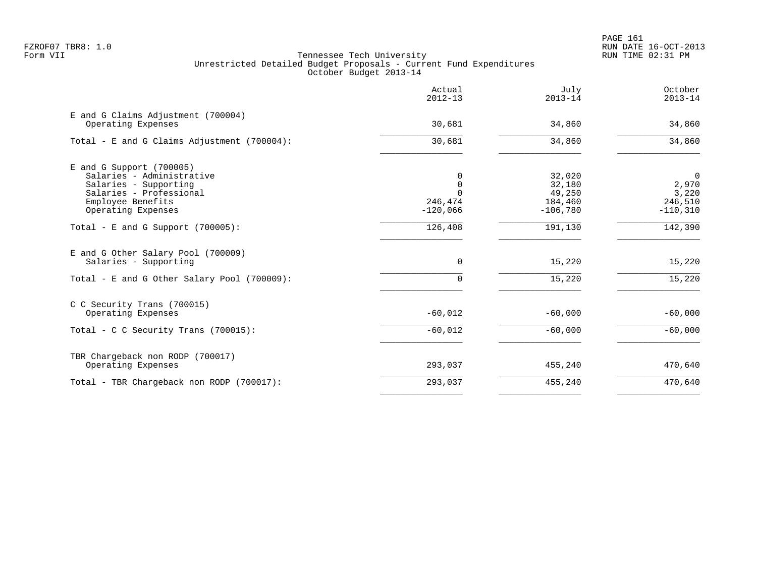|                                                                                                                                                        | Actual<br>$2012 - 13$                         | July<br>$2013 - 14$                                 | October<br>$2013 - 14$                                     |
|--------------------------------------------------------------------------------------------------------------------------------------------------------|-----------------------------------------------|-----------------------------------------------------|------------------------------------------------------------|
| E and G Claims Adjustment (700004)<br>Operating Expenses                                                                                               | 30,681                                        | 34,860                                              | 34,860                                                     |
| Total - E and G Claims Adjustment (700004):                                                                                                            | 30,681                                        | 34,860                                              | 34,860                                                     |
| $E$ and G Support (700005)<br>Salaries - Administrative<br>Salaries - Supporting<br>Salaries - Professional<br>Employee Benefits<br>Operating Expenses | $\Omega$<br>$\Omega$<br>246,474<br>$-120,066$ | 32,020<br>32,180<br>49,250<br>184,460<br>$-106,780$ | $\overline{0}$<br>2,970<br>3,220<br>246,510<br>$-110, 310$ |
| Total - E and G Support $(700005)$ :                                                                                                                   | 126,408                                       | 191,130                                             | 142,390                                                    |
| E and G Other Salary Pool (700009)<br>Salaries - Supporting<br>Total - E and G Other Salary Pool (700009):                                             | 0<br>$\Omega$                                 | 15,220<br>15,220                                    | 15,220<br>15,220                                           |
| C C Security Trans (700015)<br>Operating Expenses                                                                                                      | $-60,012$                                     | $-60,000$                                           | $-60,000$                                                  |
| Total - C C Security Trans (700015):                                                                                                                   | $-60,012$                                     | $-60,000$                                           | $-60,000$                                                  |
| TBR Chargeback non RODP (700017)<br>Operating Expenses                                                                                                 | 293,037                                       | 455,240                                             | 470,640                                                    |
| Total - TBR Chargeback non RODP (700017):                                                                                                              | 293,037                                       | 455,240                                             | 470,640                                                    |
|                                                                                                                                                        |                                               |                                                     |                                                            |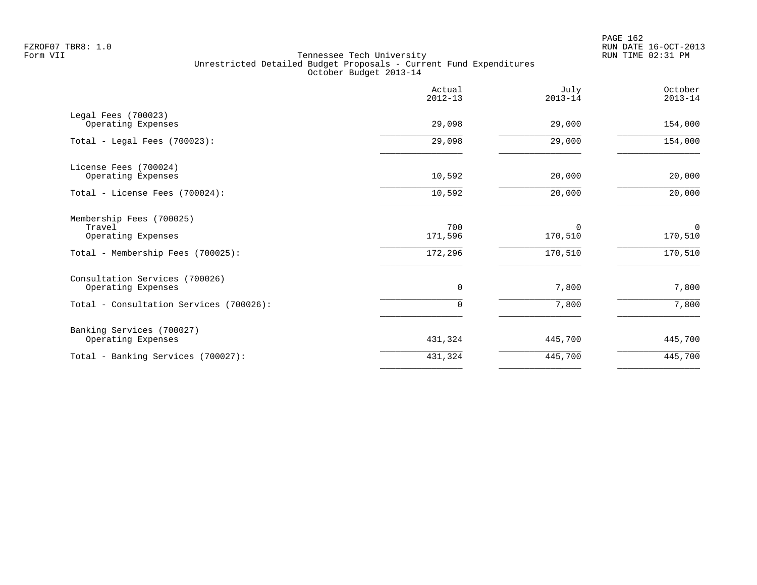PAGE 162 FZROF07 TBR8: 1.0 RUN DATE 16-OCT-2013

|                                                          | Actual<br>$2012 - 13$ | July<br>$2013 - 14$    | October<br>$2013 - 14$ |
|----------------------------------------------------------|-----------------------|------------------------|------------------------|
| Legal Fees (700023)<br>Operating Expenses                | 29,098                | 29,000                 | 154,000                |
| Total - Legal Fees $(700023)$ :                          | 29,098                | 29,000                 | 154,000                |
| License Fees (700024)<br>Operating Expenses              | 10,592                | 20,000                 | 20,000                 |
| Total - License Fees (700024):                           | 10,592                | 20,000                 | 20,000                 |
| Membership Fees (700025)<br>Travel<br>Operating Expenses | 700<br>171,596        | $\mathbf 0$<br>170,510 | $\mathbf 0$<br>170,510 |
| Total - Membership Fees (700025):                        | 172,296               | 170,510                | 170,510                |
| Consultation Services (700026)<br>Operating Expenses     | 0                     | 7,800                  | 7,800                  |
| Total - Consultation Services (700026):                  | $\Omega$              | 7,800                  | 7,800                  |
| Banking Services (700027)<br>Operating Expenses          | 431,324               | 445,700                | 445,700                |
| Total - Banking Services (700027):                       | 431,324               | 445,700                | 445,700                |
|                                                          |                       |                        |                        |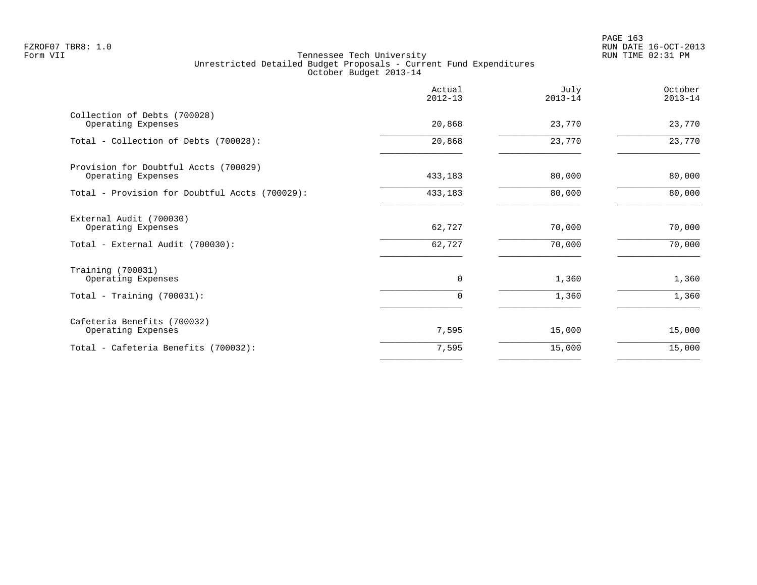| Actual<br>$2012 - 13$ | July<br>$2013 - 14$ | October<br>$2013 - 14$ |
|-----------------------|---------------------|------------------------|
| 20,868                | 23,770              | 23,770                 |
| 20,868                | 23,770              | 23,770                 |
| 433,183               | 80,000              | 80,000                 |
| 433,183               | 80,000              | 80,000                 |
| 62,727                | 70,000              | 70,000                 |
| 62,727                | 70,000              | 70,000                 |
| $\mathbf 0$           | 1,360               | 1,360                  |
| 0                     | 1,360               | 1,360                  |
| 7,595                 | 15,000              | 15,000                 |
| 7,595                 | 15,000              | 15,000                 |
|                       |                     |                        |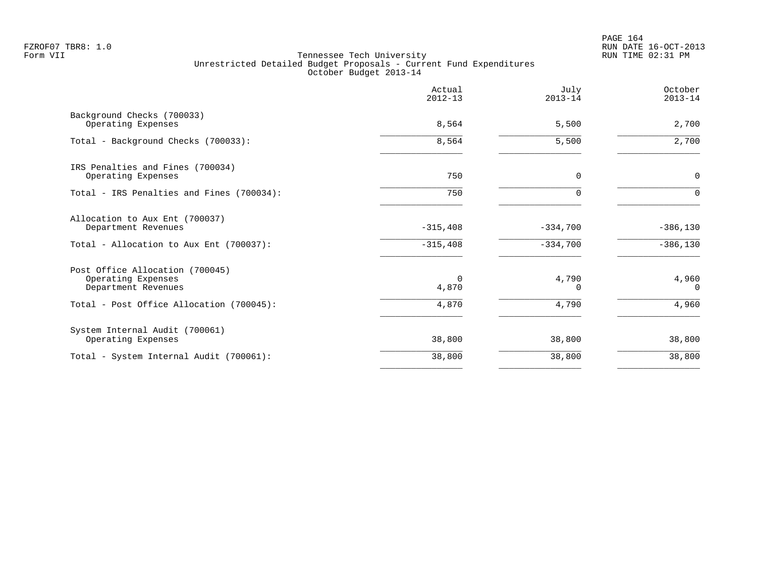|                                                                              | Actual<br>$2012 - 13$ | July<br>$2013 - 14$ | October<br>$2013 - 14$ |
|------------------------------------------------------------------------------|-----------------------|---------------------|------------------------|
| Background Checks (700033)<br>Operating Expenses                             | 8,564                 | 5,500               | 2,700                  |
| Total - Background Checks (700033):                                          | 8,564                 | 5,500               | 2,700                  |
| IRS Penalties and Fines (700034)<br>Operating Expenses                       | 750                   | $\Omega$            | 0                      |
| Total - IRS Penalties and Fines (700034):                                    | 750                   | $\Omega$            | $\Omega$               |
| Allocation to Aux Ent (700037)<br>Department Revenues                        | $-315,408$            | $-334,700$          | $-386, 130$            |
| Total - Allocation to Aux Ent (700037):                                      | $-315,408$            | $-334,700$          | $-386,130$             |
| Post Office Allocation (700045)<br>Operating Expenses<br>Department Revenues | $\Omega$<br>4,870     | 4,790<br>0          | 4,960<br>$\Omega$      |
| Total - Post Office Allocation (700045):                                     | 4,870                 | 4,790               | 4,960                  |
| System Internal Audit (700061)<br>Operating Expenses                         | 38,800                | 38,800              | 38,800                 |
| Total - System Internal Audit (700061):                                      | 38,800                | 38,800              | 38,800                 |
|                                                                              |                       |                     |                        |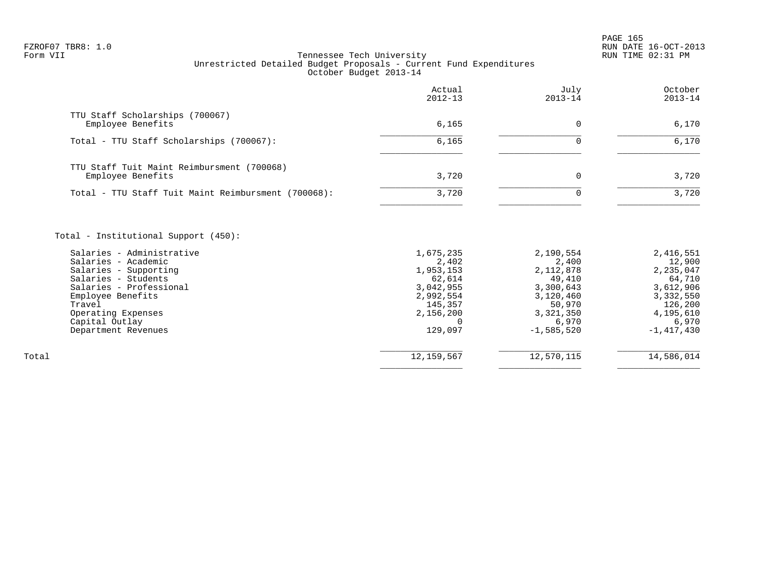PAGE 165 FZROF07 TBR8: 1.0 RUN DATE 16-OCT-2013

|                                                                                                                                                                                  | Actual<br>$2012 - 13$                                                                       | July<br>$2013 - 14$                                                                        | October<br>$2013 - 14$                                                                       |
|----------------------------------------------------------------------------------------------------------------------------------------------------------------------------------|---------------------------------------------------------------------------------------------|--------------------------------------------------------------------------------------------|----------------------------------------------------------------------------------------------|
| TTU Staff Scholarships (700067)<br>Employee Benefits                                                                                                                             | 6,165                                                                                       | 0                                                                                          | 6,170                                                                                        |
| Total - TTU Staff Scholarships (700067):                                                                                                                                         | 6,165                                                                                       | $\Omega$                                                                                   | 6,170                                                                                        |
| TTU Staff Tuit Maint Reimbursment (700068)<br>Employee Benefits                                                                                                                  | 3,720                                                                                       | 0                                                                                          | 3,720                                                                                        |
| Total - TTU Staff Tuit Maint Reimbursment (700068):                                                                                                                              | 3,720                                                                                       | $\Omega$                                                                                   | 3,720                                                                                        |
| Salaries - Administrative<br>Salaries - Academic<br>Salaries - Supporting<br>Salaries - Students<br>Salaries - Professional<br>Employee Benefits<br>Travel<br>Operating Expenses | 1,675,235<br>2,402<br>1,953,153<br>62,614<br>3,042,955<br>2,992,554<br>145,357<br>2,156,200 | 2,190,554<br>2,400<br>2,112,878<br>49,410<br>3,300,643<br>3,120,460<br>50,970<br>3,321,350 | 2,416,551<br>12,900<br>2,235,047<br>64,710<br>3,612,906<br>3,332,550<br>126,200<br>4,195,610 |
| Capital Outlay<br>Department Revenues                                                                                                                                            | $\cap$<br>129,097                                                                           | 6,970<br>$-1,585,520$                                                                      | 6,970<br>$-1,417,430$                                                                        |
| Total                                                                                                                                                                            | 12,159,567                                                                                  | 12,570,115                                                                                 | 14,586,014                                                                                   |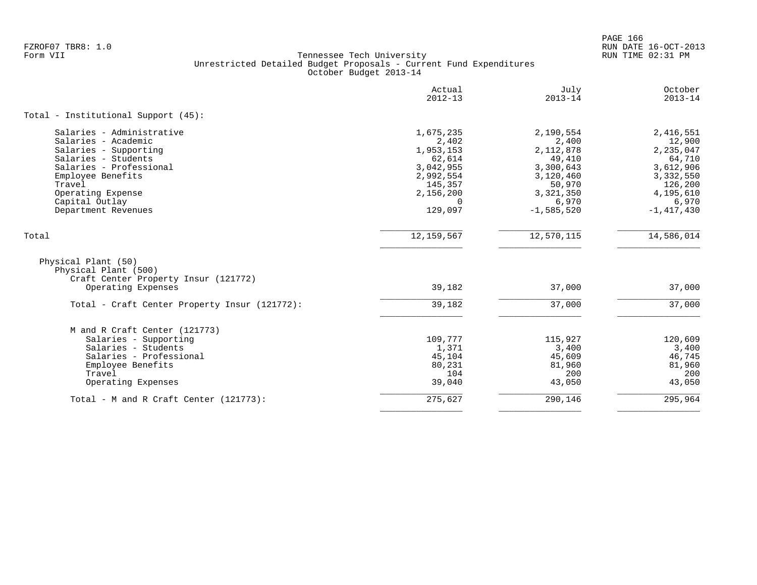PAGE 166 FZROF07 TBR8: 1.0 RUN DATE 16-OCT-2013

|                                                                                     | Actual<br>$2012 - 13$ | July<br>$2013 - 14$ | October<br>$2013 - 14$ |
|-------------------------------------------------------------------------------------|-----------------------|---------------------|------------------------|
| Total - Institutional Support (45):                                                 |                       |                     |                        |
| Salaries - Administrative                                                           | 1,675,235             | 2,190,554           | 2,416,551              |
| Salaries - Academic                                                                 | 2,402                 | 2,400               | 12,900                 |
| Salaries - Supporting                                                               | 1,953,153             | 2,112,878           | 2,235,047              |
| Salaries - Students                                                                 | 62,614                | 49,410              | 64,710                 |
| Salaries - Professional                                                             | 3,042,955             | 3,300,643           | 3,612,906              |
| Employee Benefits                                                                   | 2,992,554             | 3,120,460           | 3,332,550              |
| Travel                                                                              | 145,357               | 50,970              | 126,200                |
| Operating Expense                                                                   | 2,156,200             | 3,321,350           | 4,195,610              |
| Capital Outlay                                                                      | $\Omega$              | 6,970               | 6,970                  |
| Department Revenues                                                                 | 129,097               | $-1,585,520$        | $-1,417,430$           |
| Total                                                                               | 12, 159, 567          | 12,570,115          | 14,586,014             |
| Physical Plant (50)<br>Physical Plant (500)<br>Craft Center Property Insur (121772) | 39,182                | 37,000              | 37,000                 |
| Operating Expenses                                                                  |                       |                     |                        |
| Total - Craft Center Property Insur (121772):                                       | 39,182                | 37,000              | 37,000                 |
| M and R Craft Center (121773)                                                       |                       |                     |                        |
| Salaries - Supporting                                                               | 109,777               | 115,927             | 120,609                |
| Salaries - Students                                                                 | 1,371                 | 3,400               | 3,400                  |
| Salaries - Professional                                                             | 45,104                | 45,609              | 46,745                 |
| Employee Benefits                                                                   | 80,231                | 81,960              | 81,960                 |
| Travel                                                                              | 104                   | 200                 | 200                    |
| Operating Expenses                                                                  | 39,040                | 43,050              | 43,050                 |
| Total - M and R Craft Center (121773):                                              | 275,627               | 290,146             | 295,964                |
|                                                                                     |                       |                     |                        |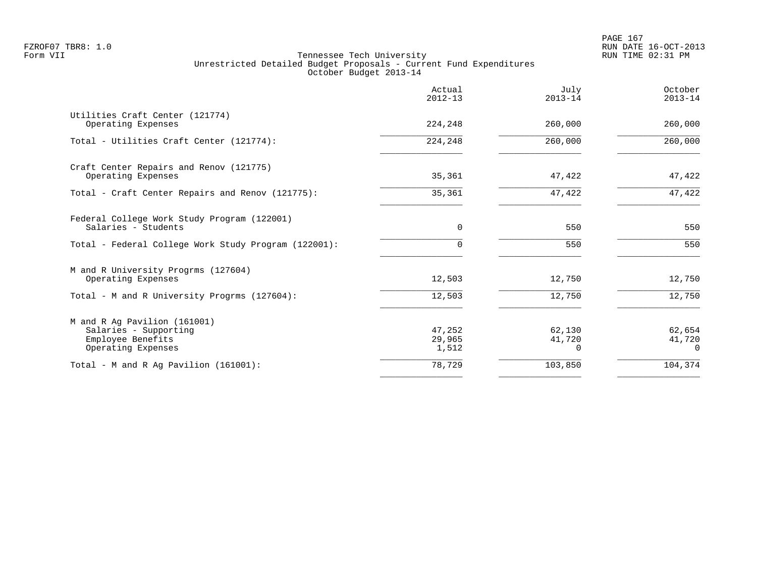|                                                                                                  | Actual<br>$2012 - 13$     | July<br>$2013 - 14$   | October<br>$2013 - 14$       |
|--------------------------------------------------------------------------------------------------|---------------------------|-----------------------|------------------------------|
| Utilities Craft Center (121774)<br>Operating Expenses                                            | 224,248                   | 260,000               | 260,000                      |
| Total - Utilities Craft Center (121774):                                                         | 224,248                   | 260,000               | 260,000                      |
| Craft Center Repairs and Renov (121775)<br>Operating Expenses                                    | 35,361                    | 47,422                | 47,422                       |
| Total - Craft Center Repairs and Renov (121775):                                                 | 35,361                    | 47,422                | 47,422                       |
| Federal College Work Study Program (122001)<br>Salaries - Students                               | $\Omega$                  | 550                   | 550                          |
| Total - Federal College Work Study Program (122001):                                             | $\Omega$                  | 550                   | 550                          |
| M and R University Progrms (127604)<br>Operating Expenses                                        | 12,503                    | 12,750                | 12,750                       |
| Total - M and R University Progrms (127604):                                                     | 12,503                    | 12,750                | 12,750                       |
| M and R Ag Pavilion (161001)<br>Salaries - Supporting<br>Employee Benefits<br>Operating Expenses | 47,252<br>29,965<br>1,512 | 62,130<br>41,720<br>0 | 62,654<br>41,720<br>$\Omega$ |
| Total - M and R Ag Pavilion (161001):                                                            | 78,729                    | 103,850               | 104,374                      |
|                                                                                                  |                           |                       |                              |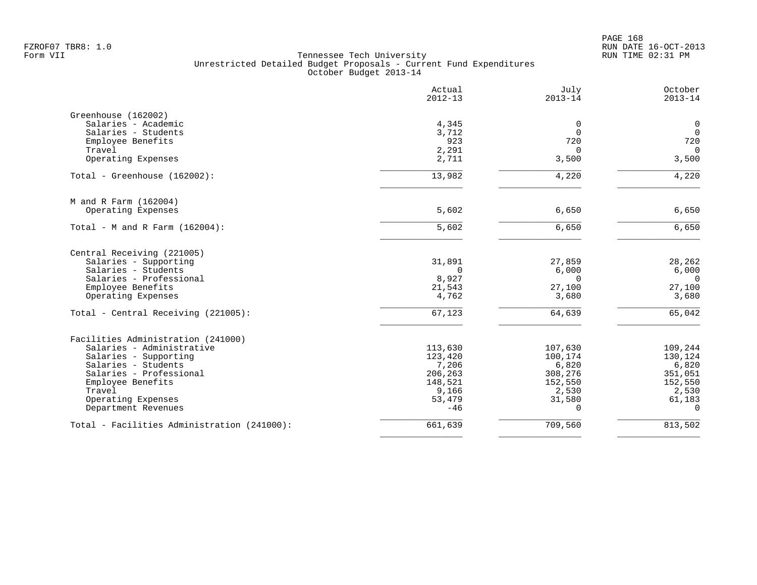|                                             | Actual<br>$2012 - 13$ | July<br>$2013 - 14$ | October<br>$2013 - 14$ |
|---------------------------------------------|-----------------------|---------------------|------------------------|
| Greenhouse (162002)                         |                       |                     |                        |
| Salaries - Academic                         | 4,345                 | $\mathbf 0$         | $\mathbf 0$            |
| Salaries - Students                         | 3,712                 | $\mathbf 0$         | $\mathbf 0$            |
| Employee Benefits                           | 923                   | 720                 | 720                    |
| Travel                                      | 2,291                 | $\Omega$            | $\mathbf 0$            |
| Operating Expenses                          | 2,711                 | 3,500               | 3,500                  |
| Total - Greenhouse (162002):                | 13,982                | 4,220               | 4,220                  |
| M and R Farm (162004)                       |                       |                     |                        |
| Operating Expenses                          | 5,602                 | 6,650               | 6,650                  |
| Total - M and R Farm $(162004)$ :           | 5,602                 | 6,650               | 6,650                  |
| Central Receiving (221005)                  |                       |                     |                        |
| Salaries - Supporting                       | 31,891                | 27,859              | 28,262                 |
| Salaries - Students                         | $\Omega$              | 6,000               | 6,000                  |
| Salaries - Professional                     | 8,927                 | $\Omega$            | $\mathbf 0$            |
| Employee Benefits                           | 21,543                | 27,100              | 27,100                 |
| Operating Expenses                          | 4,762                 | 3,680               | 3,680                  |
| Total - Central Receiving (221005):         | 67,123                | 64,639              | 65,042                 |
| Facilities Administration (241000)          |                       |                     |                        |
| Salaries - Administrative                   | 113,630               | 107,630             | 109,244                |
| Salaries - Supporting                       | 123,420               | 100,174             | 130,124                |
| Salaries - Students                         | 7,206                 | 6,820               | 6,820                  |
| Salaries - Professional                     | 206,263               | 308,276             | 351,051                |
| Employee Benefits                           | 148,521               | 152,550             | 152,550                |
| Travel                                      | 9,166                 | 2,530               | 2,530                  |
| Operating Expenses                          | 53,479                | 31,580              | 61,183                 |
| Department Revenues                         | $-46$                 | $\Omega$            | $\Omega$               |
| Total - Facilities Administration (241000): | 661,639               | 709,560             | 813,502                |
|                                             |                       |                     |                        |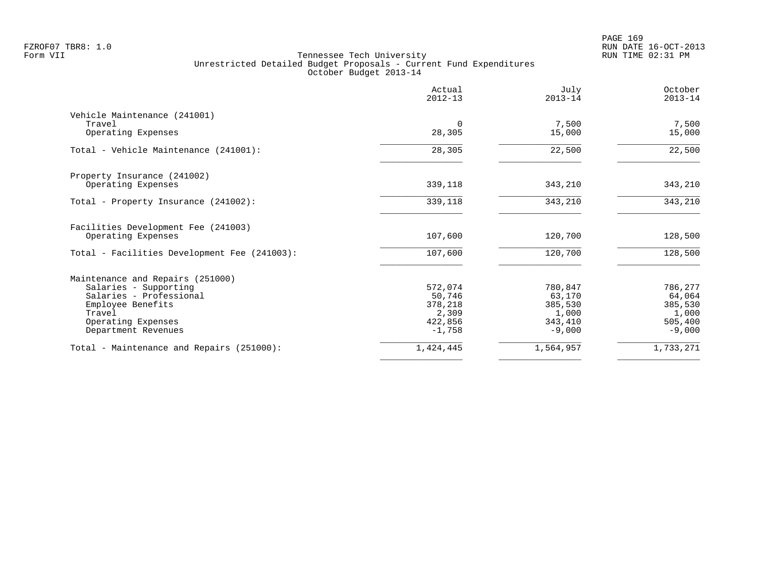|                                              | Actual<br>$2012 - 13$ | July<br>$2013 - 14$ | October<br>$2013 - 14$ |
|----------------------------------------------|-----------------------|---------------------|------------------------|
| Vehicle Maintenance (241001)                 |                       |                     |                        |
| Travel<br>Operating Expenses                 | $\Omega$<br>28,305    | 7,500<br>15,000     | 7,500<br>15,000        |
| Total - Vehicle Maintenance (241001):        | 28,305                | 22,500              | 22,500                 |
| Property Insurance (241002)                  |                       |                     |                        |
| Operating Expenses                           | 339,118               | 343,210             | 343,210                |
| Total - Property Insurance (241002):         | 339,118               | 343,210             | 343,210                |
| Facilities Development Fee (241003)          |                       |                     |                        |
| Operating Expenses                           | 107,600               | 120,700             | 128,500                |
| Total - Facilities Development Fee (241003): | 107,600               | 120,700             | 128,500                |
| Maintenance and Repairs (251000)             |                       |                     |                        |
| Salaries - Supporting                        | 572,074               | 780,847             | 786,277                |
| Salaries - Professional                      | 50,746                | 63,170              | 64,064                 |
| Employee Benefits                            | 378,218               | 385,530             | 385,530                |
| Travel<br>Operating Expenses                 | 2,309<br>422,856      | 1,000<br>343,410    | 1,000<br>505,400       |
| Department Revenues                          | $-1,758$              | $-9,000$            | $-9,000$               |
| Total - Maintenance and Repairs (251000):    | 1,424,445             | 1,564,957           | 1,733,271              |
|                                              |                       |                     |                        |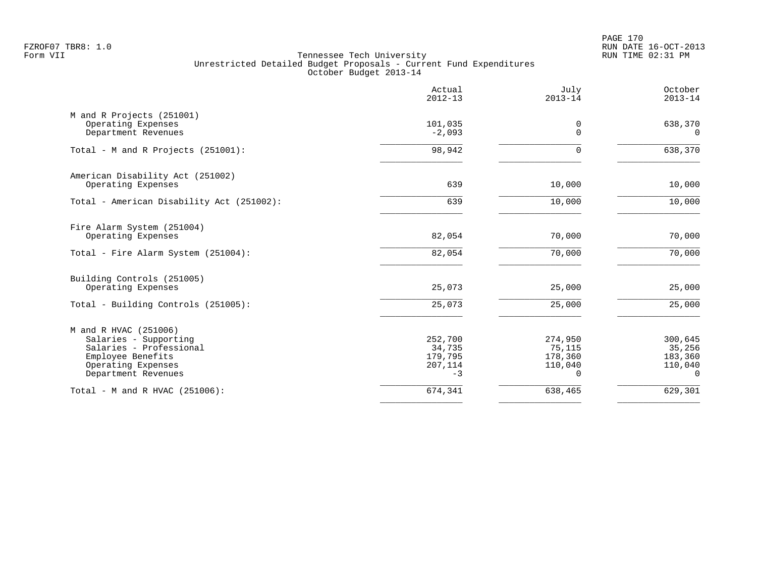PAGE 170 FZROF07 TBR8: 1.0 RUN DATE 16-OCT-2013

|                                                                                                                                             | Actual<br>$2012 - 13$                           | July<br>$2013 - 14$                          | October<br>$2013 - 14$                              |
|---------------------------------------------------------------------------------------------------------------------------------------------|-------------------------------------------------|----------------------------------------------|-----------------------------------------------------|
| M and R Projects (251001)<br>Operating Expenses<br>Department Revenues                                                                      | 101,035<br>$-2,093$                             | 0<br>$\mathbf 0$                             | 638,370<br>$\Omega$                                 |
| Total - M and R Projects (251001):                                                                                                          | 98,942                                          | 0                                            | 638,370                                             |
| American Disability Act (251002)<br>Operating Expenses                                                                                      | 639                                             | 10,000                                       | 10,000                                              |
| Total - American Disability Act (251002):                                                                                                   | 639                                             | 10,000                                       | 10,000                                              |
| Fire Alarm System (251004)<br>Operating Expenses                                                                                            | 82,054                                          | 70,000                                       | 70,000                                              |
| Total - Fire Alarm System (251004):                                                                                                         | 82,054                                          | 70,000                                       | 70,000                                              |
| Building Controls (251005)<br>Operating Expenses                                                                                            | 25,073                                          | 25,000                                       | 25,000                                              |
| Total - Building Controls (251005):                                                                                                         | 25,073                                          | 25,000                                       | 25,000                                              |
| M and R HVAC (251006)<br>Salaries - Supporting<br>Salaries - Professional<br>Employee Benefits<br>Operating Expenses<br>Department Revenues | 252,700<br>34,735<br>179,795<br>207,114<br>$-3$ | 274,950<br>75,115<br>178,360<br>110,040<br>0 | 300,645<br>35,256<br>183,360<br>110,040<br>$\Omega$ |
| Total - M and R HVAC (251006):                                                                                                              | 674,341                                         | 638,465                                      | 629,301                                             |
|                                                                                                                                             |                                                 |                                              |                                                     |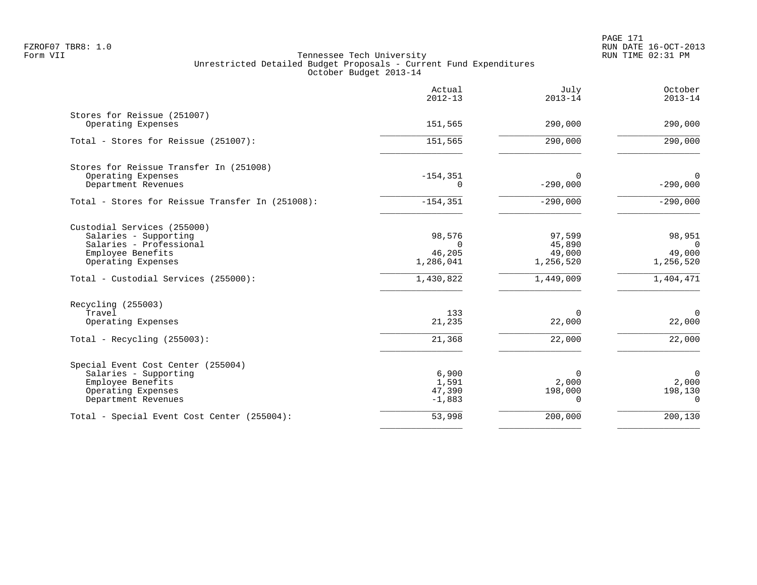PAGE 171 FZROF07 TBR8: 1.0 RUN DATE 16-OCT-2013

|                                                                                                                                                                    | Actual<br>$2012 - 13$                                  | July<br>$2013 - 14$                                  | October<br>$2013 - 14$                                 |
|--------------------------------------------------------------------------------------------------------------------------------------------------------------------|--------------------------------------------------------|------------------------------------------------------|--------------------------------------------------------|
| Stores for Reissue (251007)<br>Operating Expenses                                                                                                                  | 151,565                                                | 290,000                                              | 290,000                                                |
| Total - Stores for Reissue (251007):                                                                                                                               | 151,565                                                | 290,000                                              | 290,000                                                |
| Stores for Reissue Transfer In (251008)<br>Operating Expenses<br>Department Revenues                                                                               | $-154, 351$<br>0                                       | 0<br>$-290,000$                                      | $\overline{0}$<br>$-290,000$                           |
| Total - Stores for Reissue Transfer In (251008):                                                                                                                   | $-154, 351$                                            | $-290,000$                                           | $-290,000$                                             |
| Custodial Services (255000)<br>Salaries - Supporting<br>Salaries - Professional<br>Employee Benefits<br>Operating Expenses<br>Total - Custodial Services (255000): | 98,576<br>$\Omega$<br>46,205<br>1,286,041<br>1,430,822 | 97,599<br>45,890<br>49,000<br>1,256,520<br>1,449,009 | 98,951<br>$\Omega$<br>49,000<br>1,256,520<br>1,404,471 |
| Recycling (255003)<br>Travel<br>Operating Expenses<br>Total - Recycling $(255003)$ :                                                                               | 133<br>21,235<br>21,368                                | $\Omega$<br>22,000<br>22,000                         | $\Omega$<br>22,000<br>22,000                           |
| Special Event Cost Center (255004)<br>Salaries - Supporting<br>Employee Benefits<br>Operating Expenses<br>Department Revenues                                      | 6,900<br>1,591<br>47,390<br>$-1,883$                   | $\Omega$<br>2,000<br>198,000<br>$\Omega$             | $\Omega$<br>2,000<br>198,130<br>$\Omega$               |
| Total - Special Event Cost Center (255004):                                                                                                                        | 53,998                                                 | 200,000                                              | 200,130                                                |
|                                                                                                                                                                    |                                                        |                                                      |                                                        |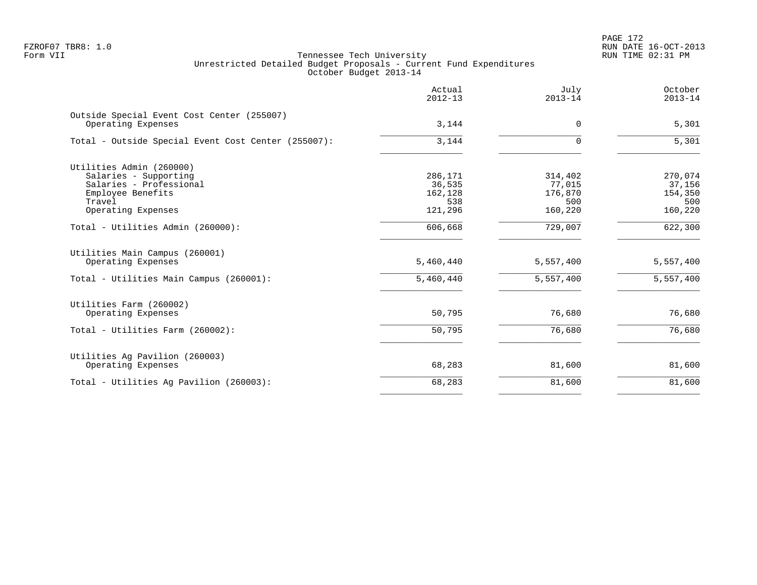PAGE 172 FZROF07 TBR8: 1.0 RUN DATE 16-OCT-2013

|                                                                  | Actual<br>$2012 - 13$ | July<br>$2013 - 14$ | October<br>$2013 - 14$ |
|------------------------------------------------------------------|-----------------------|---------------------|------------------------|
| Outside Special Event Cost Center (255007)<br>Operating Expenses | 3,144                 | 0                   | 5,301                  |
| Total - Outside Special Event Cost Center (255007):              | 3,144                 | $\Omega$            | 5,301                  |
| Utilities Admin (260000)                                         |                       |                     |                        |
| Salaries - Supporting                                            | 286,171               | 314,402             | 270,074                |
| Salaries - Professional                                          | 36,535                | 77,015              | 37,156                 |
| Employee Benefits                                                | 162,128               | 176,870             | 154,350                |
| Travel                                                           | 538                   | 500                 | 500                    |
| Operating Expenses                                               | 121,296               | 160,220             | 160,220                |
| Total - Utilities Admin (260000):                                | 606,668               | 729,007             | 622,300                |
| Utilities Main Campus (260001)<br>Operating Expenses             | 5,460,440             | 5,557,400           | 5,557,400              |
|                                                                  |                       |                     |                        |
| Total - Utilities Main Campus (260001):                          | 5,460,440             | 5,557,400           | 5,557,400              |
| Utilities Farm (260002)                                          |                       |                     |                        |
| Operating Expenses                                               | 50,795                | 76,680              | 76,680                 |
| Total - Utilities Farm (260002):                                 | 50,795                | 76,680              | 76,680                 |
| Utilities Ag Pavilion (260003)                                   |                       |                     |                        |
| Operating Expenses                                               | 68,283                | 81,600              | 81,600                 |
| Total - Utilities Ag Pavilion (260003):                          | 68,283                | 81,600              | 81,600                 |
|                                                                  |                       |                     |                        |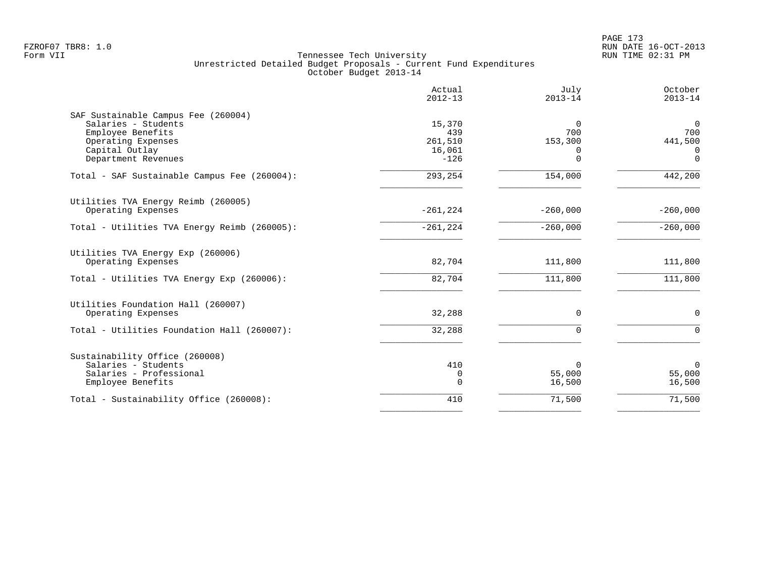| $2012 - 13$ | $2013 - 14$                                                                       | October<br>$2013 - 14$                                                    |
|-------------|-----------------------------------------------------------------------------------|---------------------------------------------------------------------------|
|             |                                                                                   |                                                                           |
|             | $\Omega$                                                                          | $\Omega$                                                                  |
|             |                                                                                   | 700                                                                       |
|             |                                                                                   | 441,500                                                                   |
| $-126$      | $\Omega$                                                                          | 0<br>$\mathbf 0$                                                          |
| 293,254     | 154,000                                                                           | 442,200                                                                   |
|             |                                                                                   |                                                                           |
|             | $-260,000$                                                                        | $-260,000$                                                                |
| $-261, 224$ | $-260,000$                                                                        | $-260,000$                                                                |
|             |                                                                                   |                                                                           |
|             |                                                                                   | 111,800                                                                   |
| 82,704      | 111,800                                                                           | 111,800                                                                   |
|             |                                                                                   |                                                                           |
|             |                                                                                   | $\Omega$                                                                  |
| 32,288      | $\Omega$                                                                          | $\Omega$                                                                  |
|             |                                                                                   |                                                                           |
|             | $\Omega$                                                                          | $\mathbf 0$                                                               |
| $\Omega$    | 16,500                                                                            | 55,000<br>16,500                                                          |
| 410         |                                                                                   | 71,500                                                                    |
|             | 15,370<br>439<br>261,510<br>16,061<br>$-261, 224$<br>82,704<br>32,288<br>410<br>0 | 700<br>153,300<br><sup>0</sup><br>111,800<br>$\Omega$<br>55,000<br>71,500 |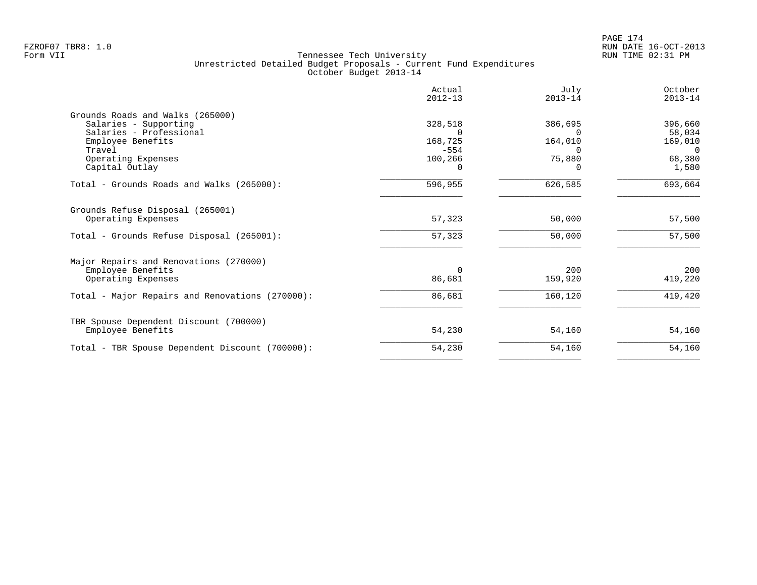|                                                 | Actual<br>$2012 - 13$ | July<br>$2013 - 14$ | October<br>$2013 - 14$ |
|-------------------------------------------------|-----------------------|---------------------|------------------------|
| Grounds Roads and Walks (265000)                |                       |                     |                        |
| Salaries - Supporting                           | 328,518               | 386,695             | 396,660                |
| Salaries - Professional                         |                       |                     | 58,034                 |
| Employee Benefits                               | 168,725               | 164,010             | 169,010                |
| Travel                                          | $-554$                | $\Omega$            | $\Omega$               |
| Operating Expenses                              | 100,266<br>0          | 75,880              | 68,380                 |
| Capital Outlay                                  |                       |                     | 1,580                  |
| Total - Grounds Roads and Walks (265000):       | 596,955               | 626,585             | 693,664                |
| Grounds Refuse Disposal (265001)                |                       |                     |                        |
| Operating Expenses                              | 57,323                | 50,000              | 57,500                 |
| Total - Grounds Refuse Disposal (265001):       | 57,323                | 50,000              | 57,500                 |
| Major Repairs and Renovations (270000)          |                       |                     |                        |
| Employee Benefits                               | $\Omega$              | 200                 | 200                    |
| Operating Expenses                              | 86,681                | 159,920             | 419,220                |
| Total - Major Repairs and Renovations (270000): | 86,681                | 160,120             | 419,420                |
| TBR Spouse Dependent Discount (700000)          |                       |                     |                        |
| Employee Benefits                               | 54,230                | 54,160              | 54,160                 |
| Total - TBR Spouse Dependent Discount (700000): | 54,230                | 54,160              | 54,160                 |
|                                                 |                       |                     |                        |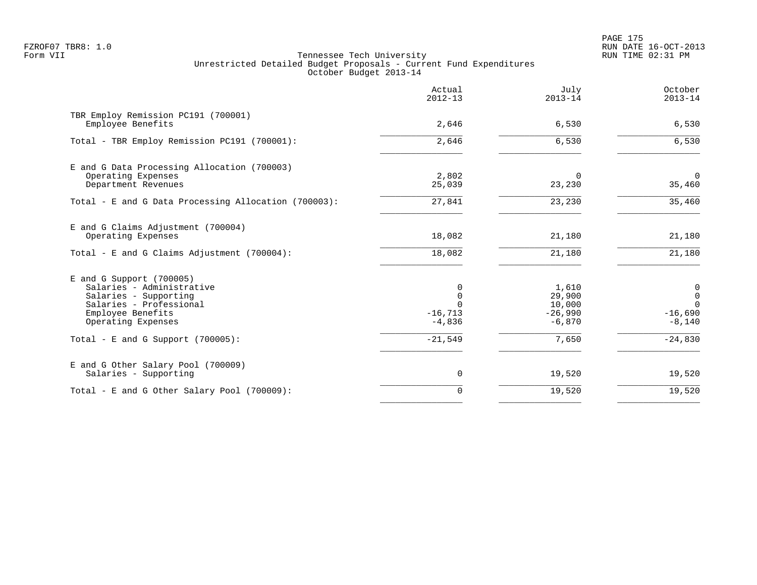PAGE 175 FZROF07 TBR8: 1.0 RUN DATE 16-OCT-2013

|                                                                                                                                                      | Actual<br>$2012 - 13$                                  | July<br>$2013 - 14$                                | October<br>$2013 - 14$                                             |
|------------------------------------------------------------------------------------------------------------------------------------------------------|--------------------------------------------------------|----------------------------------------------------|--------------------------------------------------------------------|
| TBR Employ Remission PC191 (700001)<br>Employee Benefits                                                                                             | 2,646                                                  | 6,530                                              | 6,530                                                              |
| Total - TBR Employ Remission PC191 (700001):                                                                                                         | 2,646                                                  | 6,530                                              | 6,530                                                              |
| E and G Data Processing Allocation (700003)<br>Operating Expenses<br>Department Revenues                                                             | 2,802<br>25,039                                        | $\Omega$<br>23,230                                 | $\mathbf 0$<br>35,460                                              |
| Total - E and G Data Processing Allocation (700003):                                                                                                 | 27,841                                                 | 23,230                                             | 35,460                                                             |
| E and G Claims Adjustment (700004)<br>Operating Expenses<br>Total - E and G Claims Adjustment $(700004)$ :                                           | 18,082<br>18,082                                       | 21,180<br>21,180                                   | 21,180<br>21,180                                                   |
| E and G Support (700005)<br>Salaries - Administrative<br>Salaries - Supporting<br>Salaries - Professional<br>Employee Benefits<br>Operating Expenses | 0<br>$\mathbf 0$<br>$\Omega$<br>$-16, 713$<br>$-4,836$ | 1,610<br>29,900<br>10,000<br>$-26,990$<br>$-6,870$ | $\mathbf 0$<br>$\overline{0}$<br>$\Omega$<br>$-16,690$<br>$-8,140$ |
| Total - E and G Support $(700005)$ :                                                                                                                 | $-21,549$                                              | 7,650                                              | $-24,830$                                                          |
| E and G Other Salary Pool (700009)<br>Salaries - Supporting                                                                                          | $\mathbf 0$                                            | 19,520                                             | 19,520                                                             |
| Total - E and G Other Salary Pool (700009):                                                                                                          | $\mathbf 0$                                            | 19,520                                             | 19,520                                                             |
|                                                                                                                                                      |                                                        |                                                    |                                                                    |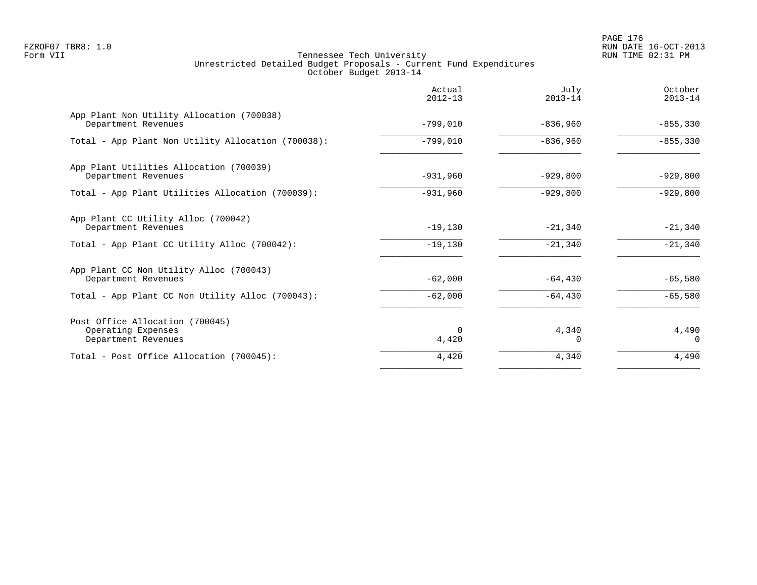PAGE 176 FZROF07 TBR8: 1.0 RUN DATE 16-OCT-2013

|                                                                              | Actual<br>$2012 - 13$ | July<br>$2013 - 14$ | October<br>$2013 - 14$ |
|------------------------------------------------------------------------------|-----------------------|---------------------|------------------------|
| App Plant Non Utility Allocation (700038)<br>Department Revenues             | $-799,010$            | $-836,960$          | $-855, 330$            |
| Total - App Plant Non Utility Allocation (700038):                           | $-799,010$            | $-836,960$          | $-855,330$             |
| App Plant Utilities Allocation (700039)<br>Department Revenues               | $-931,960$            | $-929,800$          | $-929,800$             |
| Total - App Plant Utilities Allocation (700039):                             | $-931,960$            | $-929,800$          | $-929,800$             |
| App Plant CC Utility Alloc (700042)<br>Department Revenues                   | $-19,130$             | $-21,340$           | $-21,340$              |
| Total - App Plant CC Utility Alloc (700042):                                 | $-19,130$             | $-21,340$           | $-21,340$              |
| App Plant CC Non Utility Alloc (700043)<br>Department Revenues               | $-62,000$             | $-64, 430$          | $-65,580$              |
| Total - App Plant CC Non Utility Alloc (700043):                             | $-62,000$             | $-64, 430$          | $-65,580$              |
| Post Office Allocation (700045)<br>Operating Expenses<br>Department Revenues | $\Omega$<br>4,420     | 4,340<br>O          | 4,490<br>$\Omega$      |
| Total - Post Office Allocation (700045):                                     | 4,420                 | 4,340               | 4,490                  |
|                                                                              |                       |                     |                        |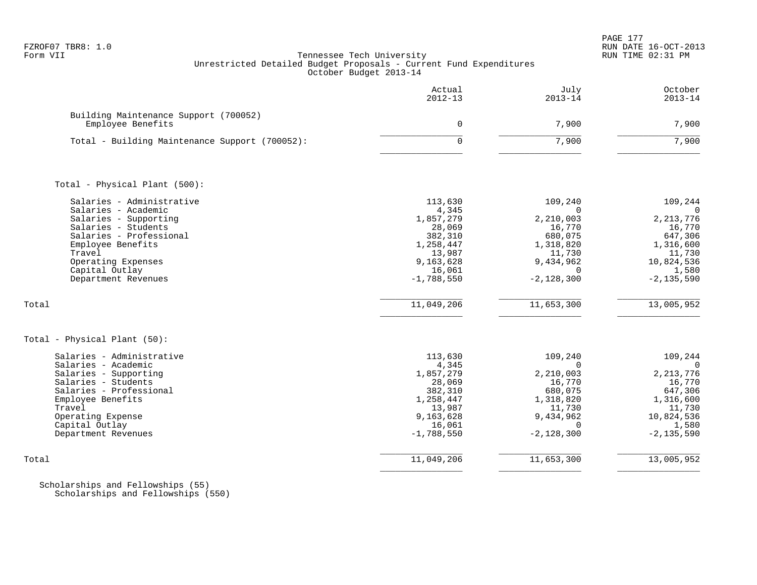| FZROF07 | TBR8: |  |
|---------|-------|--|
|         |       |  |

|                                                            | Actual<br>$2012 - 13$  | July<br>$2013 - 14$      | October<br>$2013 - 14$  |
|------------------------------------------------------------|------------------------|--------------------------|-------------------------|
| Building Maintenance Support (700052)<br>Employee Benefits | $\mathsf{O}$           | 7,900                    | 7,900                   |
| Total - Building Maintenance Support (700052):             | $\Omega$               | 7,900                    | 7,900                   |
|                                                            |                        |                          |                         |
| Total - Physical Plant (500):                              |                        |                          |                         |
| Salaries - Administrative<br>Salaries - Academic           | 113,630<br>4,345       | 109,240<br>$\Omega$      | 109,244<br>$\Omega$     |
| Salaries - Supporting<br>Salaries - Students               | 1,857,279              | 2,210,003<br>16,770      | 2, 213, 776<br>16,770   |
| Salaries - Professional                                    | 28,069<br>382,310      | 680,075                  | 647,306                 |
| Employee Benefits                                          | 1,258,447              | 1,318,820                | 1,316,600               |
| Travel                                                     | 13,987                 | 11,730                   | 11,730                  |
| Operating Expenses                                         | 9,163,628              | 9,434,962                | 10,824,536              |
| Capital Outlay<br>Department Revenues                      | 16,061<br>$-1,788,550$ | $\Omega$<br>$-2,128,300$ | 1,580<br>$-2, 135, 590$ |
|                                                            |                        |                          |                         |
| Total                                                      | 11,049,206             | 11,653,300               | 13,005,952              |
| Total - Physical Plant (50):                               |                        |                          |                         |
| Salaries - Administrative                                  | 113,630                | 109,240                  | 109,244                 |
| Salaries - Academic                                        | 4,345                  | $\Omega$                 | $\Omega$                |
| Salaries - Supporting<br>Salaries - Students               | 1,857,279<br>28,069    | 2,210,003<br>16,770      | 2, 213, 776<br>16,770   |
| Salaries - Professional                                    | 382,310                | 680,075                  | 647,306                 |
| Employee Benefits                                          | 1,258,447              | 1,318,820                | 1,316,600               |
| Travel                                                     | 13,987                 | 11,730                   | 11,730                  |
| Operating Expense<br>Capital Outlay                        | 9,163,628<br>16,061    | 9,434,962<br>$\Omega$    | 10,824,536<br>1,580     |
| Department Revenues                                        | $-1,788,550$           | $-2, 128, 300$           | $-2, 135, 590$          |
| Total                                                      | 11,049,206             | 11,653,300               | 13,005,952              |

 Scholarships and Fellowships (55) Scholarships and Fellowships (550)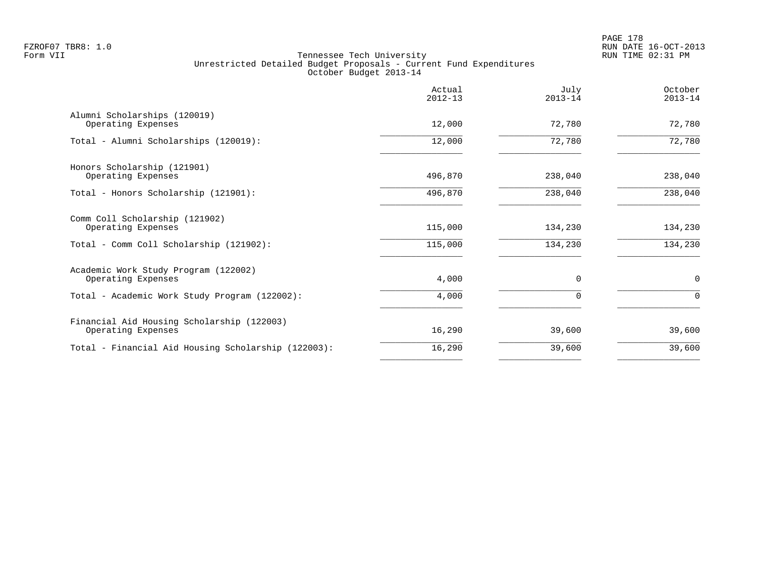|                                                                  | Actual<br>$2012 - 13$ | July<br>$2013 - 14$ | October<br>$2013 - 14$ |
|------------------------------------------------------------------|-----------------------|---------------------|------------------------|
| Alumni Scholarships (120019)<br>Operating Expenses               | 12,000                | 72,780              | 72,780                 |
| Total - Alumni Scholarships (120019):                            | 12,000                | 72,780              | 72,780                 |
| Honors Scholarship (121901)<br>Operating Expenses                | 496,870               | 238,040             | 238,040                |
| Total - Honors Scholarship (121901):                             | 496,870               | 238,040             | 238,040                |
| Comm Coll Scholarship (121902)<br>Operating Expenses             | 115,000               | 134,230             | 134,230                |
| Total - Comm Coll Scholarship (121902):                          | 115,000               | 134,230             | 134,230                |
| Academic Work Study Program (122002)<br>Operating Expenses       | 4,000                 | $\Omega$            | $\mathbf 0$            |
| Total - Academic Work Study Program (122002):                    | 4,000                 | 0                   | $\Omega$               |
| Financial Aid Housing Scholarship (122003)<br>Operating Expenses | 16,290                | 39,600              | 39,600                 |
| Total - Financial Aid Housing Scholarship (122003):              | 16,290                | 39,600              | 39,600                 |
|                                                                  |                       |                     |                        |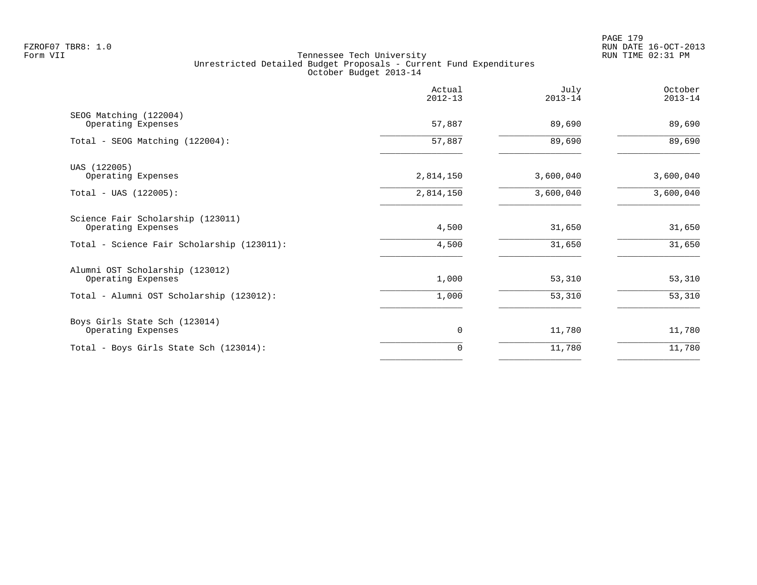PAGE 179 FZROF07 TBR8: 1.0 RUN DATE 16-OCT-2013

|                                                         | Actual<br>$2012 - 13$ | July<br>$2013 - 14$ | October<br>$2013 - 14$ |
|---------------------------------------------------------|-----------------------|---------------------|------------------------|
| SEOG Matching (122004)<br>Operating Expenses            | 57,887                | 89,690              | 89,690                 |
| Total - SEOG Matching (122004):                         | 57,887                | 89,690              | 89,690                 |
| UAS (122005)<br>Operating Expenses                      | 2,814,150             | 3,600,040           | 3,600,040              |
| $Total - UAS (122005):$                                 | 2,814,150             | 3,600,040           | 3,600,040              |
| Science Fair Scholarship (123011)<br>Operating Expenses | 4,500                 | 31,650              | 31,650                 |
| Total - Science Fair Scholarship (123011):              | 4,500                 | 31,650              | 31,650                 |
| Alumni OST Scholarship (123012)<br>Operating Expenses   | 1,000                 | 53,310              | 53,310                 |
| Total - Alumni OST Scholarship (123012):                | 1,000                 | 53,310              | 53,310                 |
| Boys Girls State Sch (123014)<br>Operating Expenses     | $\mathbf 0$           | 11,780              | 11,780                 |
| Total - Boys Girls State Sch (123014):                  | 0                     | 11,780              | 11,780                 |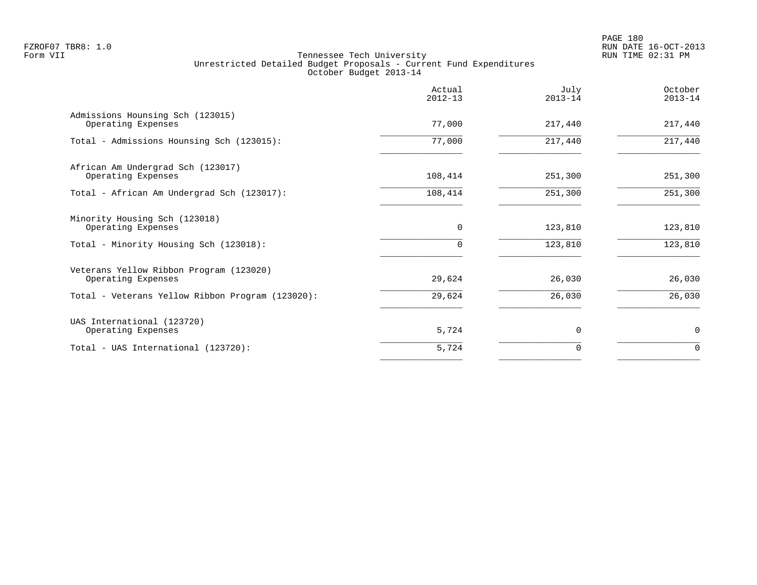|                                                               | Actual<br>$2012 - 13$ | July<br>$2013 - 14$ | October<br>$2013 - 14$ |
|---------------------------------------------------------------|-----------------------|---------------------|------------------------|
| Admissions Hounsing Sch (123015)<br>Operating Expenses        | 77,000                | 217,440             | 217,440                |
| Total - Admissions Hounsing Sch (123015):                     | 77,000                | 217,440             | 217,440                |
| African Am Undergrad Sch (123017)<br>Operating Expenses       | 108,414               | 251,300             | 251,300                |
| Total - African Am Undergrad Sch (123017):                    | 108,414               | 251,300             | 251,300                |
| Minority Housing Sch (123018)<br>Operating Expenses           | $\mathbf 0$           | 123,810             | 123,810                |
| Total - Minority Housing Sch (123018):                        | 0                     | 123,810             | 123,810                |
| Veterans Yellow Ribbon Program (123020)<br>Operating Expenses | 29,624                | 26,030              | 26,030                 |
| Total - Veterans Yellow Ribbon Program (123020):              | 29,624                | 26,030              | 26,030                 |
| UAS International (123720)<br>Operating Expenses              | 5,724                 | $\Omega$            | 0                      |
| Total - UAS International (123720):                           | 5,724                 | 0                   | $\Omega$               |
|                                                               |                       |                     |                        |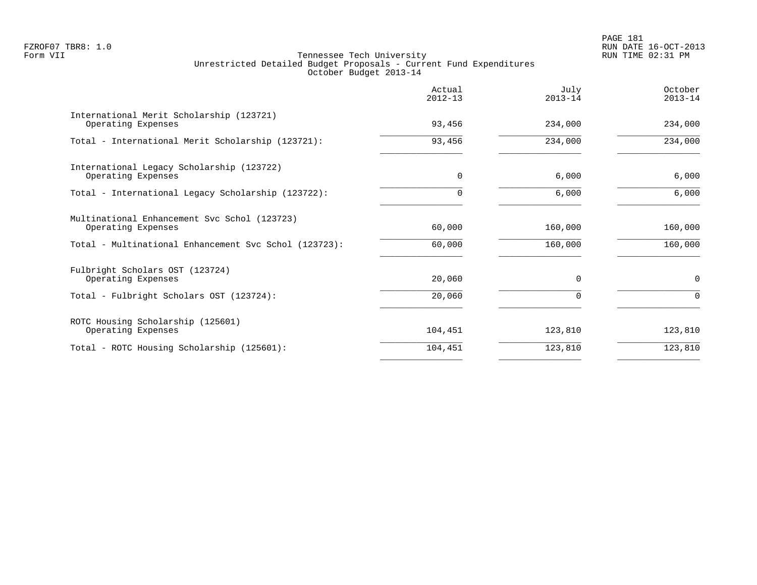PAGE 181 FZROF07 TBR8: 1.0 RUN DATE 16-OCT-2013

|                                                                    | Actual<br>$2012 - 13$ | July<br>$2013 - 14$ | October<br>$2013 - 14$ |
|--------------------------------------------------------------------|-----------------------|---------------------|------------------------|
| International Merit Scholarship (123721)<br>Operating Expenses     | 93,456                | 234,000             | 234,000                |
| Total - International Merit Scholarship (123721):                  | 93,456                | 234,000             | 234,000                |
| International Legacy Scholarship (123722)<br>Operating Expenses    | 0                     | 6,000               | 6,000                  |
| Total - International Legacy Scholarship (123722):                 | $\Omega$              | 6,000               | 6,000                  |
| Multinational Enhancement Svc Schol (123723)<br>Operating Expenses | 60,000                | 160,000             | 160,000                |
| Total - Multinational Enhancement Svc Schol (123723):              | 60,000                | 160,000             | 160,000                |
| Fulbright Scholars OST (123724)<br>Operating Expenses              | 20,060                | $\Omega$            | $\mathbf 0$            |
| Total - Fulbright Scholars OST (123724):                           | 20,060                |                     | $\Omega$               |
| ROTC Housing Scholarship (125601)<br>Operating Expenses            | 104,451               | 123,810             | 123,810                |
| Total - ROTC Housing Scholarship (125601):                         | 104,451               | 123,810             | 123,810                |
|                                                                    |                       |                     |                        |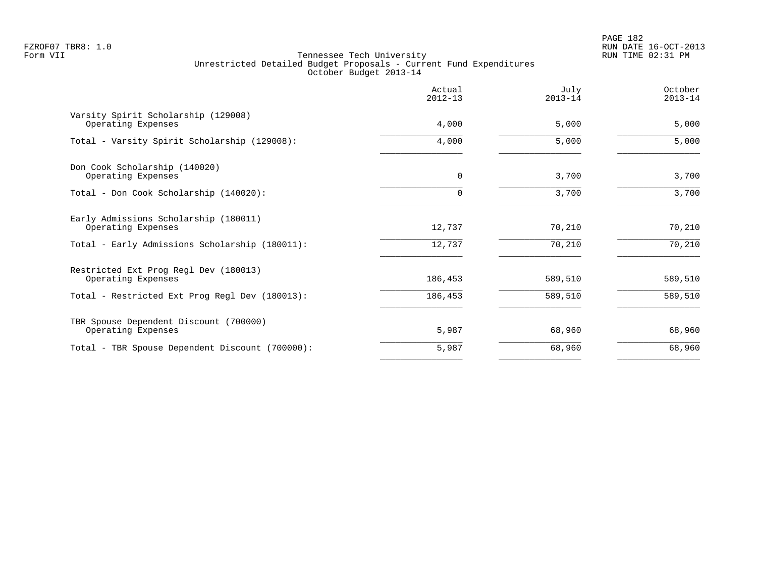PAGE 182 FZROF07 TBR8: 1.0 RUN DATE 16-OCT-2013

|                                                              | Actual<br>$2012 - 13$ | July<br>$2013 - 14$ | October<br>$2013 - 14$ |
|--------------------------------------------------------------|-----------------------|---------------------|------------------------|
| Varsity Spirit Scholarship (129008)<br>Operating Expenses    | 4,000                 | 5,000               | 5,000                  |
| Total - Varsity Spirit Scholarship (129008):                 | 4,000                 | 5,000               | 5,000                  |
| Don Cook Scholarship (140020)<br>Operating Expenses          | 0                     | 3,700               | 3,700                  |
| Total - Don Cook Scholarship (140020):                       | $\Omega$              | 3,700               | 3,700                  |
| Early Admissions Scholarship (180011)<br>Operating Expenses  | 12,737                | 70,210              | 70,210                 |
| Total - Early Admissions Scholarship (180011):               | 12,737                | 70,210              | 70,210                 |
| Restricted Ext Prog Regl Dev (180013)<br>Operating Expenses  | 186,453               | 589,510             | 589,510                |
| Total - Restricted Ext Prog Regl Dev (180013):               | 186,453               | 589,510             | 589,510                |
| TBR Spouse Dependent Discount (700000)<br>Operating Expenses | 5,987                 | 68,960              | 68,960                 |
| Total - TBR Spouse Dependent Discount (700000):              | 5,987                 | 68,960              | 68,960                 |
|                                                              |                       |                     |                        |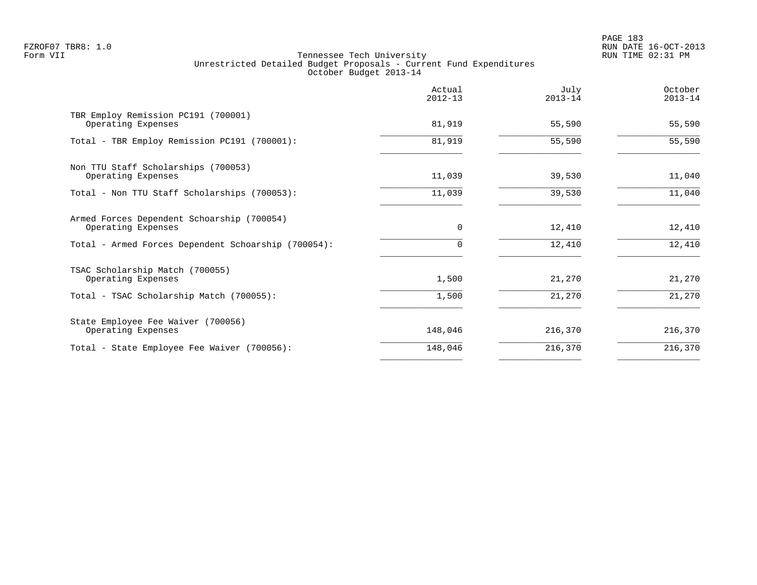PAGE 183 FZROF07 TBR8: 1.0 RUN DATE 16-OCT-2013

|                                                                  | Actual<br>$2012 - 13$ | July<br>$2013 - 14$ | October<br>$2013 - 14$ |
|------------------------------------------------------------------|-----------------------|---------------------|------------------------|
| TBR Employ Remission PC191 (700001)<br>Operating Expenses        | 81,919                | 55,590              | 55,590                 |
| Total - TBR Employ Remission PC191 (700001):                     | 81,919                | 55,590              | 55,590                 |
| Non TTU Staff Scholarships (700053)<br>Operating Expenses        | 11,039                | 39,530              | 11,040                 |
| Total - Non TTU Staff Scholarships (700053):                     | 11,039                | 39,530              | 11,040                 |
| Armed Forces Dependent Schoarship (700054)<br>Operating Expenses | $\mathbf 0$           | 12,410              | 12,410                 |
| Total - Armed Forces Dependent Schoarship (700054):              | $\Omega$              | 12,410              | 12,410                 |
| TSAC Scholarship Match (700055)<br>Operating Expenses            | 1,500                 | 21,270              | 21,270                 |
| Total - TSAC Scholarship Match (700055):                         | 1,500                 | 21,270              | 21,270                 |
| State Employee Fee Waiver (700056)<br>Operating Expenses         | 148,046               | 216,370             | 216,370                |
| Total - State Employee Fee Waiver (700056):                      | 148,046               | 216,370             | 216,370                |
|                                                                  |                       |                     |                        |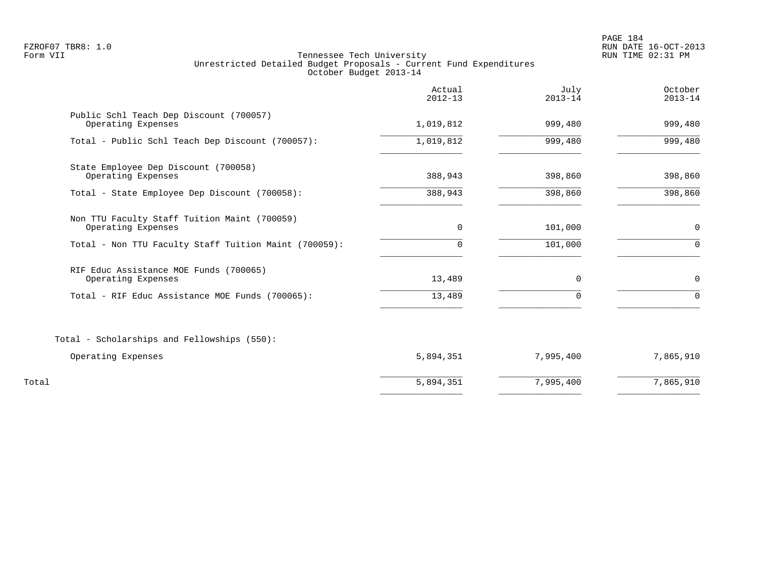PAGE 184 FZROF07 TBR8: 1.0 RUN DATE 16-OCT-2013

|                                                                    | Actual<br>$2012 - 13$ | July<br>$2013 - 14$ | October<br>$2013 - 14$ |
|--------------------------------------------------------------------|-----------------------|---------------------|------------------------|
| Public Schl Teach Dep Discount (700057)<br>Operating Expenses      | 1,019,812             | 999,480             | 999,480                |
| Total - Public Schl Teach Dep Discount (700057):                   | 1,019,812             | 999,480             | 999,480                |
| State Employee Dep Discount (700058)<br>Operating Expenses         | 388,943               | 398,860             | 398,860                |
| Total - State Employee Dep Discount (700058):                      | 388,943               | 398,860             | 398,860                |
| Non TTU Faculty Staff Tuition Maint (700059)<br>Operating Expenses | $\Omega$              | 101,000             | 0                      |
| Total - Non TTU Faculty Staff Tuition Maint (700059):              | $\Omega$              | 101,000             | $\Omega$               |
| RIF Educ Assistance MOE Funds (700065)<br>Operating Expenses       | 13,489                | $\mathbf 0$         | $\mathbf 0$            |
| Total - RIF Educ Assistance MOE Funds (700065):                    | 13,489                | $\Omega$            | $\Omega$               |
| Total - Scholarships and Fellowships (550):                        |                       |                     |                        |
| Operating Expenses                                                 | 5,894,351             | 7,995,400           | 7,865,910              |
| Total                                                              | 5,894,351             | 7,995,400           | 7,865,910              |
|                                                                    |                       |                     |                        |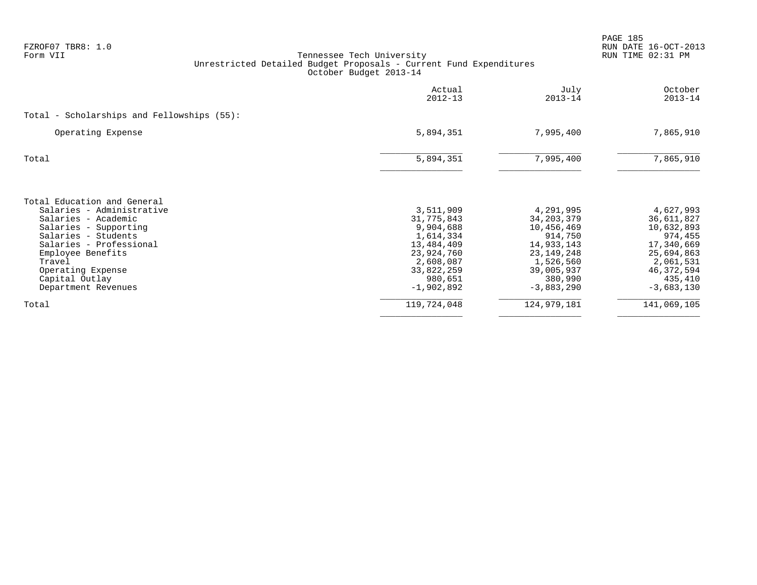| FZROF07 TBR8: 1.0<br>Form VII                    | Tennessee Tech University<br>Unrestricted Detailed Budget Proposals - Current Fund Expenditures<br>October Budget 2013-14 |                         |                           | PAGE 185<br>RUN DATE 16-OCT-2013<br>RUN TIME 02:31 PM |
|--------------------------------------------------|---------------------------------------------------------------------------------------------------------------------------|-------------------------|---------------------------|-------------------------------------------------------|
|                                                  |                                                                                                                           |                         |                           |                                                       |
|                                                  |                                                                                                                           | Actual<br>$2012 - 13$   | July<br>$2013 - 14$       | October<br>$2013 - 14$                                |
| Total - Scholarships and Fellowships (55):       |                                                                                                                           |                         |                           |                                                       |
| Operating Expense                                |                                                                                                                           | 5,894,351               | 7,995,400                 | 7,865,910                                             |
| Total                                            |                                                                                                                           | 5,894,351               | 7,995,400                 | 7,865,910                                             |
| Total Education and General                      |                                                                                                                           |                         |                           |                                                       |
| Salaries - Administrative<br>Salaries - Academic |                                                                                                                           | 3,511,909<br>31,775,843 | 4,291,995<br>34, 203, 379 | 4,627,993                                             |
| Salaries - Supporting                            |                                                                                                                           | 9,904,688               | 10,456,469                | 36,611,827<br>10,632,893                              |
| Salaries - Students                              |                                                                                                                           | 1,614,334               | 914,750                   | 974,455                                               |
| Salaries - Professional                          |                                                                                                                           | 13,484,409              | 14,933,143                | 17,340,669                                            |
| Employee Benefits                                |                                                                                                                           | 23,924,760              | 23, 149, 248              | 25,694,863                                            |
| Travel                                           |                                                                                                                           | 2,608,087               | 1,526,560                 | 2,061,531                                             |
| Operating Expense                                |                                                                                                                           | 33,822,259              | 39,005,937                | 46, 372, 594                                          |
| Capital Outlay<br>Department Revenues            |                                                                                                                           | 980,651<br>$-1,902,892$ | 380,990<br>$-3,883,290$   | 435,410<br>$-3,683,130$                               |
| Total                                            |                                                                                                                           | 119,724,048             | 124, 979, 181             | 141,069,105                                           |
|                                                  |                                                                                                                           |                         |                           |                                                       |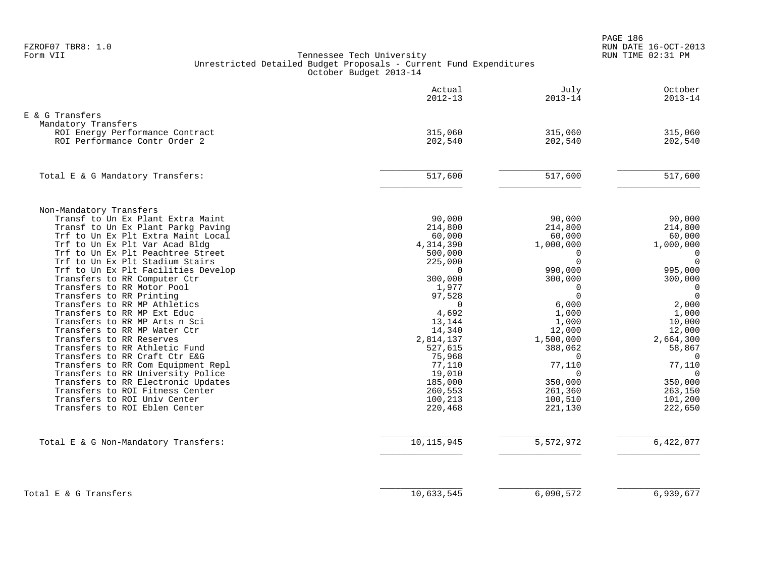PAGE 186 FZROF07 TBR8: 1.0 RUN DATE 16-OCT-2013

|                                                                      | Actual<br>$2012 - 13$ | July<br>$2013 - 14$  | October<br>$2013 - 14$     |
|----------------------------------------------------------------------|-----------------------|----------------------|----------------------------|
| E & G Transfers                                                      |                       |                      |                            |
| Mandatory Transfers                                                  |                       |                      |                            |
| ROI Energy Performance Contract                                      | 315,060               | 315,060              | 315,060                    |
| ROI Performance Contr Order 2                                        | 202,540               | 202,540              | 202,540                    |
| Total E & G Mandatory Transfers:                                     | 517,600               | 517,600              | 517,600                    |
|                                                                      |                       |                      |                            |
| Non-Mandatory Transfers                                              |                       |                      |                            |
| Transf to Un Ex Plant Extra Maint                                    | 90,000                | 90,000               | 90,000                     |
| Transf to Un Ex Plant Parkg Paving                                   | 214,800               | 214,800              | 214,800                    |
| Trf to Un Ex Plt Extra Maint Local                                   | 60,000                | 60,000               | 60,000                     |
| Trf to Un Ex Plt Var Acad Bldg                                       | 4, 314, 390           | 1,000,000            | 1,000,000                  |
| Trf to Un Ex Plt Peachtree Street<br>Trf to Un Ex Plt Stadium Stairs | 500,000               | $\Omega$<br>$\Omega$ | $\overline{0}$<br>$\Omega$ |
| Trf to Un Ex Plt Facilities Develop                                  | 225,000<br>$\Omega$   | 990,000              | 995,000                    |
| Transfers to RR Computer Ctr                                         | 300,000               | 300,000              | 300,000                    |
| Transfers to RR Motor Pool                                           | 1,977                 | $\mathbf 0$          | $\overline{0}$             |
| Transfers to RR Printing                                             | 97,528                | $\Omega$             | $\overline{0}$             |
| Transfers to RR MP Athletics                                         | $\Omega$              | 6,000                | 2,000                      |
| Transfers to RR MP Ext Educ                                          | 4,692                 | 1,000                | 1,000                      |
| Transfers to RR MP Arts n Sci                                        | 13,144                | 1,000                | 10,000                     |
| Transfers to RR MP Water Ctr                                         | 14,340                | 12,000               | 12,000                     |
| Transfers to RR Reserves                                             | 2,814,137             | 1,500,000            | 2,664,300                  |
| Transfers to RR Athletic Fund                                        | 527,615               | 388,062              | 58,867                     |
| Transfers to RR Craft Ctr E&G                                        | 75,968                | 0                    | $\Omega$                   |
| Transfers to RR Com Equipment Repl                                   | 77,110                | 77,110               | 77,110                     |
| Transfers to RR University Police                                    | 19,010                | $\Omega$             | $\Omega$                   |
| Transfers to RR Electronic Updates                                   | 185,000               | 350,000              | 350,000                    |
| Transfers to ROI Fitness Center                                      | 260,553               | 261,360              | 263,150                    |
| Transfers to ROI Univ Center<br>Transfers to ROI Eblen Center        | 100,213<br>220,468    | 100,510<br>221,130   | 101,200<br>222,650         |
|                                                                      |                       |                      |                            |
| Total E & G Non-Mandatory Transfers:                                 | 10, 115, 945          | 5,572,972            | 6,422,077                  |
|                                                                      |                       |                      |                            |
| Total E & G Transfers                                                | 10,633,545            | 6,090,572            | 6,939,677                  |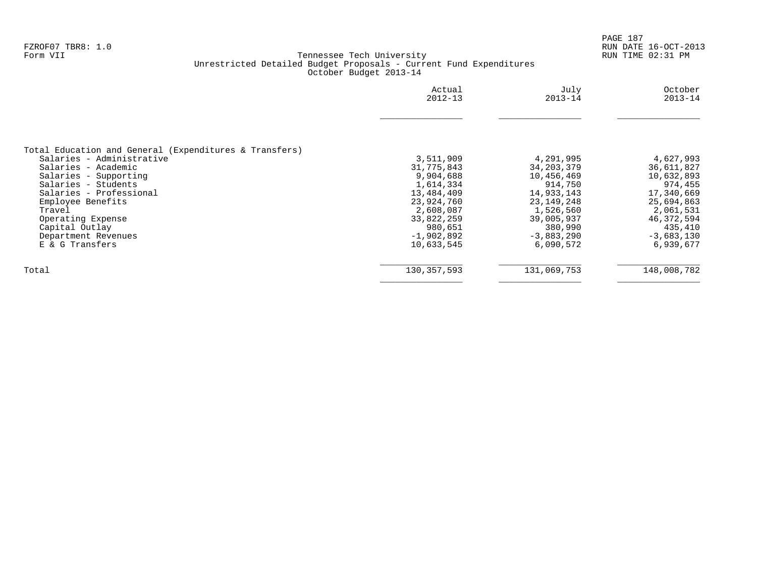|                                                        | Actual<br>$2012 - 13$ | July<br>$2013 - 14$ | October<br>$2013 - 14$ |
|--------------------------------------------------------|-----------------------|---------------------|------------------------|
|                                                        |                       |                     |                        |
| Total Education and General (Expenditures & Transfers) |                       |                     |                        |
| Salaries - Administrative                              | 3,511,909             | 4,291,995           | 4,627,993              |
| Salaries - Academic                                    | 31,775,843            | 34, 203, 379        | 36,611,827             |
| Salaries - Supporting                                  | 9,904,688             | 10,456,469          | 10,632,893             |
| Salaries - Students                                    | 1,614,334             | 914,750             | 974,455                |
| Salaries - Professional                                | 13,484,409            | 14,933,143          | 17,340,669             |
| Employee Benefits                                      | 23,924,760            | 23, 149, 248        | 25,694,863             |
| Travel                                                 | 2,608,087             | 1,526,560           | 2,061,531              |
| Operating Expense                                      | 33,822,259            | 39,005,937          | 46,372,594             |
| Capital Outlay                                         | 980,651               | 380,990             | 435,410                |
| Department Revenues                                    | $-1,902,892$          | $-3,883,290$        | $-3,683,130$           |
| E & G Transfers                                        | 10,633,545            | 6,090,572           | 6,939,677              |
| Total                                                  | 130, 357, 593         | 131,069,753         | 148,008,782            |
|                                                        |                       |                     |                        |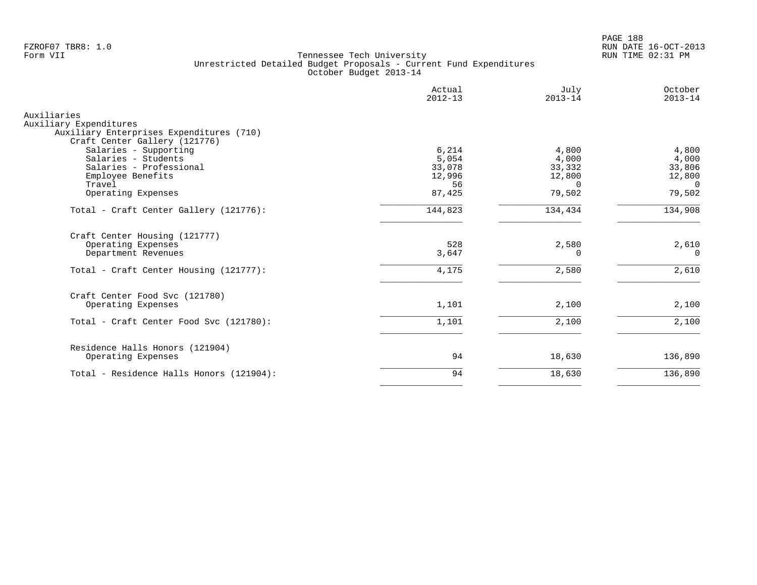PAGE 188 FZROF07 TBR8: 1.0 RUN DATE 16-OCT-2013

|                                                                    | Actual<br>$2012 - 13$ | July<br>$2013 - 14$ | October<br>$2013 - 14$ |
|--------------------------------------------------------------------|-----------------------|---------------------|------------------------|
| Auxiliaries                                                        |                       |                     |                        |
| Auxiliary Expenditures<br>Auxiliary Enterprises Expenditures (710) |                       |                     |                        |
| Craft Center Gallery (121776)                                      |                       |                     |                        |
| Salaries - Supporting                                              | 6,214                 | 4,800               | 4,800                  |
| Salaries - Students                                                | 5,054                 | 4,000               | 4,000                  |
| Salaries - Professional                                            | 33,078                | 33,332              | 33,806                 |
| Employee Benefits                                                  | 12,996                | 12,800              | 12,800                 |
| Travel                                                             | 56                    | $\Omega$            | $\Omega$               |
| Operating Expenses                                                 | 87,425                | 79,502              | 79,502                 |
| Total - Craft Center Gallery (121776):                             | 144,823               | 134,434             | 134,908                |
| Craft Center Housing (121777)                                      |                       |                     |                        |
| Operating Expenses                                                 | 528                   | 2,580               | 2,610                  |
| Department Revenues                                                | 3,647                 | 0                   | $\Omega$               |
| Total - Craft Center Housing (121777):                             | 4,175                 | 2,580               | 2,610                  |
| Craft Center Food Svc (121780)                                     |                       |                     |                        |
| Operating Expenses                                                 | 1,101                 | 2,100               | 2,100                  |
| Total - Craft Center Food Svc (121780):                            | 1,101                 | 2,100               | 2,100                  |
| Residence Halls Honors (121904)                                    |                       |                     |                        |
| Operating Expenses                                                 | 94                    | 18,630              | 136,890                |
| Total - Residence Halls Honors (121904):                           | 94                    | 18,630              | 136,890                |
|                                                                    |                       |                     |                        |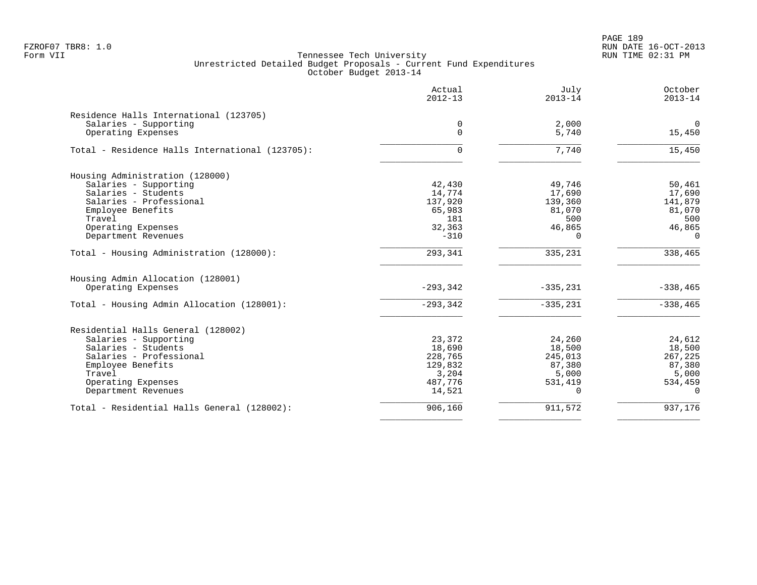PAGE 189 FZROF07 TBR8: 1.0 RUN DATE 16-OCT-2013

|                                                 | Actual<br>$2012 - 13$ | July<br>$2013 - 14$ | October<br>$2013 - 14$ |
|-------------------------------------------------|-----------------------|---------------------|------------------------|
| Residence Halls International (123705)          |                       |                     |                        |
| Salaries - Supporting                           | 0                     | 2,000               | $\mathbf 0$            |
| Operating Expenses                              | $\Omega$              | 5,740               | 15,450                 |
| Total - Residence Halls International (123705): | $\Omega$              | 7,740               | 15,450                 |
| Housing Administration (128000)                 |                       |                     |                        |
| Salaries - Supporting                           | 42,430                | 49,746              | 50,461                 |
| Salaries - Students                             | 14,774                | 17,690              | 17,690                 |
| Salaries - Professional                         | 137,920               | 139,360             | 141,879                |
| Employee Benefits                               | 65,983                | 81,070              | 81,070                 |
| Travel                                          | 181                   | 500                 | 500                    |
| Operating Expenses                              | 32,363                | 46,865              | 46,865                 |
| Department Revenues                             | $-310$                | 0                   | $\Omega$               |
| Total - Housing Administration (128000):        | 293,341               | 335,231             | 338,465                |
| Housing Admin Allocation (128001)               |                       |                     |                        |
| Operating Expenses                              | $-293,342$            | $-335,231$          | $-338, 465$            |
| Total - Housing Admin Allocation (128001):      | $-293, 342$           | $-335,231$          | $-338, 465$            |
| Residential Halls General (128002)              |                       |                     |                        |
| Salaries - Supporting                           | 23,372                | 24,260              | 24,612                 |
| Salaries - Students                             | 18,690                | 18,500              | 18,500                 |
| Salaries - Professional                         | 228,765               | 245,013             | 267,225                |
| Employee Benefits                               | 129,832               | 87,380              | 87,380                 |
| Travel                                          | 3,204                 | 5,000               | 5,000                  |
| Operating Expenses                              | 487,776               | 531,419             | 534,459                |
| Department Revenues                             | 14,521                | $\Omega$            | $\Omega$               |
| Total - Residential Halls General (128002):     | 906,160               | 911,572             | 937,176                |
|                                                 |                       |                     |                        |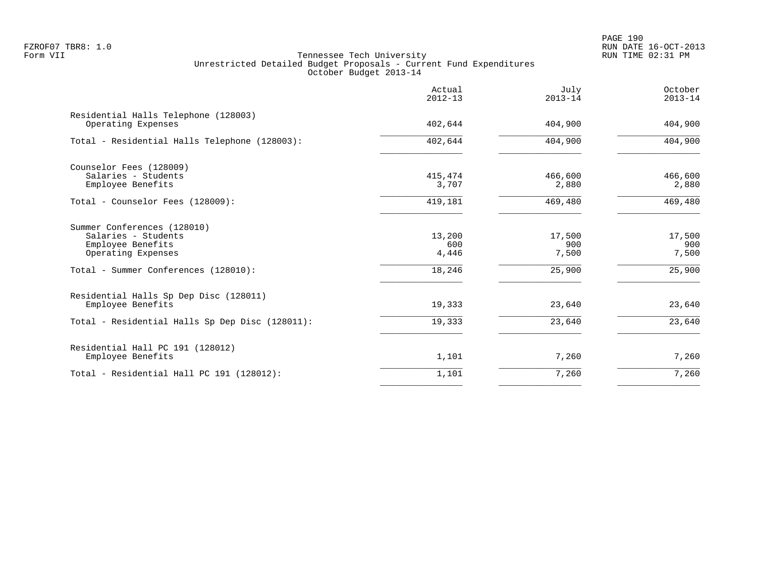PAGE 190 FZROF07 TBR8: 1.0 RUN DATE 16-OCT-2013

|                                                                                                                                       | Actual<br>$2012 - 13$            | July<br>$2013 - 14$              | October<br>$2013 - 14$           |
|---------------------------------------------------------------------------------------------------------------------------------------|----------------------------------|----------------------------------|----------------------------------|
| Residential Halls Telephone (128003)<br>Operating Expenses                                                                            | 402,644                          | 404,900                          | 404,900                          |
| Total - Residential Halls Telephone (128003):                                                                                         | 402,644                          | 404,900                          | 404,900                          |
| Counselor Fees (128009)<br>Salaries - Students<br>Employee Benefits                                                                   | 415,474<br>3,707                 | 466,600<br>2,880                 | 466,600<br>2,880                 |
| Total - Counselor Fees (128009):                                                                                                      | 419,181                          | 469,480                          | 469,480                          |
| Summer Conferences (128010)<br>Salaries - Students<br>Employee Benefits<br>Operating Expenses<br>Total - Summer Conferences (128010): | 13,200<br>600<br>4,446<br>18,246 | 17,500<br>900<br>7,500<br>25,900 | 17,500<br>900<br>7,500<br>25,900 |
| Residential Halls Sp Dep Disc (128011)<br>Employee Benefits<br>Total - Residential Halls Sp Dep Disc (128011):                        | 19,333<br>19,333                 | 23,640<br>23,640                 | 23,640<br>23,640                 |
| Residential Hall PC 191 (128012)<br>Employee Benefits                                                                                 | 1,101                            | 7,260                            | 7,260                            |
| Total - Residential Hall PC 191 (128012):                                                                                             | 1,101                            | 7,260                            | 7,260                            |
|                                                                                                                                       |                                  |                                  |                                  |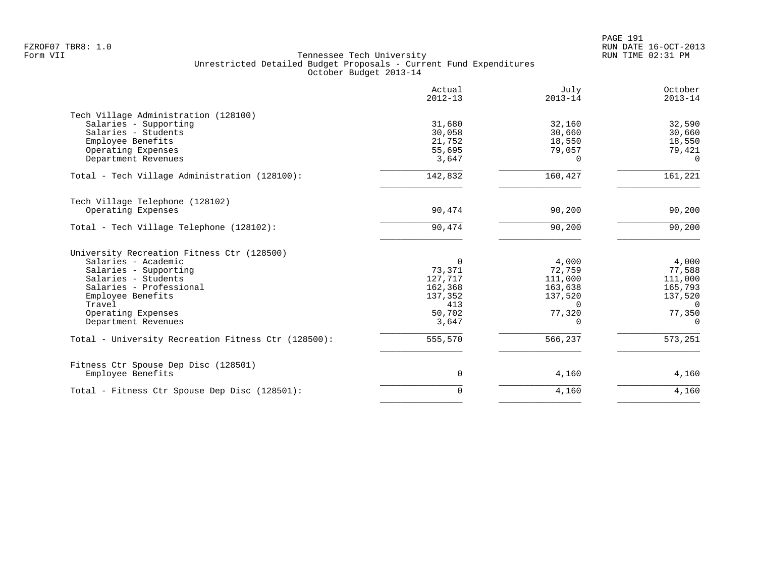|                                                     | Actual<br>$2012 - 13$ | July<br>$2013 - 14$ | October<br>$2013 - 14$ |
|-----------------------------------------------------|-----------------------|---------------------|------------------------|
| Tech Village Administration (128100)                |                       |                     |                        |
| Salaries - Supporting                               | 31,680                | 32,160              | 32,590                 |
| Salaries - Students                                 | 30,058                | 30,660              | 30,660                 |
| Employee Benefits                                   | 21,752                | 18,550              | 18,550                 |
| Operating Expenses                                  | 55,695                | 79,057              | 79,421                 |
| Department Revenues                                 | 3,647                 | 0                   | $\Omega$               |
| Total - Tech Village Administration (128100):       | 142,832               | 160,427             | 161,221                |
| Tech Village Telephone (128102)                     |                       |                     |                        |
| Operating Expenses                                  | 90,474                | 90,200              | 90,200                 |
|                                                     |                       |                     |                        |
| Total - Tech Village Telephone (128102):            | 90,474                | 90,200              | 90,200                 |
| University Recreation Fitness Ctr (128500)          |                       |                     |                        |
| Salaries - Academic                                 | $\Omega$              | 4,000               | 4,000                  |
| Salaries - Supporting                               | 73,371                | 72,759              | 77,588                 |
| Salaries - Students                                 | 127,717               | 111,000             | 111,000                |
| Salaries - Professional                             | 162,368               | 163,638             | 165,793                |
| Employee Benefits                                   | 137,352               | 137,520             | 137,520                |
| Travel                                              | 413                   | $\Omega$            | $\Omega$               |
| Operating Expenses                                  | 50,702                | 77,320              | 77,350                 |
| Department Revenues                                 | 3,647                 | $\Omega$            | $\Omega$               |
| Total - University Recreation Fitness Ctr (128500): | 555,570               | 566,237             | 573,251                |
|                                                     |                       |                     |                        |
| Fitness Ctr Spouse Dep Disc (128501)                |                       |                     |                        |
| Employee Benefits                                   | 0                     | 4,160               | 4,160                  |
| Total - Fitness Ctr Spouse Dep Disc (128501):       | $\mathbf 0$           | 4,160               | 4,160                  |
|                                                     |                       |                     |                        |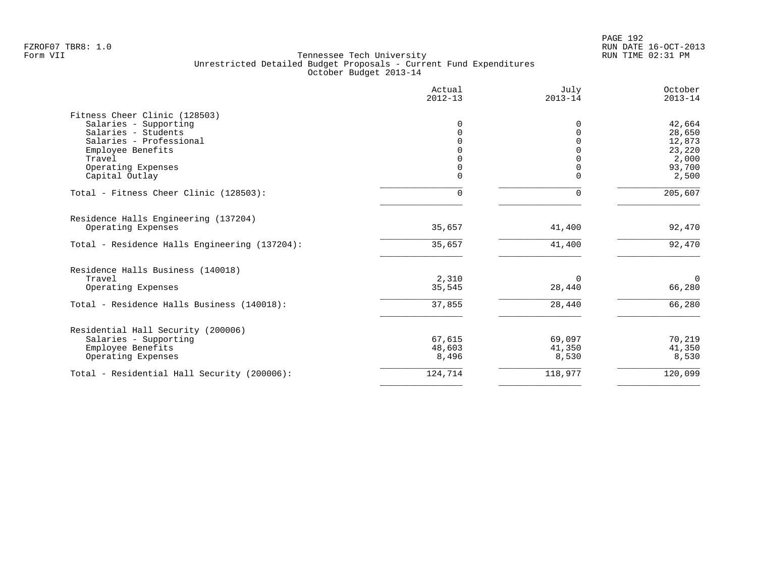PAGE 192 FZROF07 TBR8: 1.0 RUN DATE 16-OCT-2013

|                                               | Actual<br>$2012 - 13$ | July<br>$2013 - 14$ | October<br>$2013 - 14$ |
|-----------------------------------------------|-----------------------|---------------------|------------------------|
| Fitness Cheer Clinic (128503)                 |                       |                     |                        |
| Salaries - Supporting                         | 0                     | $\Omega$            | 42,664                 |
| Salaries - Students                           | $\Omega$              | $\Omega$            | 28,650                 |
| Salaries - Professional                       | <sup>n</sup>          | $\Omega$            | 12,873                 |
| Employee Benefits                             |                       |                     | 23,220                 |
| Travel                                        |                       |                     | 2,000                  |
| Operating Expenses                            | $\Omega$              |                     | 93,700                 |
| Capital Outlay                                | 0                     | $\Omega$            | 2,500                  |
| Total - Fitness Cheer Clinic (128503):        | 0                     | $\Omega$            | 205,607                |
| Residence Halls Engineering (137204)          |                       |                     |                        |
| Operating Expenses                            | 35,657                | 41,400              | 92,470                 |
| Total - Residence Halls Engineering (137204): | 35,657                | 41,400              | 92,470                 |
| Residence Halls Business (140018)             |                       |                     |                        |
| Travel                                        | 2,310                 | 0                   | $\mathbf 0$            |
| Operating Expenses                            | 35,545                | 28,440              | 66,280                 |
| Total - Residence Halls Business (140018):    | 37,855                | 28,440              | 66,280                 |
| Residential Hall Security (200006)            |                       |                     |                        |
| Salaries - Supporting                         | 67,615                | 69,097              | 70,219                 |
| Employee Benefits                             | 48,603                | 41,350              | 41,350                 |
| Operating Expenses                            | 8,496                 | 8,530               | 8,530                  |
| Total - Residential Hall Security (200006):   | 124,714               | 118,977             | 120,099                |
|                                               |                       |                     |                        |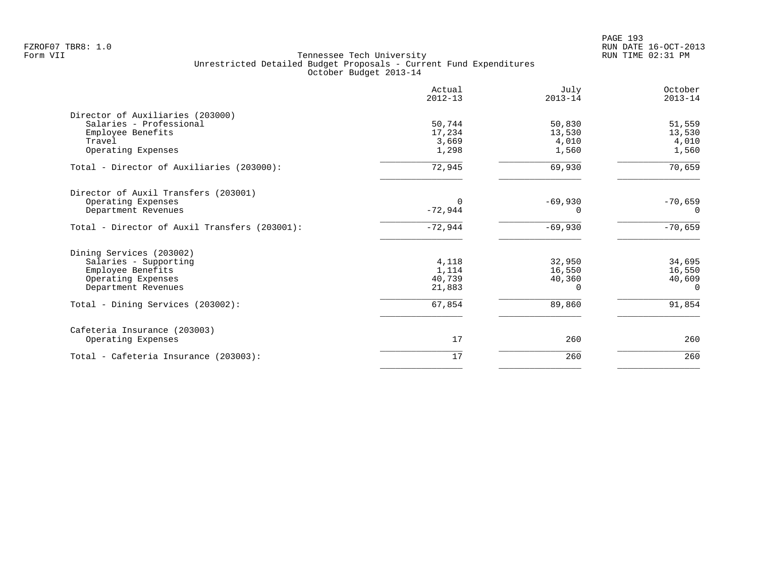|                                               | Actual<br>$2012 - 13$ | July<br>$2013 - 14$ | October<br>$2013 - 14$ |
|-----------------------------------------------|-----------------------|---------------------|------------------------|
| Director of Auxiliaries (203000)              |                       |                     |                        |
| Salaries - Professional                       | 50,744                | 50,830              | 51,559                 |
| Employee Benefits                             | 17,234                | 13,530              | 13,530                 |
| Travel                                        | 3,669                 | 4,010               | 4,010                  |
| Operating Expenses                            | 1,298                 | 1,560               | 1,560                  |
| Total - Director of Auxiliaries (203000):     | 72,945                | 69,930              | 70,659                 |
| Director of Auxil Transfers (203001)          |                       |                     |                        |
| Operating Expenses                            |                       | $-69,930$           | $-70,659$              |
| Department Revenues                           | $-72,944$             | 0                   | $\Omega$               |
| Total - Director of Auxil Transfers (203001): | $-72,944$             | $-69,930$           | $-70,659$              |
| Dining Services (203002)                      |                       |                     |                        |
| Salaries - Supporting                         | 4,118                 | 32,950              | 34,695                 |
| Employee Benefits                             | 1,114                 | 16,550              | 16,550                 |
| Operating Expenses                            | 40,739                | 40,360              | 40,609                 |
| Department Revenues                           | 21,883                | 0                   | $\Omega$               |
| Total - Dining Services (203002):             | 67,854                | 89,860              | 91,854                 |
| Cafeteria Insurance (203003)                  |                       |                     |                        |
| Operating Expenses                            | 17                    | 260                 | 260                    |
| Total - Cafeteria Insurance (203003):         | 17                    | 260                 | 260                    |
|                                               |                       |                     |                        |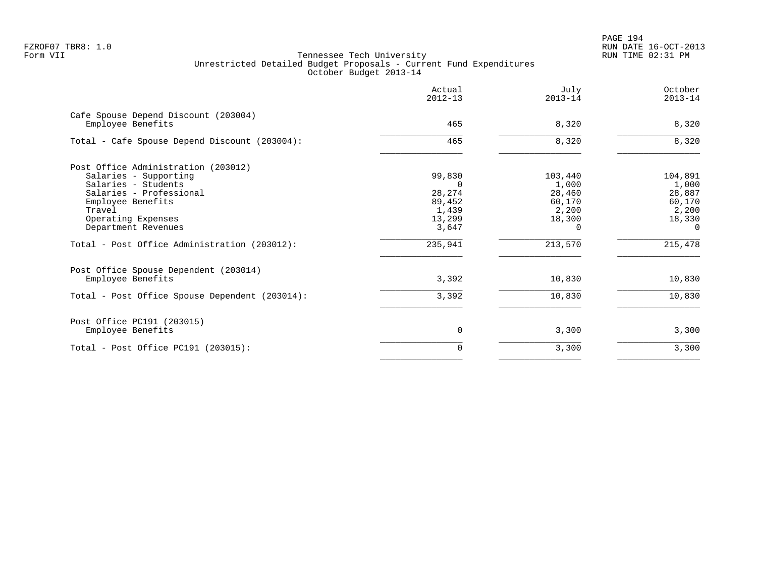|                                                                                     | Actual<br>$2012 - 13$     | July<br>$2013 - 14$       | October<br>$2013 - 14$    |
|-------------------------------------------------------------------------------------|---------------------------|---------------------------|---------------------------|
| Cafe Spouse Depend Discount (203004)<br>Employee Benefits                           | 465                       | 8,320                     | 8,320                     |
| Total - Cafe Spouse Depend Discount (203004):                                       | 465                       | 8,320                     | 8,320                     |
| Post Office Administration (203012)<br>Salaries - Supporting<br>Salaries - Students | 99,830                    | 103,440<br>1,000          | 104,891<br>1,000          |
| Salaries - Professional<br>Employee Benefits<br>Travel                              | 28,274<br>89,452<br>1,439 | 28,460<br>60,170<br>2,200 | 28,887<br>60,170<br>2,200 |
| Operating Expenses<br>Department Revenues                                           | 13,299<br>3,647           | 18,300<br>0               | 18,330<br>$\Omega$        |
| Total - Post Office Administration (203012):                                        | 235,941                   | 213,570                   | 215,478                   |
| Post Office Spouse Dependent (203014)                                               | 3,392                     | 10,830                    |                           |
| Employee Benefits<br>Total - Post Office Spouse Dependent (203014):                 | 3,392                     | 10,830                    | 10,830<br>10,830          |
| Post Office PC191 (203015)                                                          |                           |                           |                           |
| Employee Benefits                                                                   | 0                         | 3,300                     | 3,300                     |
| Total - Post Office PC191 (203015):                                                 | 0                         | 3,300                     | 3,300                     |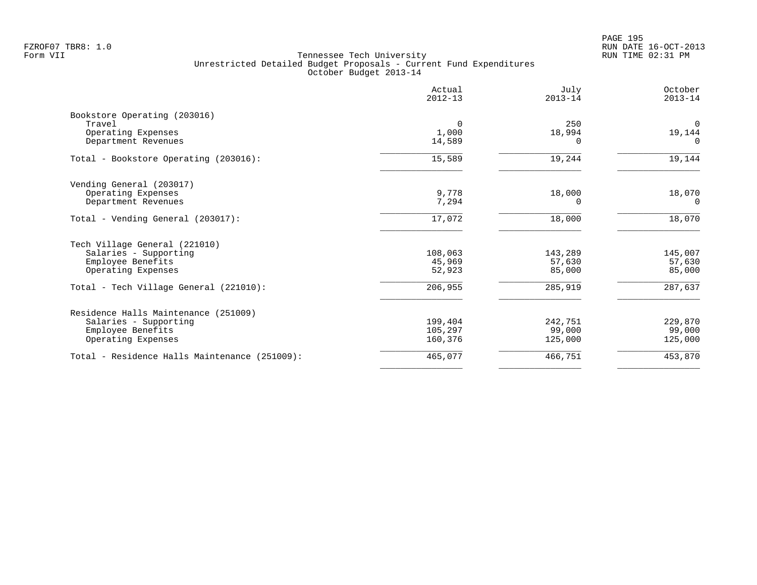PAGE 195 FZROF07 TBR8: 1.0 RUN DATE 16-OCT-2013

|                                               | Actual<br>$2012 - 13$ | July<br>$2013 - 14$ | October<br>$2013 - 14$ |
|-----------------------------------------------|-----------------------|---------------------|------------------------|
| Bookstore Operating (203016)                  |                       |                     |                        |
| Travel                                        | $\Omega$              | 250                 | $\Omega$               |
| Operating Expenses                            | 1,000                 | 18,994              | 19,144                 |
| Department Revenues                           | 14,589                |                     | $\Omega$               |
| Total - Bookstore Operating (203016):         | 15,589                | 19,244              | 19,144                 |
| Vending General (203017)                      |                       |                     |                        |
| Operating Expenses                            | 9,778                 | 18,000              | 18,070                 |
| Department Revenues                           | 7,294                 | 0                   | $\Omega$               |
| Total - Vending General (203017):             | 17,072                | 18,000              | 18,070                 |
| Tech Village General (221010)                 |                       |                     |                        |
| Salaries - Supporting                         | 108,063               | 143,289             | 145,007                |
| Employee Benefits                             | 45,969                | 57,630              | 57,630                 |
| Operating Expenses                            | 52,923                | 85,000              | 85,000                 |
| Total - Tech Village General (221010):        | 206,955               | 285,919             | 287,637                |
| Residence Halls Maintenance (251009)          |                       |                     |                        |
| Salaries - Supporting                         | 199,404               | 242,751             | 229,870                |
| Employee Benefits                             | 105,297               | 99,000              | 99,000                 |
| Operating Expenses                            | 160,376               | 125,000             | 125,000                |
| Total - Residence Halls Maintenance (251009): | 465,077               | 466,751             | 453,870                |
|                                               |                       |                     |                        |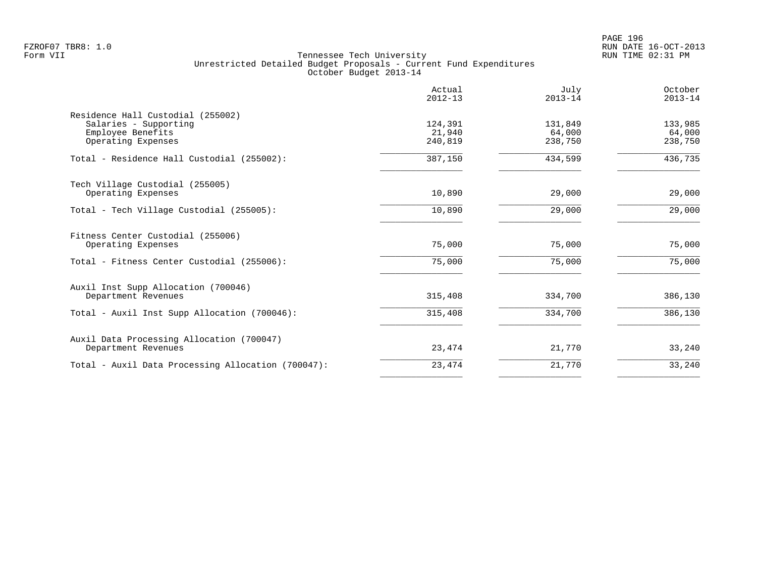PAGE 196 FZROF07 TBR8: 1.0 RUN DATE 16-OCT-2013

|                                                            | Actual<br>$2012 - 13$ | July<br>$2013 - 14$ | October<br>$2013 - 14$ |
|------------------------------------------------------------|-----------------------|---------------------|------------------------|
| Residence Hall Custodial (255002)<br>Salaries - Supporting | 124,391               | 131,849             | 133,985                |
| Employee Benefits<br>Operating Expenses                    | 21,940<br>240,819     | 64,000<br>238,750   | 64,000<br>238,750      |
| Total - Residence Hall Custodial (255002):                 | 387,150               | 434,599             | 436,735                |
| Tech Village Custodial (255005)                            | 10,890                |                     |                        |
| Operating Expenses                                         |                       | 29,000              | 29,000                 |
| Total - Tech Village Custodial (255005):                   | 10,890                | 29,000              | 29,000                 |
| Fitness Center Custodial (255006)<br>Operating Expenses    | 75,000                | 75,000              | 75,000                 |
| Total - Fitness Center Custodial (255006):                 | 75,000                | 75,000              | 75,000                 |
| Auxil Inst Supp Allocation (700046)                        |                       |                     |                        |
| Department Revenues                                        | 315,408               | 334,700             | 386,130                |
| Total - Auxil Inst Supp Allocation (700046):               | 315,408               | 334,700             | 386,130                |
| Auxil Data Processing Allocation (700047)                  |                       |                     |                        |
| Department Revenues                                        | 23,474                | 21,770              | 33,240                 |
| Total - Auxil Data Processing Allocation (700047):         | 23,474                | 21,770              | 33,240                 |
|                                                            |                       |                     |                        |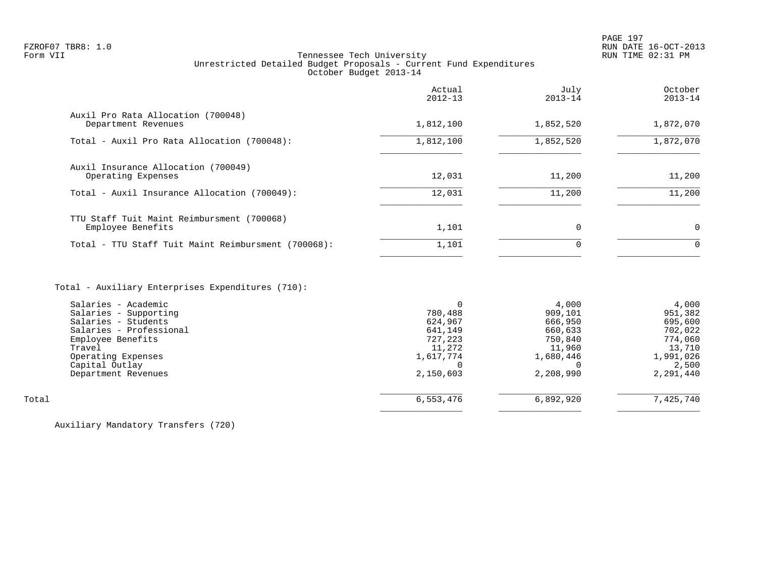# FZROF07 TBR8: 1.0 RUN DATE 16-OCT-2013 Tennessee Tech University Unrestricted Detailed Budget Proposals - Current Fund Expenditures October Budget 2013-14

|                                                                 | Actual<br>$2012 - 13$ | July<br>$2013 - 14$ | October<br>$2013 - 14$ |
|-----------------------------------------------------------------|-----------------------|---------------------|------------------------|
| Auxil Pro Rata Allocation (700048)<br>Department Revenues       | 1,812,100             | 1,852,520           | 1,872,070              |
| Total - Auxil Pro Rata Allocation (700048):                     | 1,812,100             | 1,852,520           | 1,872,070              |
| Auxil Insurance Allocation (700049)<br>Operating Expenses       | 12,031                | 11,200              | 11,200                 |
| Total - Auxil Insurance Allocation (700049):                    | 12,031                | 11,200              | 11,200                 |
| TTU Staff Tuit Maint Reimbursment (700068)<br>Employee Benefits | 1,101                 | 0                   | $\Omega$               |
| Total - TTU Staff Tuit Maint Reimbursment (700068):             | 1,101                 | 0                   | $\Omega$               |
|                                                                 |                       |                     |                        |

# Total - Auxiliary Enterprises Expenditures (710):

|       | Salaries - Academic     |           | 4,000     | 4,000     |
|-------|-------------------------|-----------|-----------|-----------|
|       | Salaries - Supporting   | 780,488   | 909,101   | 951,382   |
|       | Salaries - Students     | 624,967   | 666,950   | 695,600   |
|       | Salaries - Professional | 641,149   | 660,633   | 702,022   |
|       | Employee Benefits       | 727,223   | 750,840   | 774,060   |
|       | Travel                  | 11,272    | 11,960    | 13,710    |
|       | Operating Expenses      | 1,617,774 | 1,680,446 | 1,991,026 |
|       | Capital Outlay          |           |           | 2,500     |
|       | Department Revenues     | 2,150,603 | 2,208,990 | 2,291,440 |
|       |                         |           |           |           |
| Total |                         | 6,553,476 | 6,892,920 | 7,425,740 |
|       |                         |           |           |           |

Auxiliary Mandatory Transfers (720)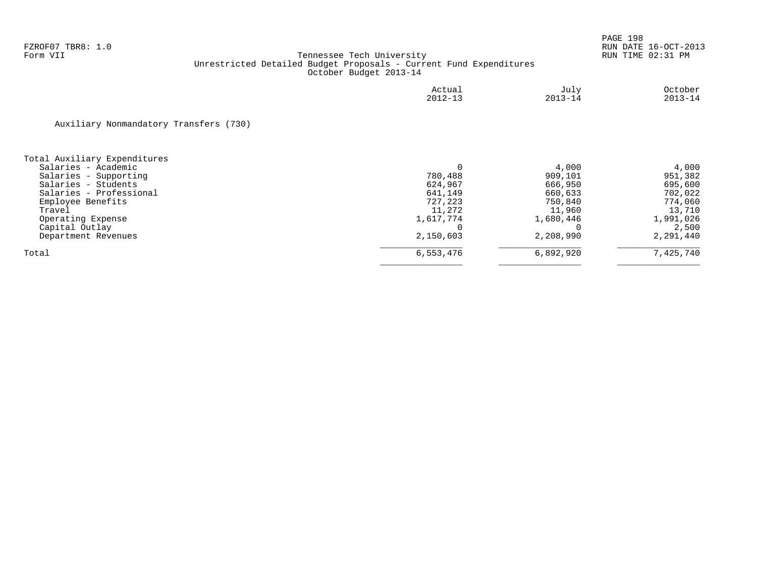|                                        | Actual<br>$2012 - 13$ | July<br>$2013 - 14$ | October<br>$2013 - 14$ |
|----------------------------------------|-----------------------|---------------------|------------------------|
| Auxiliary Nonmandatory Transfers (730) |                       |                     |                        |
| Total Auxiliary Expenditures           |                       |                     |                        |
| Salaries - Academic                    |                       | 4,000               | 4,000                  |
| Salaries - Supporting                  | 780,488               | 909,101             | 951,382                |
| Salaries - Students                    | 624,967               | 666,950             | 695,600                |
| Salaries - Professional                | 641,149               | 660,633             | 702,022                |
| Employee Benefits                      | 727,223               | 750,840             | 774,060                |
| Travel                                 | 11,272                | 11,960              | 13,710                 |
| Operating Expense                      | 1,617,774             | 1,680,446           | 1,991,026              |
| Capital Outlay                         |                       |                     | 2,500                  |
| Department Revenues                    | 2,150,603             | 2,208,990           | 2,291,440              |
| Total                                  | 6,553,476             | 6,892,920           | 7,425,740              |
|                                        |                       |                     |                        |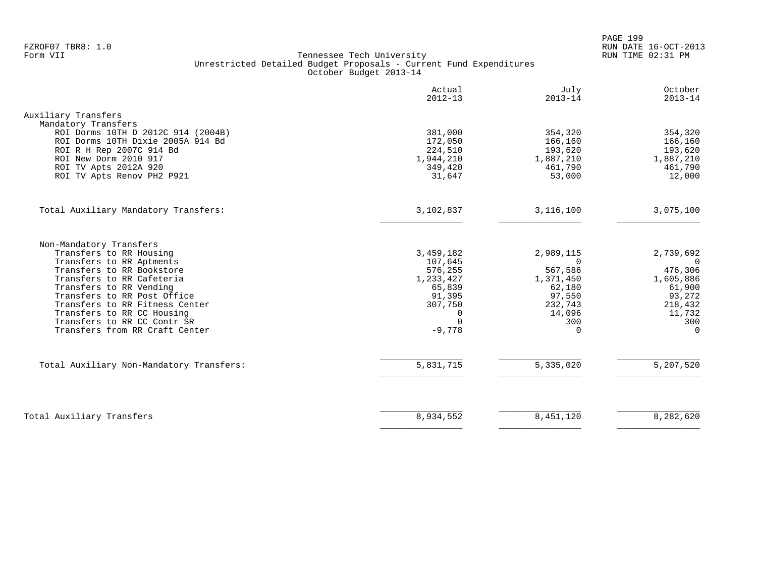PAGE 199 FZROF07 TBR8: 1.0 RUN DATE 16-OCT-2013

|                                                                                                                                                                                                                                                                                                                                     | Actual<br>$2012 - 13$                                                                                    | July<br>$2013 - 14$                                                                                       | October<br>$2013 - 14$                                                                                       |
|-------------------------------------------------------------------------------------------------------------------------------------------------------------------------------------------------------------------------------------------------------------------------------------------------------------------------------------|----------------------------------------------------------------------------------------------------------|-----------------------------------------------------------------------------------------------------------|--------------------------------------------------------------------------------------------------------------|
| Auxiliary Transfers                                                                                                                                                                                                                                                                                                                 |                                                                                                          |                                                                                                           |                                                                                                              |
| Mandatory Transfers<br>ROI Dorms 10TH D 2012C 914 (2004B)<br>ROI Dorms 10TH Dixie 2005A 914 Bd<br>ROI R H Rep 2007C 914 Bd<br>ROI New Dorm 2010 917<br>ROI TV Apts 2012A 920<br>ROI TV Apts Renov PH2 P921                                                                                                                          | 381,000<br>172,050<br>224,510<br>1,944,210<br>349,420<br>31,647                                          | 354,320<br>166,160<br>193,620<br>1,887,210<br>461,790<br>53,000                                           | 354,320<br>166,160<br>193,620<br>1,887,210<br>461,790<br>12,000                                              |
| Total Auxiliary Mandatory Transfers:                                                                                                                                                                                                                                                                                                | 3,102,837                                                                                                | 3,116,100                                                                                                 | 3,075,100                                                                                                    |
| Non-Mandatory Transfers<br>Transfers to RR Housing<br>Transfers to RR Aptments<br>Transfers to RR Bookstore<br>Transfers to RR Cafeteria<br>Transfers to RR Vending<br>Transfers to RR Post Office<br>Transfers to RR Fitness Center<br>Transfers to RR CC Housing<br>Transfers to RR CC Contr SR<br>Transfers from RR Craft Center | 3,459,182<br>107,645<br>576,255<br>1,233,427<br>65,839<br>91,395<br>307,750<br>0<br>$\Omega$<br>$-9,778$ | 2,989,115<br>$\Omega$<br>567,586<br>1,371,450<br>62,180<br>97,550<br>232,743<br>14,096<br>300<br>$\Omega$ | 2,739,692<br>$\Omega$<br>476,306<br>1,605,886<br>61,900<br>93,272<br>218,432<br>11,732<br>300<br>$\mathbf 0$ |
| Total Auxiliary Non-Mandatory Transfers:                                                                                                                                                                                                                                                                                            | 5,831,715                                                                                                | 5,335,020                                                                                                 | 5,207,520                                                                                                    |
| Total Auxiliary Transfers                                                                                                                                                                                                                                                                                                           | 8,934,552                                                                                                | 8,451,120                                                                                                 | 8,282,620                                                                                                    |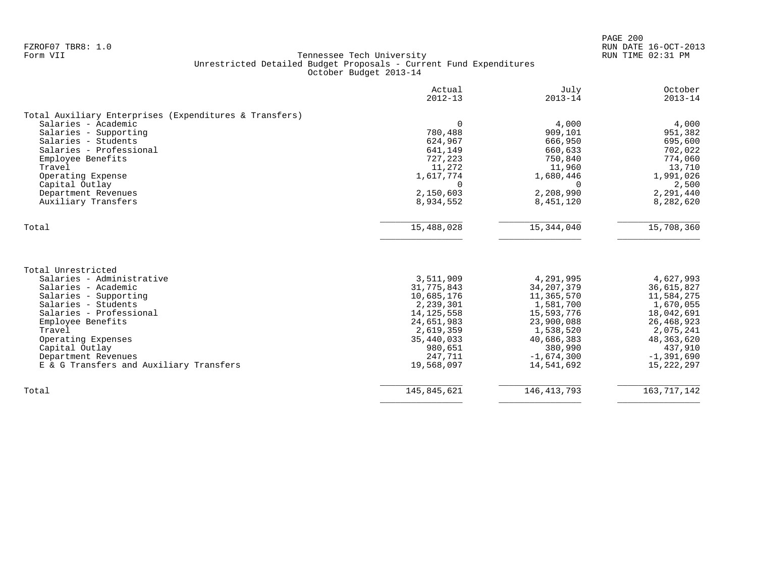| $2012 - 13$<br>$2013 - 14$<br>4,000<br>$\Omega$<br>909,101<br>780,488<br>624,967<br>666,950<br>641,149<br>660,633<br>727,223<br>750,840<br>11,272<br>11,960<br>1,617,774<br>1,680,446<br>$\Omega$<br>2,150,603<br>2,208,990<br>8,934,552<br>8,451,120<br>15,488,028<br>15,344,040 | $2013 - 14$<br>4,000<br>951,382<br>695,600<br>702,022<br>774,060<br>13,710<br>1,991,026<br>2,500<br>$\Omega$<br>2,291,440<br>8,282,620<br>15,708,360 |
|-----------------------------------------------------------------------------------------------------------------------------------------------------------------------------------------------------------------------------------------------------------------------------------|------------------------------------------------------------------------------------------------------------------------------------------------------|
|                                                                                                                                                                                                                                                                                   |                                                                                                                                                      |
|                                                                                                                                                                                                                                                                                   |                                                                                                                                                      |
|                                                                                                                                                                                                                                                                                   |                                                                                                                                                      |
|                                                                                                                                                                                                                                                                                   |                                                                                                                                                      |
|                                                                                                                                                                                                                                                                                   |                                                                                                                                                      |
|                                                                                                                                                                                                                                                                                   |                                                                                                                                                      |
|                                                                                                                                                                                                                                                                                   |                                                                                                                                                      |
|                                                                                                                                                                                                                                                                                   |                                                                                                                                                      |
|                                                                                                                                                                                                                                                                                   |                                                                                                                                                      |
|                                                                                                                                                                                                                                                                                   |                                                                                                                                                      |
|                                                                                                                                                                                                                                                                                   |                                                                                                                                                      |
|                                                                                                                                                                                                                                                                                   |                                                                                                                                                      |
|                                                                                                                                                                                                                                                                                   |                                                                                                                                                      |
|                                                                                                                                                                                                                                                                                   |                                                                                                                                                      |
|                                                                                                                                                                                                                                                                                   |                                                                                                                                                      |
| 3,511,909<br>4,291,995                                                                                                                                                                                                                                                            | 4,627,993                                                                                                                                            |
| 31,775,843<br>34, 207, 379                                                                                                                                                                                                                                                        | 36,615,827                                                                                                                                           |
| 10,685,176<br>11,365,570                                                                                                                                                                                                                                                          | 11,584,275                                                                                                                                           |
| 2,239,301<br>1,581,700                                                                                                                                                                                                                                                            | 1,670,055                                                                                                                                            |
| 14, 125, 558<br>15,593,776                                                                                                                                                                                                                                                        | 18,042,691                                                                                                                                           |
| 24,651,983<br>23,900,088                                                                                                                                                                                                                                                          | 26, 468, 923                                                                                                                                         |
| 2,619,359<br>1,538,520                                                                                                                                                                                                                                                            | 2,075,241                                                                                                                                            |
| 35,440,033<br>40,686,383                                                                                                                                                                                                                                                          | 48, 363, 620                                                                                                                                         |
| 980,651<br>380,990                                                                                                                                                                                                                                                                | 437,910                                                                                                                                              |
| 247,711<br>$-1,674,300$                                                                                                                                                                                                                                                           | $-1,391,690$                                                                                                                                         |
| 19,568,097<br>14,541,692                                                                                                                                                                                                                                                          | 15,222,297                                                                                                                                           |
|                                                                                                                                                                                                                                                                                   | 163, 717, 142                                                                                                                                        |
|                                                                                                                                                                                                                                                                                   | 145,845,621<br>146, 413, 793                                                                                                                         |